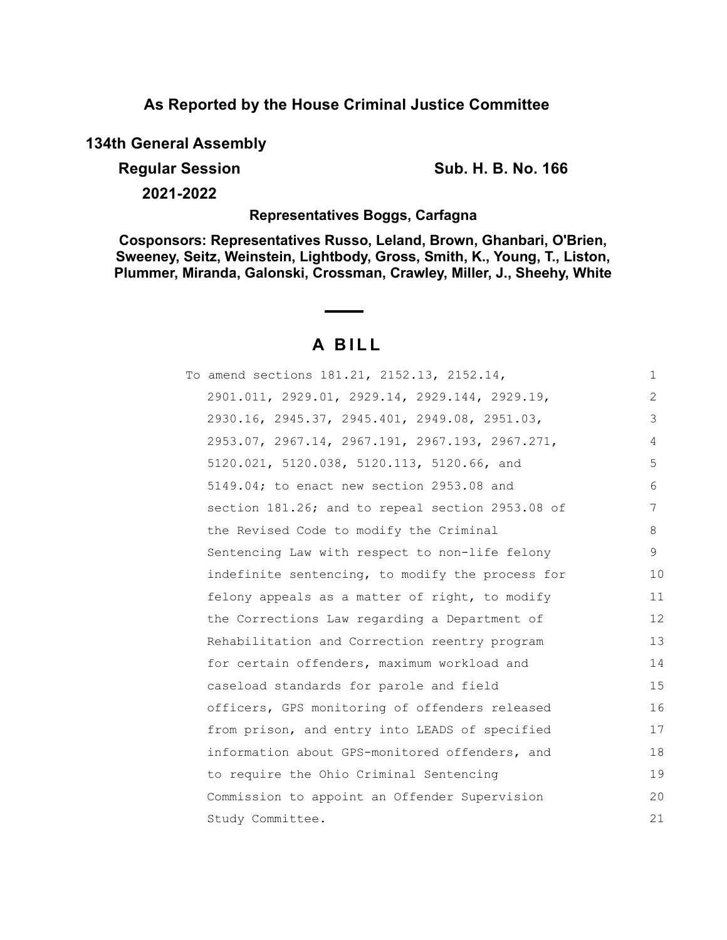# **As Reported by the House Criminal Justice Committee**

**134th General Assembly**

**Regular Session Sub. H. B. No. 166** 

**2021-2022**

## **Representatives Boggs, Carfagna**

**Cosponsors: Representatives Russo, Leland, Brown, Ghanbari, O'Brien, Sweeney, Seitz, Weinstein, Lightbody, Gross, Smith, K., Young, T., Liston, Plummer, Miranda, Galonski, Crossman, Crawley, Miller, J., Sheehy, White**

# **A B I L L**

| To amend sections 181.21, 2152.13, 2152.14,      | 1  |
|--------------------------------------------------|----|
| 2901.011, 2929.01, 2929.14, 2929.144, 2929.19,   | 2  |
| 2930.16, 2945.37, 2945.401, 2949.08, 2951.03,    | 3  |
| 2953.07, 2967.14, 2967.191, 2967.193, 2967.271,  | 4  |
| 5120.021, 5120.038, 5120.113, 5120.66, and       | 5  |
| 5149.04; to enact new section 2953.08 and        | 6  |
| section 181.26; and to repeal section 2953.08 of | 7  |
| the Revised Code to modify the Criminal          | 8  |
| Sentencing Law with respect to non-life felony   | 9  |
| indefinite sentencing, to modify the process for | 10 |
| felony appeals as a matter of right, to modify   | 11 |
| the Corrections Law regarding a Department of    | 12 |
| Rehabilitation and Correction reentry program    | 13 |
| for certain offenders, maximum workload and      | 14 |
| caseload standards for parole and field          | 15 |
| officers, GPS monitoring of offenders released   | 16 |
| from prison, and entry into LEADS of specified   | 17 |
| information about GPS-monitored offenders, and   | 18 |
| to require the Ohio Criminal Sentencing          | 19 |
| Commission to appoint an Offender Supervision    | 20 |
| Study Committee.                                 | 21 |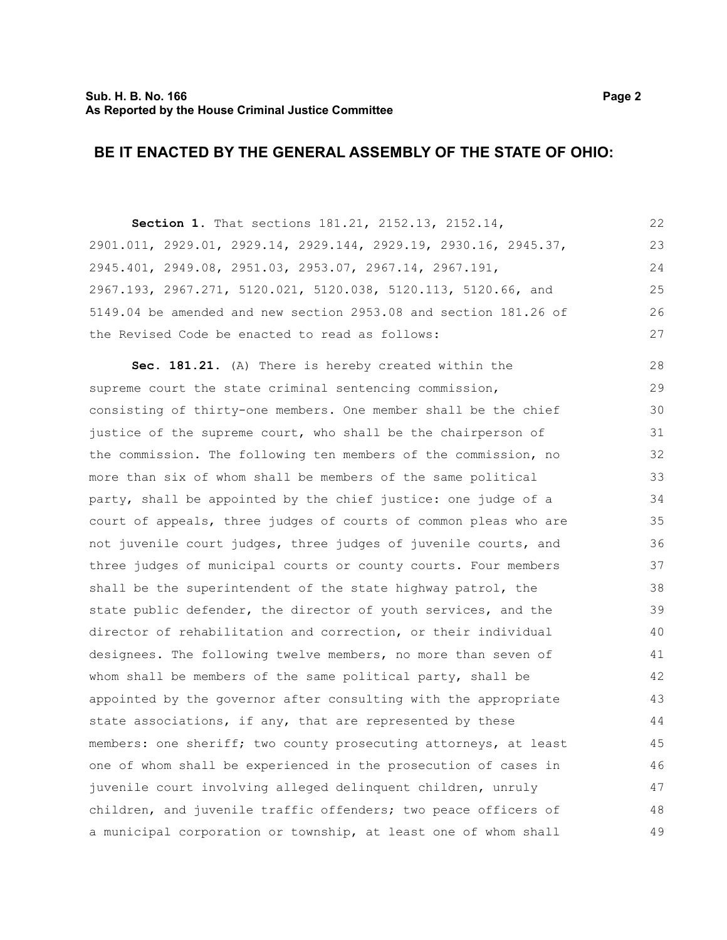### **BE IT ENACTED BY THE GENERAL ASSEMBLY OF THE STATE OF OHIO:**

**Section 1.** That sections 181.21, 2152.13, 2152.14, 2901.011, 2929.01, 2929.14, 2929.144, 2929.19, 2930.16, 2945.37, 2945.401, 2949.08, 2951.03, 2953.07, 2967.14, 2967.191, 2967.193, 2967.271, 5120.021, 5120.038, 5120.113, 5120.66, and 5149.04 be amended and new section 2953.08 and section 181.26 of the Revised Code be enacted to read as follows: **Sec. 181.21.** (A) There is hereby created within the supreme court the state criminal sentencing commission, consisting of thirty-one members. One member shall be the chief justice of the supreme court, who shall be the chairperson of the commission. The following ten members of the commission, no more than six of whom shall be members of the same political party, shall be appointed by the chief justice: one judge of a court of appeals, three judges of courts of common pleas who are not juvenile court judges, three judges of juvenile courts, and three judges of municipal courts or county courts. Four members shall be the superintendent of the state highway patrol, the state public defender, the director of youth services, and the director of rehabilitation and correction, or their individual designees. The following twelve members, no more than seven of whom shall be members of the same political party, shall be appointed by the governor after consulting with the appropriate state associations, if any, that are represented by these members: one sheriff; two county prosecuting attorneys, at least one of whom shall be experienced in the prosecution of cases in juvenile court involving alleged delinquent children, unruly children, and juvenile traffic offenders; two peace officers of a municipal corporation or township, at least one of whom shall 22 23 24 25 26 27 28 29 30 31 32 33 34 35 36 37 38 39 40 41 42 43 44 45 46 47 48 49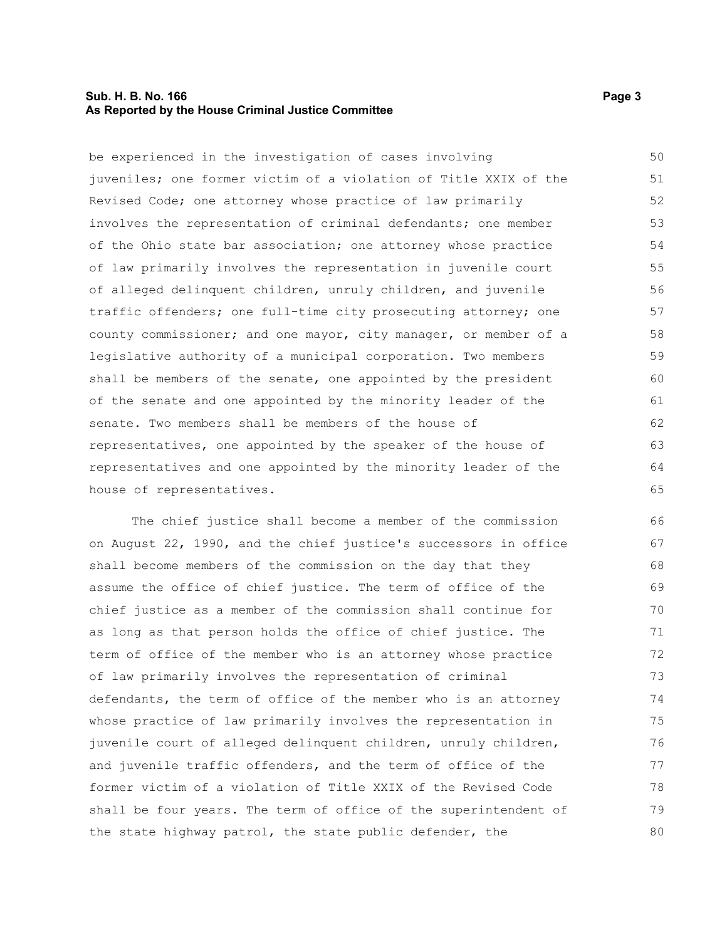#### **Sub. H. B. No. 166 Page 3 As Reported by the House Criminal Justice Committee**

be experienced in the investigation of cases involving juveniles; one former victim of a violation of Title XXIX of the Revised Code; one attorney whose practice of law primarily involves the representation of criminal defendants; one member of the Ohio state bar association; one attorney whose practice of law primarily involves the representation in juvenile court of alleged delinquent children, unruly children, and juvenile traffic offenders; one full-time city prosecuting attorney; one county commissioner; and one mayor, city manager, or member of a legislative authority of a municipal corporation. Two members shall be members of the senate, one appointed by the president of the senate and one appointed by the minority leader of the senate. Two members shall be members of the house of representatives, one appointed by the speaker of the house of representatives and one appointed by the minority leader of the house of representatives. 50 51 52 53 54 55 56 57 58 59 60 61 62 63 64 65

The chief justice shall become a member of the commission on August 22, 1990, and the chief justice's successors in office shall become members of the commission on the day that they assume the office of chief justice. The term of office of the chief justice as a member of the commission shall continue for as long as that person holds the office of chief justice. The term of office of the member who is an attorney whose practice of law primarily involves the representation of criminal defendants, the term of office of the member who is an attorney whose practice of law primarily involves the representation in juvenile court of alleged delinquent children, unruly children, and juvenile traffic offenders, and the term of office of the former victim of a violation of Title XXIX of the Revised Code shall be four years. The term of office of the superintendent of the state highway patrol, the state public defender, the 66 67 68 69 70 71 72 73 74 75 76 77 78 79 80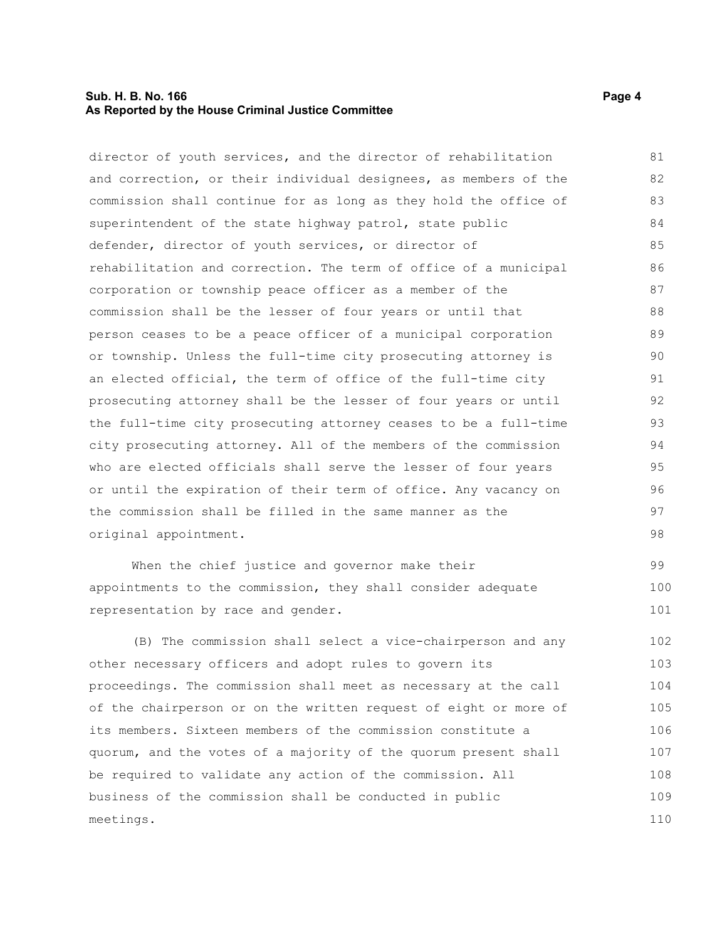#### **Sub. H. B. No. 166 Page 4** Page 4 Page 4 Page 4 Page 4 Page 4 Page 4 Page 4 Page 4 Page 4 Page 4 Page 4 Page 4 Page 4 **As Reported by the House Criminal Justice Committee**

director of youth services, and the director of rehabilitation and correction, or their individual designees, as members of the commission shall continue for as long as they hold the office of superintendent of the state highway patrol, state public defender, director of youth services, or director of rehabilitation and correction. The term of office of a municipal corporation or township peace officer as a member of the commission shall be the lesser of four years or until that person ceases to be a peace officer of a municipal corporation or township. Unless the full-time city prosecuting attorney is an elected official, the term of office of the full-time city prosecuting attorney shall be the lesser of four years or until the full-time city prosecuting attorney ceases to be a full-time city prosecuting attorney. All of the members of the commission who are elected officials shall serve the lesser of four years or until the expiration of their term of office. Any vacancy on the commission shall be filled in the same manner as the original appointment. When the chief justice and governor make their appointments to the commission, they shall consider adequate representation by race and gender. (B) The commission shall select a vice-chairperson and any other necessary officers and adopt rules to govern its proceedings. The commission shall meet as necessary at the call of the chairperson or on the written request of eight or more of its members. Sixteen members of the commission constitute a quorum, and the votes of a majority of the quorum present shall be required to validate any action of the commission. All business of the commission shall be conducted in public meetings. 81 82 83 84 85 86 87 88 89 90 91 92 93 94 95 96 97 98 99 100 101 102 103 104 105 106 107 108 109 110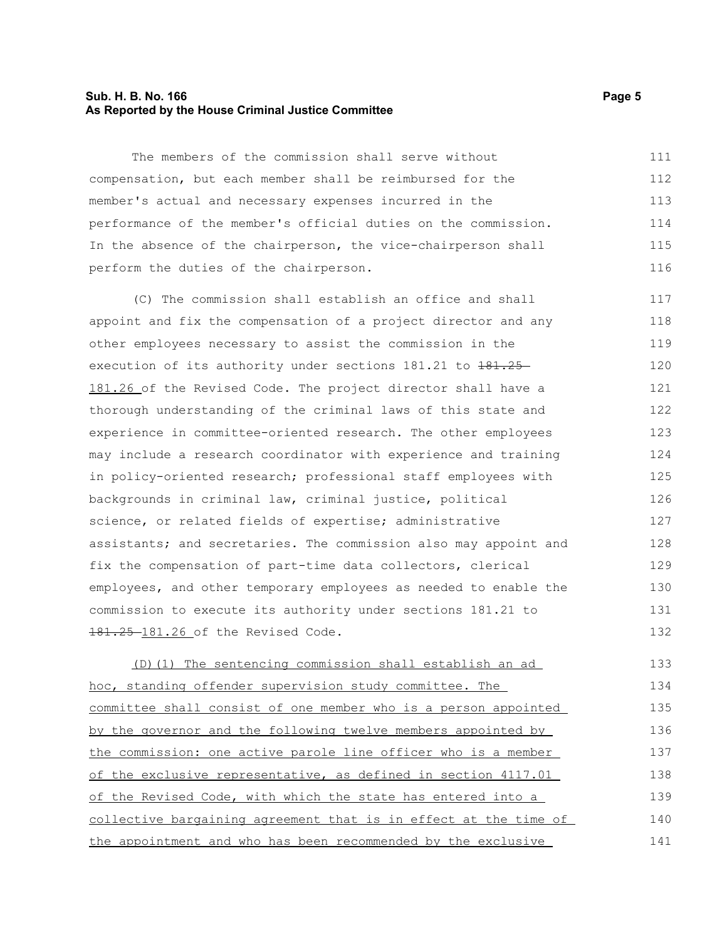#### **Sub. H. B. No. 166 Page 5** Page 5 **As Reported by the House Criminal Justice Committee**

The members of the commission shall serve without compensation, but each member shall be reimbursed for the member's actual and necessary expenses incurred in the performance of the member's official duties on the commission. In the absence of the chairperson, the vice-chairperson shall perform the duties of the chairperson. 111 112 113 114 115 116

(C) The commission shall establish an office and shall appoint and fix the compensation of a project director and any other employees necessary to assist the commission in the execution of its authority under sections 181.21 to 181.25-181.26 of the Revised Code. The project director shall have a thorough understanding of the criminal laws of this state and experience in committee-oriented research. The other employees may include a research coordinator with experience and training in policy-oriented research; professional staff employees with backgrounds in criminal law, criminal justice, political science, or related fields of expertise; administrative assistants; and secretaries. The commission also may appoint and fix the compensation of part-time data collectors, clerical employees, and other temporary employees as needed to enable the commission to execute its authority under sections 181.21 to 181.25-181.26 of the Revised Code. 117 118 119 120 121 122 123 124 125 126 127 128 129 130 131 132

(D)(1) The sentencing commission shall establish an ad hoc, standing offender supervision study committee. The committee shall consist of one member who is a person appointed by the governor and the following twelve members appointed by the commission: one active parole line officer who is a member of the exclusive representative, as defined in section 4117.01 of the Revised Code, with which the state has entered into a collective bargaining agreement that is in effect at the time of the appointment and who has been recommended by the exclusive 133 134 135 136 137 138 139 140 141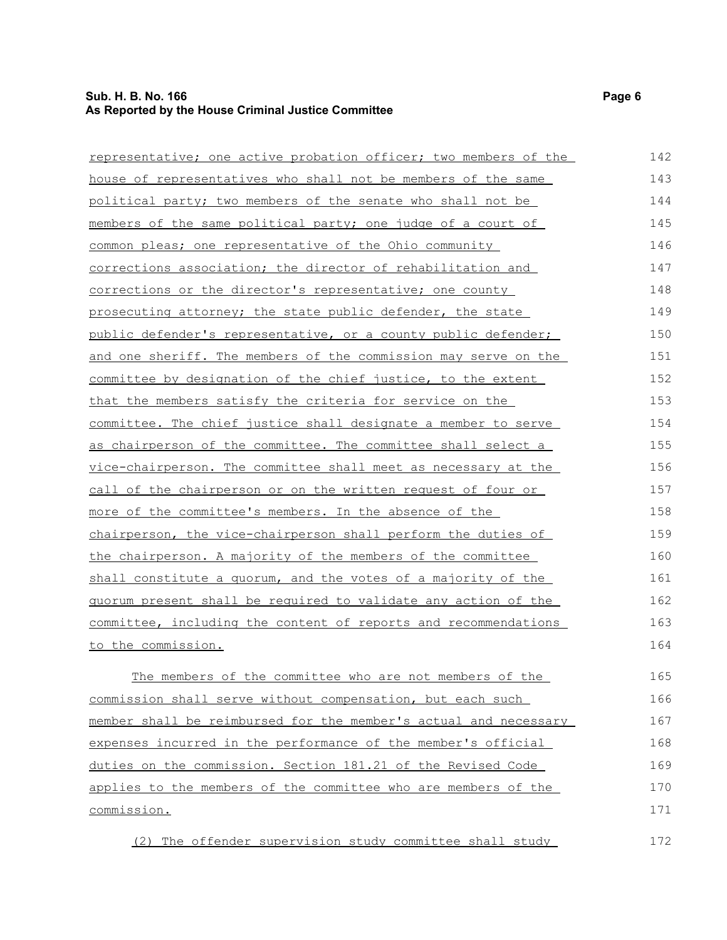### **Sub. H. B. No. 166** Page 6 **As Reported by the House Criminal Justice Committee**

| representative; one active probation officer; two members of the      | 142 |
|-----------------------------------------------------------------------|-----|
| house of representatives who shall not be members of the same         | 143 |
| political party; two members of the senate who shall not be           | 144 |
| members of the same political party; one judge of a court of          | 145 |
| common pleas; one representative of the Ohio community                | 146 |
| <u>corrections association; the director of rehabilitation and</u>    | 147 |
| corrections or the director's representative; one county              | 148 |
| prosecuting attorney; the state public defender, the state            | 149 |
| public defender's representative, or a county public defender;        | 150 |
| and one sheriff. The members of the commission may serve on the       | 151 |
| committee by designation of the chief justice, to the extent          | 152 |
| that the members satisfy the criteria for service on the              | 153 |
| <u>committee. The chief justice shall designate a member to serve</u> | 154 |
| as chairperson of the committee. The committee shall select a         | 155 |
| vice-chairperson. The committee shall meet as necessary at the        | 156 |
| call of the chairperson or on the written request of four or          | 157 |
| more of the committee's members. In the absence of the                | 158 |
| chairperson, the vice-chairperson shall perform the duties of         | 159 |
| the chairperson. A majority of the members of the committee           | 160 |
| shall constitute a quorum, and the votes of a majority of the         | 161 |
| quorum present shall be required to validate any action of the        | 162 |
| committee, including the content of reports and recommendations       | 163 |
| to the commission.                                                    | 164 |
| The members of the committee who are not members of the               | 165 |
| commission shall serve without compensation, but each such            | 166 |
| member shall be reimbursed for the member's actual and necessary      | 167 |
| expenses incurred in the performance of the member's official         | 168 |
| duties on the commission. Section 181.21 of the Revised Code          | 169 |
| applies to the members of the committee who are members of the        | 170 |
| <u>commission.</u>                                                    | 171 |
| The offender supervision study committee shall study<br>(2)           | 172 |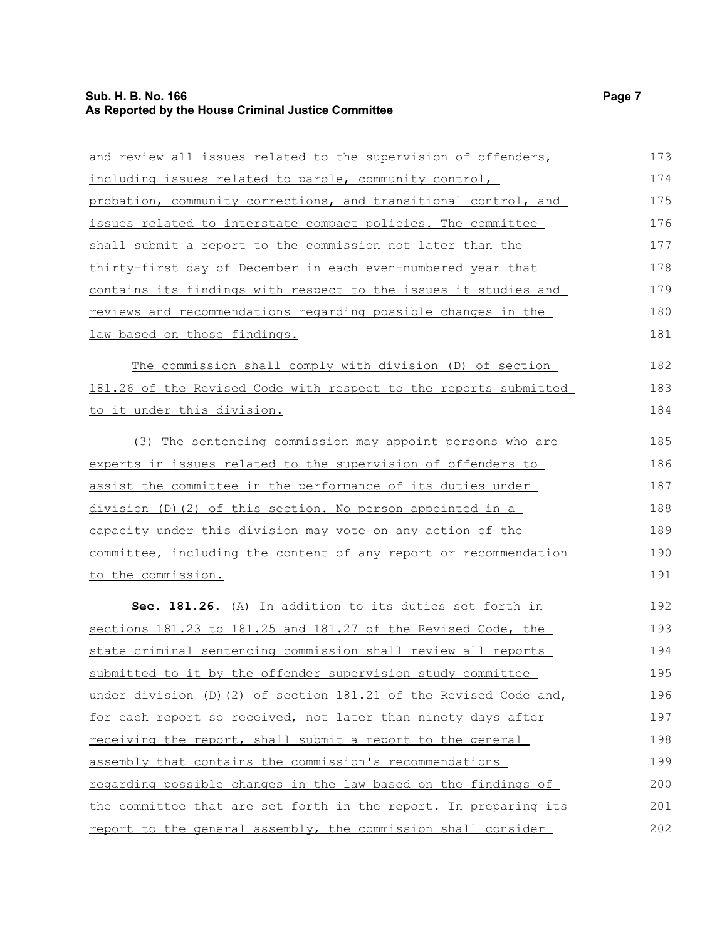### **Sub. H. B. No. 166** Page 7 **As Reported by the House Criminal Justice Committee**

| and review all issues related to the supervision of offenders,         | 173 |
|------------------------------------------------------------------------|-----|
| including issues related to parole, community control,                 | 174 |
| probation, community corrections, and transitional control, and        | 175 |
| issues related to interstate compact policies. The committee           | 176 |
| shall submit a report to the commission not later than the             | 177 |
| thirty-first day of December in each even-numbered year that           | 178 |
| <u>contains its findings with respect to the issues it studies and</u> | 179 |
| reviews and recommendations regarding possible changes in the          | 180 |
| law based on those findings.                                           | 181 |
| The commission shall comply with division (D) of section               | 182 |
| 181.26 of the Revised Code with respect to the reports submitted       | 183 |
| to it under this division.                                             | 184 |
| (3) The sentencing commission may appoint persons who are              | 185 |
| experts in issues related to the supervision of offenders to           | 186 |
| assist the committee in the performance of its duties under            | 187 |
| division (D) (2) of this section. No person appointed in a             | 188 |
| capacity under this division may vote on any action of the             | 189 |
| committee, including the content of any report or recommendation       | 190 |
| to the commission.                                                     | 191 |
| Sec. 181.26. (A) In addition to its duties set forth in                | 192 |
| sections 181.23 to 181.25 and 181.27 of the Revised Code, the          | 193 |
| state criminal sentencing commission shall review all reports          | 194 |
| submitted to it by the offender supervision study committee            | 195 |
| under division (D) (2) of section 181.21 of the Revised Code and,      | 196 |
| for each report so received, not later than ninety days after          | 197 |
| receiving the report, shall submit a report to the general             | 198 |
| assembly that contains the commission's recommendations                | 199 |
| regarding possible changes in the law based on the findings of         | 200 |
| the committee that are set forth in the report. In preparing its       | 201 |
| report to the general assembly, the commission shall consider          | 202 |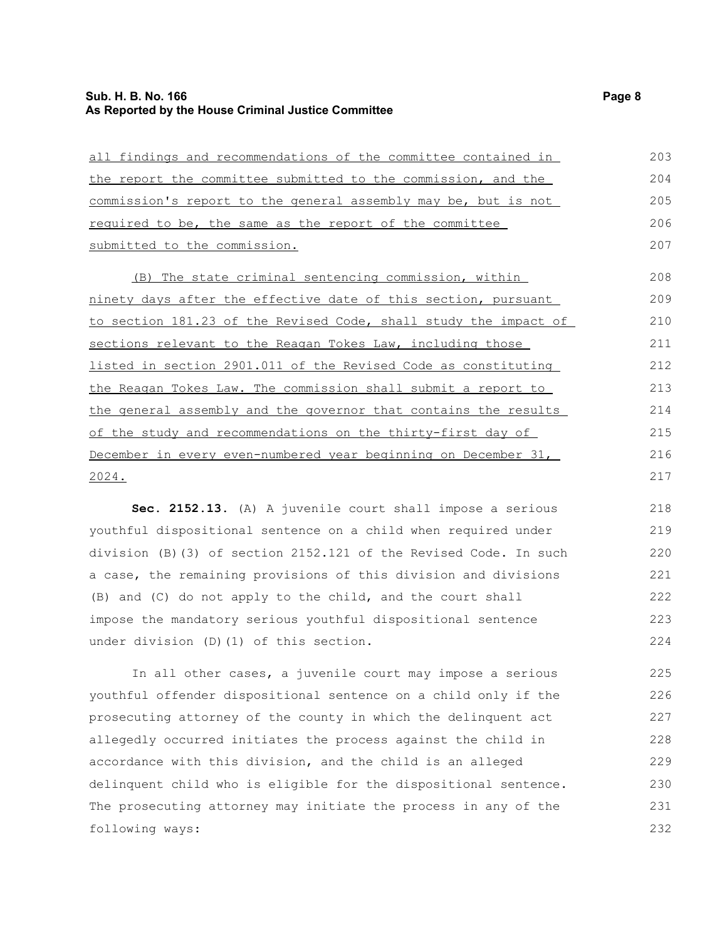#### **Sub. H. B. No. 166 Page 8 As Reported by the House Criminal Justice Committee**

| all findings and recommendations of the committee contained in   | 203 |
|------------------------------------------------------------------|-----|
| the report the committee submitted to the commission, and the    | 204 |
| commission's report to the general assembly may be, but is not   | 205 |
| required to be, the same as the report of the committee          | 206 |
| submitted to the commission.                                     | 207 |
| (B) The state criminal sentencing commission, within             | 208 |
| ninety days after the effective date of this section, pursuant   | 209 |
| to section 181.23 of the Revised Code, shall study the impact of | 210 |
| sections relevant to the Reagan Tokes Law, including those       | 211 |
| listed in section 2901.011 of the Revised Code as constituting   | 212 |
| the Reagan Tokes Law. The commission shall submit a report to    | 213 |
| the general assembly and the governor that contains the results  | 214 |
| of the study and recommendations on the thirty-first day of      | 215 |
| December in every even-numbered year beginning on December 31,   | 216 |
| 2024.                                                            | 217 |
| Sec. 2152.13. (A) A juvenile court shall impose a serious        | 218 |
| youthful dispositional sentence on a child when required under   | 219 |
| division (B)(3) of section 2152.121 of the Revised Code. In such | 220 |
| a case, the remaining provisions of this division and divisions  | 221 |
| (B) and (C) do not apply to the child, and the court shall       | 222 |
| impose the mandatory serious youthful dispositional sentence     | 223 |
| under division (D) (1) of this section.                          | 224 |
| In all other cases, a juvenile court may impose a serious        | 225 |
| youthful offender dispositional sentence on a child only if the  | 226 |
| prosecuting attorney of the county in which the delinquent act   | 227 |
|                                                                  |     |

accordance with this division, and the child is an alleged delinquent child who is eligible for the dispositional sentence. The prosecuting attorney may initiate the process in any of the following ways: 229 230 231 232

allegedly occurred initiates the process against the child in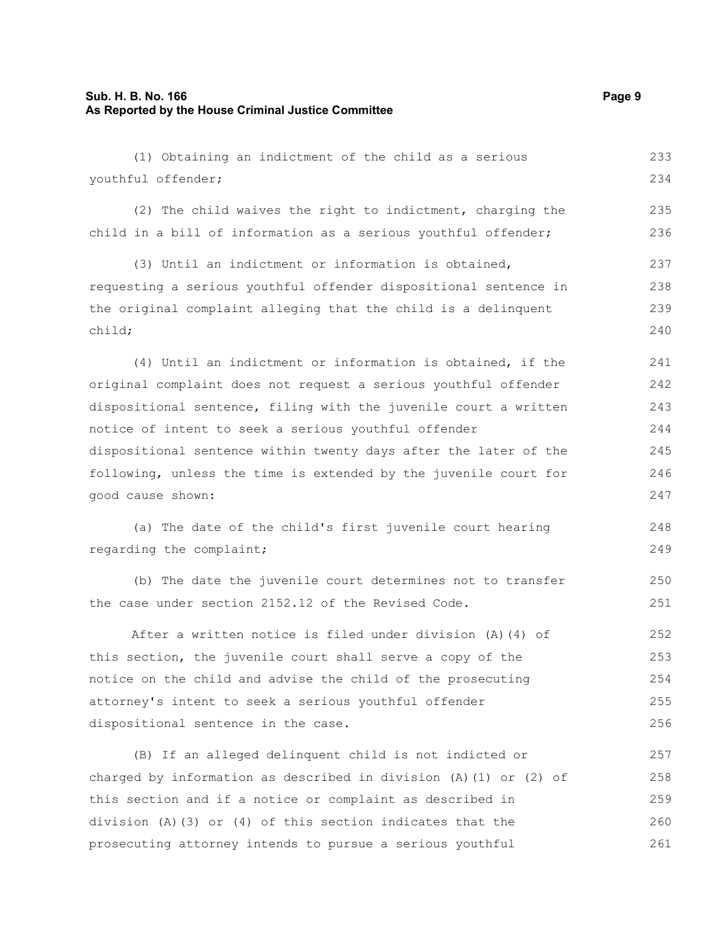### **Sub. H. B. No. 166** Page 9 **As Reported by the House Criminal Justice Committee**

| (1) Obtaining an indictment of the child as a serious             | 233 |
|-------------------------------------------------------------------|-----|
| youthful offender;                                                | 234 |
| (2) The child waives the right to indictment, charging the        | 235 |
| child in a bill of information as a serious youthful offender;    | 236 |
| (3) Until an indictment or information is obtained,               | 237 |
| requesting a serious youthful offender dispositional sentence in  | 238 |
| the original complaint alleging that the child is a delinquent    | 239 |
| child;                                                            | 240 |
| (4) Until an indictment or information is obtained, if the        | 241 |
| original complaint does not request a serious youthful offender   | 242 |
| dispositional sentence, filing with the juvenile court a written  | 243 |
| notice of intent to seek a serious youthful offender              | 244 |
| dispositional sentence within twenty days after the later of the  | 245 |
| following, unless the time is extended by the juvenile court for  | 246 |
| good cause shown:                                                 | 247 |
| (a) The date of the child's first juvenile court hearing          | 248 |
| regarding the complaint;                                          | 249 |
| (b) The date the juvenile court determines not to transfer        | 250 |
| the case under section 2152.12 of the Revised Code.               | 251 |
| After a written notice is filed under division (A) (4) of         | 252 |
| this section, the juvenile court shall serve a copy of the        | 253 |
| notice on the child and advise the child of the prosecuting       | 254 |
| attorney's intent to seek a serious youthful offender             | 255 |
| dispositional sentence in the case.                               | 256 |
| (B) If an alleged delinquent child is not indicted or             | 257 |
| charged by information as described in division (A) (1) or (2) of | 258 |
| this section and if a notice or complaint as described in         | 259 |

division (A)(3) or (4) of this section indicates that the prosecuting attorney intends to pursue a serious youthful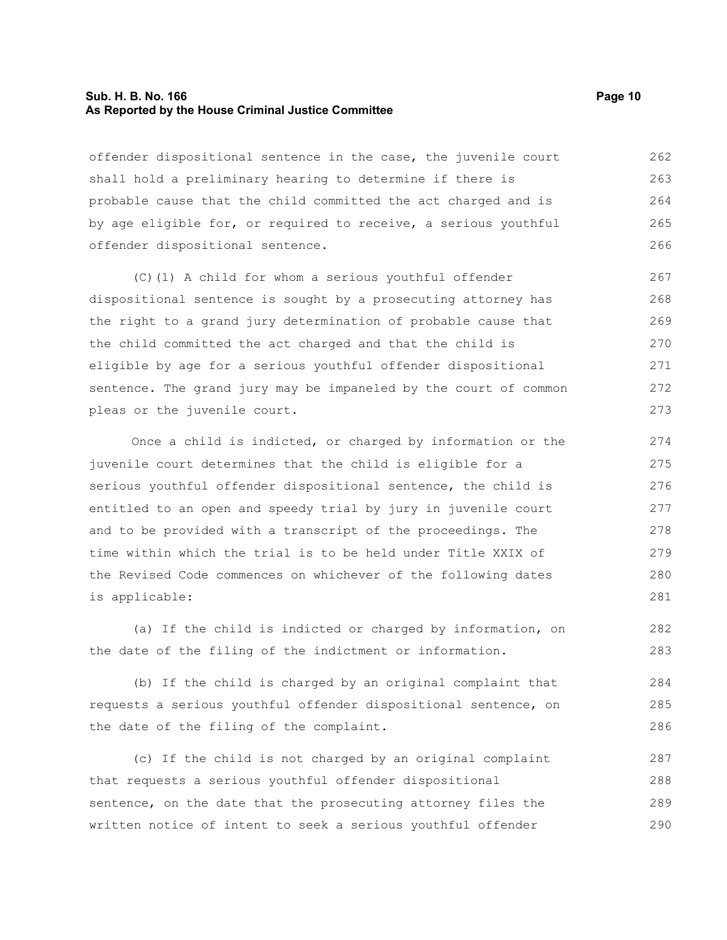#### **Sub. H. B. No. 166 Page 10 As Reported by the House Criminal Justice Committee**

offender dispositional sentence in the case, the juvenile court shall hold a preliminary hearing to determine if there is probable cause that the child committed the act charged and is by age eligible for, or required to receive, a serious youthful offender dispositional sentence. 262 263 264 265 266

(C)(1) A child for whom a serious youthful offender dispositional sentence is sought by a prosecuting attorney has the right to a grand jury determination of probable cause that the child committed the act charged and that the child is eligible by age for a serious youthful offender dispositional sentence. The grand jury may be impaneled by the court of common pleas or the juvenile court.

Once a child is indicted, or charged by information or the juvenile court determines that the child is eligible for a serious youthful offender dispositional sentence, the child is entitled to an open and speedy trial by jury in juvenile court and to be provided with a transcript of the proceedings. The time within which the trial is to be held under Title XXIX of the Revised Code commences on whichever of the following dates is applicable:

(a) If the child is indicted or charged by information, on the date of the filing of the indictment or information.

(b) If the child is charged by an original complaint that requests a serious youthful offender dispositional sentence, on the date of the filing of the complaint. 284 285 286

(c) If the child is not charged by an original complaint that requests a serious youthful offender dispositional sentence, on the date that the prosecuting attorney files the written notice of intent to seek a serious youthful offender 287 288 289 290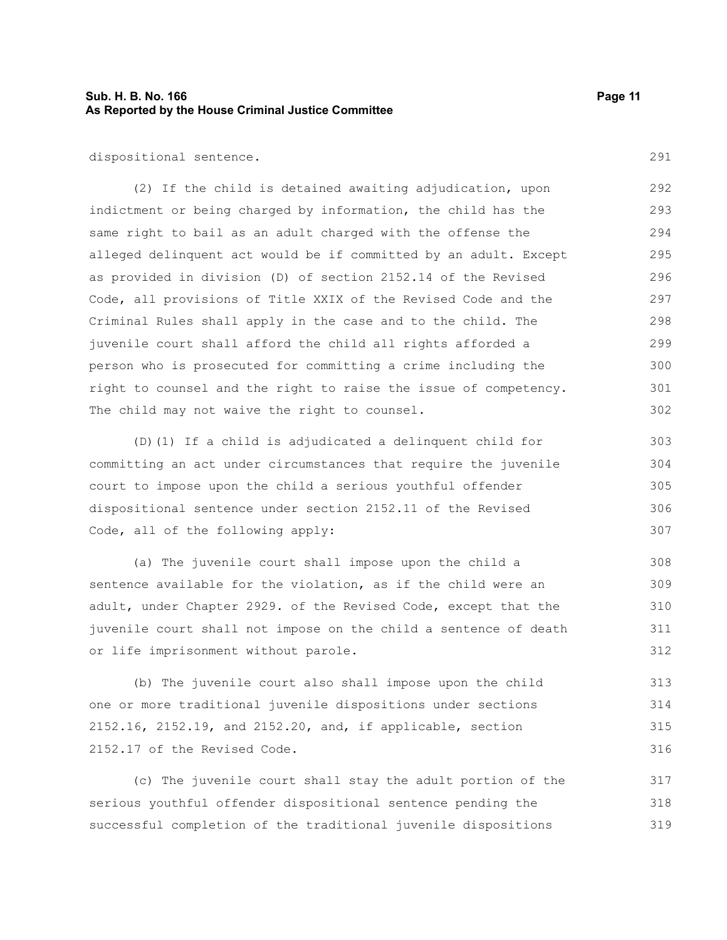#### **Sub. H. B. No. 166 Page 11 As Reported by the House Criminal Justice Committee**

(2) If the child is detained awaiting adjudication, upon indictment or being charged by information, the child has the same right to bail as an adult charged with the offense the alleged delinquent act would be if committed by an adult. Except as provided in division (D) of section 2152.14 of the Revised Code, all provisions of Title XXIX of the Revised Code and the Criminal Rules shall apply in the case and to the child. The juvenile court shall afford the child all rights afforded a person who is prosecuted for committing a crime including the right to counsel and the right to raise the issue of competency. The child may not waive the right to counsel. 292 293 294 295 296 297 298 299 300 301 302

(D)(1) If a child is adjudicated a delinquent child for committing an act under circumstances that require the juvenile court to impose upon the child a serious youthful offender dispositional sentence under section 2152.11 of the Revised Code, all of the following apply:

(a) The juvenile court shall impose upon the child a sentence available for the violation, as if the child were an adult, under Chapter 2929. of the Revised Code, except that the juvenile court shall not impose on the child a sentence of death or life imprisonment without parole. 308 309 310 311 312

(b) The juvenile court also shall impose upon the child one or more traditional juvenile dispositions under sections 2152.16, 2152.19, and 2152.20, and, if applicable, section 2152.17 of the Revised Code. 313 314 315 316

(c) The juvenile court shall stay the adult portion of the serious youthful offender dispositional sentence pending the successful completion of the traditional juvenile dispositions 317 318 319

291

307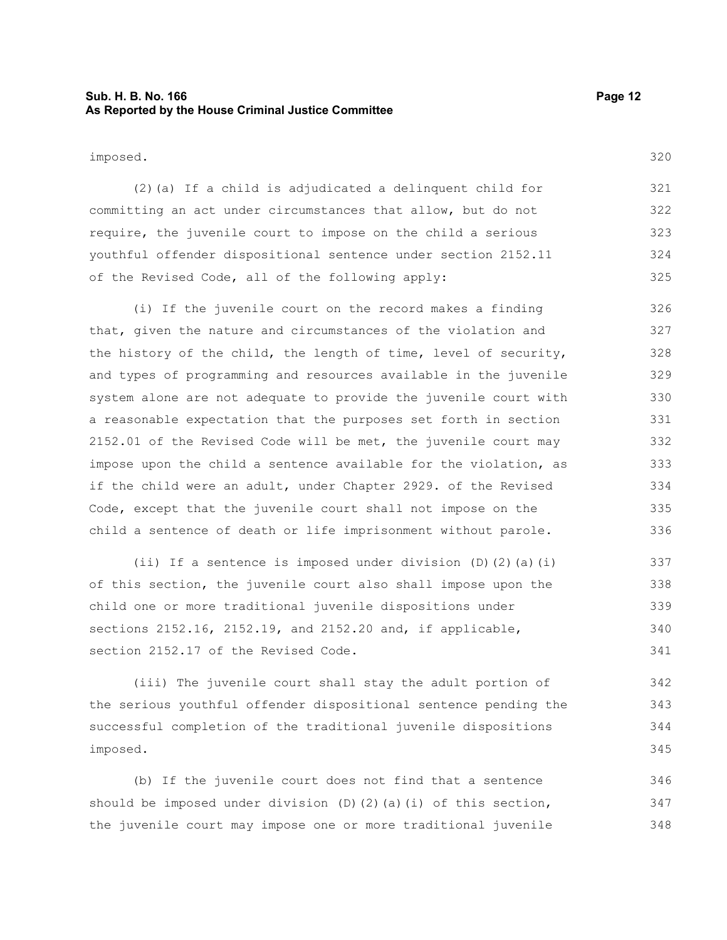#### **Sub. H. B. No. 166 Page 12 As Reported by the House Criminal Justice Committee**

320

imposed.

(2)(a) If a child is adjudicated a delinquent child for committing an act under circumstances that allow, but do not require, the juvenile court to impose on the child a serious youthful offender dispositional sentence under section 2152.11 of the Revised Code, all of the following apply: 321 322 323 324 325

(i) If the juvenile court on the record makes a finding that, given the nature and circumstances of the violation and the history of the child, the length of time, level of security, and types of programming and resources available in the juvenile system alone are not adequate to provide the juvenile court with a reasonable expectation that the purposes set forth in section 2152.01 of the Revised Code will be met, the juvenile court may impose upon the child a sentence available for the violation, as if the child were an adult, under Chapter 2929. of the Revised Code, except that the juvenile court shall not impose on the child a sentence of death or life imprisonment without parole. 326 327 328 329 330 331 332 333 334 335 336

(ii) If a sentence is imposed under division (D)(2)(a)(i) of this section, the juvenile court also shall impose upon the child one or more traditional juvenile dispositions under sections 2152.16, 2152.19, and 2152.20 and, if applicable, section 2152.17 of the Revised Code. 337 338 339 340 341

(iii) The juvenile court shall stay the adult portion of the serious youthful offender dispositional sentence pending the successful completion of the traditional juvenile dispositions imposed.

(b) If the juvenile court does not find that a sentence should be imposed under division (D)(2)(a)(i) of this section, the juvenile court may impose one or more traditional juvenile 346 347 348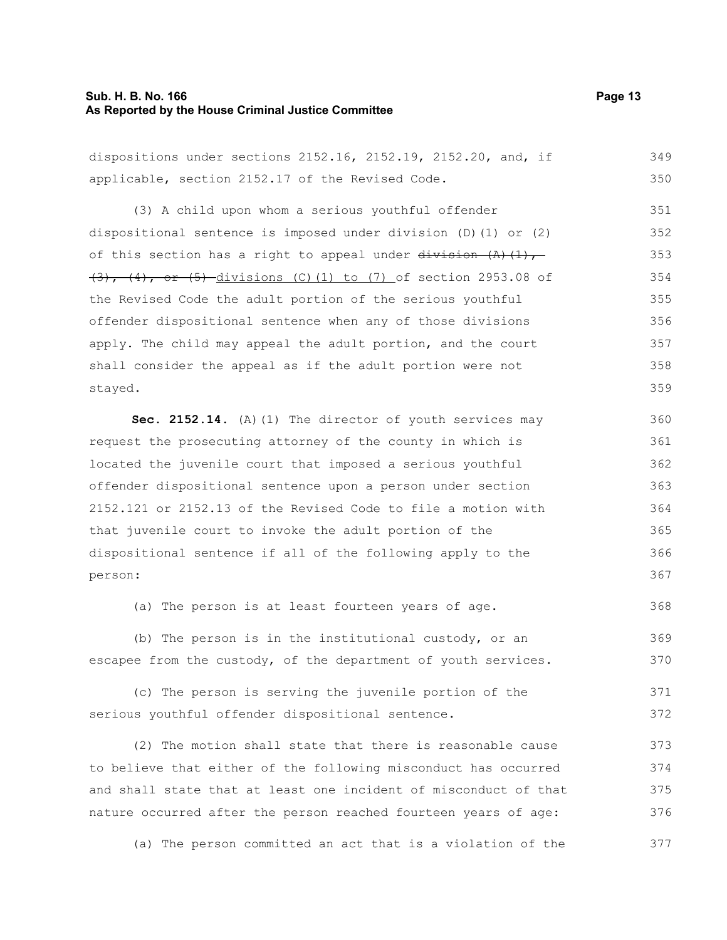#### **Sub. H. B. No. 166 Page 13 As Reported by the House Criminal Justice Committee**

dispositions under sections 2152.16, 2152.19, 2152.20, and, if applicable, section 2152.17 of the Revised Code. (3) A child upon whom a serious youthful offender dispositional sentence is imposed under division (D)(1) or (2) of this section has a right to appeal under  $\frac{division (A)(1)}{L}$ (3), (4), or (5) divisions (C)(1) to (7) of section 2953.08 of the Revised Code the adult portion of the serious youthful offender dispositional sentence when any of those divisions apply. The child may appeal the adult portion, and the court shall consider the appeal as if the adult portion were not stayed. **Sec. 2152.14.** (A)(1) The director of youth services may request the prosecuting attorney of the county in which is located the juvenile court that imposed a serious youthful offender dispositional sentence upon a person under section 2152.121 or 2152.13 of the Revised Code to file a motion with that juvenile court to invoke the adult portion of the dispositional sentence if all of the following apply to the person: (a) The person is at least fourteen years of age. 349 350 351 352 353 354 355 356 357 358 359 360 361 362 363 364 365 366 367 368

(b) The person is in the institutional custody, or an escapee from the custody, of the department of youth services. 369 370

(c) The person is serving the juvenile portion of the serious youthful offender dispositional sentence. 371 372

(2) The motion shall state that there is reasonable cause to believe that either of the following misconduct has occurred and shall state that at least one incident of misconduct of that nature occurred after the person reached fourteen years of age: 373 374 375 376

(a) The person committed an act that is a violation of the 377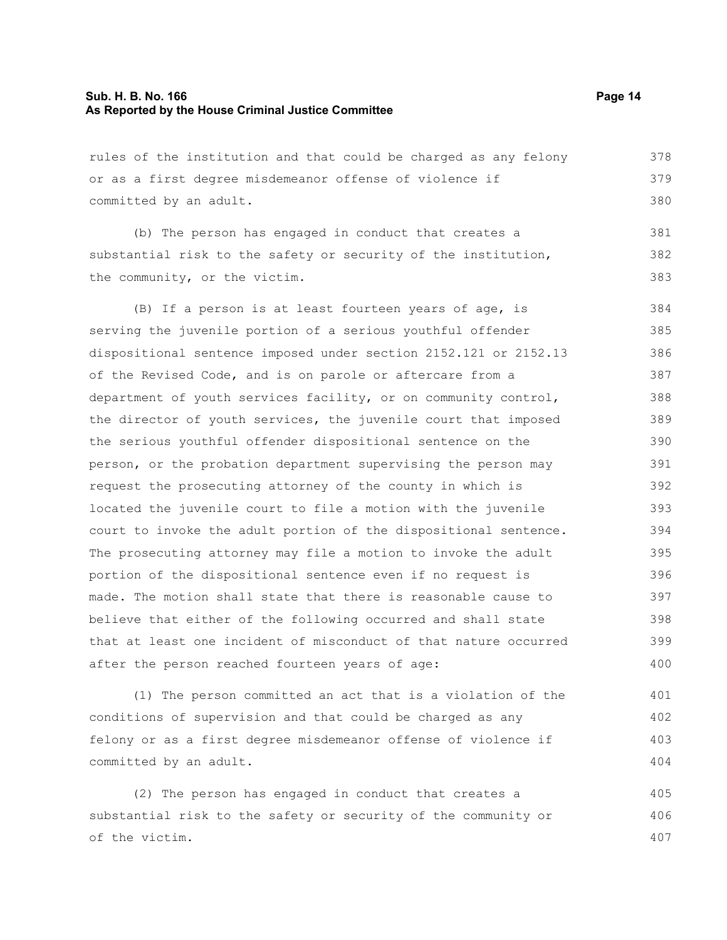#### **Sub. H. B. No. 166 Page 14 As Reported by the House Criminal Justice Committee**

rules of the institution and that could be charged as any felony or as a first degree misdemeanor offense of violence if committed by an adult. (b) The person has engaged in conduct that creates a substantial risk to the safety or security of the institution, the community, or the victim. (B) If a person is at least fourteen years of age, is serving the juvenile portion of a serious youthful offender dispositional sentence imposed under section 2152.121 or 2152.13 of the Revised Code, and is on parole or aftercare from a department of youth services facility, or on community control, the director of youth services, the juvenile court that imposed the serious youthful offender dispositional sentence on the person, or the probation department supervising the person may request the prosecuting attorney of the county in which is located the juvenile court to file a motion with the juvenile court to invoke the adult portion of the dispositional sentence. The prosecuting attorney may file a motion to invoke the adult portion of the dispositional sentence even if no request is made. The motion shall state that there is reasonable cause to believe that either of the following occurred and shall state that at least one incident of misconduct of that nature occurred after the person reached fourteen years of age: 378 379 380 381 382 383 384 385 386 387 388 389 390 391 392 393 394 395 396 397 398 399 400 401

(1) The person committed an act that is a violation of the conditions of supervision and that could be charged as any felony or as a first degree misdemeanor offense of violence if committed by an adult. 402 403 404

(2) The person has engaged in conduct that creates a substantial risk to the safety or security of the community or of the victim. 405 406 407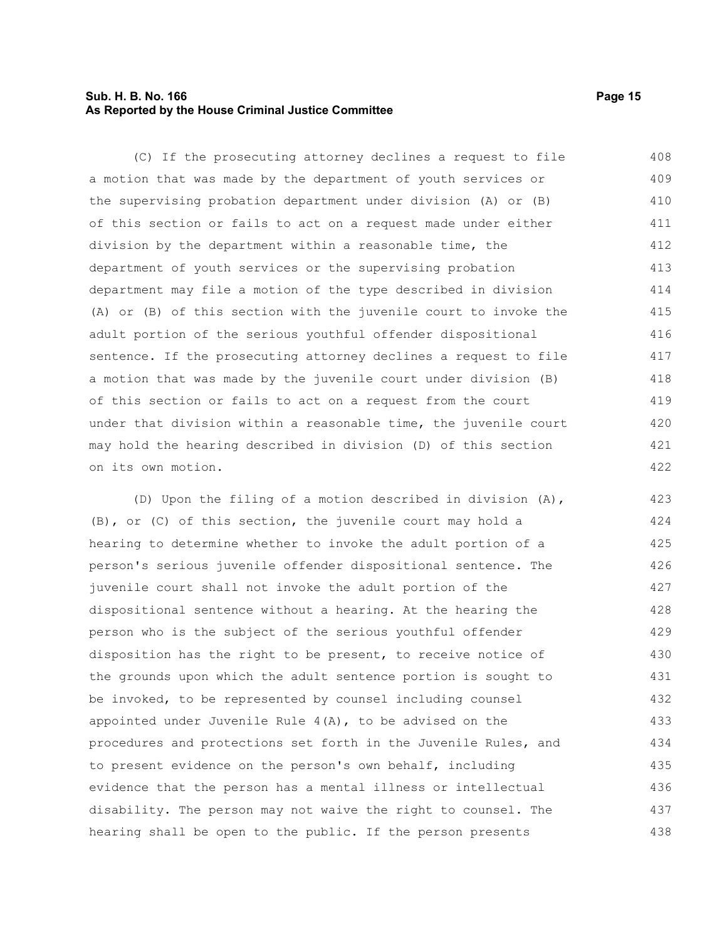#### **Sub. H. B. No. 166 Page 15 As Reported by the House Criminal Justice Committee**

(C) If the prosecuting attorney declines a request to file a motion that was made by the department of youth services or the supervising probation department under division (A) or (B) of this section or fails to act on a request made under either division by the department within a reasonable time, the department of youth services or the supervising probation department may file a motion of the type described in division (A) or (B) of this section with the juvenile court to invoke the adult portion of the serious youthful offender dispositional sentence. If the prosecuting attorney declines a request to file a motion that was made by the juvenile court under division (B) of this section or fails to act on a request from the court under that division within a reasonable time, the juvenile court may hold the hearing described in division (D) of this section on its own motion. 408 409 410 411 412 413 414 415 416 417 418 419 420 421 422

(D) Upon the filing of a motion described in division (A), (B), or (C) of this section, the juvenile court may hold a hearing to determine whether to invoke the adult portion of a person's serious juvenile offender dispositional sentence. The juvenile court shall not invoke the adult portion of the dispositional sentence without a hearing. At the hearing the person who is the subject of the serious youthful offender disposition has the right to be present, to receive notice of the grounds upon which the adult sentence portion is sought to be invoked, to be represented by counsel including counsel appointed under Juvenile Rule  $4(A)$ , to be advised on the procedures and protections set forth in the Juvenile Rules, and to present evidence on the person's own behalf, including evidence that the person has a mental illness or intellectual disability. The person may not waive the right to counsel. The hearing shall be open to the public. If the person presents 423 424 425 426 427 428 429 430 431 432 433 434 435 436 437 438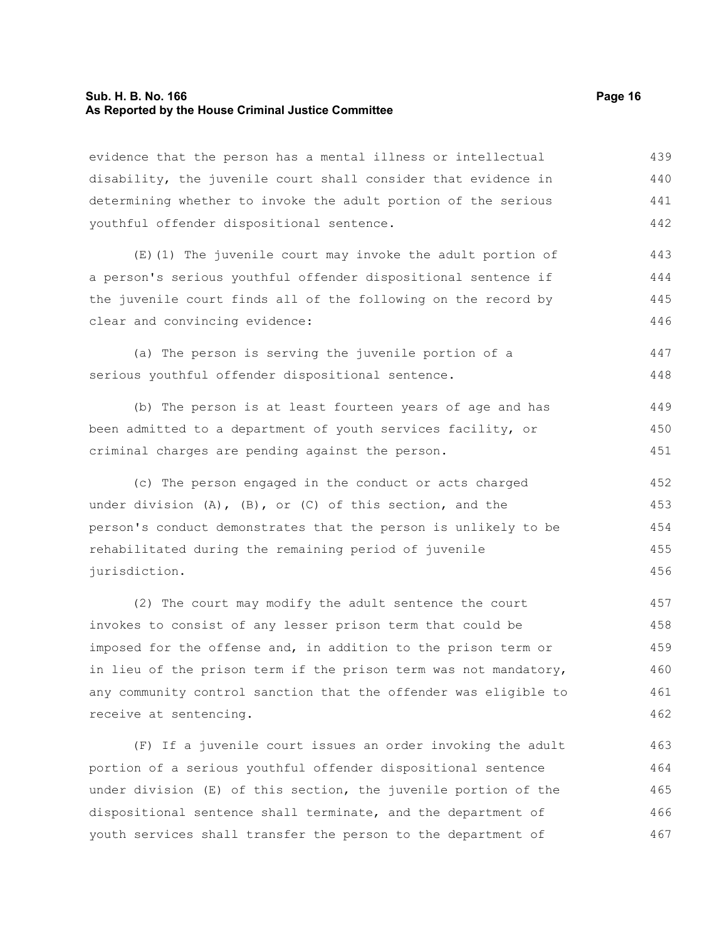#### **Sub. H. B. No. 166 Page 16 As Reported by the House Criminal Justice Committee**

evidence that the person has a mental illness or intellectual disability, the juvenile court shall consider that evidence in determining whether to invoke the adult portion of the serious youthful offender dispositional sentence. 439 440 441 442

(E)(1) The juvenile court may invoke the adult portion of a person's serious youthful offender dispositional sentence if the juvenile court finds all of the following on the record by clear and convincing evidence: 443 444 445 446

(a) The person is serving the juvenile portion of a serious youthful offender dispositional sentence. 447 448

(b) The person is at least fourteen years of age and has been admitted to a department of youth services facility, or criminal charges are pending against the person. 449 450 451

(c) The person engaged in the conduct or acts charged under division  $(A)$ ,  $(B)$ , or  $(C)$  of this section, and the person's conduct demonstrates that the person is unlikely to be rehabilitated during the remaining period of juvenile jurisdiction. 452 453 454 455 456

(2) The court may modify the adult sentence the court invokes to consist of any lesser prison term that could be imposed for the offense and, in addition to the prison term or in lieu of the prison term if the prison term was not mandatory, any community control sanction that the offender was eligible to receive at sentencing. 457 458 459 460 461 462

(F) If a juvenile court issues an order invoking the adult portion of a serious youthful offender dispositional sentence under division (E) of this section, the juvenile portion of the dispositional sentence shall terminate, and the department of youth services shall transfer the person to the department of 463 464 465 466 467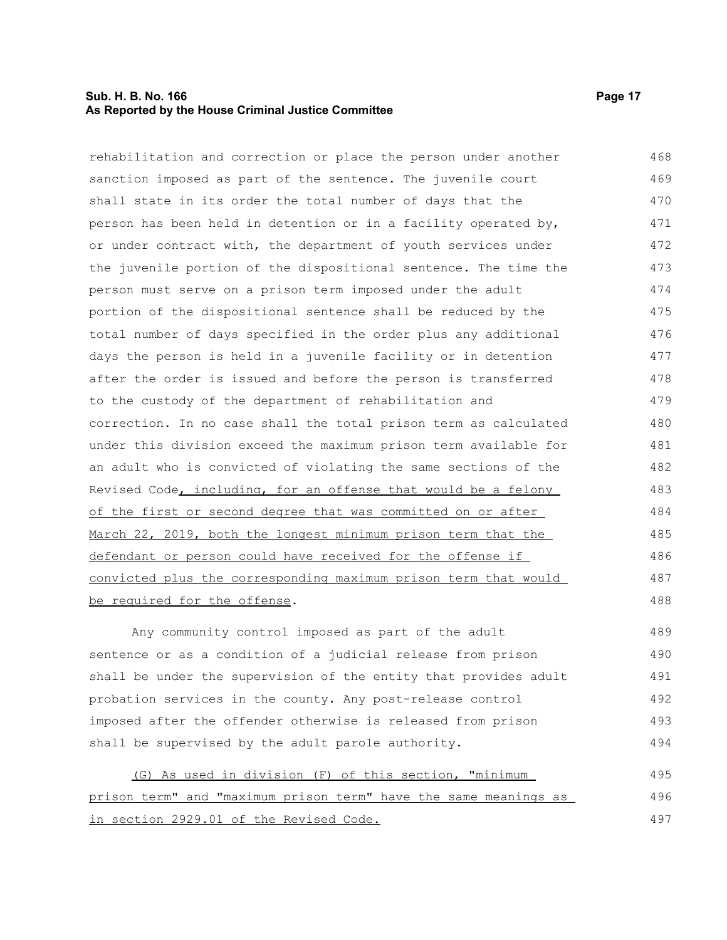#### **Sub. H. B. No. 166 Page 17 As Reported by the House Criminal Justice Committee**

rehabilitation and correction or place the person under another sanction imposed as part of the sentence. The juvenile court shall state in its order the total number of days that the person has been held in detention or in a facility operated by, or under contract with, the department of youth services under the juvenile portion of the dispositional sentence. The time the person must serve on a prison term imposed under the adult portion of the dispositional sentence shall be reduced by the total number of days specified in the order plus any additional days the person is held in a juvenile facility or in detention after the order is issued and before the person is transferred to the custody of the department of rehabilitation and correction. In no case shall the total prison term as calculated under this division exceed the maximum prison term available for an adult who is convicted of violating the same sections of the Revised Code, including, for an offense that would be a felony of the first or second degree that was committed on or after March 22, 2019, both the longest minimum prison term that the defendant or person could have received for the offense if convicted plus the corresponding maximum prison term that would be required for the offense. 468 469 470 471 472 473 474 475 476 477 478 479 480 481 482 483 484 485 486 487 488

Any community control imposed as part of the adult sentence or as a condition of a judicial release from prison shall be under the supervision of the entity that provides adult probation services in the county. Any post-release control imposed after the offender otherwise is released from prison shall be supervised by the adult parole authority. 489 490 491 492 493 494

(G) As used in division (F) of this section, "minimum prison term" and "maximum prison term" have the same meanings as in section 2929.01 of the Revised Code. 495 496 497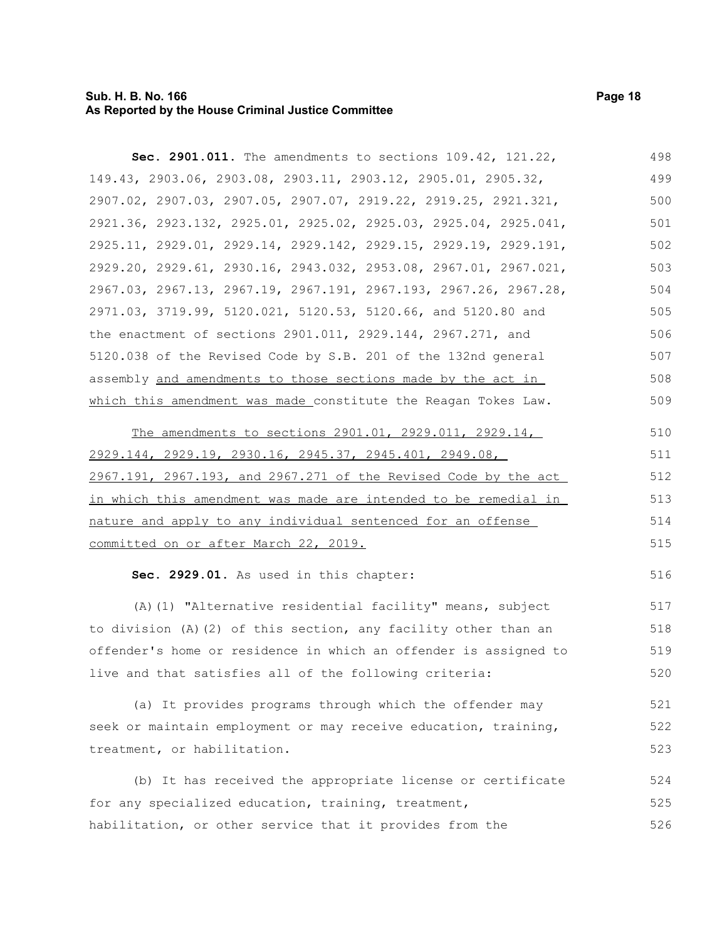#### **Sub. H. B. No. 166 Page 18 As Reported by the House Criminal Justice Committee**

**Sec. 2901.011.** The amendments to sections 109.42, 121.22, 149.43, 2903.06, 2903.08, 2903.11, 2903.12, 2905.01, 2905.32, 2907.02, 2907.03, 2907.05, 2907.07, 2919.22, 2919.25, 2921.321, 2921.36, 2923.132, 2925.01, 2925.02, 2925.03, 2925.04, 2925.041, 2925.11, 2929.01, 2929.14, 2929.142, 2929.15, 2929.19, 2929.191, 2929.20, 2929.61, 2930.16, 2943.032, 2953.08, 2967.01, 2967.021, 2967.03, 2967.13, 2967.19, 2967.191, 2967.193, 2967.26, 2967.28, 2971.03, 3719.99, 5120.021, 5120.53, 5120.66, and 5120.80 and the enactment of sections 2901.011, 2929.144, 2967.271, and 5120.038 of the Revised Code by S.B. 201 of the 132nd general assembly and amendments to those sections made by the act in which this amendment was made constitute the Reagan Tokes Law. The amendments to sections 2901.01, 2929.011, 2929.14, 2929.144, 2929.19, 2930.16, 2945.37, 2945.401, 2949.08, 2967.191, 2967.193, and 2967.271 of the Revised Code by the act in which this amendment was made are intended to be remedial in nature and apply to any individual sentenced for an offense committed on or after March 22, 2019. **Sec. 2929.01.** As used in this chapter: (A)(1) "Alternative residential facility" means, subject to division (A)(2) of this section, any facility other than an offender's home or residence in which an offender is assigned to live and that satisfies all of the following criteria: (a) It provides programs through which the offender may seek or maintain employment or may receive education, training, treatment, or habilitation. (b) It has received the appropriate license or certificate 498 499 500 501 502 503 504 505 506 507 508 509 510 511 512 513 514 515 516 517 518 519 520 521 522 523 524

for any specialized education, training, treatment, habilitation, or other service that it provides from the 525 526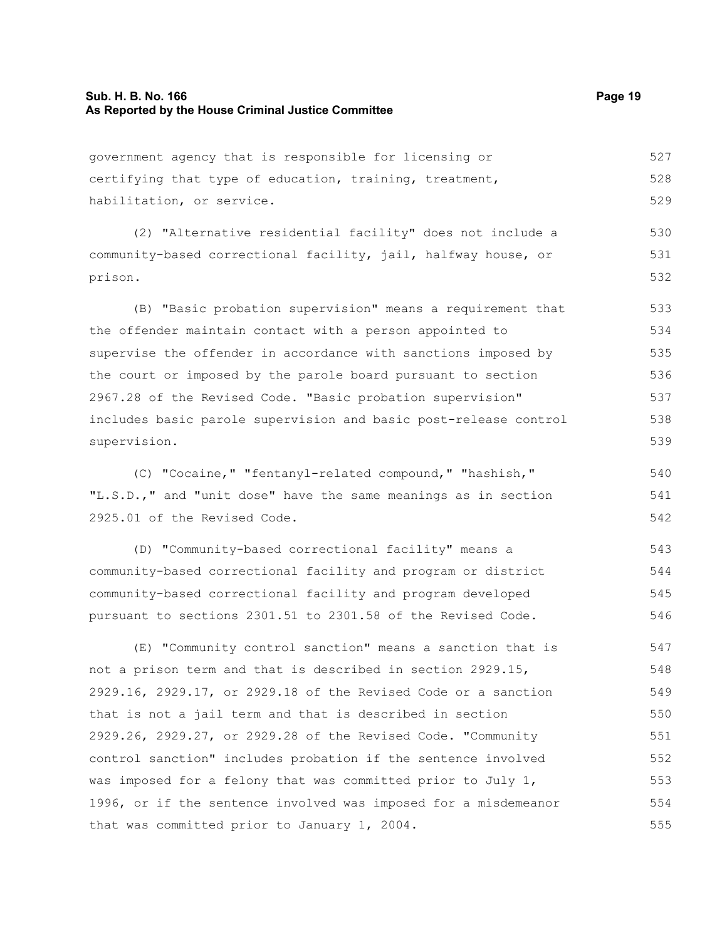#### **Sub. H. B. No. 166 Page 19 As Reported by the House Criminal Justice Committee**

government agency that is responsible for licensing or certifying that type of education, training, treatment, habilitation, or service. 527 528 529

(2) "Alternative residential facility" does not include a community-based correctional facility, jail, halfway house, or prison. 530 531 532

(B) "Basic probation supervision" means a requirement that the offender maintain contact with a person appointed to supervise the offender in accordance with sanctions imposed by the court or imposed by the parole board pursuant to section 2967.28 of the Revised Code. "Basic probation supervision" includes basic parole supervision and basic post-release control supervision. 533 534 535 536 537 538 539

(C) "Cocaine," "fentanyl-related compound," "hashish," "L.S.D.," and "unit dose" have the same meanings as in section 2925.01 of the Revised Code. 540 541 542

(D) "Community-based correctional facility" means a community-based correctional facility and program or district community-based correctional facility and program developed pursuant to sections 2301.51 to 2301.58 of the Revised Code. 543 544 545 546

(E) "Community control sanction" means a sanction that is not a prison term and that is described in section 2929.15, 2929.16, 2929.17, or 2929.18 of the Revised Code or a sanction that is not a jail term and that is described in section 2929.26, 2929.27, or 2929.28 of the Revised Code. "Community control sanction" includes probation if the sentence involved was imposed for a felony that was committed prior to July 1, 1996, or if the sentence involved was imposed for a misdemeanor that was committed prior to January 1, 2004. 547 548 549 550 551 552 553 554 555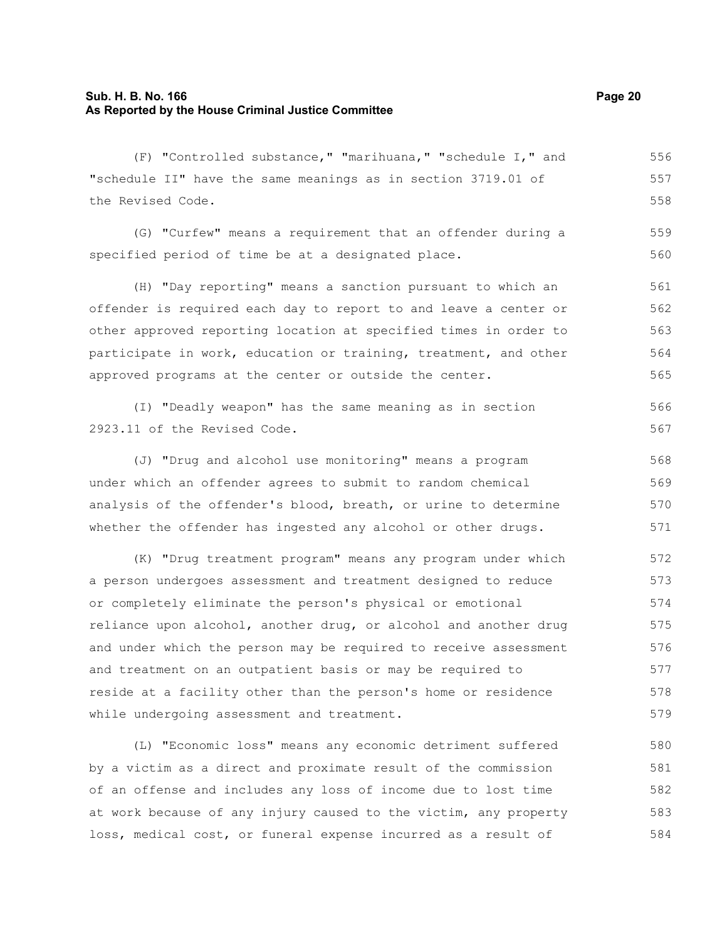#### **Sub. H. B. No. 166 Page 20 As Reported by the House Criminal Justice Committee**

(F) "Controlled substance," "marihuana," "schedule I," and "schedule II" have the same meanings as in section 3719.01 of the Revised Code. 556 557 558

(G) "Curfew" means a requirement that an offender during a specified period of time be at a designated place. 559 560

(H) "Day reporting" means a sanction pursuant to which an offender is required each day to report to and leave a center or other approved reporting location at specified times in order to participate in work, education or training, treatment, and other approved programs at the center or outside the center. 561 562 563 564 565

(I) "Deadly weapon" has the same meaning as in section 2923.11 of the Revised Code. 566 567

(J) "Drug and alcohol use monitoring" means a program under which an offender agrees to submit to random chemical analysis of the offender's blood, breath, or urine to determine whether the offender has ingested any alcohol or other drugs. 568 569 570 571

(K) "Drug treatment program" means any program under which a person undergoes assessment and treatment designed to reduce or completely eliminate the person's physical or emotional reliance upon alcohol, another drug, or alcohol and another drug and under which the person may be required to receive assessment and treatment on an outpatient basis or may be required to reside at a facility other than the person's home or residence while undergoing assessment and treatment. 572 573 574 575 576 577 578 579

(L) "Economic loss" means any economic detriment suffered by a victim as a direct and proximate result of the commission of an offense and includes any loss of income due to lost time at work because of any injury caused to the victim, any property loss, medical cost, or funeral expense incurred as a result of 580 581 582 583 584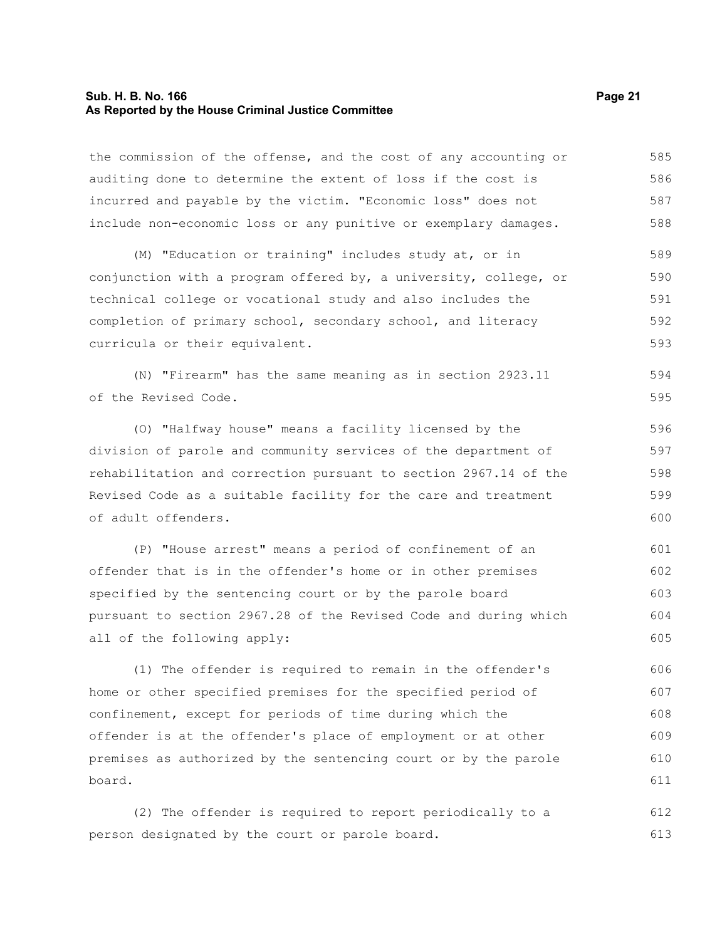#### **Sub. H. B. No. 166 Page 21 As Reported by the House Criminal Justice Committee**

the commission of the offense, and the cost of any accounting or auditing done to determine the extent of loss if the cost is incurred and payable by the victim. "Economic loss" does not include non-economic loss or any punitive or exemplary damages. 585 586 587 588

(M) "Education or training" includes study at, or in conjunction with a program offered by, a university, college, or technical college or vocational study and also includes the completion of primary school, secondary school, and literacy curricula or their equivalent. 589 590 591 592 593

(N) "Firearm" has the same meaning as in section 2923.11 of the Revised Code.

(O) "Halfway house" means a facility licensed by the division of parole and community services of the department of rehabilitation and correction pursuant to section 2967.14 of the Revised Code as a suitable facility for the care and treatment of adult offenders. 596 597 598 599 600

(P) "House arrest" means a period of confinement of an offender that is in the offender's home or in other premises specified by the sentencing court or by the parole board pursuant to section 2967.28 of the Revised Code and during which all of the following apply: 601 602 603 604 605

(1) The offender is required to remain in the offender's home or other specified premises for the specified period of confinement, except for periods of time during which the offender is at the offender's place of employment or at other premises as authorized by the sentencing court or by the parole board. 606 607 608 609 610 611

(2) The offender is required to report periodically to a person designated by the court or parole board. 612 613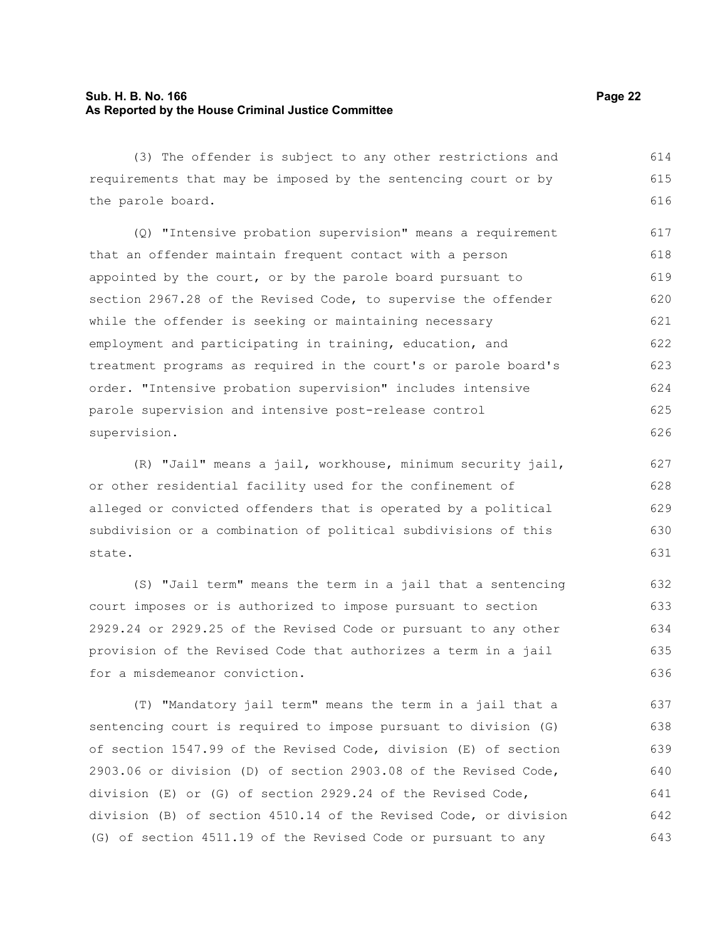#### **Sub. H. B. No. 166 Page 22 As Reported by the House Criminal Justice Committee**

(3) The offender is subject to any other restrictions and requirements that may be imposed by the sentencing court or by the parole board. 614 615 616

(Q) "Intensive probation supervision" means a requirement that an offender maintain frequent contact with a person appointed by the court, or by the parole board pursuant to section 2967.28 of the Revised Code, to supervise the offender while the offender is seeking or maintaining necessary employment and participating in training, education, and treatment programs as required in the court's or parole board's order. "Intensive probation supervision" includes intensive parole supervision and intensive post-release control supervision. 617 618 619 620 621 622 623 624 625 626

(R) "Jail" means a jail, workhouse, minimum security jail, or other residential facility used for the confinement of alleged or convicted offenders that is operated by a political subdivision or a combination of political subdivisions of this state. 627 628 629 630 631

(S) "Jail term" means the term in a jail that a sentencing court imposes or is authorized to impose pursuant to section 2929.24 or 2929.25 of the Revised Code or pursuant to any other provision of the Revised Code that authorizes a term in a jail for a misdemeanor conviction.

(T) "Mandatory jail term" means the term in a jail that a sentencing court is required to impose pursuant to division (G) of section 1547.99 of the Revised Code, division (E) of section 2903.06 or division (D) of section 2903.08 of the Revised Code, division (E) or (G) of section 2929.24 of the Revised Code, division (B) of section 4510.14 of the Revised Code, or division (G) of section 4511.19 of the Revised Code or pursuant to any 637 638 639 640 641 642 643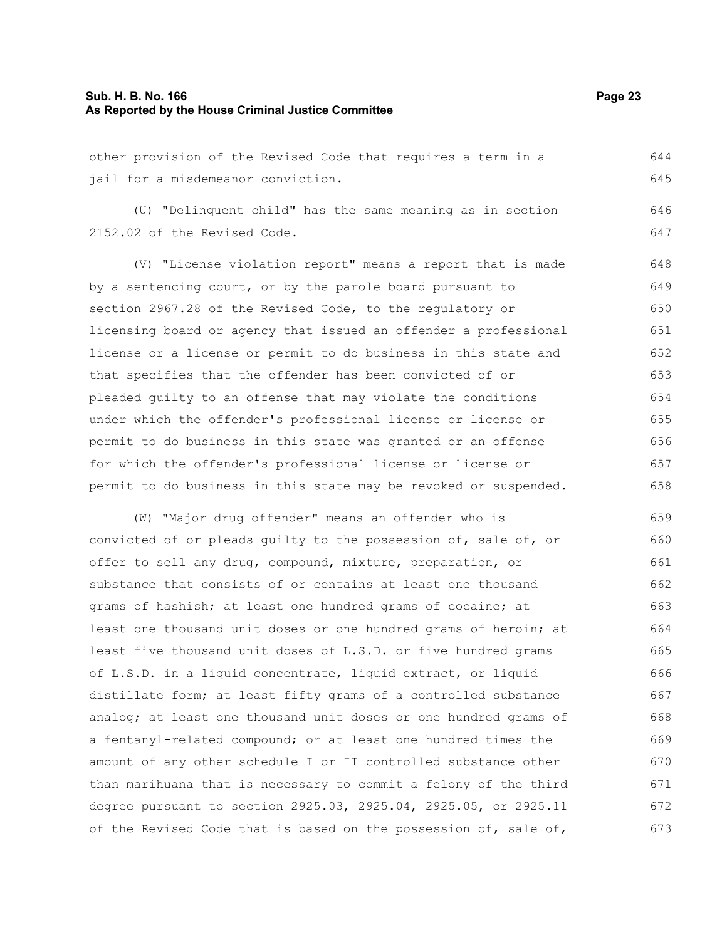#### **Sub. H. B. No. 166 Page 23 As Reported by the House Criminal Justice Committee**

other provision of the Revised Code that requires a term in a jail for a misdemeanor conviction. 644 645

(U) "Delinquent child" has the same meaning as in section 2152.02 of the Revised Code.

(V) "License violation report" means a report that is made by a sentencing court, or by the parole board pursuant to section 2967.28 of the Revised Code, to the regulatory or licensing board or agency that issued an offender a professional license or a license or permit to do business in this state and that specifies that the offender has been convicted of or pleaded guilty to an offense that may violate the conditions under which the offender's professional license or license or permit to do business in this state was granted or an offense for which the offender's professional license or license or permit to do business in this state may be revoked or suspended. 648 649 650 651 652 653 654 655 656 657 658

(W) "Major drug offender" means an offender who is convicted of or pleads guilty to the possession of, sale of, or offer to sell any drug, compound, mixture, preparation, or substance that consists of or contains at least one thousand grams of hashish; at least one hundred grams of cocaine; at least one thousand unit doses or one hundred grams of heroin; at least five thousand unit doses of L.S.D. or five hundred grams of L.S.D. in a liquid concentrate, liquid extract, or liquid distillate form; at least fifty grams of a controlled substance analog; at least one thousand unit doses or one hundred grams of a fentanyl-related compound; or at least one hundred times the amount of any other schedule I or II controlled substance other than marihuana that is necessary to commit a felony of the third degree pursuant to section 2925.03, 2925.04, 2925.05, or 2925.11 of the Revised Code that is based on the possession of, sale of, 659 660 661 662 663 664 665 666 667 668 669 670 671 672 673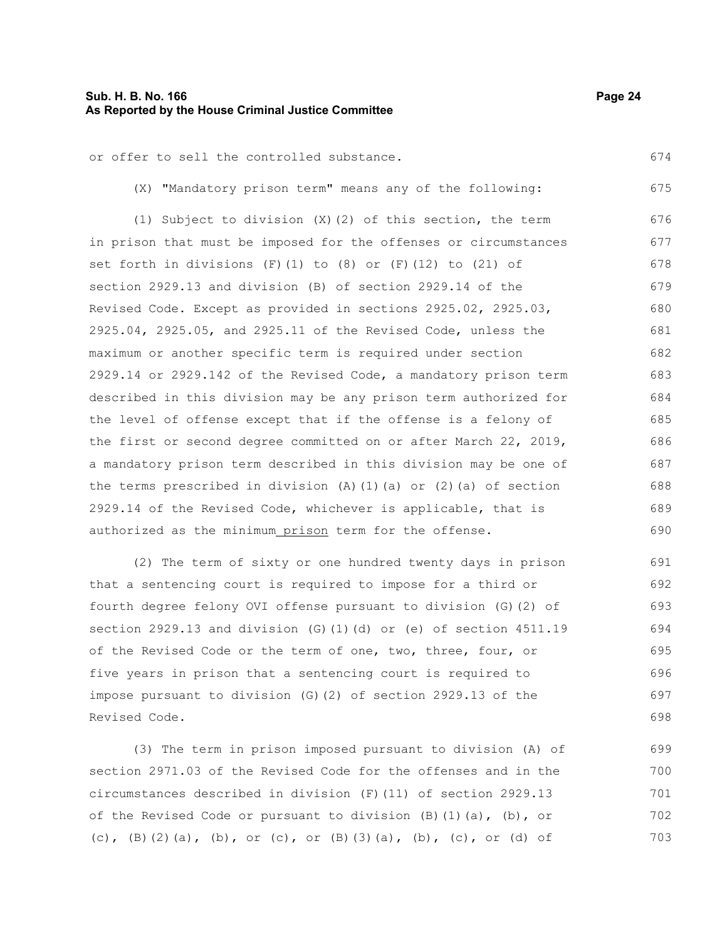674

or offer to sell the controlled substance.

(X) "Mandatory prison term" means any of the following: 675

(1) Subject to division (X)(2) of this section, the term in prison that must be imposed for the offenses or circumstances set forth in divisions  $(F)(1)$  to  $(8)$  or  $(F)(12)$  to  $(21)$  of section 2929.13 and division (B) of section 2929.14 of the Revised Code. Except as provided in sections 2925.02, 2925.03, 2925.04, 2925.05, and 2925.11 of the Revised Code, unless the maximum or another specific term is required under section 2929.14 or 2929.142 of the Revised Code, a mandatory prison term described in this division may be any prison term authorized for the level of offense except that if the offense is a felony of the first or second degree committed on or after March 22, 2019, a mandatory prison term described in this division may be one of the terms prescribed in division  $(A)$   $(1)$   $(a)$  or  $(2)$   $(a)$  of section 2929.14 of the Revised Code, whichever is applicable, that is authorized as the minimum prison term for the offense. 676 677 678 679 680 681 682 683 684 685 686 687 688 689 690

(2) The term of sixty or one hundred twenty days in prison that a sentencing court is required to impose for a third or fourth degree felony OVI offense pursuant to division (G)(2) of section 2929.13 and division (G)(1)(d) or (e) of section 4511.19 of the Revised Code or the term of one, two, three, four, or five years in prison that a sentencing court is required to impose pursuant to division (G)(2) of section 2929.13 of the Revised Code. 691 692 693 694 695 696 697 698

(3) The term in prison imposed pursuant to division (A) of section 2971.03 of the Revised Code for the offenses and in the circumstances described in division (F)(11) of section 2929.13 of the Revised Code or pursuant to division (B)(1)(a), (b), or (c),  $(B)$ (2)(a), (b), or (c), or  $(B)$ (3)(a), (b), (c), or (d) of 699 700 701 702 703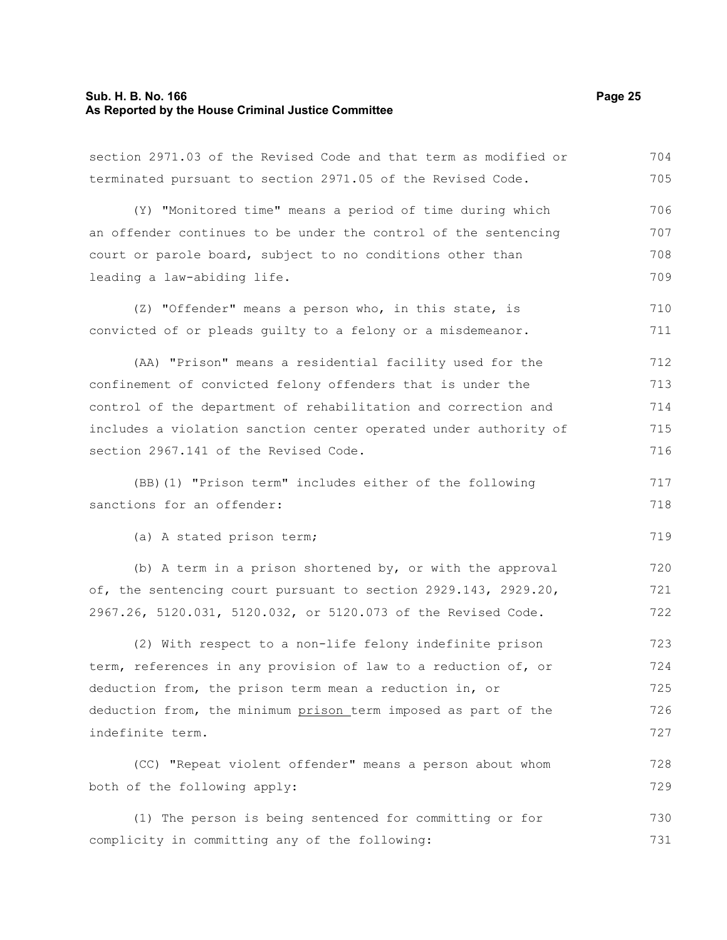### **Sub. H. B. No. 166** Page 25 **As Reported by the House Criminal Justice Committee**

| section 2971.03 of the Revised Code and that term as modified or | 704 |
|------------------------------------------------------------------|-----|
| terminated pursuant to section 2971.05 of the Revised Code.      | 705 |
| (Y) "Monitored time" means a period of time during which         | 706 |
| an offender continues to be under the control of the sentencing  | 707 |
| court or parole board, subject to no conditions other than       | 708 |
| leading a law-abiding life.                                      | 709 |
| (Z) "Offender" means a person who, in this state, is             | 710 |
| convicted of or pleads guilty to a felony or a misdemeanor.      | 711 |
| (AA) "Prison" means a residential facility used for the          | 712 |
| confinement of convicted felony offenders that is under the      | 713 |
| control of the department of rehabilitation and correction and   | 714 |
| includes a violation sanction center operated under authority of | 715 |
| section 2967.141 of the Revised Code.                            | 716 |
| (BB) (1) "Prison term" includes either of the following          | 717 |
| sanctions for an offender:                                       | 718 |
| (a) A stated prison term;                                        | 719 |
| (b) A term in a prison shortened by, or with the approval        | 720 |
| of, the sentencing court pursuant to section 2929.143, 2929.20,  | 721 |
| 2967.26, 5120.031, 5120.032, or 5120.073 of the Revised Code.    | 722 |
| (2) With respect to a non-life felony indefinite prison          | 723 |
| term, references in any provision of law to a reduction of, or   | 724 |
| deduction from, the prison term mean a reduction in, or          | 725 |
| deduction from, the minimum prison term imposed as part of the   | 726 |
| indefinite term.                                                 | 727 |
| (CC) "Repeat violent offender" means a person about whom         | 728 |
| both of the following apply:                                     | 729 |
| (1) The person is being sentenced for committing or for          | 730 |
| complicity in committing any of the following:                   | 731 |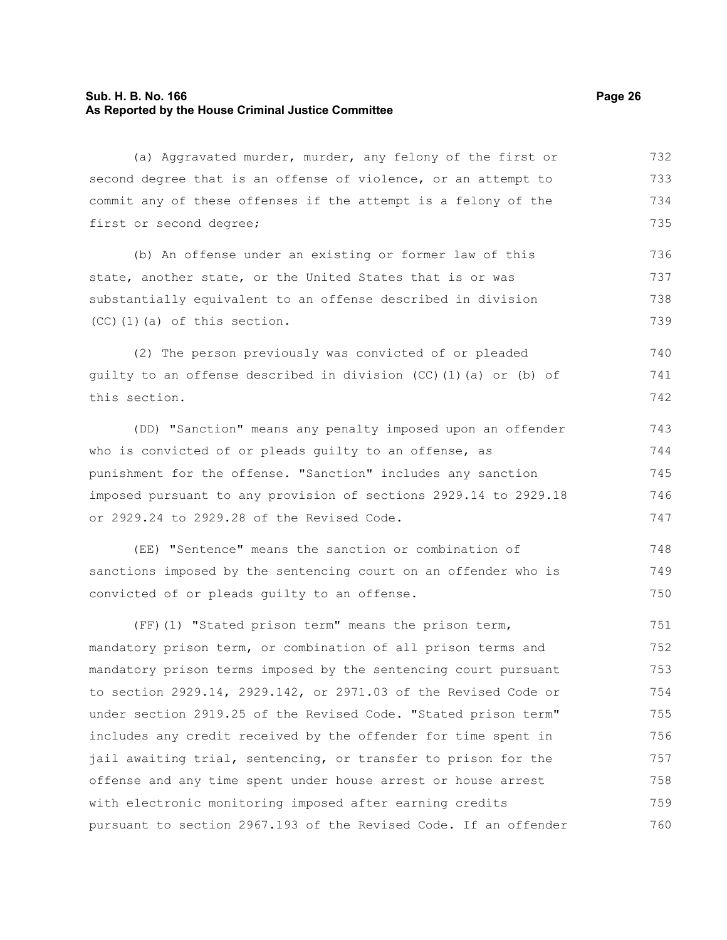#### **Sub. H. B. No. 166 Page 26 As Reported by the House Criminal Justice Committee**

(a) Aggravated murder, murder, any felony of the first or second degree that is an offense of violence, or an attempt to commit any of these offenses if the attempt is a felony of the first or second degree; 732 733 734 735

(b) An offense under an existing or former law of this state, another state, or the United States that is or was substantially equivalent to an offense described in division (CC)(1)(a) of this section. 736 737 738 739

(2) The person previously was convicted of or pleaded quilty to an offense described in division (CC)(1)(a) or (b) of this section.

(DD) "Sanction" means any penalty imposed upon an offender who is convicted of or pleads guilty to an offense, as punishment for the offense. "Sanction" includes any sanction imposed pursuant to any provision of sections 2929.14 to 2929.18 or 2929.24 to 2929.28 of the Revised Code. 743 744 745 746 747

(EE) "Sentence" means the sanction or combination of sanctions imposed by the sentencing court on an offender who is convicted of or pleads guilty to an offense. 748 749 750

(FF)(1) "Stated prison term" means the prison term, mandatory prison term, or combination of all prison terms and mandatory prison terms imposed by the sentencing court pursuant to section 2929.14, 2929.142, or 2971.03 of the Revised Code or under section 2919.25 of the Revised Code. "Stated prison term" includes any credit received by the offender for time spent in jail awaiting trial, sentencing, or transfer to prison for the offense and any time spent under house arrest or house arrest with electronic monitoring imposed after earning credits pursuant to section 2967.193 of the Revised Code. If an offender 751 752 753 754 755 756 757 758 759 760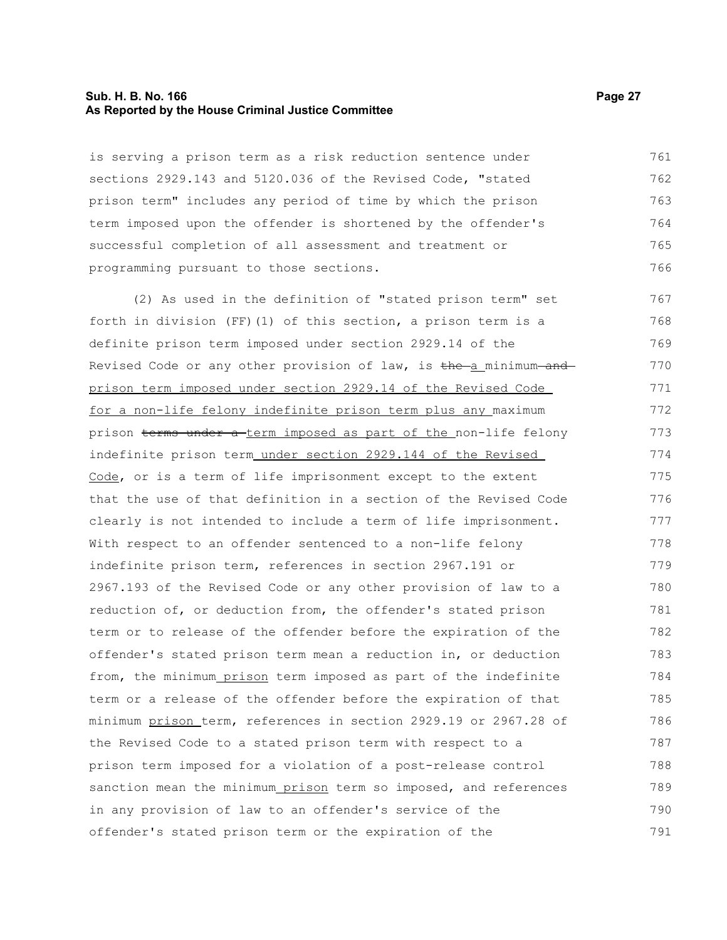#### **Sub. H. B. No. 166 Page 27 As Reported by the House Criminal Justice Committee**

is serving a prison term as a risk reduction sentence under sections 2929.143 and 5120.036 of the Revised Code, "stated prison term" includes any period of time by which the prison term imposed upon the offender is shortened by the offender's successful completion of all assessment and treatment or programming pursuant to those sections. 761 762 763 764 765 766

(2) As used in the definition of "stated prison term" set forth in division (FF)(1) of this section, a prison term is a definite prison term imposed under section 2929.14 of the Revised Code or any other provision of law, is the a minimum and prison term imposed under section 2929.14 of the Revised Code for a non-life felony indefinite prison term plus any maximum prison terms under a term imposed as part of the non-life felony indefinite prison term under section 2929.144 of the Revised Code, or is a term of life imprisonment except to the extent that the use of that definition in a section of the Revised Code clearly is not intended to include a term of life imprisonment. With respect to an offender sentenced to a non-life felony indefinite prison term, references in section 2967.191 or 2967.193 of the Revised Code or any other provision of law to a reduction of, or deduction from, the offender's stated prison term or to release of the offender before the expiration of the offender's stated prison term mean a reduction in, or deduction from, the minimum prison term imposed as part of the indefinite term or a release of the offender before the expiration of that minimum prison term, references in section 2929.19 or 2967.28 of the Revised Code to a stated prison term with respect to a prison term imposed for a violation of a post-release control sanction mean the minimum\_prison term so imposed, and references in any provision of law to an offender's service of the offender's stated prison term or the expiration of the 767 768 769 770 771 772 773 774 775 776 777 778 779 780 781 782 783 784 785 786 787 788 789 790 791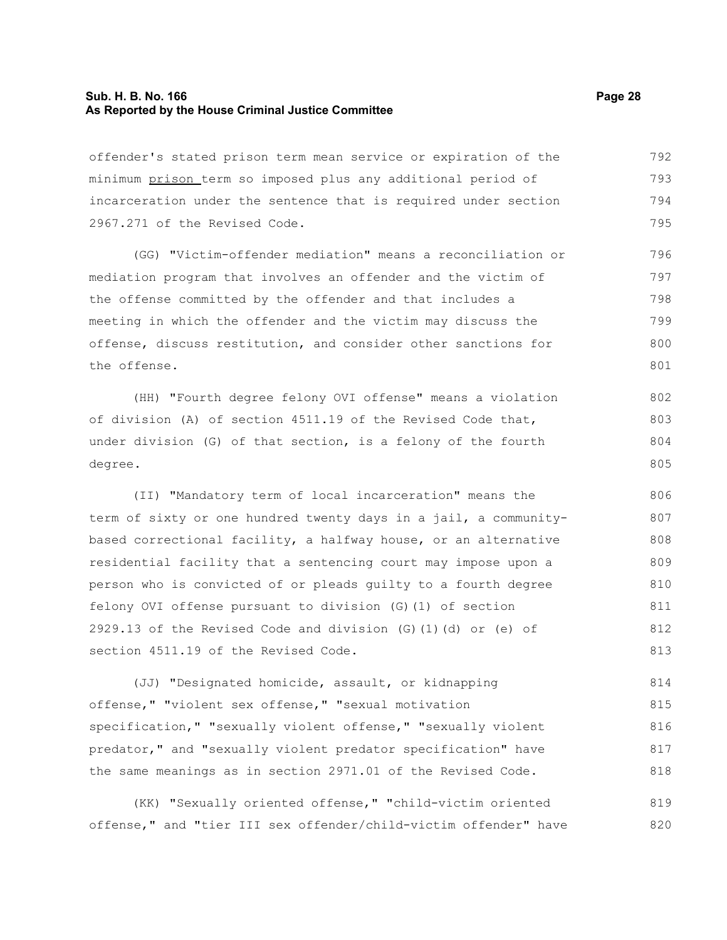#### **Sub. H. B. No. 166 Page 28 As Reported by the House Criminal Justice Committee**

offender's stated prison term mean service or expiration of the minimum prison term so imposed plus any additional period of incarceration under the sentence that is required under section 2967.271 of the Revised Code. 792 793 794 795

(GG) "Victim-offender mediation" means a reconciliation or mediation program that involves an offender and the victim of the offense committed by the offender and that includes a meeting in which the offender and the victim may discuss the offense, discuss restitution, and consider other sanctions for the offense. 796 797 798 799 800 801

(HH) "Fourth degree felony OVI offense" means a violation of division (A) of section 4511.19 of the Revised Code that, under division (G) of that section, is a felony of the fourth degree. 802 803 804 805

(II) "Mandatory term of local incarceration" means the term of sixty or one hundred twenty days in a jail, a communitybased correctional facility, a halfway house, or an alternative residential facility that a sentencing court may impose upon a person who is convicted of or pleads guilty to a fourth degree felony OVI offense pursuant to division (G)(1) of section 2929.13 of the Revised Code and division (G)(1)(d) or (e) of section 4511.19 of the Revised Code. 806 807 808 809 810 811 812 813

(JJ) "Designated homicide, assault, or kidnapping offense," "violent sex offense," "sexual motivation specification," "sexually violent offense," "sexually violent predator," and "sexually violent predator specification" have the same meanings as in section 2971.01 of the Revised Code. 814 815 816 817 818

(KK) "Sexually oriented offense," "child-victim oriented offense," and "tier III sex offender/child-victim offender" have 819 820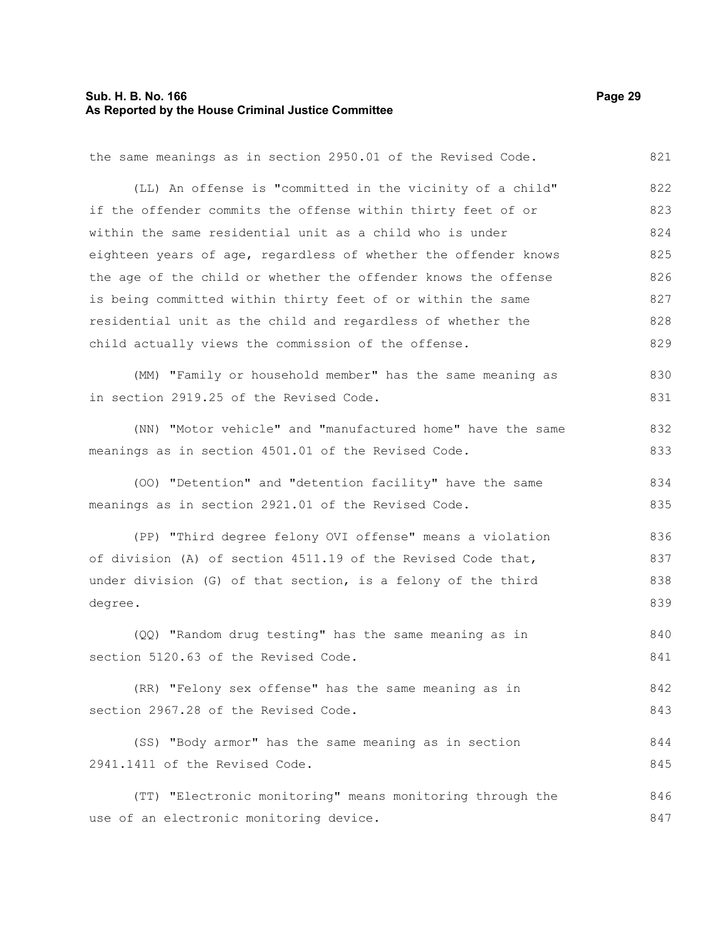### **Sub. H. B. No. 166** Page 29 **As Reported by the House Criminal Justice Committee**

| the same meanings as in section 2950.01 of the Revised Code.    | 821 |
|-----------------------------------------------------------------|-----|
| (LL) An offense is "committed in the vicinity of a child"       | 822 |
| if the offender commits the offense within thirty feet of or    | 823 |
| within the same residential unit as a child who is under        | 824 |
| eighteen years of age, regardless of whether the offender knows | 825 |
| the age of the child or whether the offender knows the offense  | 826 |
| is being committed within thirty feet of or within the same     | 827 |
| residential unit as the child and regardless of whether the     | 828 |
| child actually views the commission of the offense.             | 829 |
| (MM) "Family or household member" has the same meaning as       | 830 |
| in section 2919.25 of the Revised Code.                         | 831 |
| (NN) "Motor vehicle" and "manufactured home" have the same      | 832 |
| meanings as in section 4501.01 of the Revised Code.             | 833 |
| (00) "Detention" and "detention facility" have the same         | 834 |
| meanings as in section 2921.01 of the Revised Code.             | 835 |
| (PP) "Third degree felony OVI offense" means a violation        | 836 |
| of division (A) of section 4511.19 of the Revised Code that,    | 837 |
| under division (G) of that section, is a felony of the third    | 838 |
| degree.                                                         | 839 |
| (QQ) "Random drug testing" has the same meaning as in           | 840 |
| section 5120.63 of the Revised Code.                            | 841 |
| (RR) "Felony sex offense" has the same meaning as in            | 842 |
| section 2967.28 of the Revised Code.                            | 843 |
| (SS) "Body armor" has the same meaning as in section            | 844 |
| 2941.1411 of the Revised Code.                                  | 845 |
| (TT) "Electronic monitoring" means monitoring through the       | 846 |
| use of an electronic monitoring device.                         | 847 |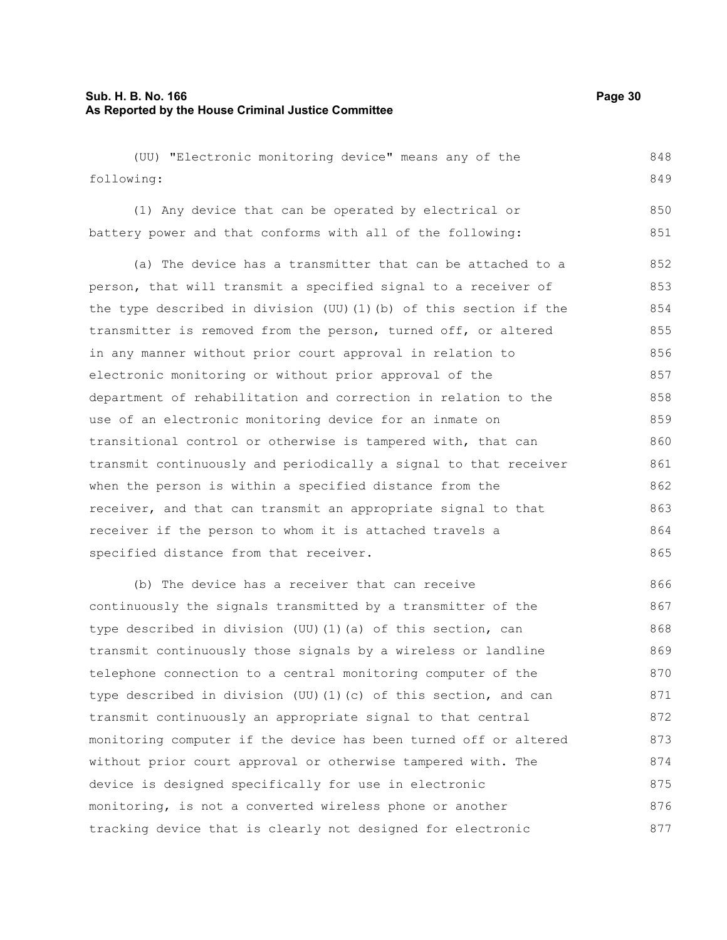#### **Sub. H. B. No. 166 Page 30 As Reported by the House Criminal Justice Committee**

(UU) "Electronic monitoring device" means any of the following: (1) Any device that can be operated by electrical or battery power and that conforms with all of the following: (a) The device has a transmitter that can be attached to a person, that will transmit a specified signal to a receiver of the type described in division (UU)(1)(b) of this section if the transmitter is removed from the person, turned off, or altered in any manner without prior court approval in relation to electronic monitoring or without prior approval of the department of rehabilitation and correction in relation to the use of an electronic monitoring device for an inmate on transitional control or otherwise is tampered with, that can transmit continuously and periodically a signal to that receiver when the person is within a specified distance from the receiver, and that can transmit an appropriate signal to that receiver if the person to whom it is attached travels a specified distance from that receiver. (b) The device has a receiver that can receive continuously the signals transmitted by a transmitter of the type described in division (UU)(1)(a) of this section, can transmit continuously those signals by a wireless or landline telephone connection to a central monitoring computer of the type described in division (UU)(1)(c) of this section, and can transmit continuously an appropriate signal to that central monitoring computer if the device has been turned off or altered 848 849 850 851 852 853 854 855 856 857 858 859 860 861 862 863 864 865 866 867 868 869 870 871 872 873

without prior court approval or otherwise tampered with. The

tracking device that is clearly not designed for electronic

device is designed specifically for use in electronic

monitoring, is not a converted wireless phone or another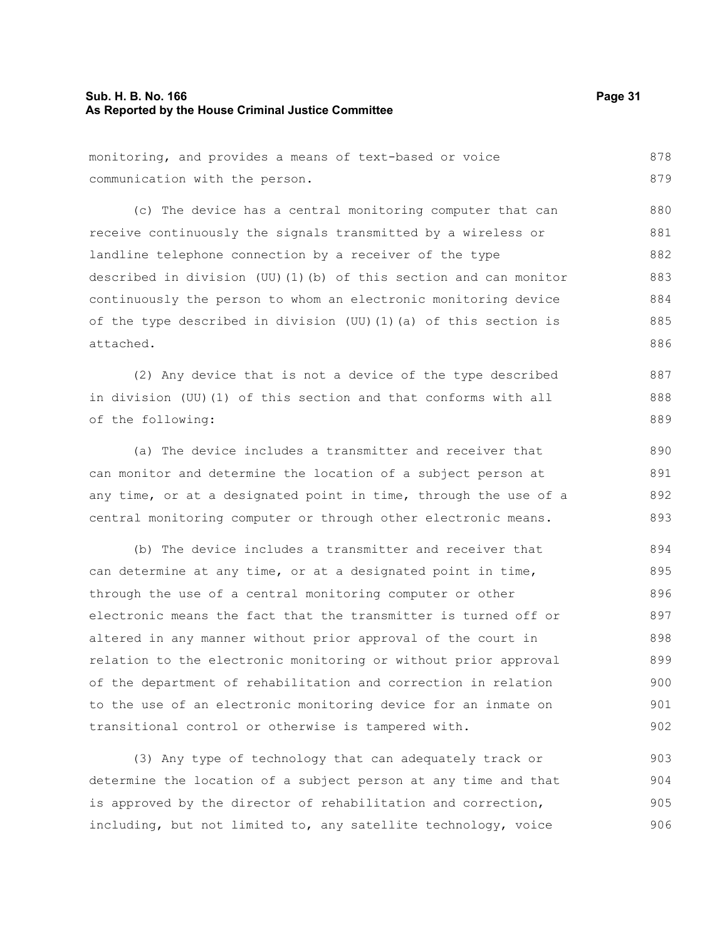#### **Sub. H. B. No. 166 Page 31 As Reported by the House Criminal Justice Committee**

(c) The device has a central monitoring computer that can receive continuously the signals transmitted by a wireless or landline telephone connection by a receiver of the type described in division (UU)(1)(b) of this section and can monitor continuously the person to whom an electronic monitoring device of the type described in division (UU)(1)(a) of this section is attached. 880 881 882 883 884 885 886

(2) Any device that is not a device of the type described in division (UU)(1) of this section and that conforms with all of the following: 887 888 889

(a) The device includes a transmitter and receiver that can monitor and determine the location of a subject person at any time, or at a designated point in time, through the use of a central monitoring computer or through other electronic means. 890 891 892 893

(b) The device includes a transmitter and receiver that can determine at any time, or at a designated point in time, through the use of a central monitoring computer or other electronic means the fact that the transmitter is turned off or altered in any manner without prior approval of the court in relation to the electronic monitoring or without prior approval of the department of rehabilitation and correction in relation to the use of an electronic monitoring device for an inmate on transitional control or otherwise is tampered with. 894 895 896 897 898 899 900 901 902

(3) Any type of technology that can adequately track or determine the location of a subject person at any time and that is approved by the director of rehabilitation and correction, including, but not limited to, any satellite technology, voice 903 904 905 906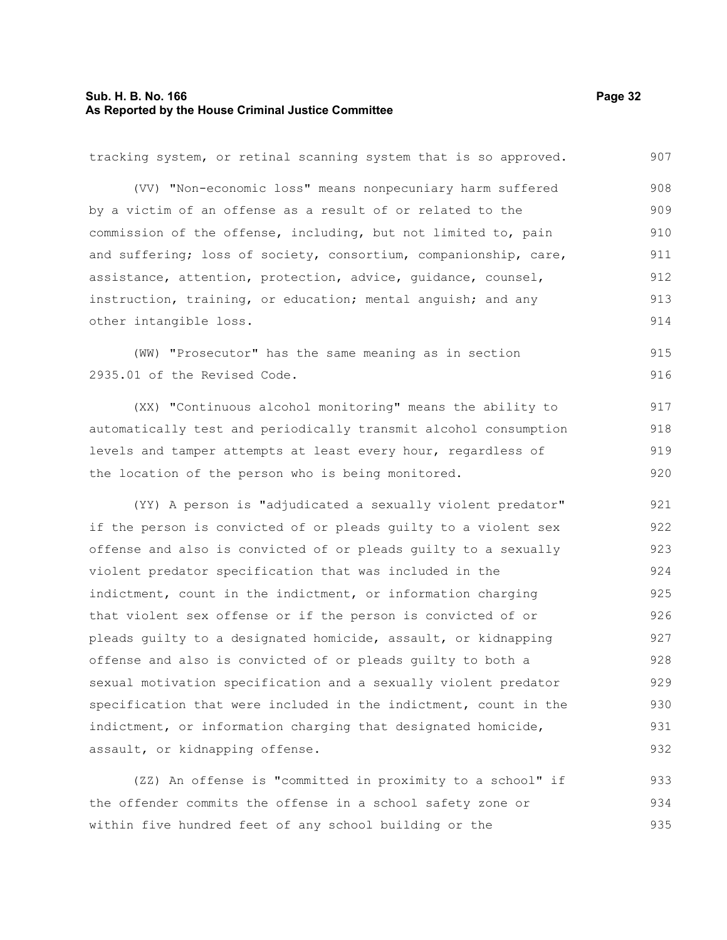#### **Sub. H. B. No. 166 Page 32 As Reported by the House Criminal Justice Committee**

tracking system, or retinal scanning system that is so approved. (VV) "Non-economic loss" means nonpecuniary harm suffered by a victim of an offense as a result of or related to the commission of the offense, including, but not limited to, pain and suffering; loss of society, consortium, companionship, care, assistance, attention, protection, advice, guidance, counsel, instruction, training, or education; mental anguish; and any other intangible loss. (WW) "Prosecutor" has the same meaning as in section

2935.01 of the Revised Code. 916

(XX) "Continuous alcohol monitoring" means the ability to automatically test and periodically transmit alcohol consumption levels and tamper attempts at least every hour, regardless of the location of the person who is being monitored. 917 918 919 920

(YY) A person is "adjudicated a sexually violent predator" if the person is convicted of or pleads guilty to a violent sex offense and also is convicted of or pleads guilty to a sexually violent predator specification that was included in the indictment, count in the indictment, or information charging that violent sex offense or if the person is convicted of or pleads guilty to a designated homicide, assault, or kidnapping offense and also is convicted of or pleads guilty to both a sexual motivation specification and a sexually violent predator specification that were included in the indictment, count in the indictment, or information charging that designated homicide, assault, or kidnapping offense. 921 922 923 924 925 926 927 928 929 930 931 932

(ZZ) An offense is "committed in proximity to a school" if the offender commits the offense in a school safety zone or within five hundred feet of any school building or the 933 934 935

907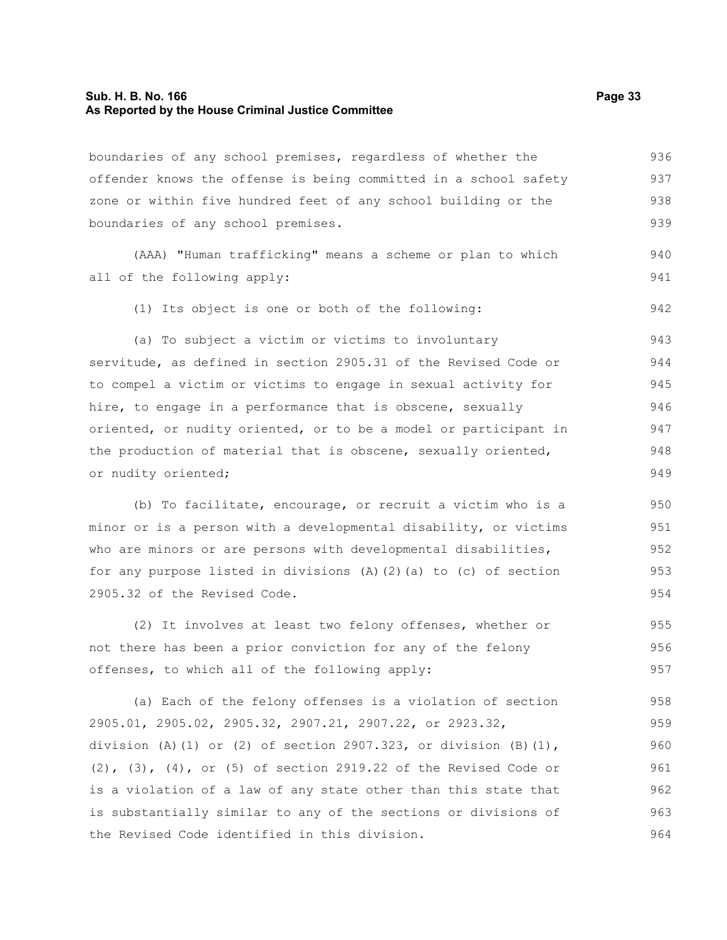#### **Sub. H. B. No. 166 Page 33 As Reported by the House Criminal Justice Committee**

boundaries of any school premises, regardless of whether the offender knows the offense is being committed in a school safety zone or within five hundred feet of any school building or the boundaries of any school premises. (AAA) "Human trafficking" means a scheme or plan to which all of the following apply: (1) Its object is one or both of the following: (a) To subject a victim or victims to involuntary servitude, as defined in section 2905.31 of the Revised Code or to compel a victim or victims to engage in sexual activity for hire, to engage in a performance that is obscene, sexually oriented, or nudity oriented, or to be a model or participant in the production of material that is obscene, sexually oriented, or nudity oriented; (b) To facilitate, encourage, or recruit a victim who is a minor or is a person with a developmental disability, or victims who are minors or are persons with developmental disabilities, 936 937 938 939 940 941 942 943 944 945 946 947 948 949 950 951 952

for any purpose listed in divisions  $(A)$   $(2)$   $(a)$  to  $(c)$  of section 2905.32 of the Revised Code. 953 954

(2) It involves at least two felony offenses, whether or not there has been a prior conviction for any of the felony offenses, to which all of the following apply: 955 956 957

(a) Each of the felony offenses is a violation of section 2905.01, 2905.02, 2905.32, 2907.21, 2907.22, or 2923.32, division (A)(1) or (2) of section 2907.323, or division (B)(1), (2), (3), (4), or (5) of section 2919.22 of the Revised Code or is a violation of a law of any state other than this state that is substantially similar to any of the sections or divisions of the Revised Code identified in this division. 958 959 960 961 962 963 964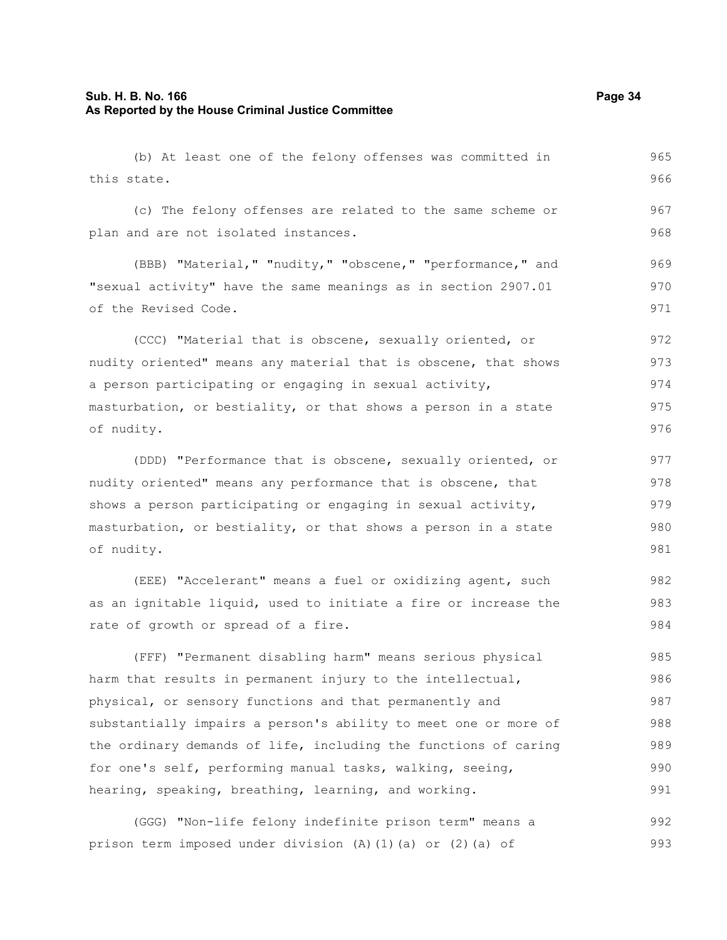### **Sub. H. B. No. 166 Page 34 As Reported by the House Criminal Justice Committee**

| this state.                                                     | 966 |
|-----------------------------------------------------------------|-----|
| (c) The felony offenses are related to the same scheme or       | 967 |
| plan and are not isolated instances.                            | 968 |
| (BBB) "Material," "nudity," "obscene," "performance," and       | 969 |
| "sexual activity" have the same meanings as in section 2907.01  | 970 |
| of the Revised Code.                                            | 971 |
| (CCC) "Material that is obscene, sexually oriented, or          | 972 |
| nudity oriented" means any material that is obscene, that shows | 973 |
| a person participating or engaging in sexual activity,          | 974 |
| masturbation, or bestiality, or that shows a person in a state  | 975 |
| of nudity.                                                      | 976 |
| (DDD) "Performance that is obscene, sexually oriented, or       | 977 |
| nudity oriented" means any performance that is obscene, that    | 978 |
| shows a person participating or engaging in sexual activity,    | 979 |
| masturbation, or bestiality, or that shows a person in a state  | 980 |
| of nudity.                                                      | 981 |
| (EEE) "Accelerant" means a fuel or oxidizing agent, such        | 982 |
| as an ignitable liquid, used to initiate a fire or increase the | 983 |
| rate of growth or spread of a fire.                             | 984 |
| (FFF) "Permanent disabling harm" means serious physical         | 985 |
| harm that results in permanent injury to the intellectual,      | 986 |
| physical, or sensory functions and that permanently and         | 987 |
| substantially impairs a person's ability to meet one or more of | 988 |
| the ordinary demands of life, including the functions of caring | 989 |
| for one's self, performing manual tasks, walking, seeing,       | 990 |
| hearing, speaking, breathing, learning, and working.            | 991 |
|                                                                 |     |

(b) At least one of the felony offenses was committed in

(GGG) "Non-life felony indefinite prison term" means a prison term imposed under division (A)(1)(a) or (2)(a) of 992 993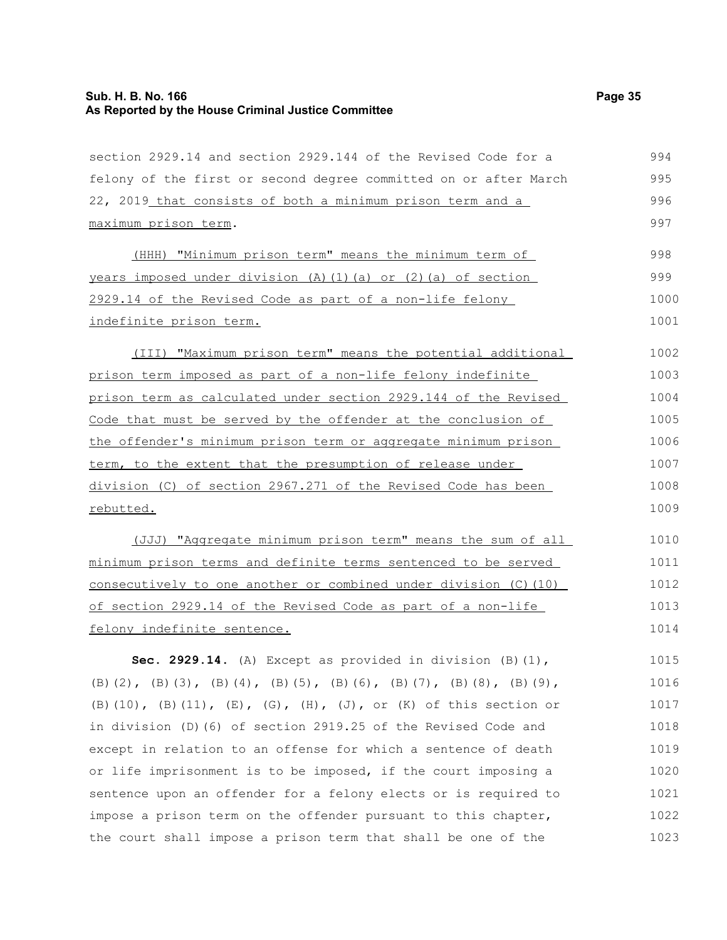### **Sub. H. B. No. 166** Page 35 **As Reported by the House Criminal Justice Committee**

| section 2929.14 and section 2929.144 of the Revised Code for a                          | 994  |
|-----------------------------------------------------------------------------------------|------|
| felony of the first or second degree committed on or after March                        | 995  |
| 22, 2019 that consists of both a minimum prison term and a                              | 996  |
| <u>maximum prison term</u> .                                                            | 997  |
| (HHH) "Minimum prison term" means the minimum term of                                   | 998  |
| years imposed under division $(A) (1) (a)$ or $(2) (a)$ of section                      | 999  |
| 2929.14 of the Revised Code as part of a non-life felony                                | 1000 |
| <u>indefinite prison term.</u>                                                          | 1001 |
| (III) "Maximum prison term" means the potential additional                              | 1002 |
| <u>prison term imposed as part of a non-life felony indefinite </u>                     | 1003 |
| prison term as calculated under section 2929.144 of the Revised                         | 1004 |
| Code that must be served by the offender at the conclusion of                           | 1005 |
| the offender's minimum prison term or aggregate minimum prison                          | 1006 |
| term, to the extent that the presumption of release under                               | 1007 |
| division (C) of section 2967.271 of the Revised Code has been                           | 1008 |
| rebutted.                                                                               | 1009 |
| (JJJ) "Aggregate minimum prison term" means the sum of all                              | 1010 |
| minimum prison terms and definite terms sentenced to be served                          | 1011 |
| consecutively to one another or combined under division (C) (10)                        | 1012 |
| of section 2929.14 of the Revised Code as part of a non-life                            | 1013 |
| felony indefinite sentence.                                                             | 1014 |
| Sec. 2929.14. (A) Except as provided in division $(B)$ (1),                             | 1015 |
| (B) (2), (B) (3), (B) (4), (B) (5), (B) (6), (B) (7), (B) (8), (B) (9),                 | 1016 |
| (B) $(10)$ , $(B)$ $(11)$ , $(E)$ , $(G)$ , $(H)$ , $(J)$ , or $(K)$ of this section or | 1017 |
| in division (D) (6) of section 2919.25 of the Revised Code and                          | 1018 |
| except in relation to an offense for which a sentence of death                          | 1019 |
| or life imprisonment is to be imposed, if the court imposing a                          | 1020 |
| sentence upon an offender for a felony elects or is required to                         | 1021 |
| impose a prison term on the offender pursuant to this chapter,                          | 1022 |
| the court shall impose a prison term that shall be one of the                           | 1023 |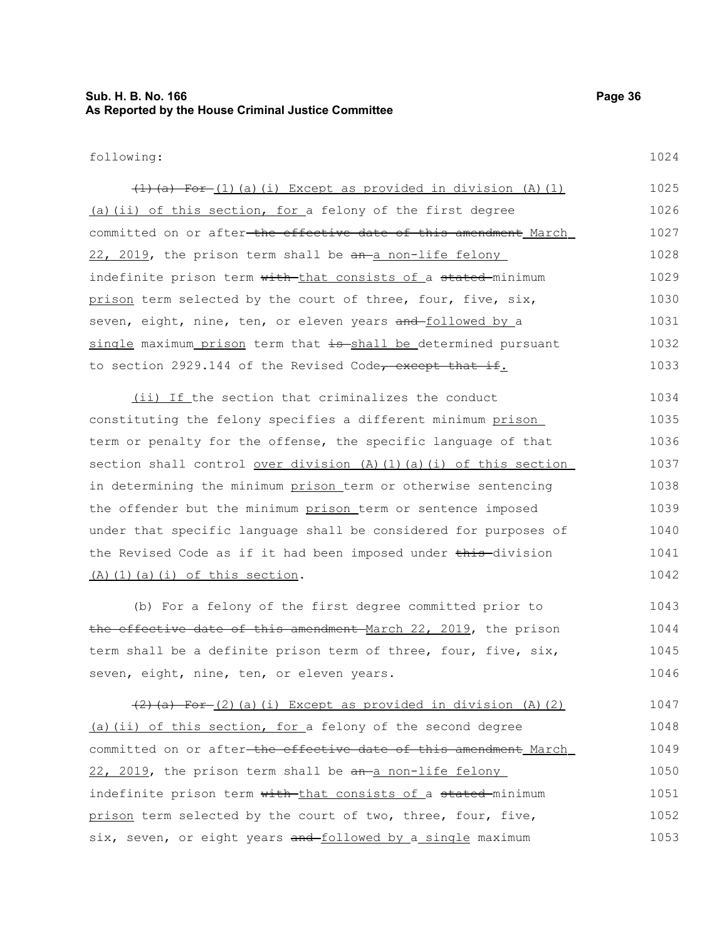#### **Sub. H. B. No. 166 Page 36 As Reported by the House Criminal Justice Committee**

following:

| $(4)$ $(4)$ $For-(1)$ (a) (i) Except as provided in division (A) (1)      | 1025 |
|---------------------------------------------------------------------------|------|
| (a) (ii) of this section, for a felony of the first degree                | 1026 |
| committed on or after-the effective date of this amendment March          | 1027 |
| 22, 2019, the prison term shall be <del>an a</del> non-life felony        | 1028 |
| indefinite prison term <del>with that consists of a stated </del> minimum | 1029 |
| prison term selected by the court of three, four, five, six,              | 1030 |
| seven, eight, nine, ten, or eleven years <del>and f</del> ollowed by a    | 1031 |
| single maximum prison term that is shall be determined pursuant           | 1032 |
| to section 2929.144 of the Revised Code, except that if.                  | 1033 |

(ii) If the section that criminalizes the conduct constituting the felony specifies a different minimum prison term or penalty for the offense, the specific language of that section shall control over division (A)(1)(a)(i) of this section in determining the minimum prison term or otherwise sentencing the offender but the minimum prison term or sentence imposed under that specific language shall be considered for purposes of the Revised Code as if it had been imposed under this division  $(A)$   $(1)$   $(a)$   $(i)$  of this section. 1034 1035 1036 1037 1038 1039 1040 1041 1042

(b) For a felony of the first degree committed prior to the effective date of this amendment March 22, 2019, the prison term shall be a definite prison term of three, four, five, six, seven, eight, nine, ten, or eleven years. 1043 1044 1045 1046

 $(2)$  (a) For (2)(a)(i) Except as provided in division (A)(2) (a)(ii) of this section, for a felony of the second degree committed on or after-the effective date of this amendment March 22, 2019, the prison term shall be an-a non-life felony indefinite prison term with that consists of a stated minimum prison term selected by the court of two, three, four, five, six, seven, or eight years and followed by a single maximum 1047 1048 1049 1050 1051 1052 1053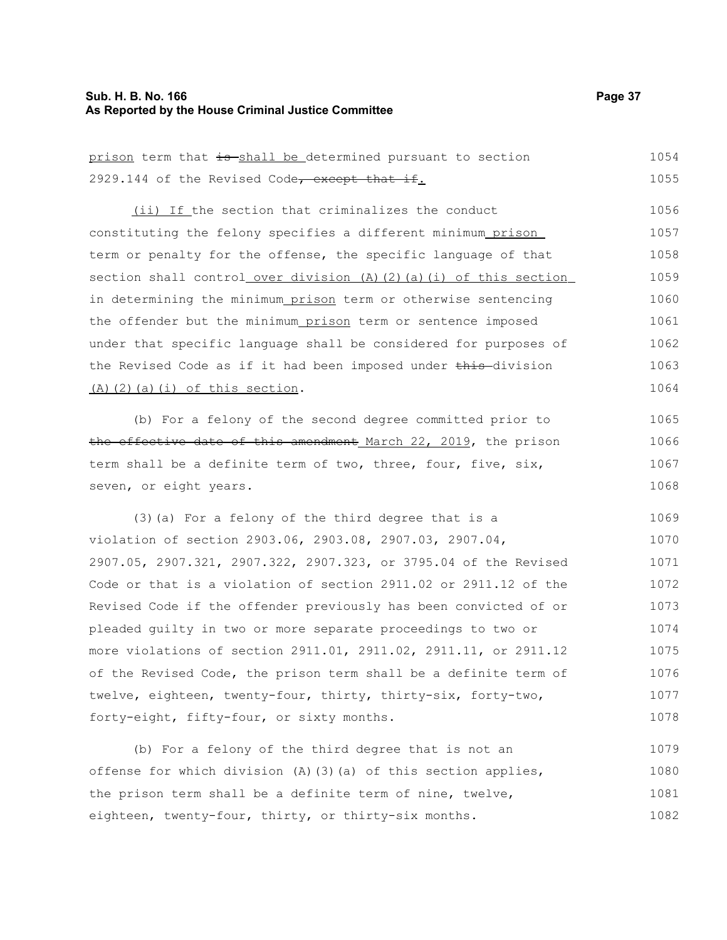# **Sub. H. B. No. 166 Page 37 As Reported by the House Criminal Justice Committee**

prison term that is shall be determined pursuant to section 2929.144 of the Revised Code, except that if. (ii) If the section that criminalizes the conduct constituting the felony specifies a different minimum prison term or penalty for the offense, the specific language of that section shall control over division (A)(2)(a)(i) of this section in determining the minimum prison term or otherwise sentencing the offender but the minimum prison term or sentence imposed under that specific language shall be considered for purposes of the Revised Code as if it had been imposed under this division  $(A)$  $(2)$  $(a)$  $(i)$  of this section. (b) For a felony of the second degree committed prior to the effective date of this amendment March 22, 2019, the prison term shall be a definite term of two, three, four, five, six, seven, or eight years. (3)(a) For a felony of the third degree that is a violation of section 2903.06, 2903.08, 2907.03, 2907.04, 2907.05, 2907.321, 2907.322, 2907.323, or 3795.04 of the Revised Code or that is a violation of section 2911.02 or 2911.12 of the Revised Code if the offender previously has been convicted of or pleaded guilty in two or more separate proceedings to two or more violations of section 2911.01, 2911.02, 2911.11, or 2911.12 1054 1055 1056 1057 1058 1059 1060 1061 1062 1063 1064 1065 1066 1067 1068 1069 1070 1071 1072 1073 1074 1075

of the Revised Code, the prison term shall be a definite term of twelve, eighteen, twenty-four, thirty, thirty-six, forty-two, forty-eight, fifty-four, or sixty months. 1076 1077 1078

(b) For a felony of the third degree that is not an offense for which division (A)(3)(a) of this section applies, the prison term shall be a definite term of nine, twelve, eighteen, twenty-four, thirty, or thirty-six months. 1079 1080 1081 1082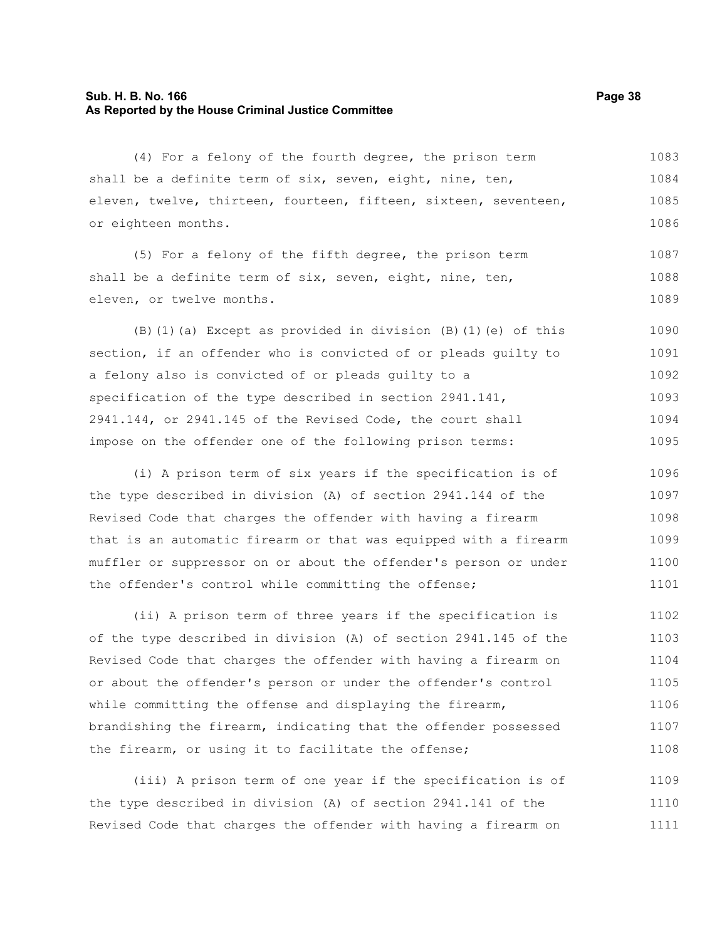# **Sub. H. B. No. 166 Page 38 As Reported by the House Criminal Justice Committee**

(4) For a felony of the fourth degree, the prison term shall be a definite term of six, seven, eight, nine, ten, eleven, twelve, thirteen, fourteen, fifteen, sixteen, seventeen, or eighteen months. 1083 1084 1085 1086

(5) For a felony of the fifth degree, the prison term shall be a definite term of six, seven, eight, nine, ten, eleven, or twelve months. 1087 1088 1089

(B)(1)(a) Except as provided in division (B)(1)(e) of this section, if an offender who is convicted of or pleads guilty to a felony also is convicted of or pleads guilty to a specification of the type described in section 2941.141, 2941.144, or 2941.145 of the Revised Code, the court shall impose on the offender one of the following prison terms: 1090 1091 1092 1093 1094 1095

(i) A prison term of six years if the specification is of the type described in division (A) of section 2941.144 of the Revised Code that charges the offender with having a firearm that is an automatic firearm or that was equipped with a firearm muffler or suppressor on or about the offender's person or under the offender's control while committing the offense; 1096 1097 1098 1099 1100 1101

(ii) A prison term of three years if the specification is of the type described in division (A) of section 2941.145 of the Revised Code that charges the offender with having a firearm on or about the offender's person or under the offender's control while committing the offense and displaying the firearm, brandishing the firearm, indicating that the offender possessed the firearm, or using it to facilitate the offense; 1102 1103 1104 1105 1106 1107 1108

(iii) A prison term of one year if the specification is of the type described in division (A) of section 2941.141 of the Revised Code that charges the offender with having a firearm on 1109 1110 1111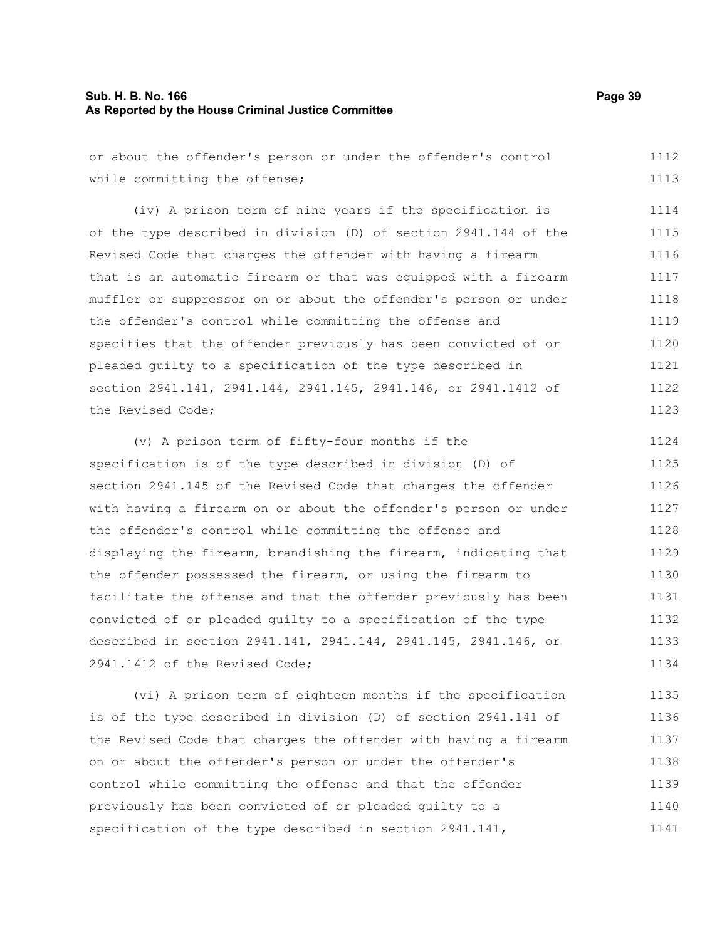# **Sub. H. B. No. 166 Page 39 As Reported by the House Criminal Justice Committee**

or about the offender's person or under the offender's control while committing the offense; (iv) A prison term of nine years if the specification is of the type described in division (D) of section 2941.144 of the 1112 1113 1114 1115

Revised Code that charges the offender with having a firearm that is an automatic firearm or that was equipped with a firearm muffler or suppressor on or about the offender's person or under the offender's control while committing the offense and specifies that the offender previously has been convicted of or pleaded guilty to a specification of the type described in section 2941.141, 2941.144, 2941.145, 2941.146, or 2941.1412 of the Revised Code; 1116 1117 1118 1119 1120 1121 1122 1123

(v) A prison term of fifty-four months if the specification is of the type described in division (D) of section 2941.145 of the Revised Code that charges the offender with having a firearm on or about the offender's person or under the offender's control while committing the offense and displaying the firearm, brandishing the firearm, indicating that the offender possessed the firearm, or using the firearm to facilitate the offense and that the offender previously has been convicted of or pleaded guilty to a specification of the type described in section 2941.141, 2941.144, 2941.145, 2941.146, or 2941.1412 of the Revised Code; 1124 1125 1126 1127 1128 1129 1130 1131 1132 1133 1134

(vi) A prison term of eighteen months if the specification is of the type described in division (D) of section 2941.141 of the Revised Code that charges the offender with having a firearm on or about the offender's person or under the offender's control while committing the offense and that the offender previously has been convicted of or pleaded guilty to a specification of the type described in section 2941.141, 1135 1136 1137 1138 1139 1140 1141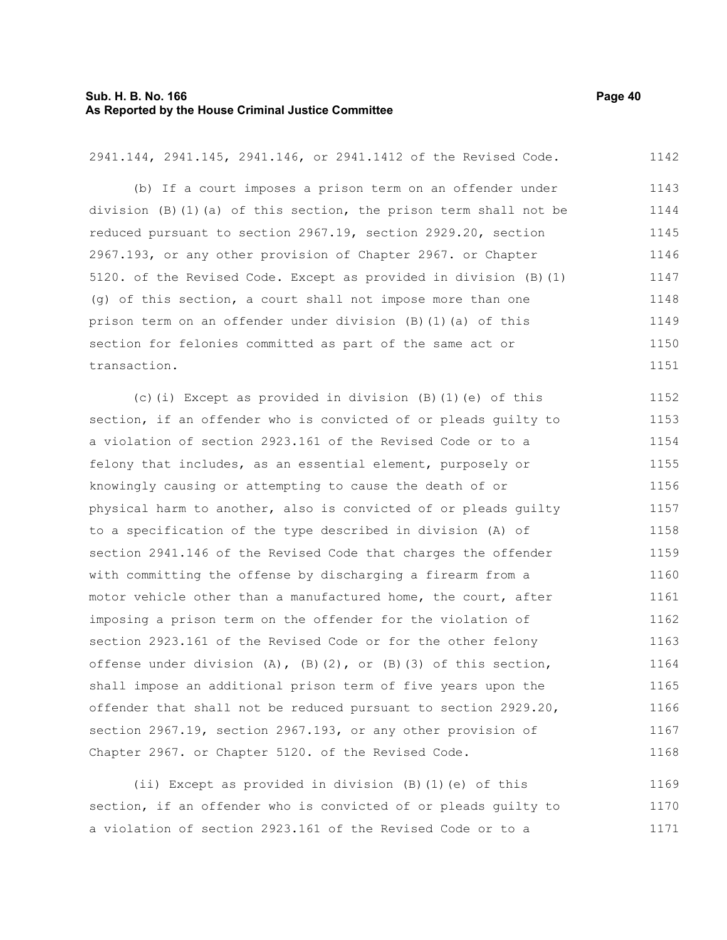2941.144, 2941.145, 2941.146, or 2941.1412 of the Revised Code. 1142

(b) If a court imposes a prison term on an offender under division (B)(1)(a) of this section, the prison term shall not be reduced pursuant to section 2967.19, section 2929.20, section 2967.193, or any other provision of Chapter 2967. or Chapter 5120. of the Revised Code. Except as provided in division (B)(1) (g) of this section, a court shall not impose more than one prison term on an offender under division (B)(1)(a) of this section for felonies committed as part of the same act or transaction. 1143 1144 1145 1146 1147 1148 1149 1150 1151

(c)(i) Except as provided in division (B)(1)(e) of this section, if an offender who is convicted of or pleads guilty to a violation of section 2923.161 of the Revised Code or to a felony that includes, as an essential element, purposely or knowingly causing or attempting to cause the death of or physical harm to another, also is convicted of or pleads guilty to a specification of the type described in division (A) of section 2941.146 of the Revised Code that charges the offender with committing the offense by discharging a firearm from a motor vehicle other than a manufactured home, the court, after imposing a prison term on the offender for the violation of section 2923.161 of the Revised Code or for the other felony offense under division  $(A)$ ,  $(B)$  $(2)$ , or  $(B)$  $(3)$  of this section, shall impose an additional prison term of five years upon the offender that shall not be reduced pursuant to section 2929.20, section 2967.19, section 2967.193, or any other provision of Chapter 2967. or Chapter 5120. of the Revised Code. 1152 1153 1154 1155 1156 1157 1158 1159 1160 1161 1162 1163 1164 1165 1166 1167 1168

(ii) Except as provided in division (B)(1)(e) of this section, if an offender who is convicted of or pleads guilty to a violation of section 2923.161 of the Revised Code or to a 1169 1170 1171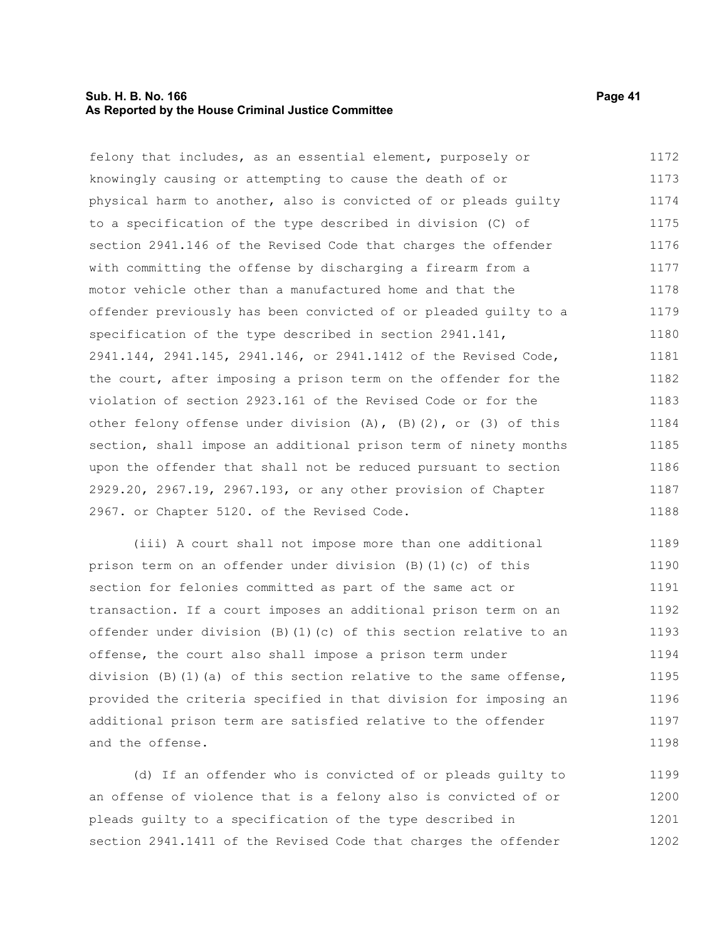# **Sub. H. B. No. 166 Page 41 As Reported by the House Criminal Justice Committee**

felony that includes, as an essential element, purposely or knowingly causing or attempting to cause the death of or physical harm to another, also is convicted of or pleads guilty to a specification of the type described in division (C) of section 2941.146 of the Revised Code that charges the offender with committing the offense by discharging a firearm from a motor vehicle other than a manufactured home and that the offender previously has been convicted of or pleaded guilty to a specification of the type described in section 2941.141, 2941.144, 2941.145, 2941.146, or 2941.1412 of the Revised Code, the court, after imposing a prison term on the offender for the violation of section 2923.161 of the Revised Code or for the other felony offense under division  $(A)$ ,  $(B)$   $(2)$ , or  $(3)$  of this section, shall impose an additional prison term of ninety months upon the offender that shall not be reduced pursuant to section 2929.20, 2967.19, 2967.193, or any other provision of Chapter 2967. or Chapter 5120. of the Revised Code. 1172 1173 1174 1175 1176 1177 1178 1179 1180 1181 1182 1183 1184 1185 1186 1187 1188

(iii) A court shall not impose more than one additional prison term on an offender under division (B)(1)(c) of this section for felonies committed as part of the same act or transaction. If a court imposes an additional prison term on an offender under division (B)(1)(c) of this section relative to an offense, the court also shall impose a prison term under division (B)(1)(a) of this section relative to the same offense, provided the criteria specified in that division for imposing an additional prison term are satisfied relative to the offender and the offense. 1189 1190 1191 1192 1193 1194 1195 1196 1197 1198

(d) If an offender who is convicted of or pleads guilty to an offense of violence that is a felony also is convicted of or pleads guilty to a specification of the type described in section 2941.1411 of the Revised Code that charges the offender 1199 1200 1201 1202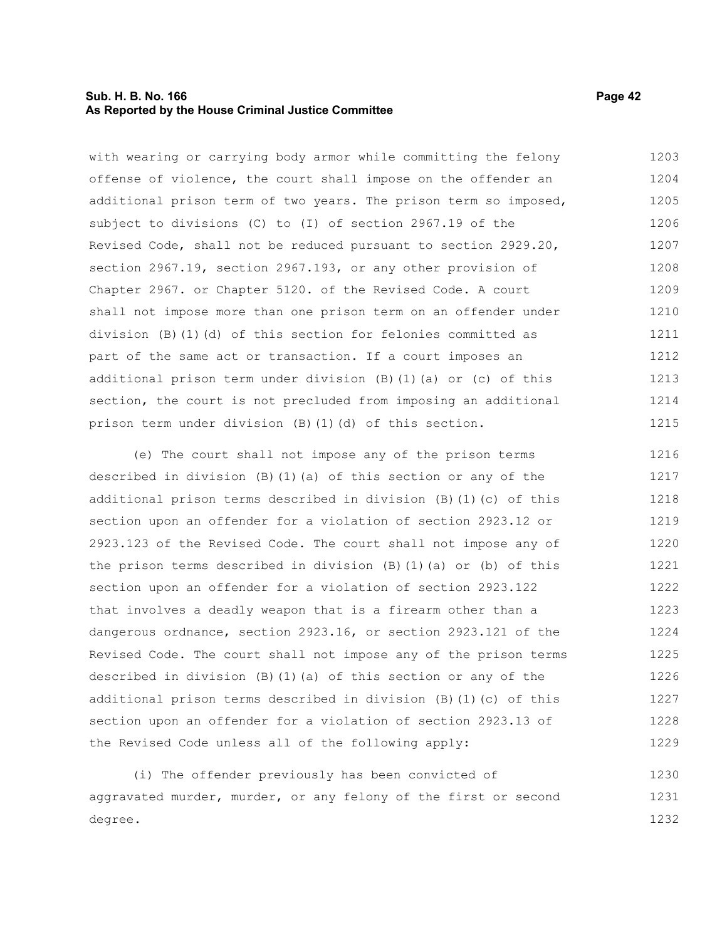# **Sub. H. B. No. 166 Page 42 As Reported by the House Criminal Justice Committee**

with wearing or carrying body armor while committing the felony offense of violence, the court shall impose on the offender an additional prison term of two years. The prison term so imposed, subject to divisions (C) to (I) of section 2967.19 of the Revised Code, shall not be reduced pursuant to section 2929.20, section 2967.19, section 2967.193, or any other provision of Chapter 2967. or Chapter 5120. of the Revised Code. A court shall not impose more than one prison term on an offender under division (B)(1)(d) of this section for felonies committed as part of the same act or transaction. If a court imposes an additional prison term under division (B)(1)(a) or (c) of this section, the court is not precluded from imposing an additional prison term under division (B)(1)(d) of this section. 1203 1204 1205 1206 1207 1208 1209 1210 1211 1212 1213 1214 1215

(e) The court shall not impose any of the prison terms described in division  $(B)$  (1)(a) of this section or any of the additional prison terms described in division (B)(1)(c) of this section upon an offender for a violation of section 2923.12 or 2923.123 of the Revised Code. The court shall not impose any of the prison terms described in division  $(B)$   $(1)$   $(a)$  or  $(b)$  of this section upon an offender for a violation of section 2923.122 that involves a deadly weapon that is a firearm other than a dangerous ordnance, section 2923.16, or section 2923.121 of the Revised Code. The court shall not impose any of the prison terms described in division (B)(1)(a) of this section or any of the additional prison terms described in division (B)(1)(c) of this section upon an offender for a violation of section 2923.13 of the Revised Code unless all of the following apply: 1216 1217 1218 1219 1220 1221 1222 1223 1224 1225 1226 1227 1228 1229

(i) The offender previously has been convicted of aggravated murder, murder, or any felony of the first or second degree. 1230 1231 1232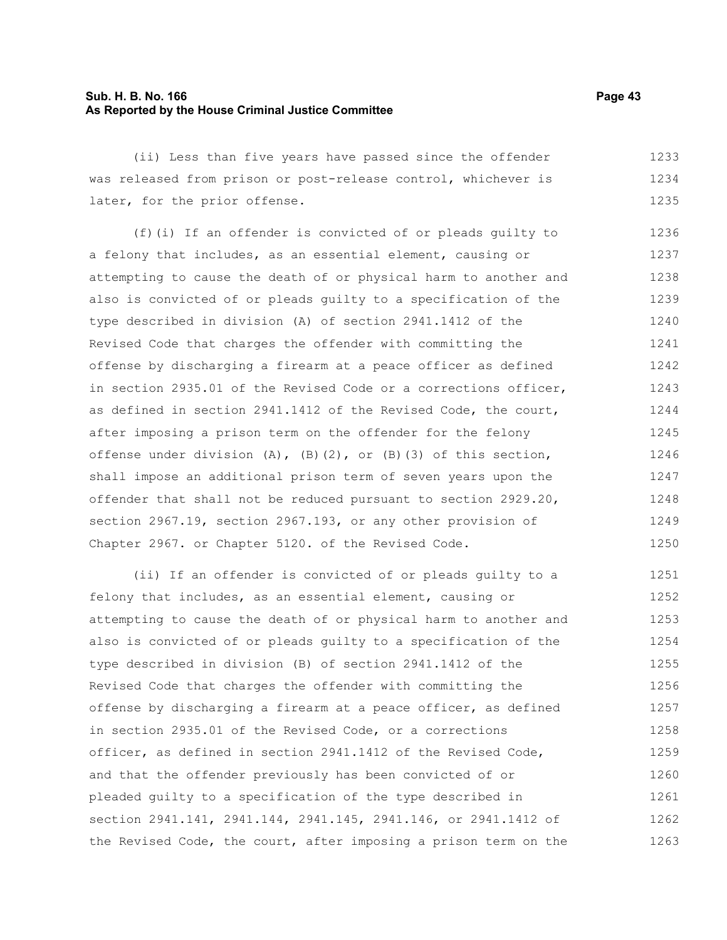# **Sub. H. B. No. 166 Page 43 As Reported by the House Criminal Justice Committee**

(ii) Less than five years have passed since the offender was released from prison or post-release control, whichever is later, for the prior offense. 1233 1234 1235

(f)(i) If an offender is convicted of or pleads guilty to a felony that includes, as an essential element, causing or attempting to cause the death of or physical harm to another and also is convicted of or pleads guilty to a specification of the type described in division (A) of section 2941.1412 of the Revised Code that charges the offender with committing the offense by discharging a firearm at a peace officer as defined in section 2935.01 of the Revised Code or a corrections officer, as defined in section 2941.1412 of the Revised Code, the court, after imposing a prison term on the offender for the felony offense under division  $(A)$ ,  $(B)$ (2), or  $(B)$ (3) of this section, shall impose an additional prison term of seven years upon the offender that shall not be reduced pursuant to section 2929.20, section 2967.19, section 2967.193, or any other provision of Chapter 2967. or Chapter 5120. of the Revised Code. 1236 1237 1238 1239 1240 1241 1242 1243 1244 1245 1246 1247 1248 1249 1250

(ii) If an offender is convicted of or pleads guilty to a felony that includes, as an essential element, causing or attempting to cause the death of or physical harm to another and also is convicted of or pleads guilty to a specification of the type described in division (B) of section 2941.1412 of the Revised Code that charges the offender with committing the offense by discharging a firearm at a peace officer, as defined in section 2935.01 of the Revised Code, or a corrections officer, as defined in section 2941.1412 of the Revised Code, and that the offender previously has been convicted of or pleaded guilty to a specification of the type described in section 2941.141, 2941.144, 2941.145, 2941.146, or 2941.1412 of the Revised Code, the court, after imposing a prison term on the 1251 1252 1253 1254 1255 1256 1257 1258 1259 1260 1261 1262 1263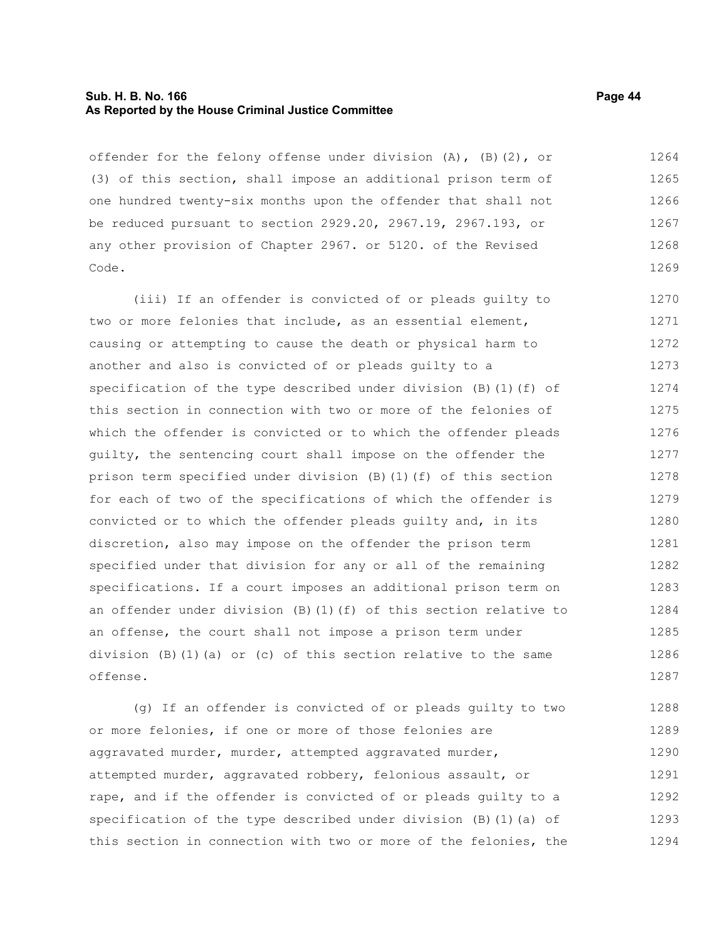### **Sub. H. B. No. 166 Page 44 As Reported by the House Criminal Justice Committee**

offender for the felony offense under division  $(A)$ ,  $(B)$   $(2)$ , or (3) of this section, shall impose an additional prison term of one hundred twenty-six months upon the offender that shall not be reduced pursuant to section 2929.20, 2967.19, 2967.193, or any other provision of Chapter 2967. or 5120. of the Revised Code. 1264 1265 1266 1267 1268 1269

(iii) If an offender is convicted of or pleads guilty to two or more felonies that include, as an essential element, causing or attempting to cause the death or physical harm to another and also is convicted of or pleads guilty to a specification of the type described under division  $(B)$  (1)(f) of this section in connection with two or more of the felonies of which the offender is convicted or to which the offender pleads guilty, the sentencing court shall impose on the offender the prison term specified under division (B)(1)(f) of this section for each of two of the specifications of which the offender is convicted or to which the offender pleads guilty and, in its discretion, also may impose on the offender the prison term specified under that division for any or all of the remaining specifications. If a court imposes an additional prison term on an offender under division (B)(1)(f) of this section relative to an offense, the court shall not impose a prison term under division  $(B)(1)(a)$  or  $(c)$  of this section relative to the same offense. 1270 1271 1272 1273 1274 1275 1276 1277 1278 1279 1280 1281 1282 1283 1284 1285 1286 1287

(g) If an offender is convicted of or pleads guilty to two or more felonies, if one or more of those felonies are aggravated murder, murder, attempted aggravated murder, attempted murder, aggravated robbery, felonious assault, or rape, and if the offender is convicted of or pleads guilty to a specification of the type described under division (B)(1)(a) of this section in connection with two or more of the felonies, the 1288 1289 1290 1291 1292 1293 1294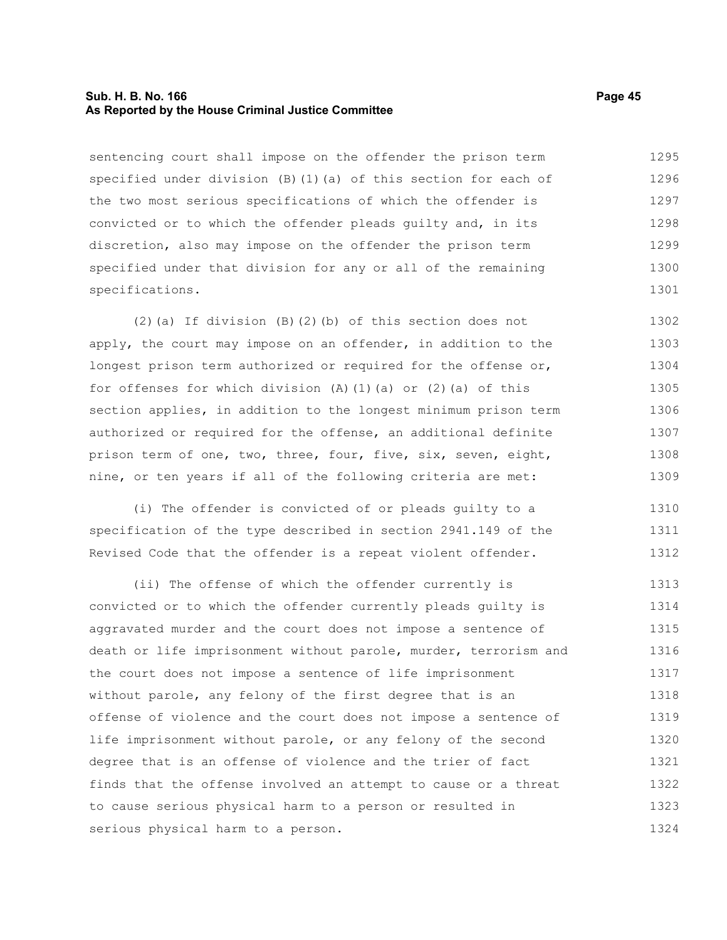### **Sub. H. B. No. 166 Page 45 As Reported by the House Criminal Justice Committee**

sentencing court shall impose on the offender the prison term specified under division (B)(1)(a) of this section for each of the two most serious specifications of which the offender is convicted or to which the offender pleads guilty and, in its discretion, also may impose on the offender the prison term specified under that division for any or all of the remaining specifications. 1295 1296 1297 1298 1299 1300 1301

(2)(a) If division (B)(2)(b) of this section does not apply, the court may impose on an offender, in addition to the longest prison term authorized or required for the offense or, for offenses for which division  $(A)$   $(1)$   $(a)$  or  $(2)$   $(a)$  of this section applies, in addition to the longest minimum prison term authorized or required for the offense, an additional definite prison term of one, two, three, four, five, six, seven, eight, nine, or ten years if all of the following criteria are met: 1302 1303 1304 1305 1306 1307 1308 1309

(i) The offender is convicted of or pleads guilty to a specification of the type described in section 2941.149 of the Revised Code that the offender is a repeat violent offender. 1310 1311 1312

(ii) The offense of which the offender currently is convicted or to which the offender currently pleads guilty is aggravated murder and the court does not impose a sentence of death or life imprisonment without parole, murder, terrorism and the court does not impose a sentence of life imprisonment without parole, any felony of the first degree that is an offense of violence and the court does not impose a sentence of life imprisonment without parole, or any felony of the second degree that is an offense of violence and the trier of fact finds that the offense involved an attempt to cause or a threat to cause serious physical harm to a person or resulted in serious physical harm to a person. 1313 1314 1315 1316 1317 1318 1319 1320 1321 1322 1323 1324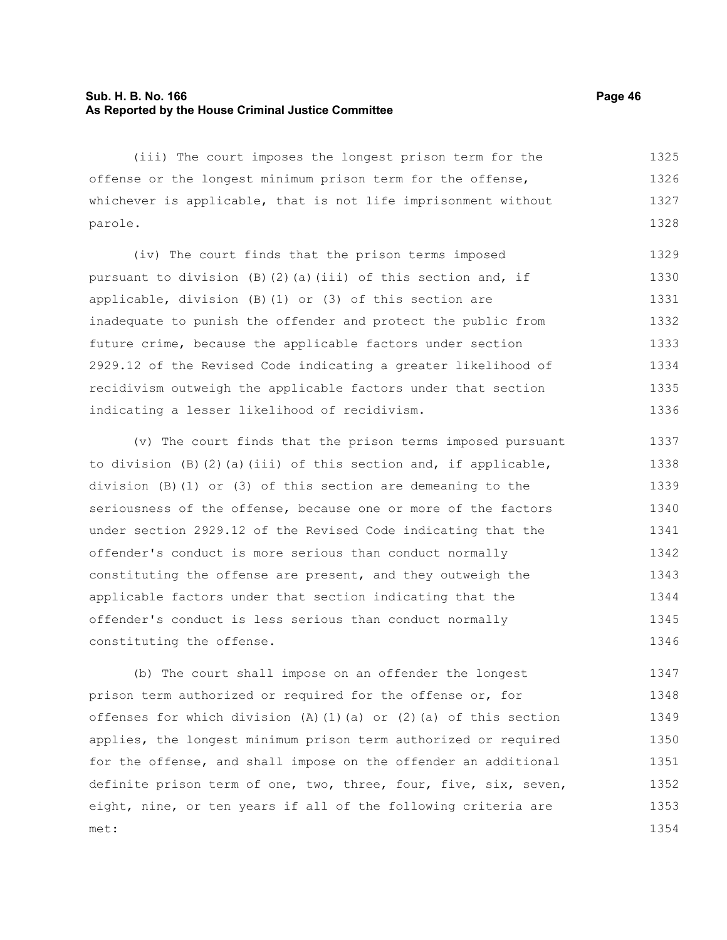# **Sub. H. B. No. 166 Page 46 As Reported by the House Criminal Justice Committee**

(iii) The court imposes the longest prison term for the offense or the longest minimum prison term for the offense, whichever is applicable, that is not life imprisonment without parole. 1325 1326 1327 1328

(iv) The court finds that the prison terms imposed pursuant to division (B)(2)(a)(iii) of this section and, if applicable, division (B)(1) or (3) of this section are inadequate to punish the offender and protect the public from future crime, because the applicable factors under section 2929.12 of the Revised Code indicating a greater likelihood of recidivism outweigh the applicable factors under that section indicating a lesser likelihood of recidivism. 1329 1330 1331 1332 1333 1334 1335 1336

(v) The court finds that the prison terms imposed pursuant to division  $(B)$   $(2)$   $(a)$   $(iii)$  of this section and, if applicable, division (B)(1) or (3) of this section are demeaning to the seriousness of the offense, because one or more of the factors under section 2929.12 of the Revised Code indicating that the offender's conduct is more serious than conduct normally constituting the offense are present, and they outweigh the applicable factors under that section indicating that the offender's conduct is less serious than conduct normally constituting the offense. 1337 1338 1339 1340 1341 1342 1343 1344 1345 1346

(b) The court shall impose on an offender the longest prison term authorized or required for the offense or, for offenses for which division  $(A)$   $(1)$   $(a)$  or  $(2)$   $(a)$  of this section applies, the longest minimum prison term authorized or required for the offense, and shall impose on the offender an additional definite prison term of one, two, three, four, five, six, seven, eight, nine, or ten years if all of the following criteria are met: 1347 1348 1349 1350 1351 1352 1353 1354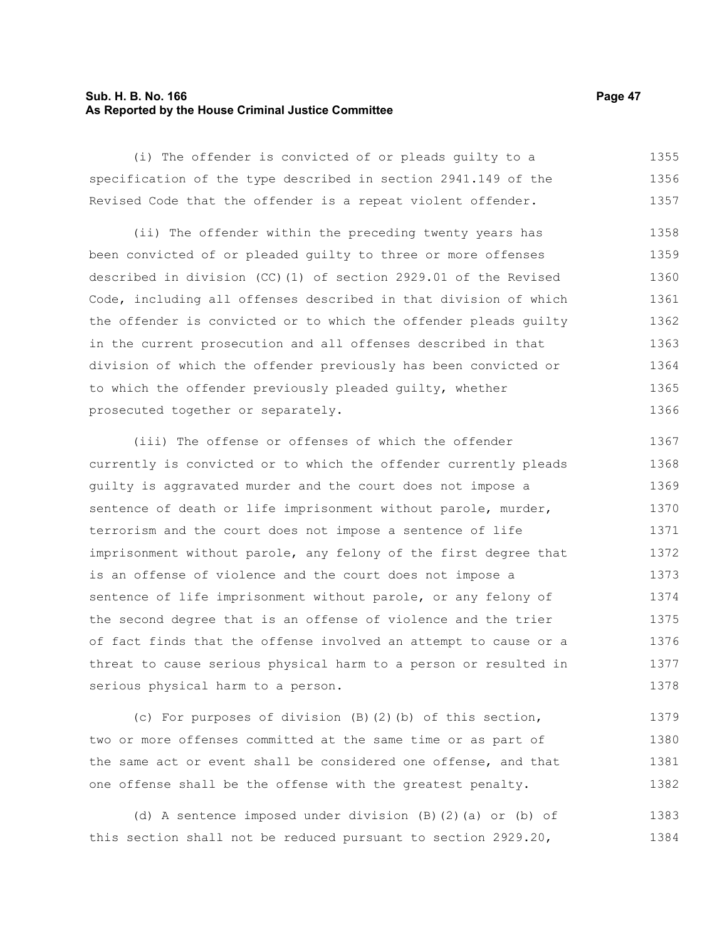# **Sub. H. B. No. 166 Page 47 As Reported by the House Criminal Justice Committee**

(i) The offender is convicted of or pleads guilty to a specification of the type described in section 2941.149 of the Revised Code that the offender is a repeat violent offender. 1355 1356 1357

(ii) The offender within the preceding twenty years has been convicted of or pleaded guilty to three or more offenses described in division (CC)(1) of section 2929.01 of the Revised Code, including all offenses described in that division of which the offender is convicted or to which the offender pleads guilty in the current prosecution and all offenses described in that division of which the offender previously has been convicted or to which the offender previously pleaded guilty, whether prosecuted together or separately. 1358 1359 1360 1361 1362 1363 1364 1365 1366

(iii) The offense or offenses of which the offender currently is convicted or to which the offender currently pleads guilty is aggravated murder and the court does not impose a sentence of death or life imprisonment without parole, murder, terrorism and the court does not impose a sentence of life imprisonment without parole, any felony of the first degree that is an offense of violence and the court does not impose a sentence of life imprisonment without parole, or any felony of the second degree that is an offense of violence and the trier of fact finds that the offense involved an attempt to cause or a threat to cause serious physical harm to a person or resulted in serious physical harm to a person. 1367 1368 1369 1370 1371 1372 1373 1374 1375 1376 1377 1378

(c) For purposes of division (B)(2)(b) of this section, two or more offenses committed at the same time or as part of the same act or event shall be considered one offense, and that one offense shall be the offense with the greatest penalty. 1379 1380 1381 1382

(d) A sentence imposed under division (B)(2)(a) or (b) of this section shall not be reduced pursuant to section 2929.20, 1383 1384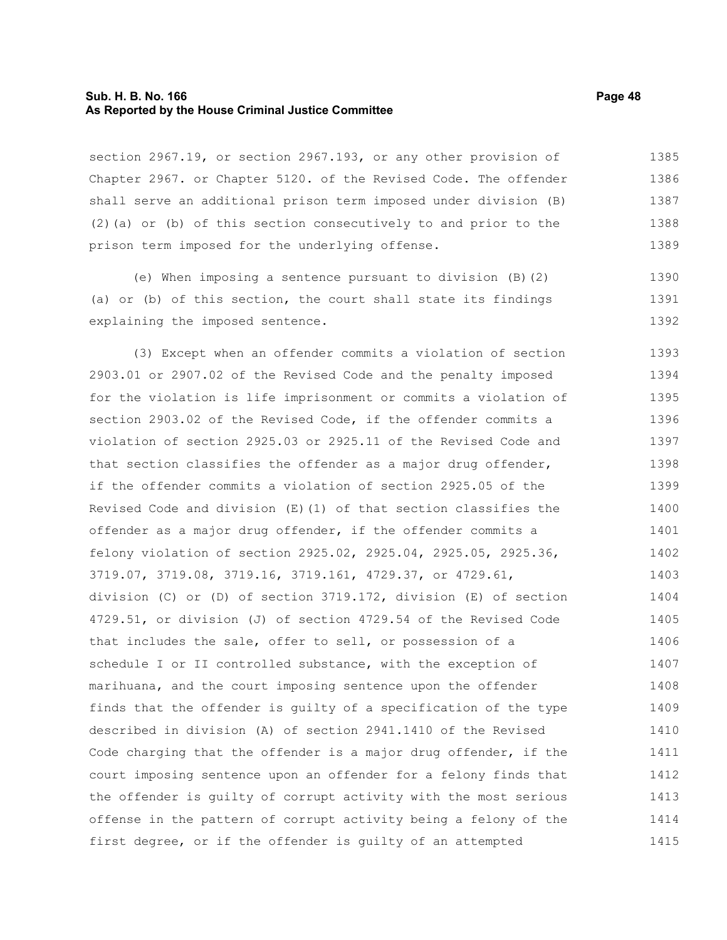#### **Sub. H. B. No. 166 Page 48 As Reported by the House Criminal Justice Committee**

section 2967.19, or section 2967.193, or any other provision of Chapter 2967. or Chapter 5120. of the Revised Code. The offender shall serve an additional prison term imposed under division (B) (2)(a) or (b) of this section consecutively to and prior to the prison term imposed for the underlying offense. 1385 1386 1387 1388 1389

(e) When imposing a sentence pursuant to division (B)(2) (a) or (b) of this section, the court shall state its findings explaining the imposed sentence.

(3) Except when an offender commits a violation of section 2903.01 or 2907.02 of the Revised Code and the penalty imposed for the violation is life imprisonment or commits a violation of section 2903.02 of the Revised Code, if the offender commits a violation of section 2925.03 or 2925.11 of the Revised Code and that section classifies the offender as a major drug offender, if the offender commits a violation of section 2925.05 of the Revised Code and division  $(E)(1)$  of that section classifies the offender as a major drug offender, if the offender commits a felony violation of section 2925.02, 2925.04, 2925.05, 2925.36, 3719.07, 3719.08, 3719.16, 3719.161, 4729.37, or 4729.61, division (C) or (D) of section 3719.172, division (E) of section 4729.51, or division (J) of section 4729.54 of the Revised Code that includes the sale, offer to sell, or possession of a schedule I or II controlled substance, with the exception of marihuana, and the court imposing sentence upon the offender finds that the offender is guilty of a specification of the type described in division (A) of section 2941.1410 of the Revised Code charging that the offender is a major drug offender, if the court imposing sentence upon an offender for a felony finds that the offender is guilty of corrupt activity with the most serious offense in the pattern of corrupt activity being a felony of the first degree, or if the offender is guilty of an attempted 1393 1394 1395 1396 1397 1398 1399 1400 1401 1402 1403 1404 1405 1406 1407 1408 1409 1410 1411 1412 1413 1414 1415

1390 1391 1392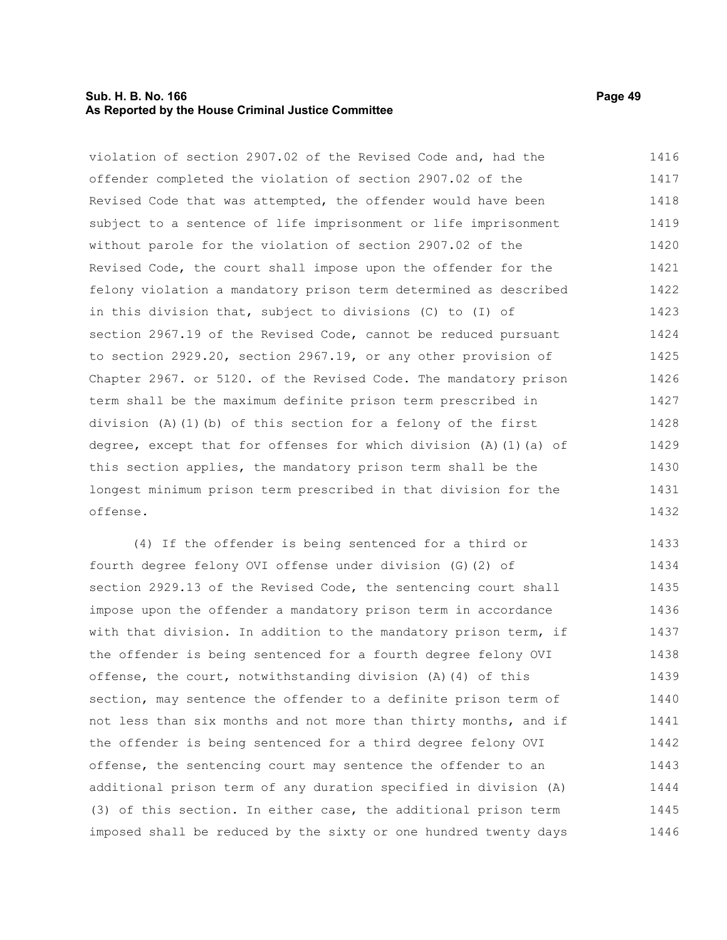# **Sub. H. B. No. 166 Page 49 As Reported by the House Criminal Justice Committee**

violation of section 2907.02 of the Revised Code and, had the offender completed the violation of section 2907.02 of the Revised Code that was attempted, the offender would have been subject to a sentence of life imprisonment or life imprisonment without parole for the violation of section 2907.02 of the Revised Code, the court shall impose upon the offender for the felony violation a mandatory prison term determined as described in this division that, subject to divisions (C) to (I) of section 2967.19 of the Revised Code, cannot be reduced pursuant to section 2929.20, section 2967.19, or any other provision of Chapter 2967. or 5120. of the Revised Code. The mandatory prison term shall be the maximum definite prison term prescribed in division (A)(1)(b) of this section for a felony of the first degree, except that for offenses for which division (A)(1)(a) of this section applies, the mandatory prison term shall be the longest minimum prison term prescribed in that division for the offense. 1416 1417 1418 1419 1420 1421 1422 1423 1424 1425 1426 1427 1428 1429 1430 1431 1432

(4) If the offender is being sentenced for a third or fourth degree felony OVI offense under division (G)(2) of section 2929.13 of the Revised Code, the sentencing court shall impose upon the offender a mandatory prison term in accordance with that division. In addition to the mandatory prison term, if the offender is being sentenced for a fourth degree felony OVI offense, the court, notwithstanding division (A)(4) of this section, may sentence the offender to a definite prison term of not less than six months and not more than thirty months, and if the offender is being sentenced for a third degree felony OVI offense, the sentencing court may sentence the offender to an additional prison term of any duration specified in division (A) (3) of this section. In either case, the additional prison term imposed shall be reduced by the sixty or one hundred twenty days 1433 1434 1435 1436 1437 1438 1439 1440 1441 1442 1443 1444 1445 1446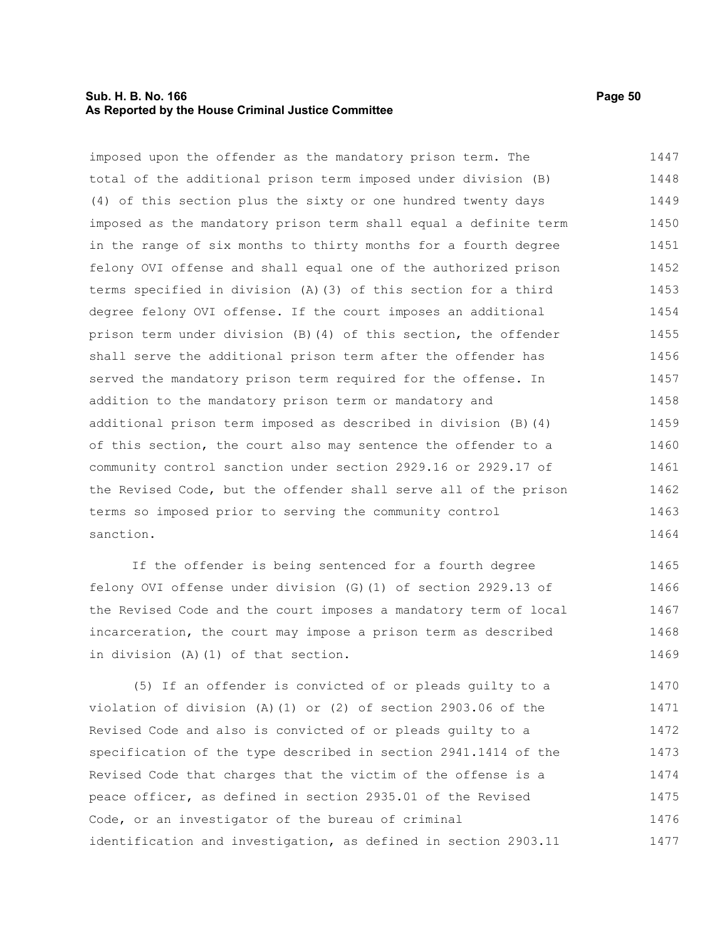# **Sub. H. B. No. 166 Page 50 As Reported by the House Criminal Justice Committee**

imposed upon the offender as the mandatory prison term. The total of the additional prison term imposed under division (B) (4) of this section plus the sixty or one hundred twenty days imposed as the mandatory prison term shall equal a definite term in the range of six months to thirty months for a fourth degree felony OVI offense and shall equal one of the authorized prison terms specified in division (A)(3) of this section for a third degree felony OVI offense. If the court imposes an additional prison term under division (B)(4) of this section, the offender shall serve the additional prison term after the offender has served the mandatory prison term required for the offense. In addition to the mandatory prison term or mandatory and additional prison term imposed as described in division (B)(4) of this section, the court also may sentence the offender to a community control sanction under section 2929.16 or 2929.17 of the Revised Code, but the offender shall serve all of the prison terms so imposed prior to serving the community control sanction. 1447 1448 1449 1450 1451 1452 1453 1454 1455 1456 1457 1458 1459 1460 1461 1462 1463 1464

If the offender is being sentenced for a fourth degree felony OVI offense under division (G)(1) of section 2929.13 of the Revised Code and the court imposes a mandatory term of local incarceration, the court may impose a prison term as described in division (A)(1) of that section. 1465 1466 1467 1468 1469

(5) If an offender is convicted of or pleads guilty to a violation of division (A)(1) or (2) of section 2903.06 of the Revised Code and also is convicted of or pleads guilty to a specification of the type described in section 2941.1414 of the Revised Code that charges that the victim of the offense is a peace officer, as defined in section 2935.01 of the Revised Code, or an investigator of the bureau of criminal identification and investigation, as defined in section 2903.11 1470 1471 1472 1473 1474 1475 1476 1477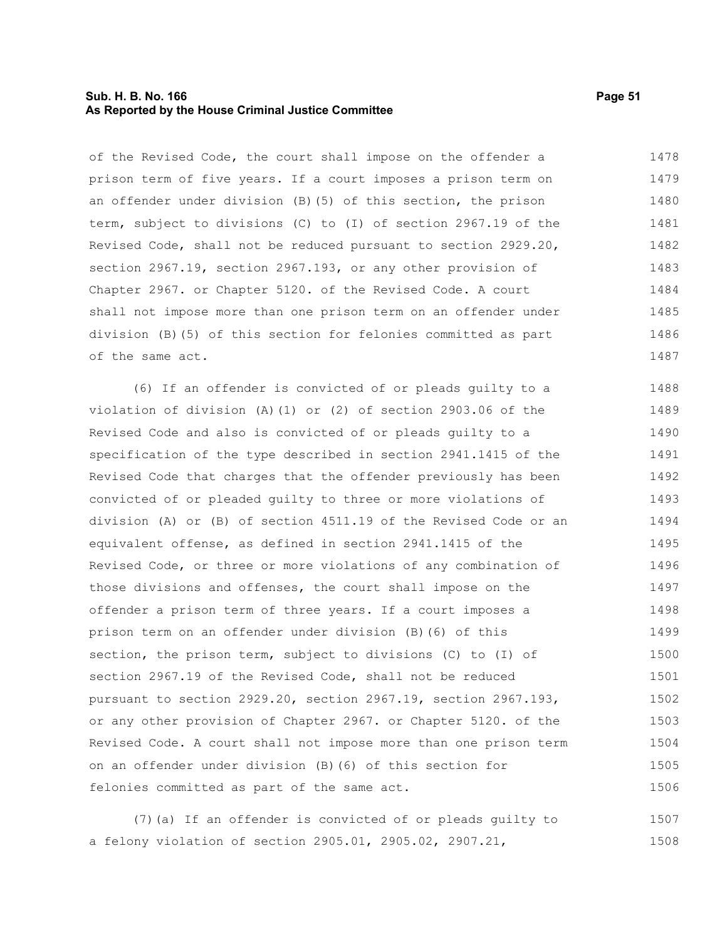### **Sub. H. B. No. 166 Page 51 As Reported by the House Criminal Justice Committee**

of the Revised Code, the court shall impose on the offender a prison term of five years. If a court imposes a prison term on an offender under division (B)(5) of this section, the prison term, subject to divisions (C) to (I) of section 2967.19 of the Revised Code, shall not be reduced pursuant to section 2929.20, section 2967.19, section 2967.193, or any other provision of Chapter 2967. or Chapter 5120. of the Revised Code. A court shall not impose more than one prison term on an offender under division (B)(5) of this section for felonies committed as part of the same act. 1478 1479 1480 1481 1482 1483 1484 1485 1486 1487

(6) If an offender is convicted of or pleads guilty to a violation of division (A)(1) or (2) of section 2903.06 of the Revised Code and also is convicted of or pleads guilty to a specification of the type described in section 2941.1415 of the Revised Code that charges that the offender previously has been convicted of or pleaded guilty to three or more violations of division (A) or (B) of section 4511.19 of the Revised Code or an equivalent offense, as defined in section 2941.1415 of the Revised Code, or three or more violations of any combination of those divisions and offenses, the court shall impose on the offender a prison term of three years. If a court imposes a prison term on an offender under division (B)(6) of this section, the prison term, subject to divisions (C) to (I) of section 2967.19 of the Revised Code, shall not be reduced pursuant to section 2929.20, section 2967.19, section 2967.193, or any other provision of Chapter 2967. or Chapter 5120. of the Revised Code. A court shall not impose more than one prison term on an offender under division (B)(6) of this section for felonies committed as part of the same act. 1488 1489 1490 1491 1492 1493 1494 1495 1496 1497 1498 1499 1500 1501 1502 1503 1504 1505 1506

(7)(a) If an offender is convicted of or pleads guilty to a felony violation of section 2905.01, 2905.02, 2907.21, 1507 1508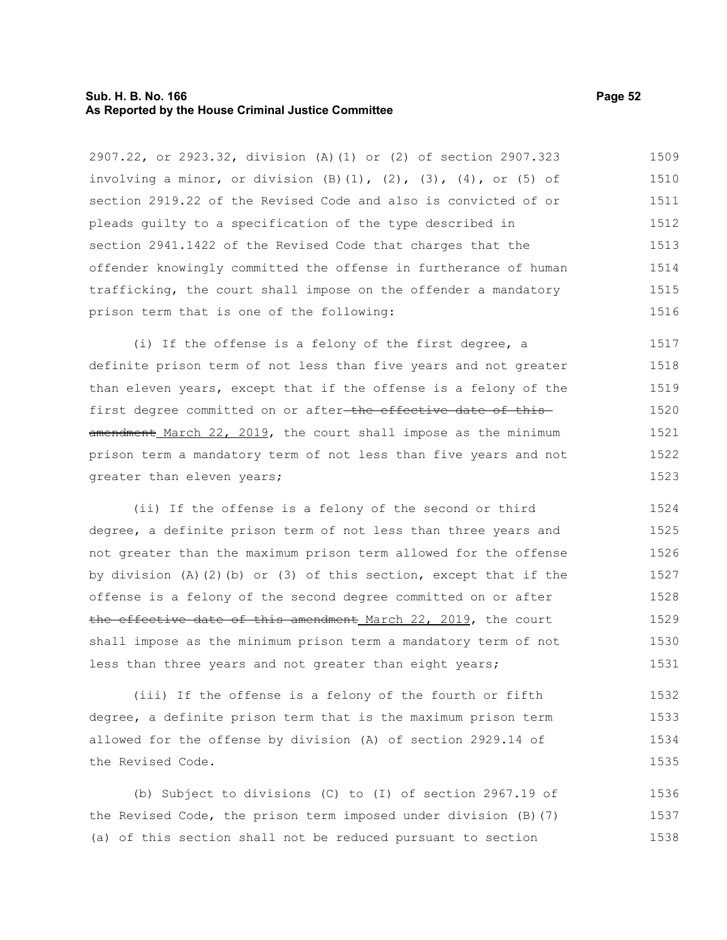## **Sub. H. B. No. 166 Page 52 As Reported by the House Criminal Justice Committee**

2907.22, or 2923.32, division (A)(1) or (2) of section 2907.323 involving a minor, or division  $(B)$   $(1)$ ,  $(2)$ ,  $(3)$ ,  $(4)$ , or  $(5)$  of section 2919.22 of the Revised Code and also is convicted of or pleads guilty to a specification of the type described in section 2941.1422 of the Revised Code that charges that the offender knowingly committed the offense in furtherance of human trafficking, the court shall impose on the offender a mandatory prison term that is one of the following: 1509 1510 1511 1512 1513 1514 1515 1516

(i) If the offense is a felony of the first degree, a definite prison term of not less than five years and not greater than eleven years, except that if the offense is a felony of the first degree committed on or after the effective date of this amendment March 22, 2019, the court shall impose as the minimum prison term a mandatory term of not less than five years and not greater than eleven years; 1517 1518 1519 1520 1521 1522 1523

(ii) If the offense is a felony of the second or third degree, a definite prison term of not less than three years and not greater than the maximum prison term allowed for the offense by division  $(A)$   $(2)$   $(b)$  or  $(3)$  of this section, except that if the offense is a felony of the second degree committed on or after the effective date of this amendment March 22, 2019, the court shall impose as the minimum prison term a mandatory term of not less than three years and not greater than eight years; 1524 1525 1526 1527 1528 1529 1530 1531

(iii) If the offense is a felony of the fourth or fifth degree, a definite prison term that is the maximum prison term allowed for the offense by division (A) of section 2929.14 of the Revised Code. 1532 1533 1534 1535

(b) Subject to divisions (C) to (I) of section 2967.19 of the Revised Code, the prison term imposed under division (B)(7) (a) of this section shall not be reduced pursuant to section 1536 1537 1538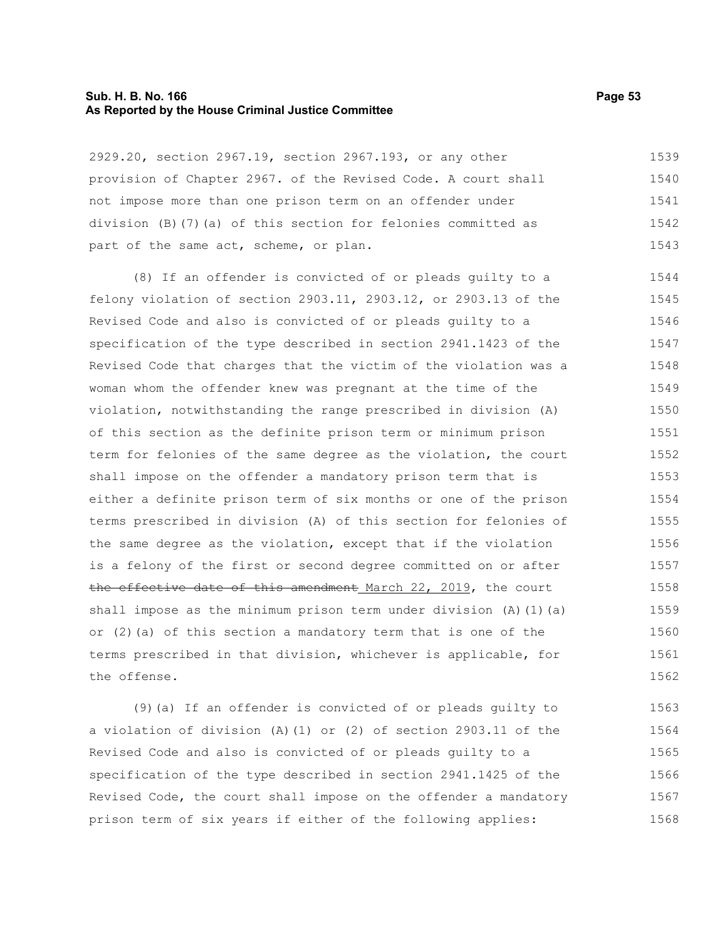### **Sub. H. B. No. 166 Page 53 As Reported by the House Criminal Justice Committee**

2929.20, section 2967.19, section 2967.193, or any other provision of Chapter 2967. of the Revised Code. A court shall not impose more than one prison term on an offender under division (B)(7)(a) of this section for felonies committed as part of the same act, scheme, or plan. 1539 1540 1541 1542 1543

(8) If an offender is convicted of or pleads guilty to a felony violation of section 2903.11, 2903.12, or 2903.13 of the Revised Code and also is convicted of or pleads guilty to a specification of the type described in section 2941.1423 of the Revised Code that charges that the victim of the violation was a woman whom the offender knew was pregnant at the time of the violation, notwithstanding the range prescribed in division (A) of this section as the definite prison term or minimum prison term for felonies of the same degree as the violation, the court shall impose on the offender a mandatory prison term that is either a definite prison term of six months or one of the prison terms prescribed in division (A) of this section for felonies of the same degree as the violation, except that if the violation is a felony of the first or second degree committed on or after the effective date of this amendment March 22, 2019, the court shall impose as the minimum prison term under division  $(A)$   $(1)$   $(a)$ or  $(2)$  (a) of this section a mandatory term that is one of the terms prescribed in that division, whichever is applicable, for the offense. 1544 1545 1546 1547 1548 1549 1550 1551 1552 1553 1554 1555 1556 1557 1558 1559 1560 1561 1562

(9)(a) If an offender is convicted of or pleads guilty to a violation of division (A)(1) or (2) of section 2903.11 of the Revised Code and also is convicted of or pleads guilty to a specification of the type described in section 2941.1425 of the Revised Code, the court shall impose on the offender a mandatory prison term of six years if either of the following applies: 1563 1564 1565 1566 1567 1568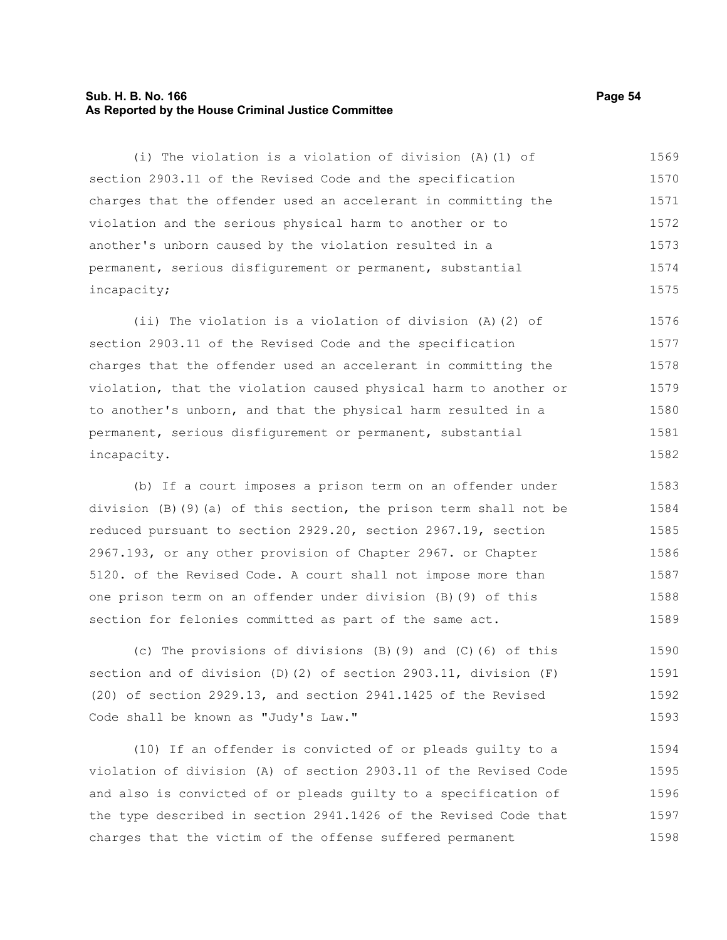# **Sub. H. B. No. 166 Page 54 As Reported by the House Criminal Justice Committee**

(i) The violation is a violation of division (A)(1) of section 2903.11 of the Revised Code and the specification charges that the offender used an accelerant in committing the violation and the serious physical harm to another or to another's unborn caused by the violation resulted in a permanent, serious disfigurement or permanent, substantial incapacity; 1569 1570 1571 1572 1573 1574 1575

(ii) The violation is a violation of division (A)(2) of section 2903.11 of the Revised Code and the specification charges that the offender used an accelerant in committing the violation, that the violation caused physical harm to another or to another's unborn, and that the physical harm resulted in a permanent, serious disfigurement or permanent, substantial incapacity. 1576 1577 1578 1579 1580 1581 1582

(b) If a court imposes a prison term on an offender under division (B)(9)(a) of this section, the prison term shall not be reduced pursuant to section 2929.20, section 2967.19, section 2967.193, or any other provision of Chapter 2967. or Chapter 5120. of the Revised Code. A court shall not impose more than one prison term on an offender under division (B)(9) of this section for felonies committed as part of the same act. 1583 1584 1585 1586 1587 1588 1589

(c) The provisions of divisions (B)(9) and (C)(6) of this section and of division (D)(2) of section 2903.11, division (F) (20) of section 2929.13, and section 2941.1425 of the Revised Code shall be known as "Judy's Law." 1590 1591 1592 1593

(10) If an offender is convicted of or pleads guilty to a violation of division (A) of section 2903.11 of the Revised Code and also is convicted of or pleads guilty to a specification of the type described in section 2941.1426 of the Revised Code that charges that the victim of the offense suffered permanent 1594 1595 1596 1597 1598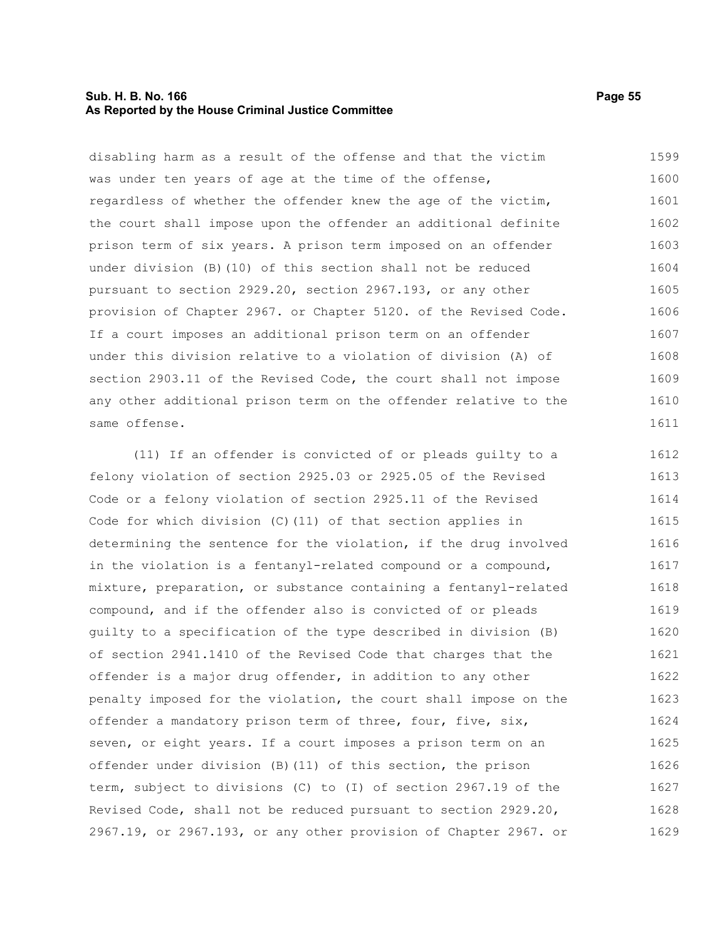# **Sub. H. B. No. 166 Page 55 As Reported by the House Criminal Justice Committee**

disabling harm as a result of the offense and that the victim was under ten years of age at the time of the offense, regardless of whether the offender knew the age of the victim, the court shall impose upon the offender an additional definite prison term of six years. A prison term imposed on an offender under division (B)(10) of this section shall not be reduced pursuant to section 2929.20, section 2967.193, or any other provision of Chapter 2967. or Chapter 5120. of the Revised Code. If a court imposes an additional prison term on an offender under this division relative to a violation of division (A) of section 2903.11 of the Revised Code, the court shall not impose any other additional prison term on the offender relative to the same offense. 1599 1600 1601 1602 1603 1604 1605 1606 1607 1608 1609 1610 1611

(11) If an offender is convicted of or pleads guilty to a felony violation of section 2925.03 or 2925.05 of the Revised Code or a felony violation of section 2925.11 of the Revised Code for which division (C)(11) of that section applies in determining the sentence for the violation, if the drug involved in the violation is a fentanyl-related compound or a compound, mixture, preparation, or substance containing a fentanyl-related compound, and if the offender also is convicted of or pleads guilty to a specification of the type described in division (B) of section 2941.1410 of the Revised Code that charges that the offender is a major drug offender, in addition to any other penalty imposed for the violation, the court shall impose on the offender a mandatory prison term of three, four, five, six, seven, or eight years. If a court imposes a prison term on an offender under division (B)(11) of this section, the prison term, subject to divisions (C) to (I) of section 2967.19 of the Revised Code, shall not be reduced pursuant to section 2929.20, 2967.19, or 2967.193, or any other provision of Chapter 2967. or 1612 1613 1614 1615 1616 1617 1618 1619 1620 1621 1622 1623 1624 1625 1626 1627 1628 1629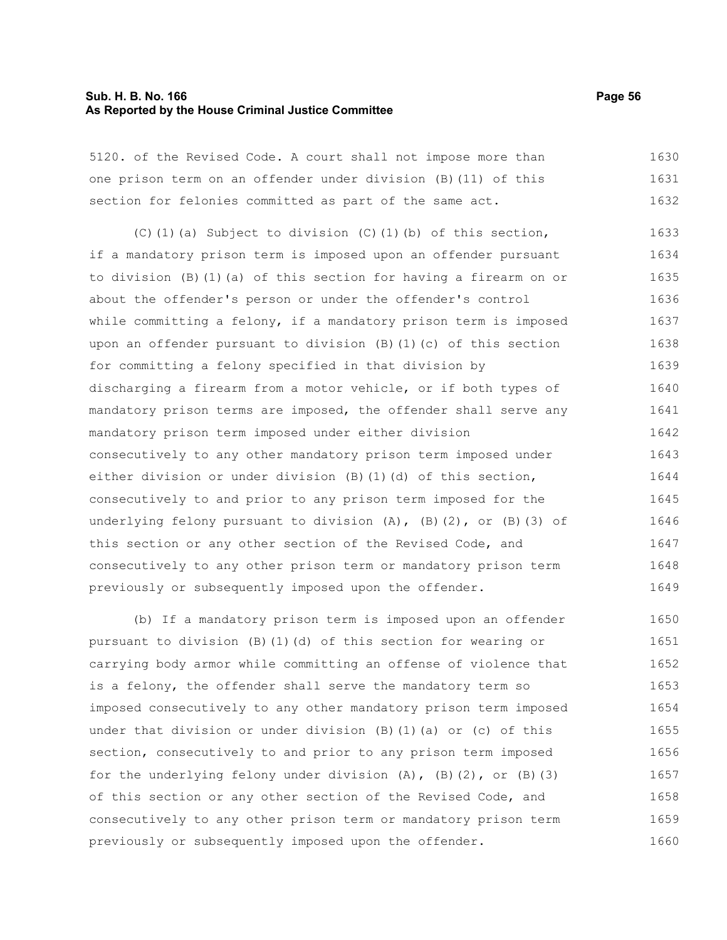## **Sub. H. B. No. 166 Page 56 As Reported by the House Criminal Justice Committee**

5120. of the Revised Code. A court shall not impose more than one prison term on an offender under division (B)(11) of this section for felonies committed as part of the same act. 1630 1631 1632

(C)(1)(a) Subject to division (C)(1)(b) of this section, if a mandatory prison term is imposed upon an offender pursuant to division (B)(1)(a) of this section for having a firearm on or about the offender's person or under the offender's control while committing a felony, if a mandatory prison term is imposed upon an offender pursuant to division (B)(1)(c) of this section for committing a felony specified in that division by discharging a firearm from a motor vehicle, or if both types of mandatory prison terms are imposed, the offender shall serve any mandatory prison term imposed under either division consecutively to any other mandatory prison term imposed under either division or under division (B)(1)(d) of this section, consecutively to and prior to any prison term imposed for the underlying felony pursuant to division  $(A)$ ,  $(B)$   $(2)$ , or  $(B)$   $(3)$  of this section or any other section of the Revised Code, and consecutively to any other prison term or mandatory prison term previously or subsequently imposed upon the offender. 1633 1634 1635 1636 1637 1638 1639 1640 1641 1642 1643 1644 1645 1646 1647 1648 1649

(b) If a mandatory prison term is imposed upon an offender pursuant to division (B)(1)(d) of this section for wearing or carrying body armor while committing an offense of violence that is a felony, the offender shall serve the mandatory term so imposed consecutively to any other mandatory prison term imposed under that division or under division (B)(1)(a) or (c) of this section, consecutively to and prior to any prison term imposed for the underlying felony under division (A), (B)(2), or (B)(3) of this section or any other section of the Revised Code, and consecutively to any other prison term or mandatory prison term previously or subsequently imposed upon the offender. 1650 1651 1652 1653 1654 1655 1656 1657 1658 1659 1660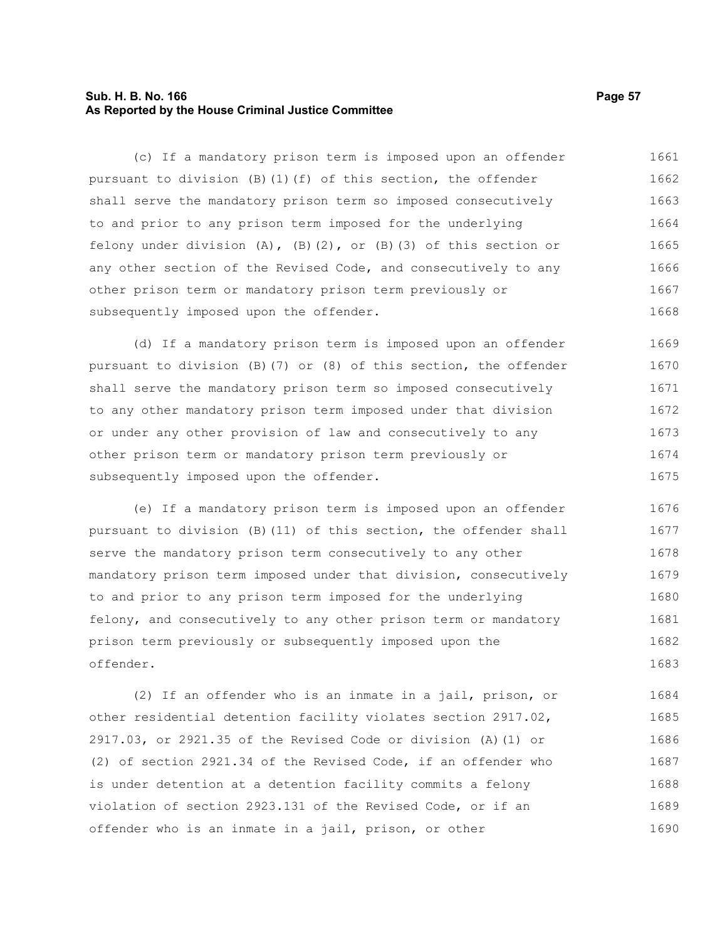# **Sub. H. B. No. 166 Page 57 As Reported by the House Criminal Justice Committee**

(c) If a mandatory prison term is imposed upon an offender pursuant to division  $(B)$  (1)(f) of this section, the offender shall serve the mandatory prison term so imposed consecutively to and prior to any prison term imposed for the underlying felony under division  $(A)$ ,  $(B)$   $(2)$ , or  $(B)$   $(3)$  of this section or any other section of the Revised Code, and consecutively to any other prison term or mandatory prison term previously or subsequently imposed upon the offender. 1661 1662 1663 1664 1665 1666 1667 1668

(d) If a mandatory prison term is imposed upon an offender pursuant to division (B)(7) or (8) of this section, the offender shall serve the mandatory prison term so imposed consecutively to any other mandatory prison term imposed under that division or under any other provision of law and consecutively to any other prison term or mandatory prison term previously or subsequently imposed upon the offender. 1669 1670 1671 1672 1673 1674 1675

(e) If a mandatory prison term is imposed upon an offender pursuant to division (B)(11) of this section, the offender shall serve the mandatory prison term consecutively to any other mandatory prison term imposed under that division, consecutively to and prior to any prison term imposed for the underlying felony, and consecutively to any other prison term or mandatory prison term previously or subsequently imposed upon the offender. 1676 1677 1678 1679 1680 1681 1682 1683

(2) If an offender who is an inmate in a jail, prison, or other residential detention facility violates section 2917.02, 2917.03, or 2921.35 of the Revised Code or division (A)(1) or (2) of section 2921.34 of the Revised Code, if an offender who is under detention at a detention facility commits a felony violation of section 2923.131 of the Revised Code, or if an offender who is an inmate in a jail, prison, or other 1684 1685 1686 1687 1688 1689 1690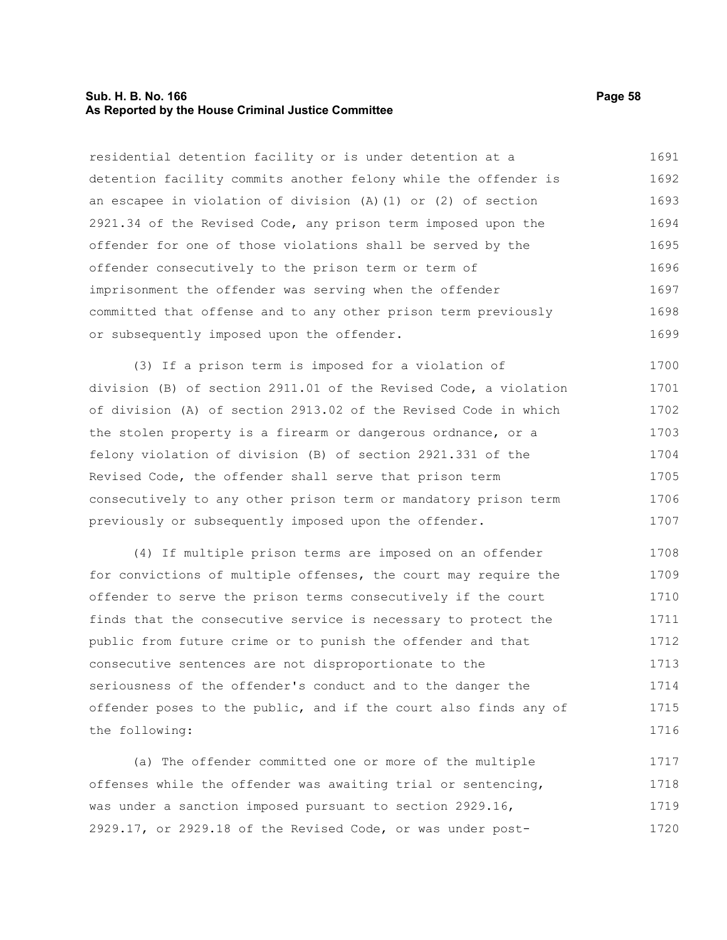### **Sub. H. B. No. 166 Page 58 As Reported by the House Criminal Justice Committee**

residential detention facility or is under detention at a detention facility commits another felony while the offender is an escapee in violation of division (A)(1) or (2) of section 2921.34 of the Revised Code, any prison term imposed upon the offender for one of those violations shall be served by the offender consecutively to the prison term or term of imprisonment the offender was serving when the offender committed that offense and to any other prison term previously or subsequently imposed upon the offender. 1691 1692 1693 1694 1695 1696 1697 1698 1699

(3) If a prison term is imposed for a violation of division (B) of section 2911.01 of the Revised Code, a violation of division (A) of section 2913.02 of the Revised Code in which the stolen property is a firearm or dangerous ordnance, or a felony violation of division (B) of section 2921.331 of the Revised Code, the offender shall serve that prison term consecutively to any other prison term or mandatory prison term previously or subsequently imposed upon the offender. 1700 1701 1702 1703 1704 1705 1706 1707

(4) If multiple prison terms are imposed on an offender for convictions of multiple offenses, the court may require the offender to serve the prison terms consecutively if the court finds that the consecutive service is necessary to protect the public from future crime or to punish the offender and that consecutive sentences are not disproportionate to the seriousness of the offender's conduct and to the danger the offender poses to the public, and if the court also finds any of the following: 1708 1709 1710 1711 1712 1713 1714 1715 1716

(a) The offender committed one or more of the multiple offenses while the offender was awaiting trial or sentencing, was under a sanction imposed pursuant to section 2929.16, 2929.17, or 2929.18 of the Revised Code, or was under post-1717 1718 1719 1720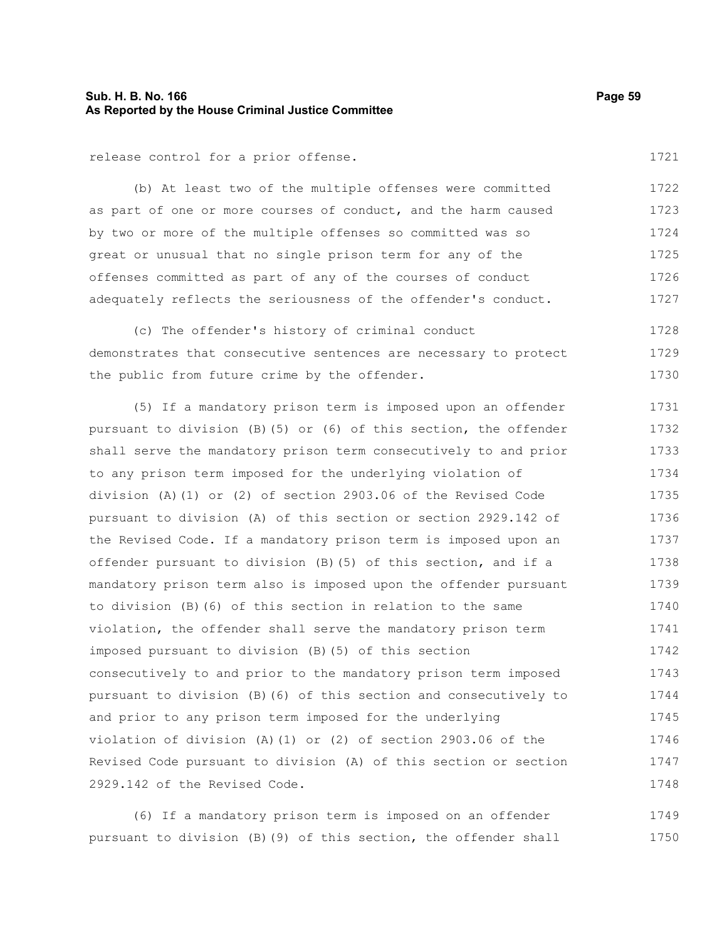# **Sub. H. B. No. 166 Page 59 As Reported by the House Criminal Justice Committee**

release control for a prior offense.

(b) At least two of the multiple offenses were committed as part of one or more courses of conduct, and the harm caused by two or more of the multiple offenses so committed was so great or unusual that no single prison term for any of the offenses committed as part of any of the courses of conduct adequately reflects the seriousness of the offender's conduct. 1722 1723 1724 1725 1726 1727

(c) The offender's history of criminal conduct demonstrates that consecutive sentences are necessary to protect the public from future crime by the offender. 1728 1729 1730

(5) If a mandatory prison term is imposed upon an offender pursuant to division (B)(5) or (6) of this section, the offender shall serve the mandatory prison term consecutively to and prior to any prison term imposed for the underlying violation of division (A)(1) or (2) of section 2903.06 of the Revised Code pursuant to division (A) of this section or section 2929.142 of the Revised Code. If a mandatory prison term is imposed upon an offender pursuant to division (B)(5) of this section, and if a mandatory prison term also is imposed upon the offender pursuant to division (B)(6) of this section in relation to the same violation, the offender shall serve the mandatory prison term imposed pursuant to division (B)(5) of this section consecutively to and prior to the mandatory prison term imposed pursuant to division (B)(6) of this section and consecutively to and prior to any prison term imposed for the underlying violation of division (A)(1) or (2) of section 2903.06 of the Revised Code pursuant to division (A) of this section or section 2929.142 of the Revised Code. 1731 1732 1733 1734 1735 1736 1737 1738 1739 1740 1741 1742 1743 1744 1745 1746 1747 1748

(6) If a mandatory prison term is imposed on an offender pursuant to division (B)(9) of this section, the offender shall 1749 1750

1721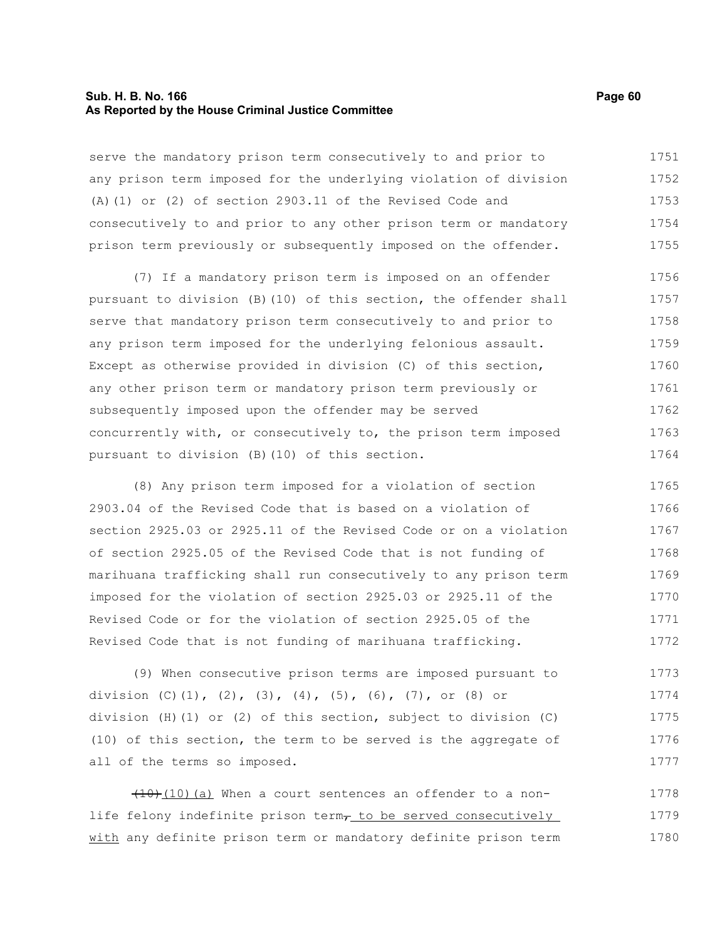#### **Sub. H. B. No. 166 Page 60 As Reported by the House Criminal Justice Committee**

serve the mandatory prison term consecutively to and prior to any prison term imposed for the underlying violation of division (A)(1) or (2) of section 2903.11 of the Revised Code and consecutively to and prior to any other prison term or mandatory prison term previously or subsequently imposed on the offender. 1751 1752 1753 1754 1755

(7) If a mandatory prison term is imposed on an offender pursuant to division (B)(10) of this section, the offender shall serve that mandatory prison term consecutively to and prior to any prison term imposed for the underlying felonious assault. Except as otherwise provided in division (C) of this section, any other prison term or mandatory prison term previously or subsequently imposed upon the offender may be served concurrently with, or consecutively to, the prison term imposed pursuant to division (B)(10) of this section. 1756 1757 1758 1759 1760 1761 1762 1763 1764

(8) Any prison term imposed for a violation of section 2903.04 of the Revised Code that is based on a violation of section 2925.03 or 2925.11 of the Revised Code or on a violation of section 2925.05 of the Revised Code that is not funding of marihuana trafficking shall run consecutively to any prison term imposed for the violation of section 2925.03 or 2925.11 of the Revised Code or for the violation of section 2925.05 of the Revised Code that is not funding of marihuana trafficking. 1765 1766 1767 1768 1769 1770 1771 1772

(9) When consecutive prison terms are imposed pursuant to division  $(C)$ (1),  $(2)$ ,  $(3)$ ,  $(4)$ ,  $(5)$ ,  $(6)$ ,  $(7)$ , or  $(8)$  or division (H)(1) or (2) of this section, subject to division (C) (10) of this section, the term to be served is the aggregate of all of the terms so imposed. 1773 1774 1775 1776 1777

 $(10)(a)$  When a court sentences an offender to a nonlife felony indefinite prison term<sub>r</sub> to be served consecutively with any definite prison term or mandatory definite prison term 1778 1779 1780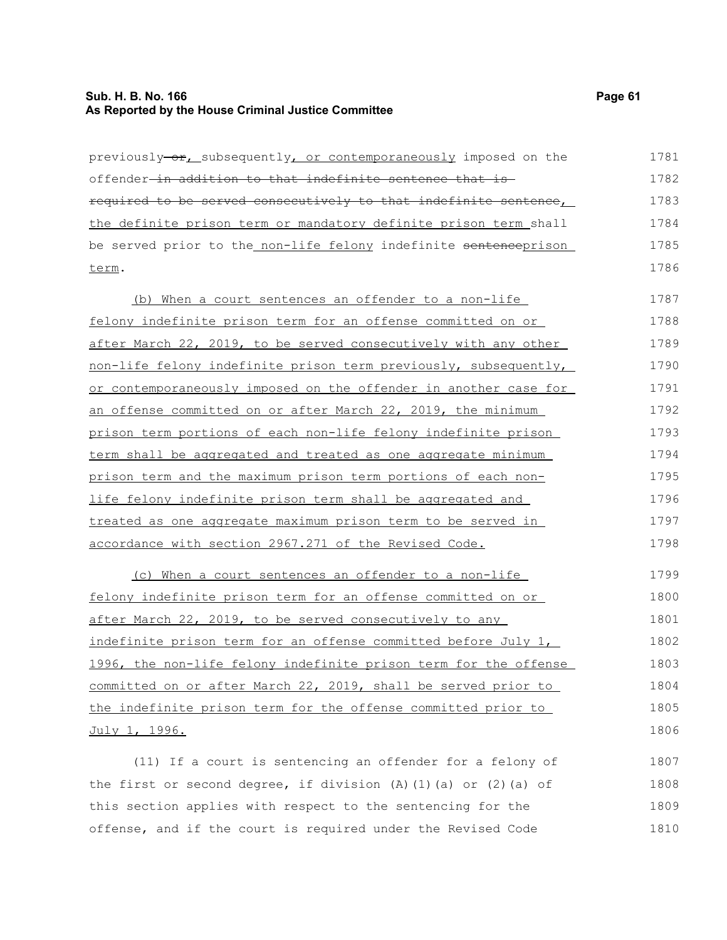# **Sub. H. B. No. 166** Page 61 **As Reported by the House Criminal Justice Committee**

| previously-or, subsequently, or contemporaneously imposed on the | 1781 |
|------------------------------------------------------------------|------|
| offender-in addition to that indefinite sentence that is-        | 1782 |
| required to be served consecutively to that indefinite sentence, | 1783 |
| the definite prison term or mandatory definite prison term shall | 1784 |
| be served prior to the non-life felony indefinite sentenceprison | 1785 |
| term.                                                            | 1786 |
| (b) When a court sentences an offender to a non-life             | 1787 |
| felony indefinite prison term for an offense committed on or     | 1788 |
| after March 22, 2019, to be served consecutively with any other  | 1789 |
| non-life felony indefinite prison term previously, subsequently, | 1790 |
| or contemporaneously imposed on the offender in another case for | 1791 |
| an offense committed on or after March 22, 2019, the minimum     | 1792 |
| prison term portions of each non-life felony indefinite prison   | 1793 |
| term shall be aggregated and treated as one aggregate minimum    | 1794 |
| prison term and the maximum prison term portions of each non-    | 1795 |
| life felony indefinite prison term shall be aggregated and       | 1796 |
| treated as one aggregate maximum prison term to be served in     | 1797 |
| accordance with section 2967.271 of the Revised Code.            | 1798 |
| (c) When a court sentences an offender to a non-life             | 1799 |
| felony indefinite prison term for an offense committed on or     | 1800 |
| after March 22, 2019, to be served consecutively to any          | 1801 |
| indefinite prison term for an offense committed before July 1,   | 1802 |
| 1996, the non-life felony indefinite prison term for the offense | 1803 |
| committed on or after March 22, 2019, shall be served prior to   | 1804 |
| the indefinite prison term for the offense committed prior to    | 1805 |
| <u>July</u> 1, 1996.                                             | 1806 |
|                                                                  |      |

(11) If a court is sentencing an offender for a felony of the first or second degree, if division (A)(1)(a) or (2)(a) of this section applies with respect to the sentencing for the offense, and if the court is required under the Revised Code 1807 1808 1809 1810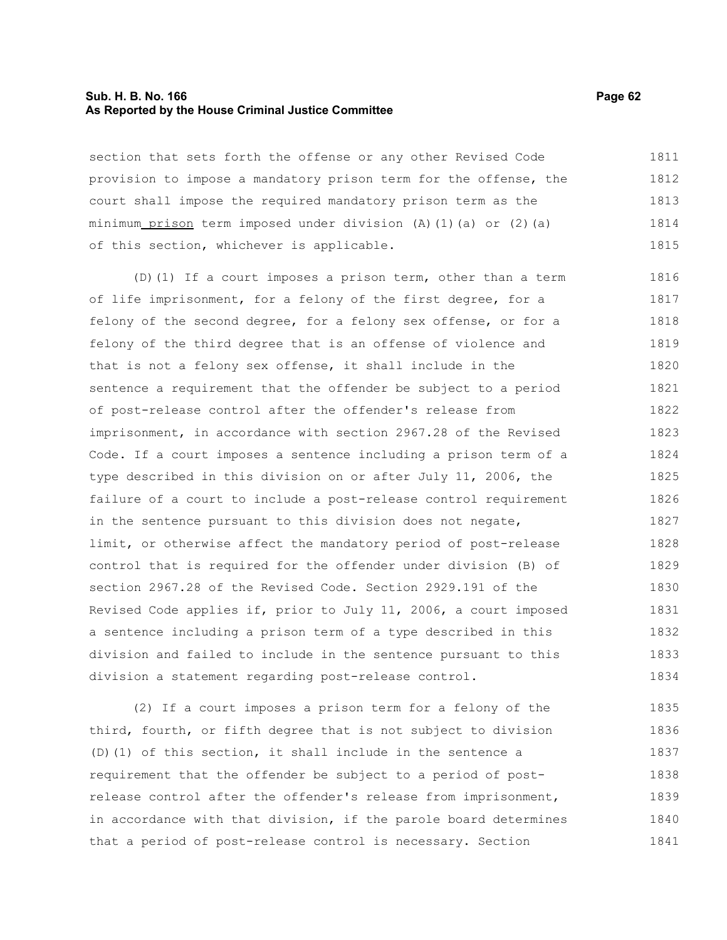#### **Sub. H. B. No. 166 Page 62 As Reported by the House Criminal Justice Committee**

section that sets forth the offense or any other Revised Code provision to impose a mandatory prison term for the offense, the court shall impose the required mandatory prison term as the minimum prison term imposed under division  $(A)$   $(1)$   $(a)$  or  $(2)$   $(a)$ of this section, whichever is applicable. 1811 1812 1813 1814 1815

(D)(1) If a court imposes a prison term, other than a term of life imprisonment, for a felony of the first degree, for a felony of the second degree, for a felony sex offense, or for a felony of the third degree that is an offense of violence and that is not a felony sex offense, it shall include in the sentence a requirement that the offender be subject to a period of post-release control after the offender's release from imprisonment, in accordance with section 2967.28 of the Revised Code. If a court imposes a sentence including a prison term of a type described in this division on or after July 11, 2006, the failure of a court to include a post-release control requirement in the sentence pursuant to this division does not negate, limit, or otherwise affect the mandatory period of post-release control that is required for the offender under division (B) of section 2967.28 of the Revised Code. Section 2929.191 of the Revised Code applies if, prior to July 11, 2006, a court imposed a sentence including a prison term of a type described in this division and failed to include in the sentence pursuant to this division a statement regarding post-release control. 1816 1817 1818 1819 1820 1821 1822 1823 1824 1825 1826 1827 1828 1829 1830 1831 1832 1833 1834

(2) If a court imposes a prison term for a felony of the third, fourth, or fifth degree that is not subject to division (D)(1) of this section, it shall include in the sentence a requirement that the offender be subject to a period of postrelease control after the offender's release from imprisonment, in accordance with that division, if the parole board determines that a period of post-release control is necessary. Section 1835 1836 1837 1838 1839 1840 1841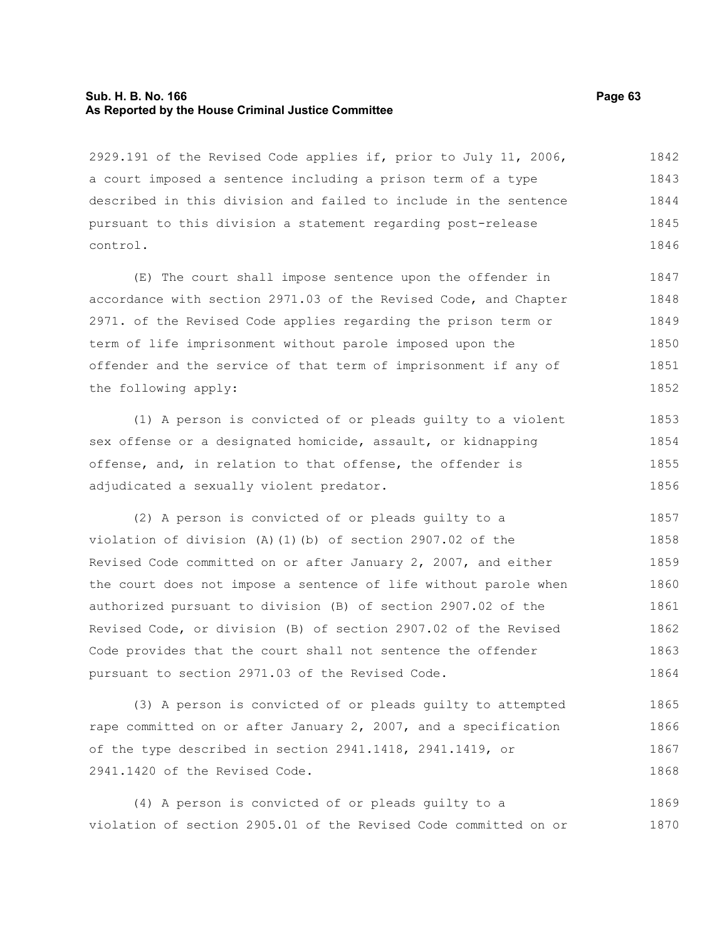### **Sub. H. B. No. 166 Page 63 As Reported by the House Criminal Justice Committee**

2929.191 of the Revised Code applies if, prior to July 11, 2006, a court imposed a sentence including a prison term of a type described in this division and failed to include in the sentence pursuant to this division a statement regarding post-release control. 1842 1843 1844 1845 1846

(E) The court shall impose sentence upon the offender in accordance with section 2971.03 of the Revised Code, and Chapter 2971. of the Revised Code applies regarding the prison term or term of life imprisonment without parole imposed upon the offender and the service of that term of imprisonment if any of the following apply: 1847 1848 1849 1850 1851 1852

(1) A person is convicted of or pleads guilty to a violent sex offense or a designated homicide, assault, or kidnapping offense, and, in relation to that offense, the offender is adjudicated a sexually violent predator. 1853 1854 1855 1856

(2) A person is convicted of or pleads guilty to a violation of division (A)(1)(b) of section 2907.02 of the Revised Code committed on or after January 2, 2007, and either the court does not impose a sentence of life without parole when authorized pursuant to division (B) of section 2907.02 of the Revised Code, or division (B) of section 2907.02 of the Revised Code provides that the court shall not sentence the offender pursuant to section 2971.03 of the Revised Code. 1857 1858 1859 1860 1861 1862 1863 1864

(3) A person is convicted of or pleads guilty to attempted rape committed on or after January 2, 2007, and a specification of the type described in section 2941.1418, 2941.1419, or 2941.1420 of the Revised Code. 1865 1866 1867 1868

(4) A person is convicted of or pleads guilty to a violation of section 2905.01 of the Revised Code committed on or 1869 1870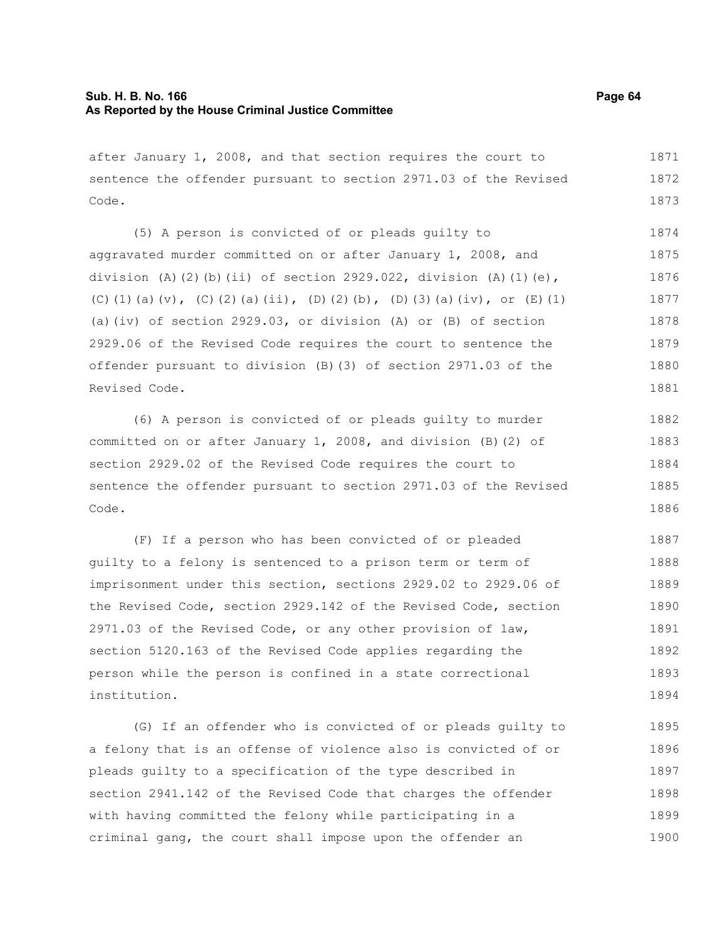after January 1, 2008, and that section requires the court to sentence the offender pursuant to section 2971.03 of the Revised Code. 1871 1872 1873

(5) A person is convicted of or pleads guilty to aggravated murder committed on or after January 1, 2008, and division (A)(2)(b)(ii) of section 2929.022, division (A)(1)(e), (C)(1)(a)(v), (C)(2)(a)(ii), (D)(2)(b), (D)(3)(a)(iv), or (E)(1) (a)(iv) of section 2929.03, or division (A) or (B) of section 2929.06 of the Revised Code requires the court to sentence the offender pursuant to division (B)(3) of section 2971.03 of the Revised Code. 1874 1875 1876 1877 1878 1879 1880 1881

(6) A person is convicted of or pleads guilty to murder committed on or after January 1, 2008, and division (B)(2) of section 2929.02 of the Revised Code requires the court to sentence the offender pursuant to section 2971.03 of the Revised Code. 1882 1883 1884 1885 1886

(F) If a person who has been convicted of or pleaded guilty to a felony is sentenced to a prison term or term of imprisonment under this section, sections 2929.02 to 2929.06 of the Revised Code, section 2929.142 of the Revised Code, section 2971.03 of the Revised Code, or any other provision of law, section 5120.163 of the Revised Code applies regarding the person while the person is confined in a state correctional institution. 1887 1888 1889 1890 1891 1892 1893 1894

(G) If an offender who is convicted of or pleads guilty to a felony that is an offense of violence also is convicted of or pleads guilty to a specification of the type described in section 2941.142 of the Revised Code that charges the offender with having committed the felony while participating in a criminal gang, the court shall impose upon the offender an 1895 1896 1897 1898 1899 1900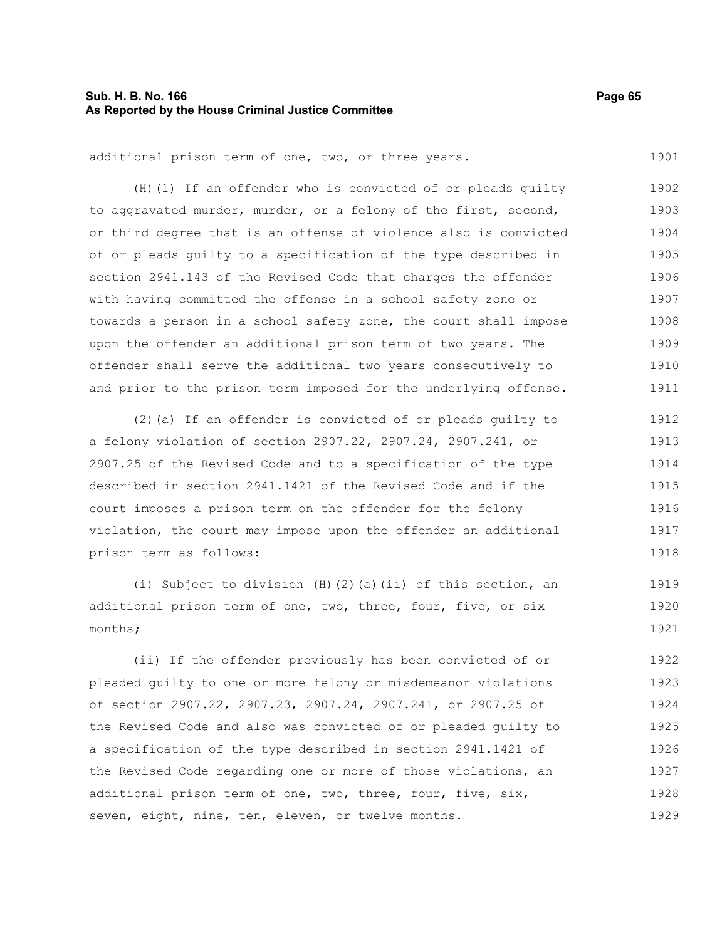# **Sub. H. B. No. 166 Page 65 As Reported by the House Criminal Justice Committee**

additional prison term of one, two, or three years. 1901

(H)(1) If an offender who is convicted of or pleads guilty to aggravated murder, murder, or a felony of the first, second, or third degree that is an offense of violence also is convicted of or pleads guilty to a specification of the type described in section 2941.143 of the Revised Code that charges the offender with having committed the offense in a school safety zone or towards a person in a school safety zone, the court shall impose upon the offender an additional prison term of two years. The offender shall serve the additional two years consecutively to and prior to the prison term imposed for the underlying offense. 1902 1903 1904 1905 1906 1907 1908 1909 1910 1911

(2)(a) If an offender is convicted of or pleads guilty to a felony violation of section 2907.22, 2907.24, 2907.241, or 2907.25 of the Revised Code and to a specification of the type described in section 2941.1421 of the Revised Code and if the court imposes a prison term on the offender for the felony violation, the court may impose upon the offender an additional prison term as follows: 1912 1913 1914 1915 1916 1917 1918

(i) Subject to division (H)(2)(a)(ii) of this section, an additional prison term of one, two, three, four, five, or six months;

(ii) If the offender previously has been convicted of or pleaded guilty to one or more felony or misdemeanor violations of section 2907.22, 2907.23, 2907.24, 2907.241, or 2907.25 of the Revised Code and also was convicted of or pleaded guilty to a specification of the type described in section 2941.1421 of the Revised Code regarding one or more of those violations, an additional prison term of one, two, three, four, five, six, seven, eight, nine, ten, eleven, or twelve months. 1922 1923 1924 1925 1926 1927 1928 1929

1919 1920 1921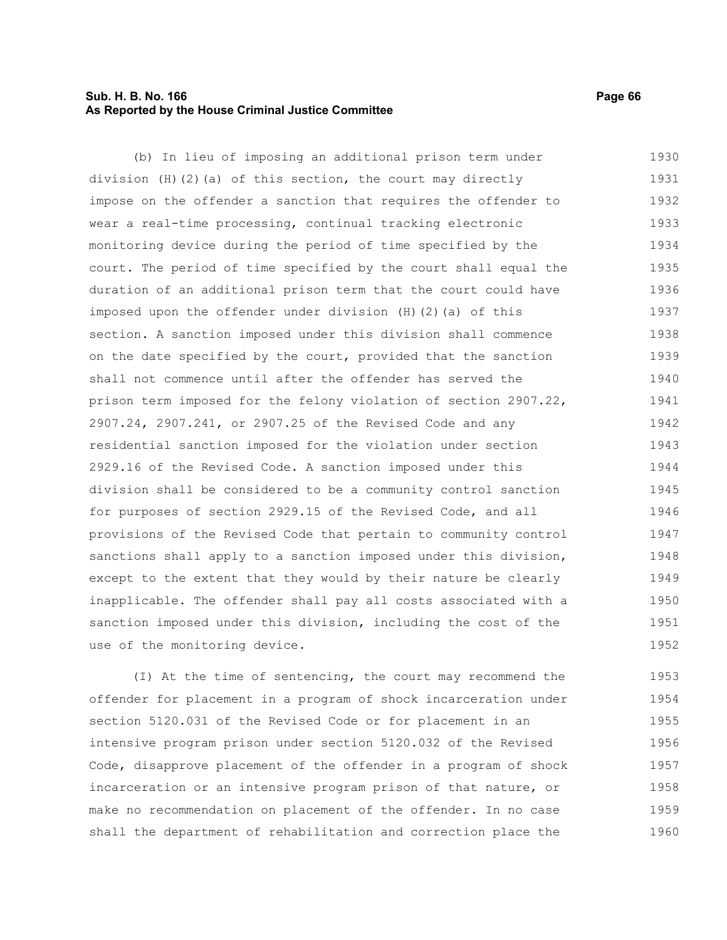# **Sub. H. B. No. 166 Page 66 As Reported by the House Criminal Justice Committee**

(b) In lieu of imposing an additional prison term under division  $(H)(2)(a)$  of this section, the court may directly impose on the offender a sanction that requires the offender to wear a real-time processing, continual tracking electronic monitoring device during the period of time specified by the court. The period of time specified by the court shall equal the duration of an additional prison term that the court could have imposed upon the offender under division (H)(2)(a) of this section. A sanction imposed under this division shall commence on the date specified by the court, provided that the sanction shall not commence until after the offender has served the prison term imposed for the felony violation of section 2907.22, 2907.24, 2907.241, or 2907.25 of the Revised Code and any residential sanction imposed for the violation under section 2929.16 of the Revised Code. A sanction imposed under this division shall be considered to be a community control sanction for purposes of section 2929.15 of the Revised Code, and all provisions of the Revised Code that pertain to community control sanctions shall apply to a sanction imposed under this division, except to the extent that they would by their nature be clearly inapplicable. The offender shall pay all costs associated with a sanction imposed under this division, including the cost of the use of the monitoring device. 1930 1931 1932 1933 1934 1935 1936 1937 1938 1939 1940 1941 1942 1943 1944 1945 1946 1947 1948 1949 1950 1951 1952

(I) At the time of sentencing, the court may recommend the offender for placement in a program of shock incarceration under section 5120.031 of the Revised Code or for placement in an intensive program prison under section 5120.032 of the Revised Code, disapprove placement of the offender in a program of shock incarceration or an intensive program prison of that nature, or make no recommendation on placement of the offender. In no case shall the department of rehabilitation and correction place the 1953 1954 1955 1956 1957 1958 1959 1960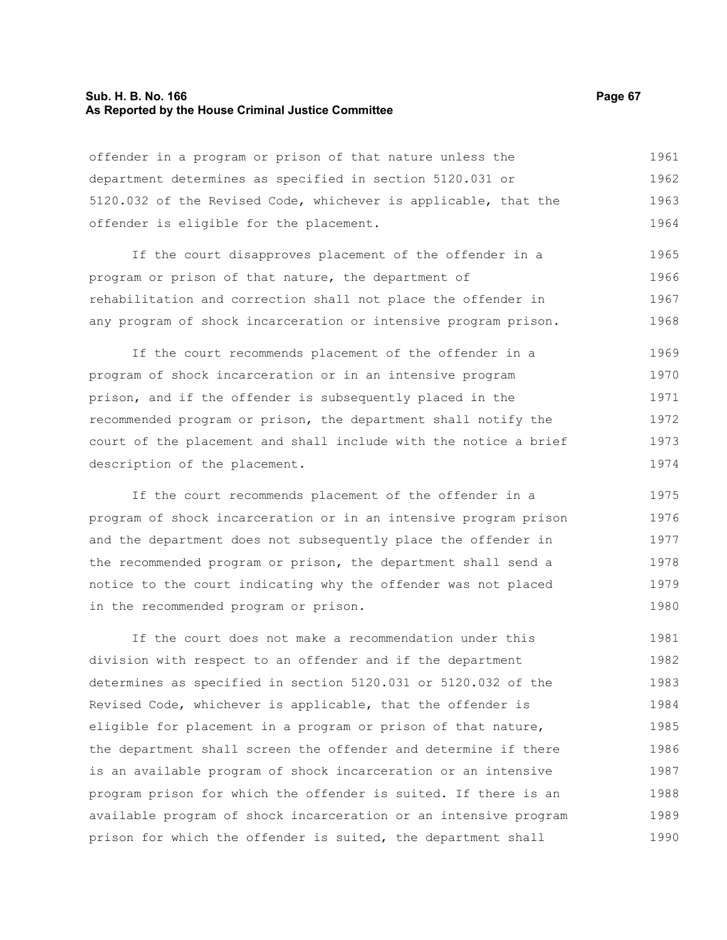### **Sub. H. B. No. 166 Page 67 As Reported by the House Criminal Justice Committee**

offender in a program or prison of that nature unless the department determines as specified in section 5120.031 or 5120.032 of the Revised Code, whichever is applicable, that the offender is eligible for the placement. 1961 1962 1963 1964

If the court disapproves placement of the offender in a program or prison of that nature, the department of rehabilitation and correction shall not place the offender in any program of shock incarceration or intensive program prison. 1965 1966 1967 1968

If the court recommends placement of the offender in a program of shock incarceration or in an intensive program prison, and if the offender is subsequently placed in the recommended program or prison, the department shall notify the court of the placement and shall include with the notice a brief description of the placement. 1969 1970 1971 1972 1973 1974

If the court recommends placement of the offender in a program of shock incarceration or in an intensive program prison and the department does not subsequently place the offender in the recommended program or prison, the department shall send a notice to the court indicating why the offender was not placed in the recommended program or prison.

If the court does not make a recommendation under this division with respect to an offender and if the department determines as specified in section 5120.031 or 5120.032 of the Revised Code, whichever is applicable, that the offender is eligible for placement in a program or prison of that nature, the department shall screen the offender and determine if there is an available program of shock incarceration or an intensive program prison for which the offender is suited. If there is an available program of shock incarceration or an intensive program prison for which the offender is suited, the department shall 1981 1982 1983 1984 1985 1986 1987 1988 1989 1990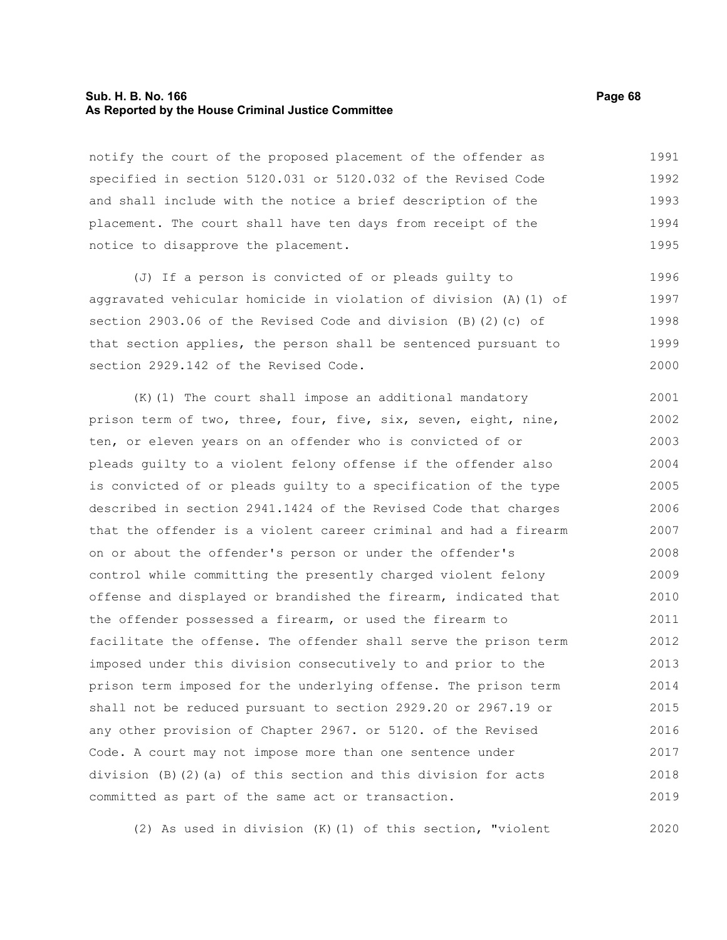#### **Sub. H. B. No. 166 Page 68 As Reported by the House Criminal Justice Committee**

notify the court of the proposed placement of the offender as specified in section 5120.031 or 5120.032 of the Revised Code and shall include with the notice a brief description of the placement. The court shall have ten days from receipt of the notice to disapprove the placement. 1991 1992 1993 1994 1995

(J) If a person is convicted of or pleads guilty to aggravated vehicular homicide in violation of division (A)(1) of section 2903.06 of the Revised Code and division (B)(2)(c) of that section applies, the person shall be sentenced pursuant to section 2929.142 of the Revised Code. 1996 1997 1998 1999 2000

(K)(1) The court shall impose an additional mandatory prison term of two, three, four, five, six, seven, eight, nine, ten, or eleven years on an offender who is convicted of or pleads guilty to a violent felony offense if the offender also is convicted of or pleads guilty to a specification of the type described in section 2941.1424 of the Revised Code that charges that the offender is a violent career criminal and had a firearm on or about the offender's person or under the offender's control while committing the presently charged violent felony offense and displayed or brandished the firearm, indicated that the offender possessed a firearm, or used the firearm to facilitate the offense. The offender shall serve the prison term imposed under this division consecutively to and prior to the prison term imposed for the underlying offense. The prison term shall not be reduced pursuant to section 2929.20 or 2967.19 or any other provision of Chapter 2967. or 5120. of the Revised Code. A court may not impose more than one sentence under division (B)(2)(a) of this section and this division for acts committed as part of the same act or transaction. 2001 2002 2003 2004 2005 2006 2007 2008 2009 2010 2011 2012 2013 2014 2015 2016 2017 2018 2019

(2) As used in division (K)(1) of this section, "violent

2020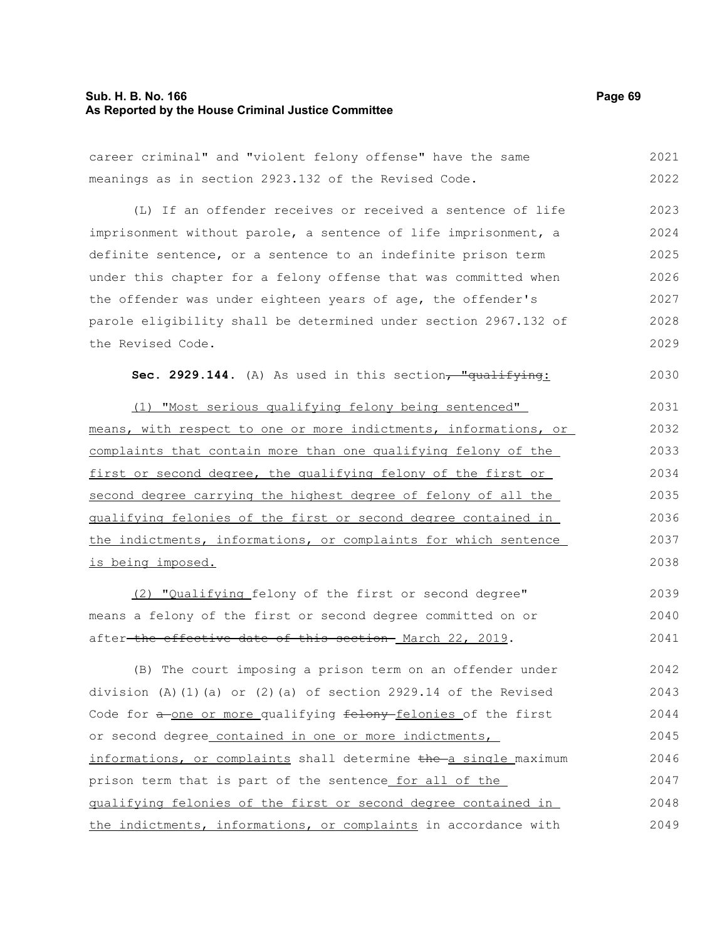### **Sub. H. B. No. 166 Page 69 As Reported by the House Criminal Justice Committee**

career criminal" and "violent felony offense" have the same meanings as in section 2923.132 of the Revised Code. (L) If an offender receives or received a sentence of life imprisonment without parole, a sentence of life imprisonment, a definite sentence, or a sentence to an indefinite prison term under this chapter for a felony offense that was committed when the offender was under eighteen years of age, the offender's parole eligibility shall be determined under section 2967.132 of the Revised Code. **Sec. 2929.144.** (A) As used in this section<del>, "qualifying</del>: (1) "Most serious qualifying felony being sentenced" means, with respect to one or more indictments, informations, or complaints that contain more than one qualifying felony of the first or second degree, the qualifying felony of the first or second degree carrying the highest degree of felony of all the qualifying felonies of the first or second degree contained in the indictments, informations, or complaints for which sentence is being imposed. (2) "Qualifying felony of the first or second degree" means a felony of the first or second degree committed on or after-the effective date of this section- March 22, 2019. (B) The court imposing a prison term on an offender under division (A)(1)(a) or (2)(a) of section 2929.14 of the Revised Code for a one or more qualifying felony felonies of the first or second degree contained in one or more indictments, informations, or complaints shall determine the a single maximum prison term that is part of the sentence for all of the qualifying felonies of the first or second degree contained in 2021 2022 2023 2024 2025 2026 2027 2028 2029 2030 2031 2032 2033 2034 2035 2036 2037 2038 2039 2040 2041 2042 2043 2044 2045 2046 2047 2048

the indictments, informations, or complaints in accordance with 2049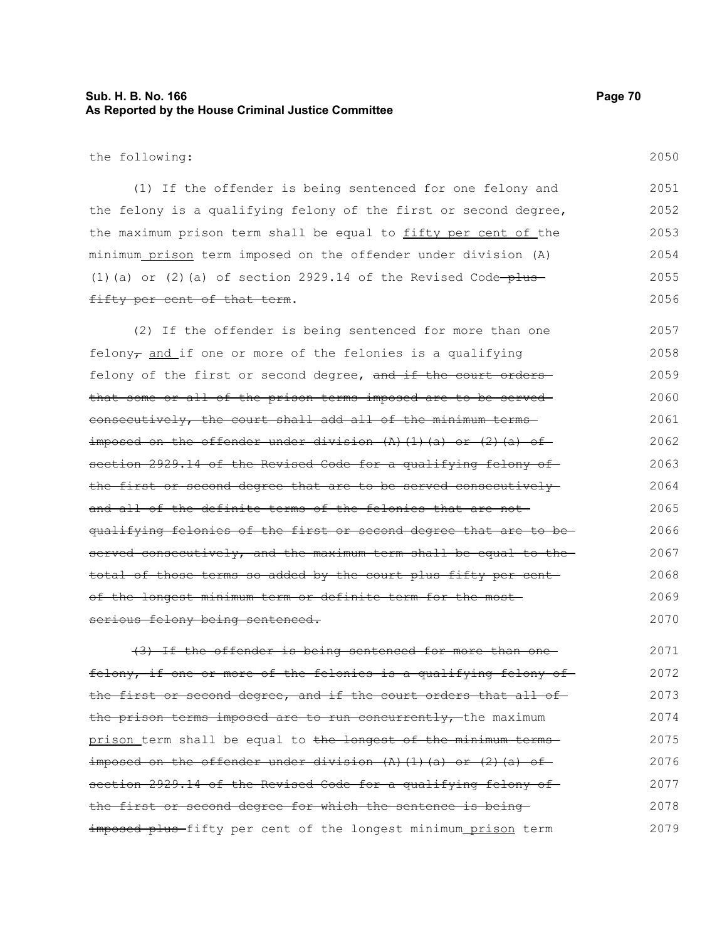# **Sub. H. B. No. 166 Page 70 As Reported by the House Criminal Justice Committee**

2050

| (1) If the offender is being sentenced for one felony and         | 2051 |
|-------------------------------------------------------------------|------|
| the felony is a qualifying felony of the first or second degree,  | 2052 |
| the maximum prison term shall be equal to fifty per cent of the   | 2053 |
| minimum prison term imposed on the offender under division (A)    | 2054 |
| (1) (a) or (2) (a) of section $2929.14$ of the Revised Code-plus- | 2055 |
| fifty per cent of that term.                                      | 2056 |

(2) If the offender is being sentenced for more than one felony $\tau$  and if one or more of the felonies is a qualifying felony of the first or second degree, and if the court ordersthat some or all of the prison terms imposed are to be served consecutively, the court shall add all of the minimum terms imposed on the offender under division  $(A)$   $(1)$   $(a)$  or  $(2)$   $(a)$  of section 2929.14 of the Revised Code for a qualifying felony ofthe first or second degree that are to be served consecutively and all of the definite terms of the felonies that are not qualifying felonies of the first or second degree that are to be served consecutively, and the maximum term shall be equal to the total of those terms so added by the court plus fifty per centof the longest minimum term or definite term for the most serious felony being sentenced. 2057 2058 2059 2060 2061 2062 2063 2064 2065 2066 2067 2068 2069 2070

(3) If the offender is being sentenced for more than one felony, if one or more of the felonies is a qualifying felony of the first or second degree, and if the court orders that all ofthe prison terms imposed are to run concurrently, the maximum prison term shall be equal to the longest of the minimum terms imposed on the offender under division  $(A)$   $(1)$   $(a)$  or  $(2)$   $(a)$  of section 2929.14 of the Revised Code for a qualifying felony of the first or second degree for which the sentence is being imposed plus fifty per cent of the longest minimum prison term 2071 2072 2073 2074 2075 2076 2077 2078 2079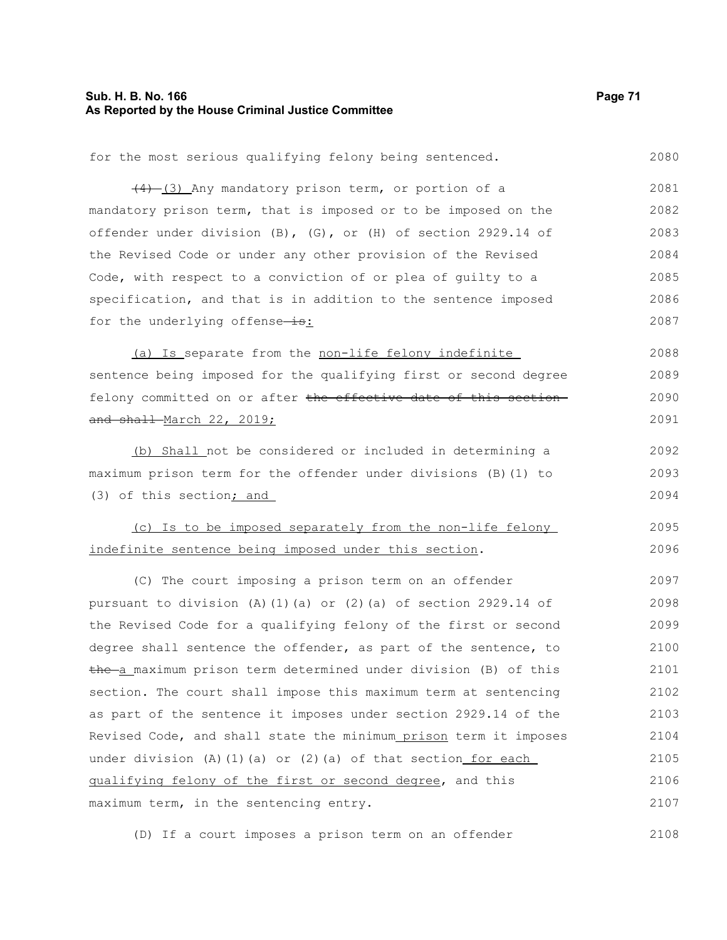# **Sub. H. B. No. 166 Page 71 As Reported by the House Criminal Justice Committee**

for the most serious qualifying felony being sentenced. (4) (3) Any mandatory prison term, or portion of a mandatory prison term, that is imposed or to be imposed on the offender under division (B), (G), or (H) of section 2929.14 of the Revised Code or under any other provision of the Revised Code, with respect to a conviction of or plea of guilty to a specification, and that is in addition to the sentence imposed for the underlying offense $\frac{1}{15}$ : (a) Is separate from the non-life felony indefinite sentence being imposed for the qualifying first or second degree felony committed on or after the effective date of this sectionand shall March 22, 2019; (b) Shall not be considered or included in determining a maximum prison term for the offender under divisions (B)(1) to (3) of this section; and (c) Is to be imposed separately from the non-life felony indefinite sentence being imposed under this section. (C) The court imposing a prison term on an offender pursuant to division (A)(1)(a) or (2)(a) of section 2929.14 of the Revised Code for a qualifying felony of the first or second degree shall sentence the offender, as part of the sentence, to the a maximum prison term determined under division (B) of this section. The court shall impose this maximum term at sentencing as part of the sentence it imposes under section 2929.14 of the Revised Code, and shall state the minimum prison term it imposes under division (A)(1)(a) or (2)(a) of that section for each qualifying felony of the first or second degree, and this maximum term, in the sentencing entry. 2080 2081 2082 2083 2084 2085 2086 2087 2088 2089 2090 2091 2092 2093 2094 2095 2096 2097 2098 2099 2100 2101 2102 2103 2104 2105 2106 2107

(D) If a court imposes a prison term on an offender 2108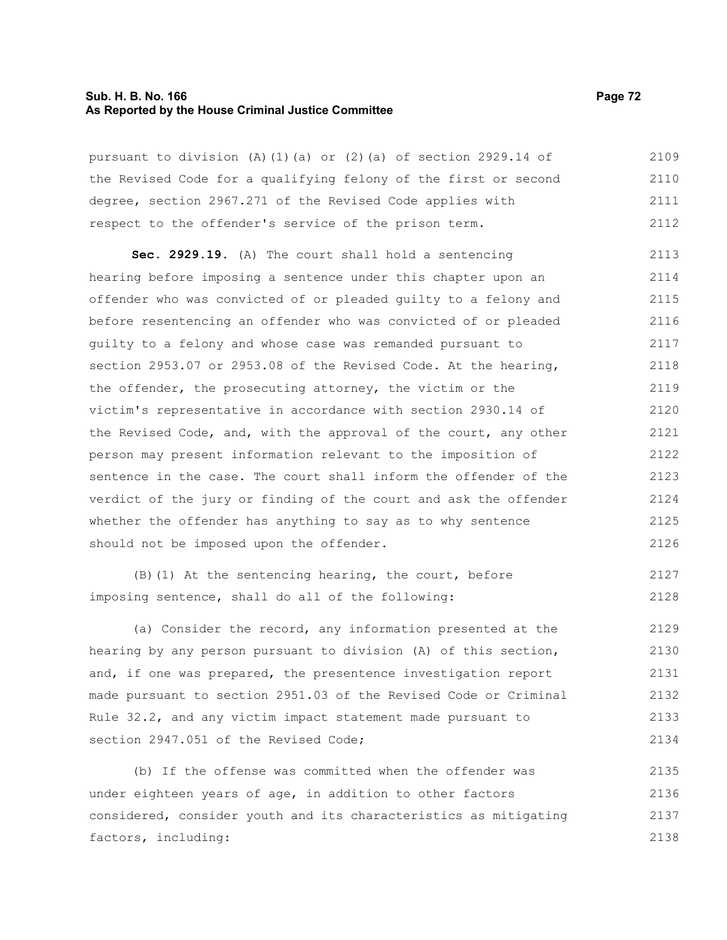### **Sub. H. B. No. 166 Page 72 As Reported by the House Criminal Justice Committee**

pursuant to division (A)(1)(a) or (2)(a) of section 2929.14 of the Revised Code for a qualifying felony of the first or second degree, section 2967.271 of the Revised Code applies with respect to the offender's service of the prison term. 2109 2110 2111 2112

**Sec. 2929.19.** (A) The court shall hold a sentencing hearing before imposing a sentence under this chapter upon an offender who was convicted of or pleaded guilty to a felony and before resentencing an offender who was convicted of or pleaded guilty to a felony and whose case was remanded pursuant to section 2953.07 or 2953.08 of the Revised Code. At the hearing, the offender, the prosecuting attorney, the victim or the victim's representative in accordance with section 2930.14 of the Revised Code, and, with the approval of the court, any other person may present information relevant to the imposition of sentence in the case. The court shall inform the offender of the verdict of the jury or finding of the court and ask the offender whether the offender has anything to say as to why sentence should not be imposed upon the offender. 2113 2114 2115 2116 2117 2118 2119 2120 2121 2122 2123 2124 2125 2126

```
(B)(1) At the sentencing hearing, the court, before
imposing sentence, shall do all of the following: 
                                                                            2127
                                                                            2128
```
(a) Consider the record, any information presented at the hearing by any person pursuant to division (A) of this section, and, if one was prepared, the presentence investigation report made pursuant to section 2951.03 of the Revised Code or Criminal Rule 32.2, and any victim impact statement made pursuant to section 2947.051 of the Revised Code; 2129 2130 2131 2132 2133 2134

(b) If the offense was committed when the offender was under eighteen years of age, in addition to other factors considered, consider youth and its characteristics as mitigating factors, including: 2135 2136 2137 2138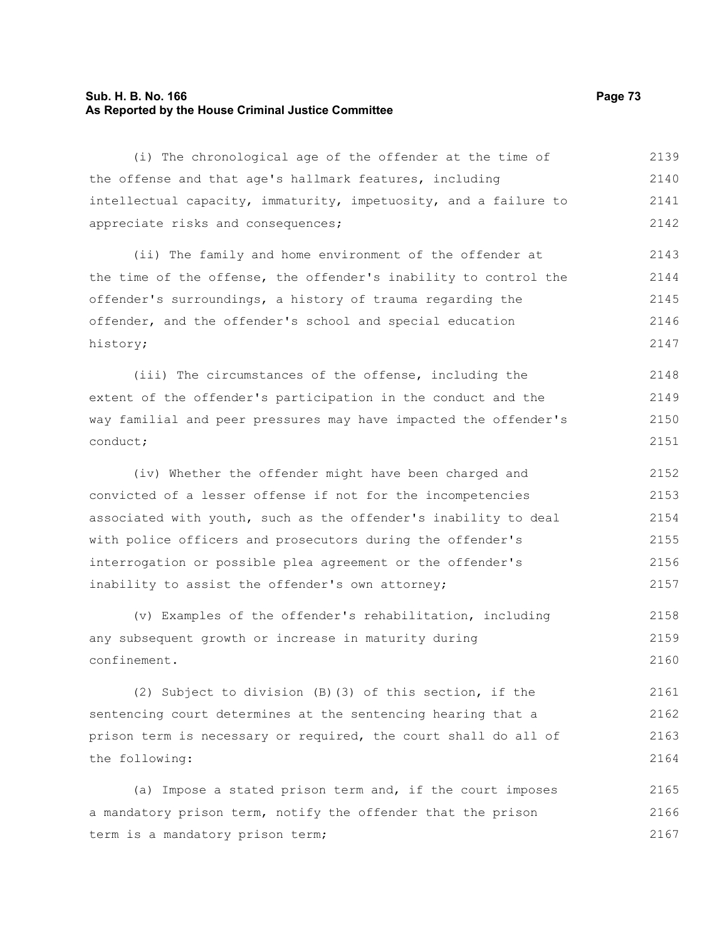# **Sub. H. B. No. 166 Page 73 As Reported by the House Criminal Justice Committee**

(i) The chronological age of the offender at the time of the offense and that age's hallmark features, including intellectual capacity, immaturity, impetuosity, and a failure to appreciate risks and consequences; (ii) The family and home environment of the offender at the time of the offense, the offender's inability to control the offender's surroundings, a history of trauma regarding the offender, and the offender's school and special education history; (iii) The circumstances of the offense, including the extent of the offender's participation in the conduct and the way familial and peer pressures may have impacted the offender's conduct; (iv) Whether the offender might have been charged and convicted of a lesser offense if not for the incompetencies associated with youth, such as the offender's inability to deal with police officers and prosecutors during the offender's interrogation or possible plea agreement or the offender's inability to assist the offender's own attorney; (v) Examples of the offender's rehabilitation, including 2139 2140 2141 2142 2143 2144 2145 2146 2147 2148 2149 2150 2151 2152 2153 2154 2155 2156 2157 2158

any subsequent growth or increase in maturity during confinement. 2159 2160

(2) Subject to division (B)(3) of this section, if the sentencing court determines at the sentencing hearing that a prison term is necessary or required, the court shall do all of the following: 2161 2162 2163 2164

(a) Impose a stated prison term and, if the court imposes a mandatory prison term, notify the offender that the prison term is a mandatory prison term; 2165 2166 2167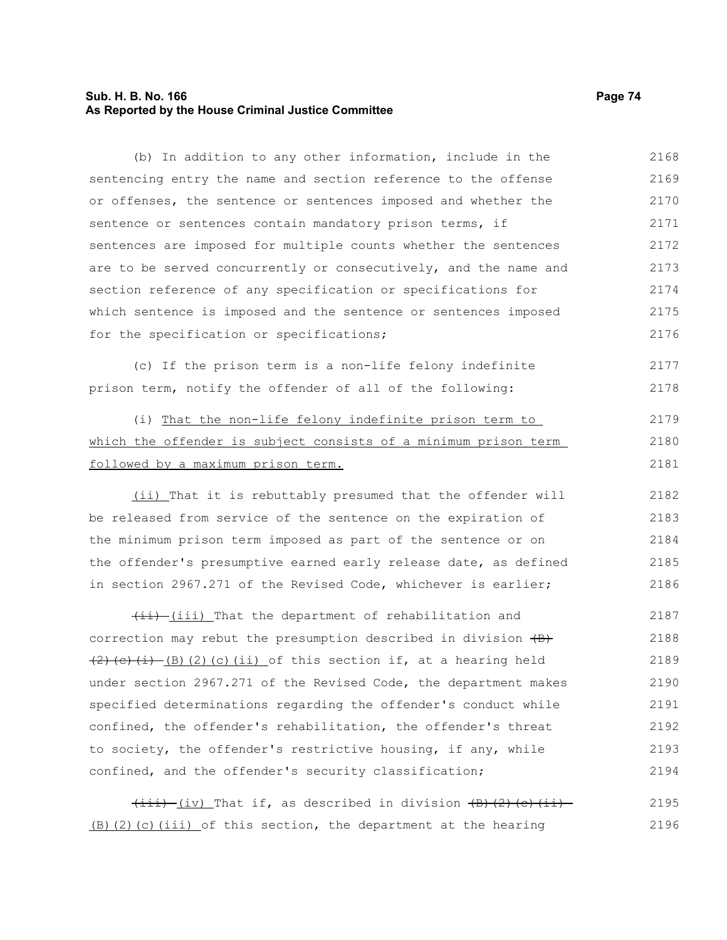# **Sub. H. B. No. 166 Page 74 As Reported by the House Criminal Justice Committee**

(b) In addition to any other information, include in the sentencing entry the name and section reference to the offense or offenses, the sentence or sentences imposed and whether the sentence or sentences contain mandatory prison terms, if sentences are imposed for multiple counts whether the sentences are to be served concurrently or consecutively, and the name and section reference of any specification or specifications for which sentence is imposed and the sentence or sentences imposed for the specification or specifications; 2168 2169 2170 2171 2172 2173 2174 2175 2176

(c) If the prison term is a non-life felony indefinite prison term, notify the offender of all of the following: 2177 2178

(i) That the non-life felony indefinite prison term to which the offender is subject consists of a minimum prison term followed by a maximum prison term. 2179 2180 2181

(ii) That it is rebuttably presumed that the offender will be released from service of the sentence on the expiration of the minimum prison term imposed as part of the sentence or on the offender's presumptive earned early release date, as defined in section 2967.271 of the Revised Code, whichever is earlier; 2182 2183 2184 2185 2186

(ii) (iii) That the department of rehabilitation and correction may rebut the presumption described in division  $\overline{AB}$  $(2)$  (c)(i) (2)(c)(ii) of this section if, at a hearing held under section 2967.271 of the Revised Code, the department makes specified determinations regarding the offender's conduct while confined, the offender's rehabilitation, the offender's threat to society, the offender's restrictive housing, if any, while confined, and the offender's security classification; 2187 2188 2189 2190 2191 2192 2193 2194

 $\frac{1+i}{2}(iv)$  That if, as described in division  $\frac{1}{2}(2)(c)(i+i)$ (B)(2)(c)(iii) of this section, the department at the hearing 2195 2196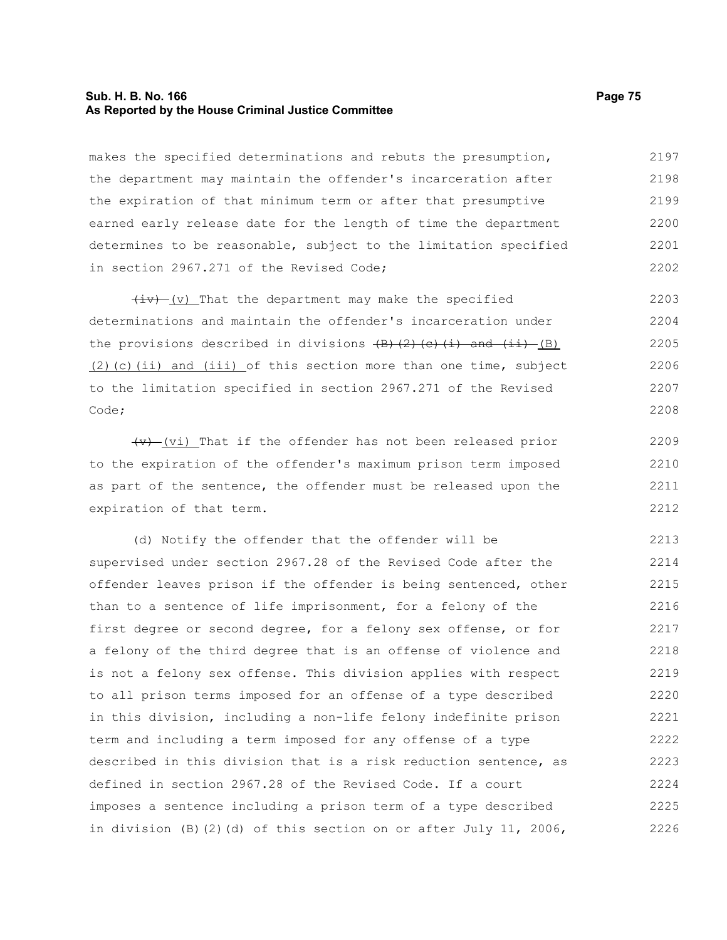#### **Sub. H. B. No. 166 Page 75 As Reported by the House Criminal Justice Committee**

makes the specified determinations and rebuts the presumption, the department may maintain the offender's incarceration after the expiration of that minimum term or after that presumptive earned early release date for the length of time the department determines to be reasonable, subject to the limitation specified in section 2967.271 of the Revised Code; 2197 2198 2199 2200 2201 2202

 $\overline{(iv)}$  (v) That the department may make the specified determinations and maintain the offender's incarceration under the provisions described in divisions  $\overline{(B)(2)(c)}$  (i) and  $\overline{(ii)}$  (B)  $(2)$  (c)(ii) and (iii) of this section more than one time, subject to the limitation specified in section 2967.271 of the Revised Code; 2203 2204 2205 2206 2207 2208

 $\overline{(v)}$  (vi) That if the offender has not been released prior to the expiration of the offender's maximum prison term imposed as part of the sentence, the offender must be released upon the expiration of that term.

(d) Notify the offender that the offender will be supervised under section 2967.28 of the Revised Code after the offender leaves prison if the offender is being sentenced, other than to a sentence of life imprisonment, for a felony of the first degree or second degree, for a felony sex offense, or for a felony of the third degree that is an offense of violence and is not a felony sex offense. This division applies with respect to all prison terms imposed for an offense of a type described in this division, including a non-life felony indefinite prison term and including a term imposed for any offense of a type described in this division that is a risk reduction sentence, as defined in section 2967.28 of the Revised Code. If a court imposes a sentence including a prison term of a type described in division (B)(2)(d) of this section on or after July 11, 2006, 2213 2214 2215 2216 2217 2218 2219 2220 2221 2222 2223 2224 2225 2226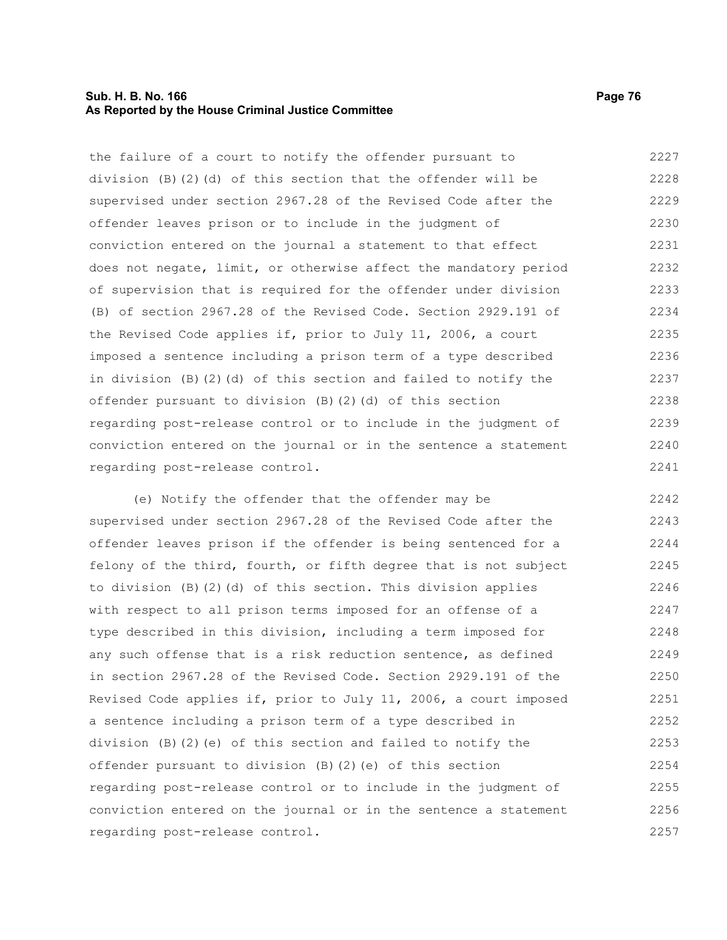## **Sub. H. B. No. 166 Page 76 As Reported by the House Criminal Justice Committee**

the failure of a court to notify the offender pursuant to division (B)(2)(d) of this section that the offender will be supervised under section 2967.28 of the Revised Code after the offender leaves prison or to include in the judgment of conviction entered on the journal a statement to that effect does not negate, limit, or otherwise affect the mandatory period of supervision that is required for the offender under division (B) of section 2967.28 of the Revised Code. Section 2929.191 of the Revised Code applies if, prior to July 11, 2006, a court imposed a sentence including a prison term of a type described in division (B)(2)(d) of this section and failed to notify the offender pursuant to division (B)(2)(d) of this section regarding post-release control or to include in the judgment of conviction entered on the journal or in the sentence a statement regarding post-release control. 2227 2228 2229 2230 2231 2232 2233 2234 2235 2236 2237 2238 2239 2240 2241

(e) Notify the offender that the offender may be supervised under section 2967.28 of the Revised Code after the offender leaves prison if the offender is being sentenced for a felony of the third, fourth, or fifth degree that is not subject to division (B)(2)(d) of this section. This division applies with respect to all prison terms imposed for an offense of a type described in this division, including a term imposed for any such offense that is a risk reduction sentence, as defined in section 2967.28 of the Revised Code. Section 2929.191 of the Revised Code applies if, prior to July 11, 2006, a court imposed a sentence including a prison term of a type described in division  $(B)(2)$  (e) of this section and failed to notify the offender pursuant to division (B)(2)(e) of this section regarding post-release control or to include in the judgment of conviction entered on the journal or in the sentence a statement regarding post-release control. 2242 2243 2244 2245 2246 2247 2248 2249 2250 2251 2252 2253 2254 2255 2256 2257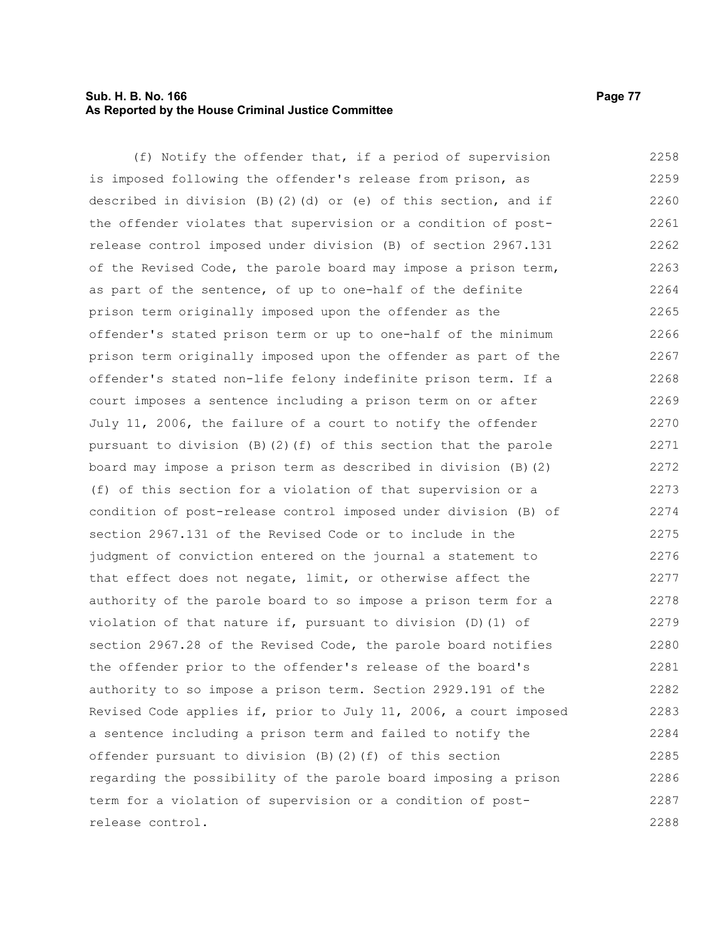# **Sub. H. B. No. 166 Page 77 As Reported by the House Criminal Justice Committee**

(f) Notify the offender that, if a period of supervision is imposed following the offender's release from prison, as described in division (B)(2)(d) or (e) of this section, and if the offender violates that supervision or a condition of postrelease control imposed under division (B) of section 2967.131 of the Revised Code, the parole board may impose a prison term, as part of the sentence, of up to one-half of the definite 2258 2259 2260 2261 2262 2263 2264

prison term originally imposed upon the offender as the offender's stated prison term or up to one-half of the minimum prison term originally imposed upon the offender as part of the offender's stated non-life felony indefinite prison term. If a court imposes a sentence including a prison term on or after July 11, 2006, the failure of a court to notify the offender pursuant to division  $(B)(2)(f)$  of this section that the parole board may impose a prison term as described in division (B)(2) (f) of this section for a violation of that supervision or a condition of post-release control imposed under division (B) of section 2967.131 of the Revised Code or to include in the judgment of conviction entered on the journal a statement to that effect does not negate, limit, or otherwise affect the authority of the parole board to so impose a prison term for a violation of that nature if, pursuant to division (D)(1) of section 2967.28 of the Revised Code, the parole board notifies the offender prior to the offender's release of the board's authority to so impose a prison term. Section 2929.191 of the Revised Code applies if, prior to July 11, 2006, a court imposed a sentence including a prison term and failed to notify the offender pursuant to division (B)(2)(f) of this section regarding the possibility of the parole board imposing a prison term for a violation of supervision or a condition of postrelease control. 2265 2266 2267 2268 2269 2270 2271 2272 2273 2274 2275 2276 2277 2278 2279 2280 2281 2282 2283 2284 2285 2286 2287 2288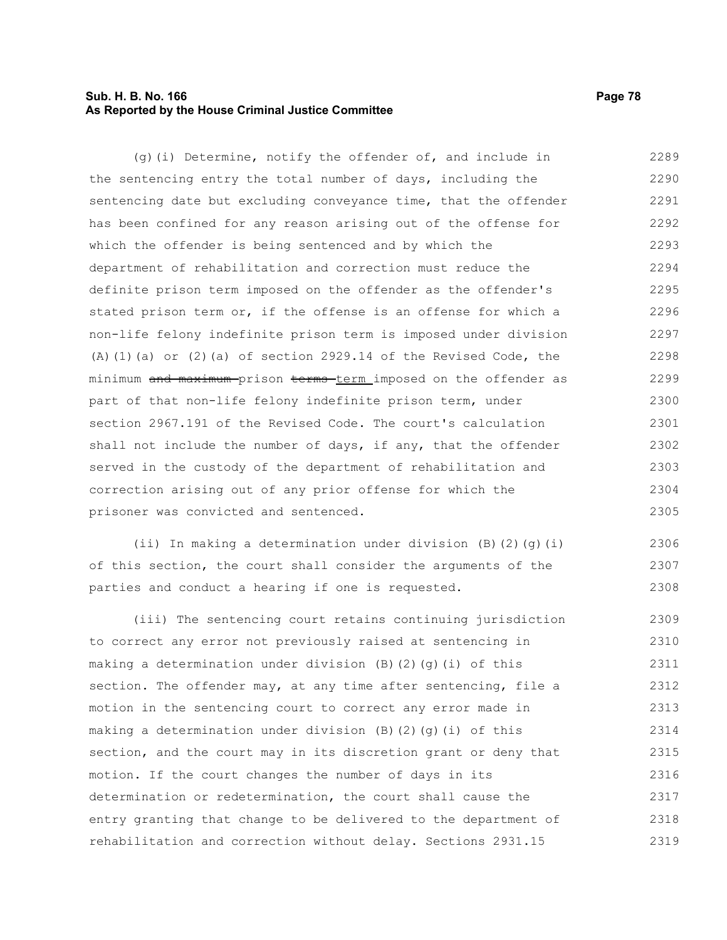# **Sub. H. B. No. 166 Page 78 As Reported by the House Criminal Justice Committee**

(g)(i) Determine, notify the offender of, and include in the sentencing entry the total number of days, including the sentencing date but excluding conveyance time, that the offender has been confined for any reason arising out of the offense for which the offender is being sentenced and by which the department of rehabilitation and correction must reduce the definite prison term imposed on the offender as the offender's stated prison term or, if the offense is an offense for which a non-life felony indefinite prison term is imposed under division (A)(1)(a) or (2)(a) of section 2929.14 of the Revised Code, the minimum and maximum prison terms term imposed on the offender as part of that non-life felony indefinite prison term, under section 2967.191 of the Revised Code. The court's calculation shall not include the number of days, if any, that the offender served in the custody of the department of rehabilitation and correction arising out of any prior offense for which the prisoner was convicted and sentenced. 2289 2290 2291 2292 2293 2294 2295 2296 2297 2298 2299 2300 2301 2302 2303 2304 2305

(ii) In making a determination under division  $(B)$  (2)(q)(i) of this section, the court shall consider the arguments of the parties and conduct a hearing if one is requested. 2306 2307 2308

(iii) The sentencing court retains continuing jurisdiction to correct any error not previously raised at sentencing in making a determination under division  $(B)(2)(q)(i)$  of this section. The offender may, at any time after sentencing, file a motion in the sentencing court to correct any error made in making a determination under division (B)(2)(g)(i) of this section, and the court may in its discretion grant or deny that motion. If the court changes the number of days in its determination or redetermination, the court shall cause the entry granting that change to be delivered to the department of rehabilitation and correction without delay. Sections 2931.15 2309 2310 2311 2312 2313 2314 2315 2316 2317 2318 2319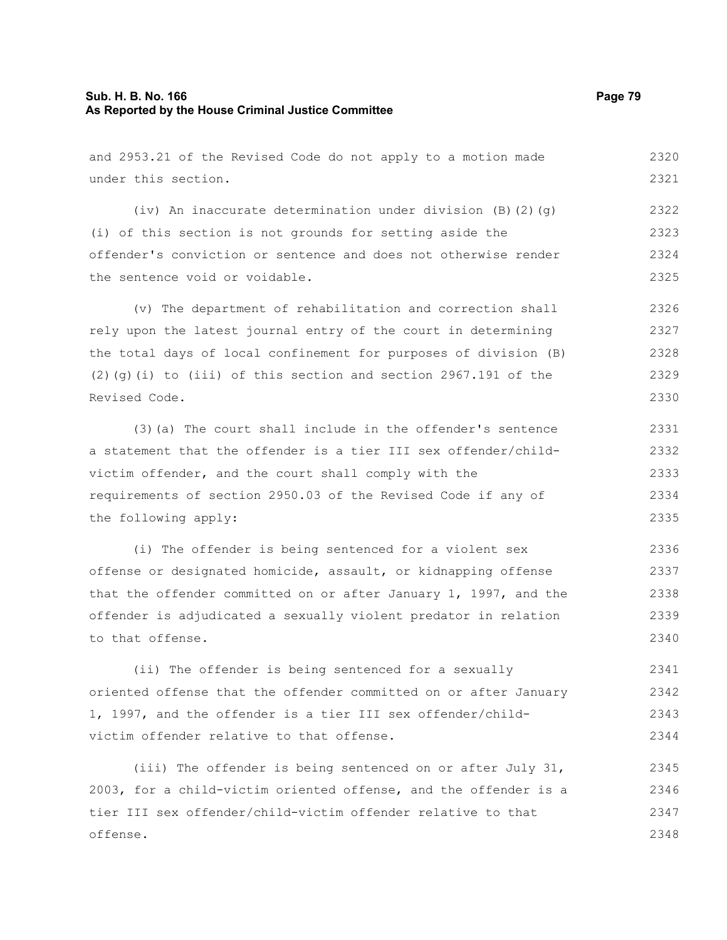# **Sub. H. B. No. 166 Page 79 As Reported by the House Criminal Justice Committee**

and 2953.21 of the Revised Code do not apply to a motion made under this section. (iv) An inaccurate determination under division (B)(2)(g) (i) of this section is not grounds for setting aside the offender's conviction or sentence and does not otherwise render the sentence void or voidable. 2320 2321 2323 2324 2325

(v) The department of rehabilitation and correction shall rely upon the latest journal entry of the court in determining the total days of local confinement for purposes of division (B) (2)(g)(i) to (iii) of this section and section 2967.191 of the Revised Code. 2326 2327 2328 2329 2330

(3)(a) The court shall include in the offender's sentence a statement that the offender is a tier III sex offender/childvictim offender, and the court shall comply with the requirements of section 2950.03 of the Revised Code if any of the following apply:

(i) The offender is being sentenced for a violent sex offense or designated homicide, assault, or kidnapping offense that the offender committed on or after January 1, 1997, and the offender is adjudicated a sexually violent predator in relation to that offense. 2336 2337 2338 2339 2340

(ii) The offender is being sentenced for a sexually oriented offense that the offender committed on or after January 1, 1997, and the offender is a tier III sex offender/childvictim offender relative to that offense. 2341 2342 2343 2344

(iii) The offender is being sentenced on or after July 31, 2003, for a child-victim oriented offense, and the offender is a tier III sex offender/child-victim offender relative to that offense. 2345 2346 2347 2348

2322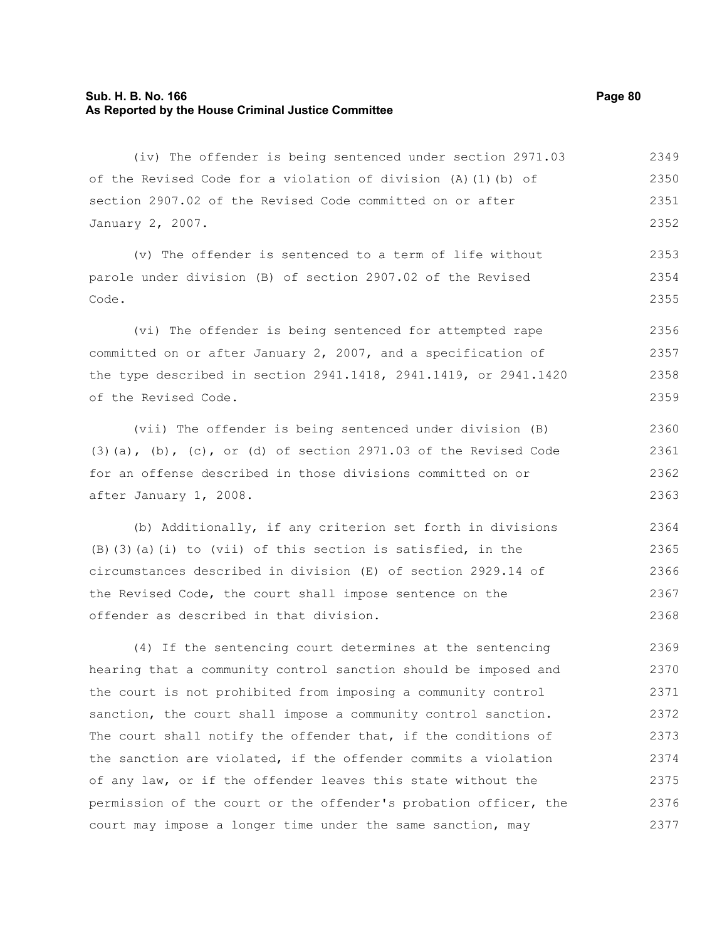# **Sub. H. B. No. 166 Page 80 As Reported by the House Criminal Justice Committee**

(iv) The offender is being sentenced under section 2971.03 of the Revised Code for a violation of division (A)(1)(b) of section 2907.02 of the Revised Code committed on or after January 2, 2007. 2349 2350 2351 2352

(v) The offender is sentenced to a term of life without parole under division (B) of section 2907.02 of the Revised Code. 2353 2354 2355

(vi) The offender is being sentenced for attempted rape committed on or after January 2, 2007, and a specification of the type described in section 2941.1418, 2941.1419, or 2941.1420 of the Revised Code. 2356 2357 2358 2359

(vii) The offender is being sentenced under division (B)  $(3)(a)$ ,  $(b)$ ,  $(c)$ , or  $(d)$  of section 2971.03 of the Revised Code for an offense described in those divisions committed on or after January 1, 2008. 2360 2361 2362 2363

(b) Additionally, if any criterion set forth in divisions (B)(3)(a)(i) to (vii) of this section is satisfied, in the circumstances described in division (E) of section 2929.14 of the Revised Code, the court shall impose sentence on the offender as described in that division. 2364 2365 2366 2367 2368

(4) If the sentencing court determines at the sentencing hearing that a community control sanction should be imposed and the court is not prohibited from imposing a community control sanction, the court shall impose a community control sanction. The court shall notify the offender that, if the conditions of the sanction are violated, if the offender commits a violation of any law, or if the offender leaves this state without the permission of the court or the offender's probation officer, the court may impose a longer time under the same sanction, may 2369 2370 2371 2372 2373 2374 2375 2376 2377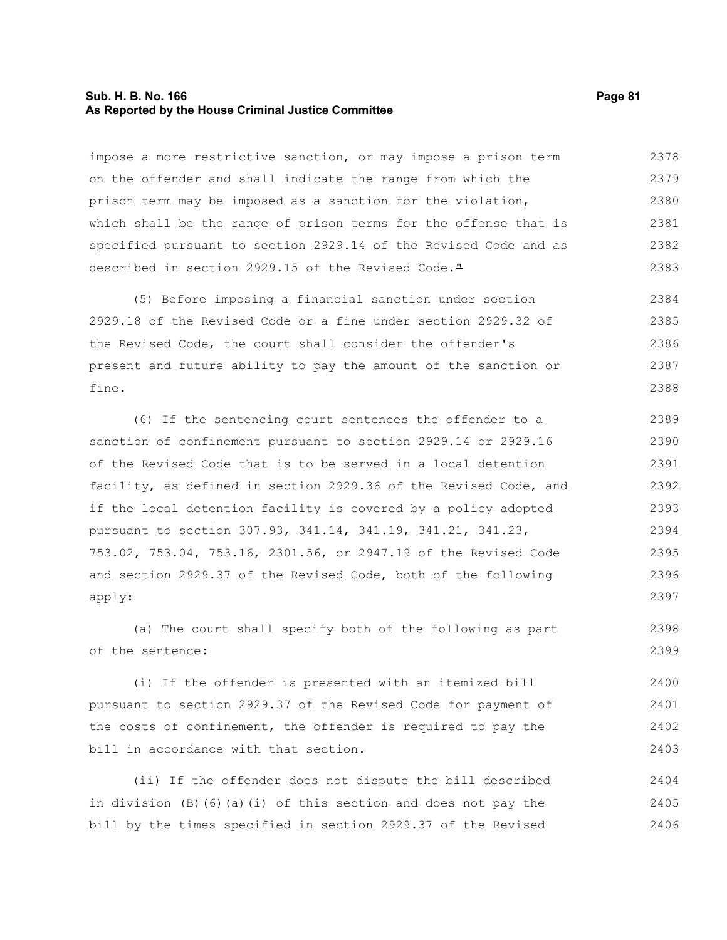#### **Sub. H. B. No. 166 Page 81 As Reported by the House Criminal Justice Committee**

impose a more restrictive sanction, or may impose a prison term on the offender and shall indicate the range from which the prison term may be imposed as a sanction for the violation, which shall be the range of prison terms for the offense that is specified pursuant to section 2929.14 of the Revised Code and as described in section 2929.15 of the Revised Code." 2378 2379 2380 2381 2382 2383

(5) Before imposing a financial sanction under section 2929.18 of the Revised Code or a fine under section 2929.32 of the Revised Code, the court shall consider the offender's present and future ability to pay the amount of the sanction or fine. 2384 2385 2386 2387 2388

(6) If the sentencing court sentences the offender to a sanction of confinement pursuant to section 2929.14 or 2929.16 of the Revised Code that is to be served in a local detention facility, as defined in section 2929.36 of the Revised Code, and if the local detention facility is covered by a policy adopted pursuant to section 307.93, 341.14, 341.19, 341.21, 341.23, 753.02, 753.04, 753.16, 2301.56, or 2947.19 of the Revised Code and section 2929.37 of the Revised Code, both of the following apply: 2389 2390 2391 2392 2393 2394 2395 2396 2397

(a) The court shall specify both of the following as part of the sentence:

(i) If the offender is presented with an itemized bill pursuant to section 2929.37 of the Revised Code for payment of the costs of confinement, the offender is required to pay the bill in accordance with that section. 2400 2401 2402 2403

(ii) If the offender does not dispute the bill described in division (B)(6)(a)(i) of this section and does not pay the bill by the times specified in section 2929.37 of the Revised 2404 2405 2406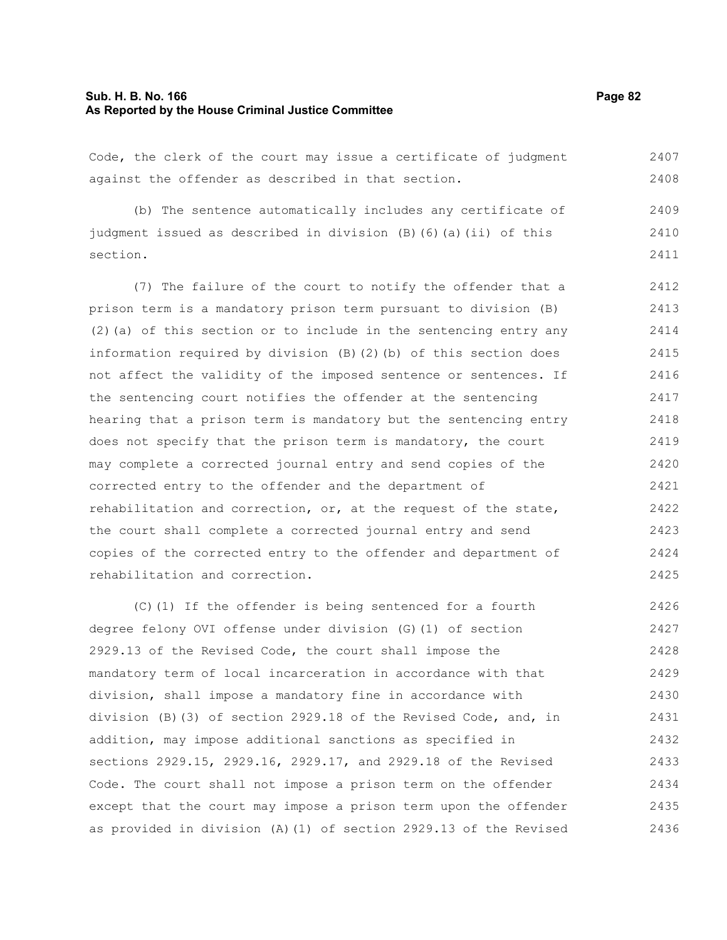Code, the clerk of the court may issue a certificate of judgment against the offender as described in that section. 2407 2408

(b) The sentence automatically includes any certificate of judgment issued as described in division (B)(6)(a)(ii) of this section. 2409 2410 2411

(7) The failure of the court to notify the offender that a prison term is a mandatory prison term pursuant to division (B) (2)(a) of this section or to include in the sentencing entry any information required by division (B)(2)(b) of this section does not affect the validity of the imposed sentence or sentences. If the sentencing court notifies the offender at the sentencing hearing that a prison term is mandatory but the sentencing entry does not specify that the prison term is mandatory, the court may complete a corrected journal entry and send copies of the corrected entry to the offender and the department of rehabilitation and correction, or, at the request of the state, the court shall complete a corrected journal entry and send copies of the corrected entry to the offender and department of rehabilitation and correction. 2412 2413 2414 2415 2416 2417 2418 2419 2420 2421 2422 2423 2424 2425

(C)(1) If the offender is being sentenced for a fourth degree felony OVI offense under division (G)(1) of section 2929.13 of the Revised Code, the court shall impose the mandatory term of local incarceration in accordance with that division, shall impose a mandatory fine in accordance with division (B)(3) of section 2929.18 of the Revised Code, and, in addition, may impose additional sanctions as specified in sections 2929.15, 2929.16, 2929.17, and 2929.18 of the Revised Code. The court shall not impose a prison term on the offender except that the court may impose a prison term upon the offender as provided in division (A)(1) of section 2929.13 of the Revised 2426 2427 2428 2429 2430 2431 2432 2433 2434 2435 2436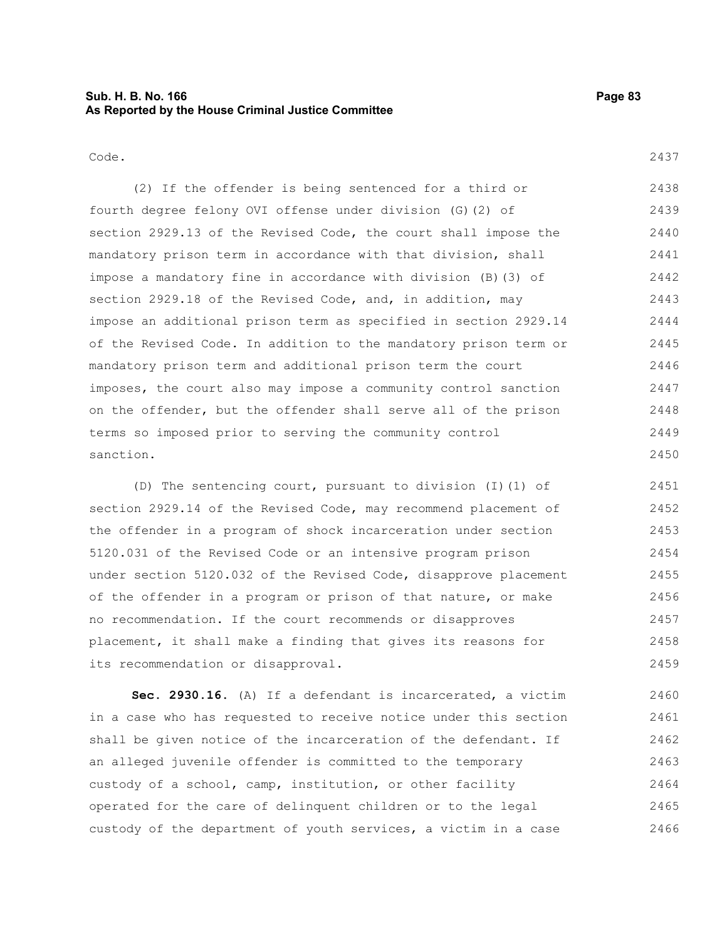# **Sub. H. B. No. 166 Page 83 As Reported by the House Criminal Justice Committee**

#### Code.

(2) If the offender is being sentenced for a third or fourth degree felony OVI offense under division (G)(2) of section 2929.13 of the Revised Code, the court shall impose the mandatory prison term in accordance with that division, shall impose a mandatory fine in accordance with division (B)(3) of section 2929.18 of the Revised Code, and, in addition, may impose an additional prison term as specified in section 2929.14 of the Revised Code. In addition to the mandatory prison term or mandatory prison term and additional prison term the court imposes, the court also may impose a community control sanction on the offender, but the offender shall serve all of the prison terms so imposed prior to serving the community control sanction. 2438 2439 2440 2441 2442 2443 2444 2445 2446 2447 2448 2449 2450

(D) The sentencing court, pursuant to division (I)(1) of section 2929.14 of the Revised Code, may recommend placement of the offender in a program of shock incarceration under section 5120.031 of the Revised Code or an intensive program prison under section 5120.032 of the Revised Code, disapprove placement of the offender in a program or prison of that nature, or make no recommendation. If the court recommends or disapproves placement, it shall make a finding that gives its reasons for its recommendation or disapproval. 2451 2452 2453 2454 2455 2456 2457 2458 2459

**Sec. 2930.16.** (A) If a defendant is incarcerated, a victim in a case who has requested to receive notice under this section shall be given notice of the incarceration of the defendant. If an alleged juvenile offender is committed to the temporary custody of a school, camp, institution, or other facility operated for the care of delinquent children or to the legal custody of the department of youth services, a victim in a case 2460 2461 2462 2463 2464 2465 2466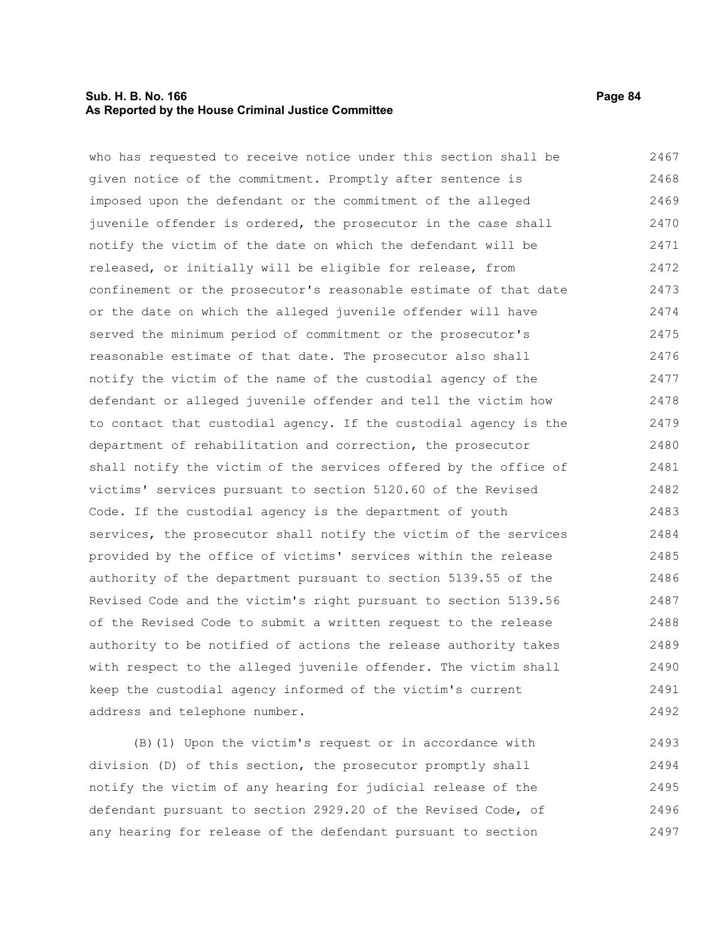# **Sub. H. B. No. 166 Page 84 As Reported by the House Criminal Justice Committee**

who has requested to receive notice under this section shall be given notice of the commitment. Promptly after sentence is imposed upon the defendant or the commitment of the alleged juvenile offender is ordered, the prosecutor in the case shall notify the victim of the date on which the defendant will be released, or initially will be eligible for release, from confinement or the prosecutor's reasonable estimate of that date or the date on which the alleged juvenile offender will have served the minimum period of commitment or the prosecutor's reasonable estimate of that date. The prosecutor also shall notify the victim of the name of the custodial agency of the defendant or alleged juvenile offender and tell the victim how to contact that custodial agency. If the custodial agency is the department of rehabilitation and correction, the prosecutor shall notify the victim of the services offered by the office of victims' services pursuant to section 5120.60 of the Revised Code. If the custodial agency is the department of youth services, the prosecutor shall notify the victim of the services provided by the office of victims' services within the release authority of the department pursuant to section 5139.55 of the Revised Code and the victim's right pursuant to section 5139.56 of the Revised Code to submit a written request to the release authority to be notified of actions the release authority takes with respect to the alleged juvenile offender. The victim shall keep the custodial agency informed of the victim's current address and telephone number. 2467 2468 2469 2470 2471 2472 2473 2474 2475 2476 2477 2478 2479 2480 2481 2482 2483 2484 2485 2486 2487 2488 2489 2490 2491 2492

(B)(1) Upon the victim's request or in accordance with division (D) of this section, the prosecutor promptly shall notify the victim of any hearing for judicial release of the defendant pursuant to section 2929.20 of the Revised Code, of any hearing for release of the defendant pursuant to section 2493 2494 2495 2496 2497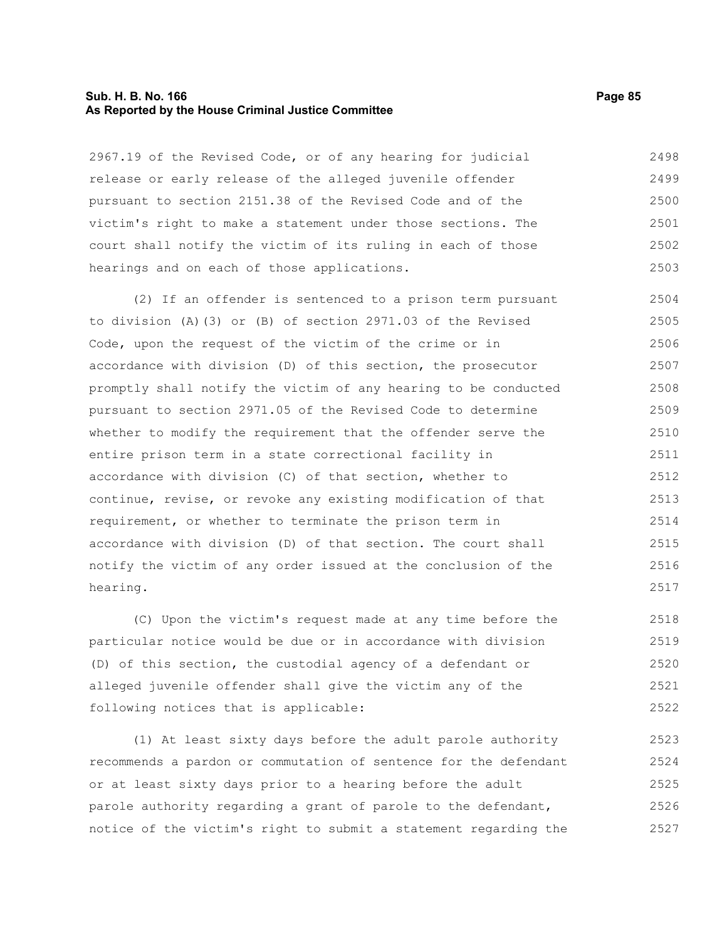#### **Sub. H. B. No. 166 Page 85 As Reported by the House Criminal Justice Committee**

2967.19 of the Revised Code, or of any hearing for judicial release or early release of the alleged juvenile offender pursuant to section 2151.38 of the Revised Code and of the victim's right to make a statement under those sections. The court shall notify the victim of its ruling in each of those hearings and on each of those applications. 2498 2499 2500 2501 2502 2503

(2) If an offender is sentenced to a prison term pursuant to division (A)(3) or (B) of section 2971.03 of the Revised Code, upon the request of the victim of the crime or in accordance with division (D) of this section, the prosecutor promptly shall notify the victim of any hearing to be conducted pursuant to section 2971.05 of the Revised Code to determine whether to modify the requirement that the offender serve the entire prison term in a state correctional facility in accordance with division (C) of that section, whether to continue, revise, or revoke any existing modification of that requirement, or whether to terminate the prison term in accordance with division (D) of that section. The court shall notify the victim of any order issued at the conclusion of the hearing. 2504 2505 2506 2507 2508 2509 2510 2511 2512 2513 2514 2515 2516 2517

(C) Upon the victim's request made at any time before the particular notice would be due or in accordance with division (D) of this section, the custodial agency of a defendant or alleged juvenile offender shall give the victim any of the following notices that is applicable: 2518 2519 2520 2521 2522

(1) At least sixty days before the adult parole authority recommends a pardon or commutation of sentence for the defendant or at least sixty days prior to a hearing before the adult parole authority regarding a grant of parole to the defendant, notice of the victim's right to submit a statement regarding the 2523 2524 2525 2526 2527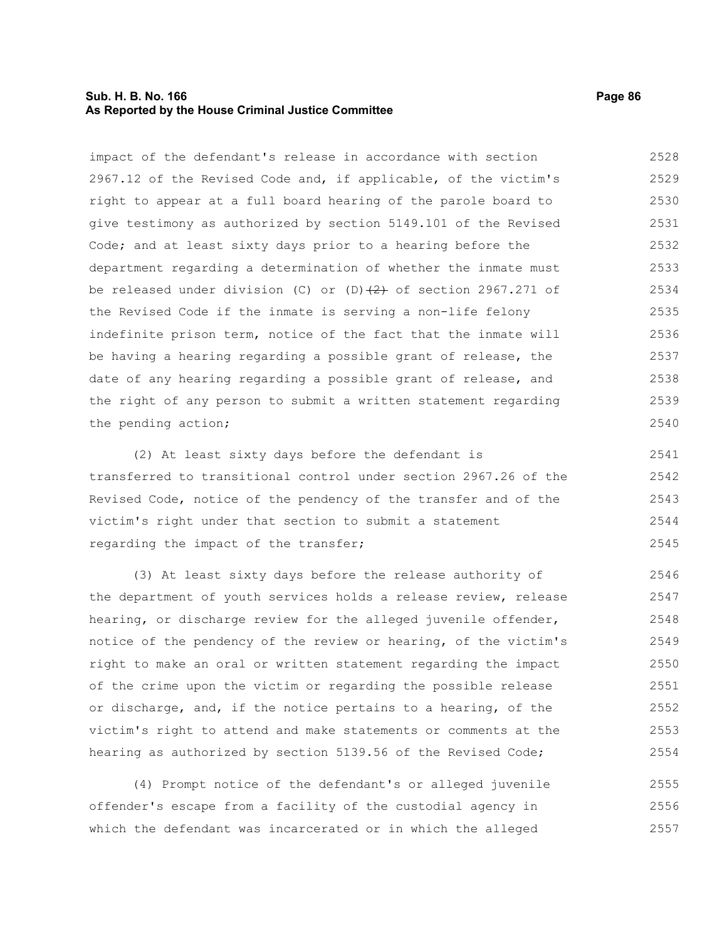# **Sub. H. B. No. 166 Page 86 As Reported by the House Criminal Justice Committee**

impact of the defendant's release in accordance with section 2967.12 of the Revised Code and, if applicable, of the victim's right to appear at a full board hearing of the parole board to give testimony as authorized by section 5149.101 of the Revised Code; and at least sixty days prior to a hearing before the department regarding a determination of whether the inmate must be released under division (C) or (D) $(2)$  of section 2967.271 of the Revised Code if the inmate is serving a non-life felony indefinite prison term, notice of the fact that the inmate will be having a hearing regarding a possible grant of release, the date of any hearing regarding a possible grant of release, and the right of any person to submit a written statement regarding the pending action; 2528 2529 2530 2531 2532 2533 2534 2535 2536 2537 2538 2539 2540

(2) At least sixty days before the defendant is transferred to transitional control under section 2967.26 of the Revised Code, notice of the pendency of the transfer and of the victim's right under that section to submit a statement regarding the impact of the transfer; 2541 2542 2543 2544 2545

(3) At least sixty days before the release authority of the department of youth services holds a release review, release hearing, or discharge review for the alleged juvenile offender, notice of the pendency of the review or hearing, of the victim's right to make an oral or written statement regarding the impact of the crime upon the victim or regarding the possible release or discharge, and, if the notice pertains to a hearing, of the victim's right to attend and make statements or comments at the hearing as authorized by section 5139.56 of the Revised Code; 2546 2547 2548 2549 2550 2551 2552 2553 2554

(4) Prompt notice of the defendant's or alleged juvenile offender's escape from a facility of the custodial agency in which the defendant was incarcerated or in which the alleged 2555 2556 2557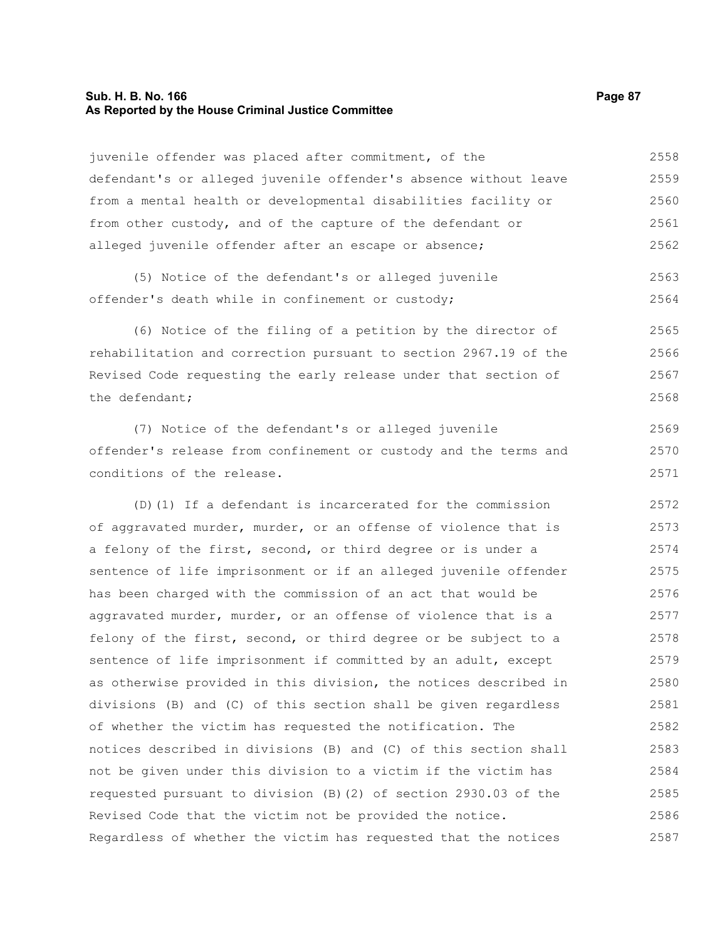#### **Sub. H. B. No. 166 Page 87 As Reported by the House Criminal Justice Committee**

juvenile offender was placed after commitment, of the defendant's or alleged juvenile offender's absence without leave from a mental health or developmental disabilities facility or from other custody, and of the capture of the defendant or alleged juvenile offender after an escape or absence; 2558 2559 2560 2561 2562

(5) Notice of the defendant's or alleged juvenile offender's death while in confinement or custody; 2563 2564

(6) Notice of the filing of a petition by the director of rehabilitation and correction pursuant to section 2967.19 of the Revised Code requesting the early release under that section of the defendant; 2565 2566 2567 2568

(7) Notice of the defendant's or alleged juvenile offender's release from confinement or custody and the terms and conditions of the release.

(D)(1) If a defendant is incarcerated for the commission of aggravated murder, murder, or an offense of violence that is a felony of the first, second, or third degree or is under a sentence of life imprisonment or if an alleged juvenile offender has been charged with the commission of an act that would be aggravated murder, murder, or an offense of violence that is a felony of the first, second, or third degree or be subject to a sentence of life imprisonment if committed by an adult, except as otherwise provided in this division, the notices described in divisions (B) and (C) of this section shall be given regardless of whether the victim has requested the notification. The notices described in divisions (B) and (C) of this section shall not be given under this division to a victim if the victim has requested pursuant to division (B)(2) of section 2930.03 of the Revised Code that the victim not be provided the notice. Regardless of whether the victim has requested that the notices 2572 2573 2574 2575 2576 2577 2578 2579 2580 2581 2582 2583 2584 2585 2586 2587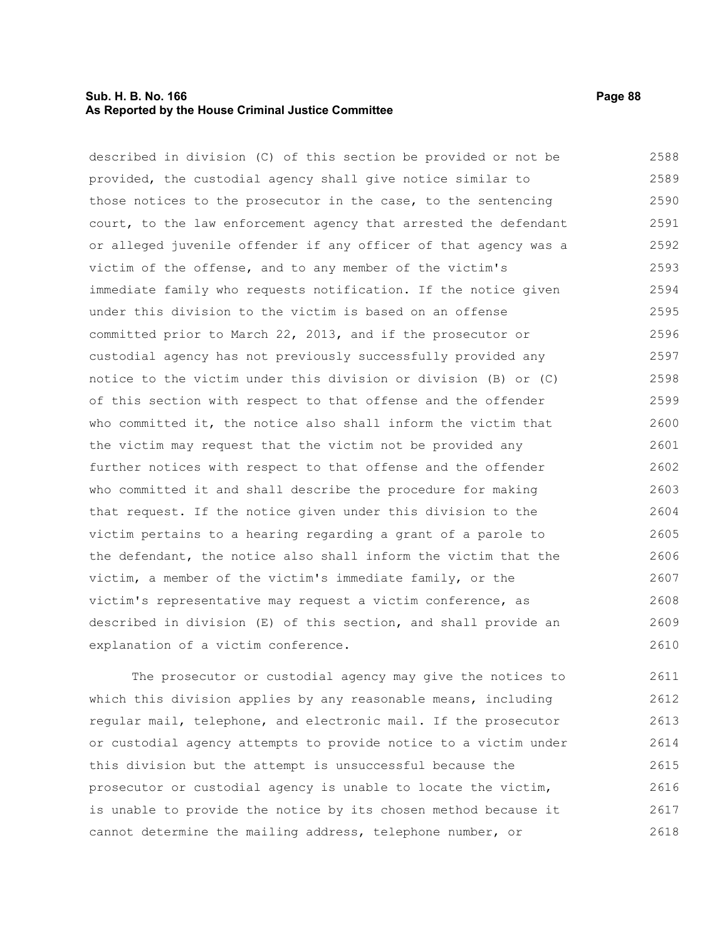## **Sub. H. B. No. 166 Page 88 As Reported by the House Criminal Justice Committee**

described in division (C) of this section be provided or not be provided, the custodial agency shall give notice similar to those notices to the prosecutor in the case, to the sentencing court, to the law enforcement agency that arrested the defendant or alleged juvenile offender if any officer of that agency was a victim of the offense, and to any member of the victim's immediate family who requests notification. If the notice given under this division to the victim is based on an offense committed prior to March 22, 2013, and if the prosecutor or custodial agency has not previously successfully provided any notice to the victim under this division or division (B) or (C) of this section with respect to that offense and the offender who committed it, the notice also shall inform the victim that the victim may request that the victim not be provided any further notices with respect to that offense and the offender who committed it and shall describe the procedure for making that request. If the notice given under this division to the victim pertains to a hearing regarding a grant of a parole to the defendant, the notice also shall inform the victim that the victim, a member of the victim's immediate family, or the victim's representative may request a victim conference, as described in division (E) of this section, and shall provide an explanation of a victim conference. 2588 2589 2590 2591 2592 2593 2594 2595 2596 2597 2598 2599 2600 2601 2602 2603 2604 2605 2606 2607 2608 2609 2610

The prosecutor or custodial agency may give the notices to which this division applies by any reasonable means, including regular mail, telephone, and electronic mail. If the prosecutor or custodial agency attempts to provide notice to a victim under this division but the attempt is unsuccessful because the prosecutor or custodial agency is unable to locate the victim, is unable to provide the notice by its chosen method because it cannot determine the mailing address, telephone number, or 2611 2612 2613 2614 2615 2616 2617 2618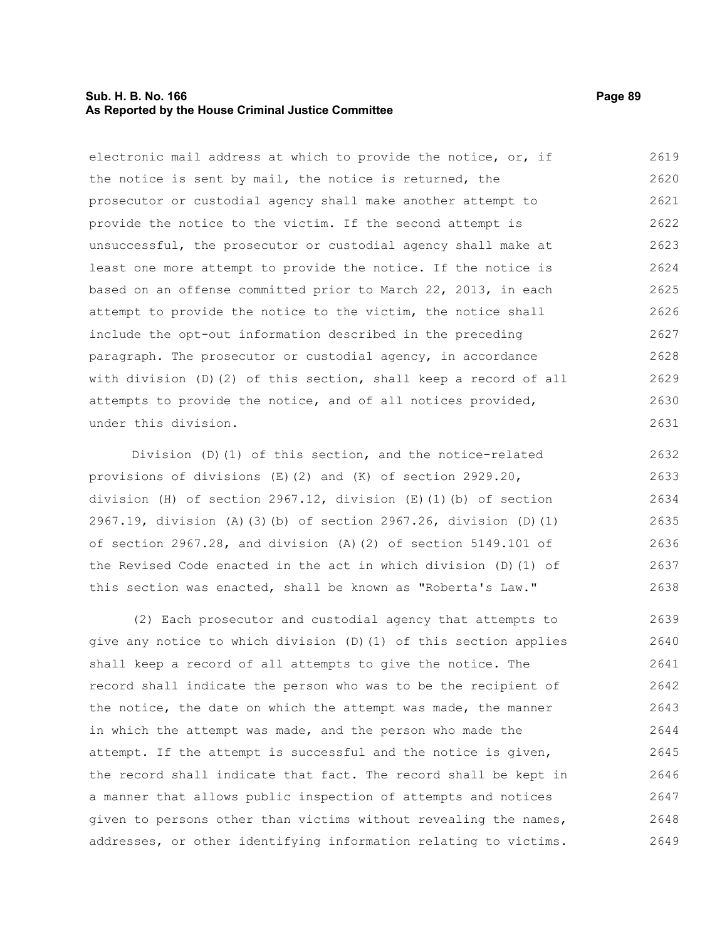# **Sub. H. B. No. 166 Page 89 As Reported by the House Criminal Justice Committee**

electronic mail address at which to provide the notice, or, if the notice is sent by mail, the notice is returned, the prosecutor or custodial agency shall make another attempt to provide the notice to the victim. If the second attempt is unsuccessful, the prosecutor or custodial agency shall make at least one more attempt to provide the notice. If the notice is based on an offense committed prior to March 22, 2013, in each attempt to provide the notice to the victim, the notice shall include the opt-out information described in the preceding paragraph. The prosecutor or custodial agency, in accordance with division (D)(2) of this section, shall keep a record of all attempts to provide the notice, and of all notices provided, under this division. 2619 2620 2621 2622 2623 2624 2625 2626 2627 2628 2629 2630 2631

Division (D)(1) of this section, and the notice-related provisions of divisions (E)(2) and (K) of section 2929.20, division (H) of section 2967.12, division (E)(1)(b) of section 2967.19, division (A)(3)(b) of section 2967.26, division (D)(1) of section 2967.28, and division (A)(2) of section 5149.101 of the Revised Code enacted in the act in which division (D)(1) of this section was enacted, shall be known as "Roberta's Law."

(2) Each prosecutor and custodial agency that attempts to give any notice to which division (D)(1) of this section applies shall keep a record of all attempts to give the notice. The record shall indicate the person who was to be the recipient of the notice, the date on which the attempt was made, the manner in which the attempt was made, and the person who made the attempt. If the attempt is successful and the notice is given, the record shall indicate that fact. The record shall be kept in a manner that allows public inspection of attempts and notices given to persons other than victims without revealing the names, addresses, or other identifying information relating to victims. 2639 2640 2641 2642 2643 2644 2645 2646 2647 2648 2649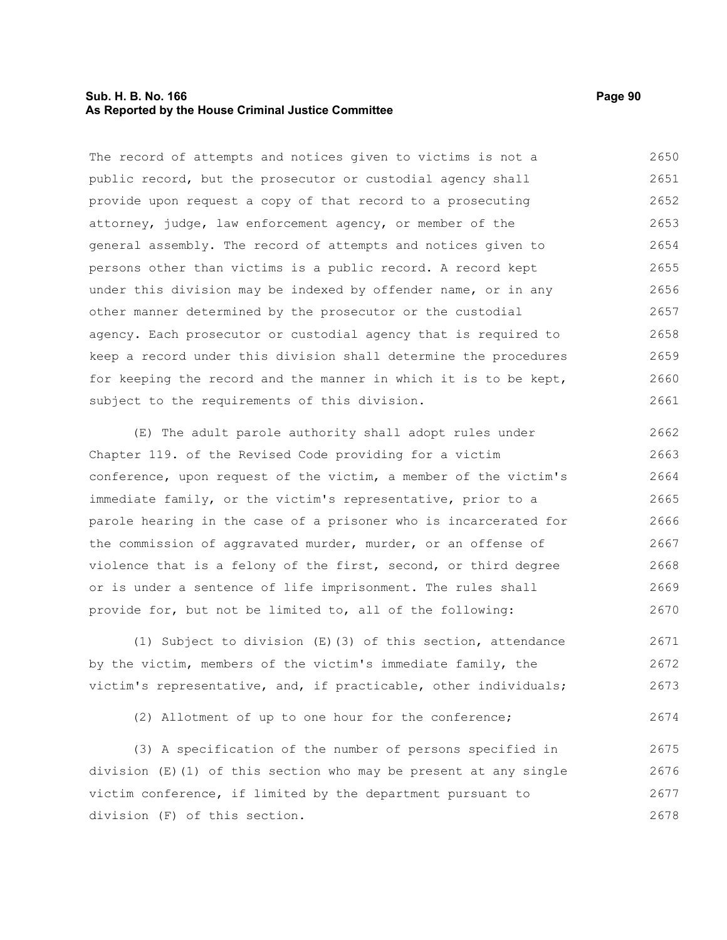## **Sub. H. B. No. 166 Page 90 As Reported by the House Criminal Justice Committee**

The record of attempts and notices given to victims is not a public record, but the prosecutor or custodial agency shall provide upon request a copy of that record to a prosecuting attorney, judge, law enforcement agency, or member of the general assembly. The record of attempts and notices given to persons other than victims is a public record. A record kept under this division may be indexed by offender name, or in any other manner determined by the prosecutor or the custodial agency. Each prosecutor or custodial agency that is required to keep a record under this division shall determine the procedures for keeping the record and the manner in which it is to be kept, subject to the requirements of this division. 2650 2651 2652 2653 2654 2655 2656 2657 2658 2659 2660 2661

(E) The adult parole authority shall adopt rules under Chapter 119. of the Revised Code providing for a victim conference, upon request of the victim, a member of the victim's immediate family, or the victim's representative, prior to a parole hearing in the case of a prisoner who is incarcerated for the commission of aggravated murder, murder, or an offense of violence that is a felony of the first, second, or third degree or is under a sentence of life imprisonment. The rules shall provide for, but not be limited to, all of the following: 2662 2663 2664 2665 2666 2667 2668 2669 2670

(1) Subject to division (E)(3) of this section, attendance by the victim, members of the victim's immediate family, the victim's representative, and, if practicable, other individuals; 2671 2672 2673

(2) Allotment of up to one hour for the conference;

(3) A specification of the number of persons specified in division  $(E)(1)$  of this section who may be present at any single victim conference, if limited by the department pursuant to division (F) of this section. 2675 2676 2677 2678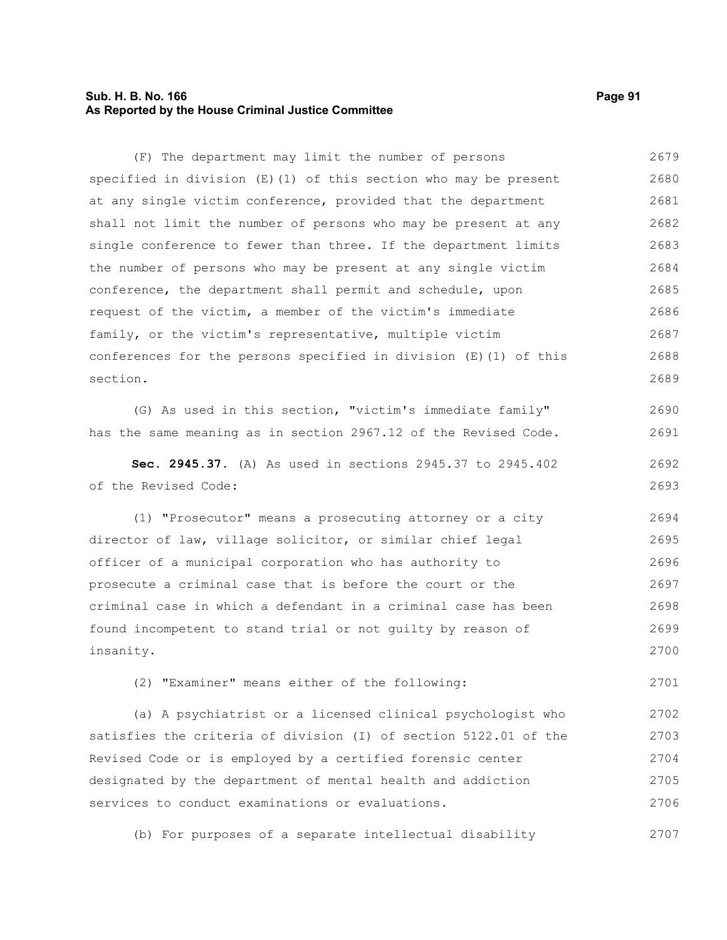# **Sub. H. B. No. 166 Page 91 As Reported by the House Criminal Justice Committee**

(F) The department may limit the number of persons specified in division (E)(1) of this section who may be present at any single victim conference, provided that the department shall not limit the number of persons who may be present at any single conference to fewer than three. If the department limits the number of persons who may be present at any single victim conference, the department shall permit and schedule, upon request of the victim, a member of the victim's immediate family, or the victim's representative, multiple victim conferences for the persons specified in division (E)(1) of this section. 2679 2680 2681 2682 2683 2684 2685 2686 2687 2688 2689

(G) As used in this section, "victim's immediate family" has the same meaning as in section 2967.12 of the Revised Code.

**Sec. 2945.37.** (A) As used in sections 2945.37 to 2945.402 of the Revised Code: 2692 2693

(1) "Prosecutor" means a prosecuting attorney or a city director of law, village solicitor, or similar chief legal officer of a municipal corporation who has authority to prosecute a criminal case that is before the court or the criminal case in which a defendant in a criminal case has been found incompetent to stand trial or not guilty by reason of insanity. 2694 2695 2696 2697 2698 2699 2700

(2) "Examiner" means either of the following: 2701

(a) A psychiatrist or a licensed clinical psychologist who satisfies the criteria of division (I) of section 5122.01 of the Revised Code or is employed by a certified forensic center designated by the department of mental health and addiction services to conduct examinations or evaluations. 2702 2703 2704 2705 2706

(b) For purposes of a separate intellectual disability 2707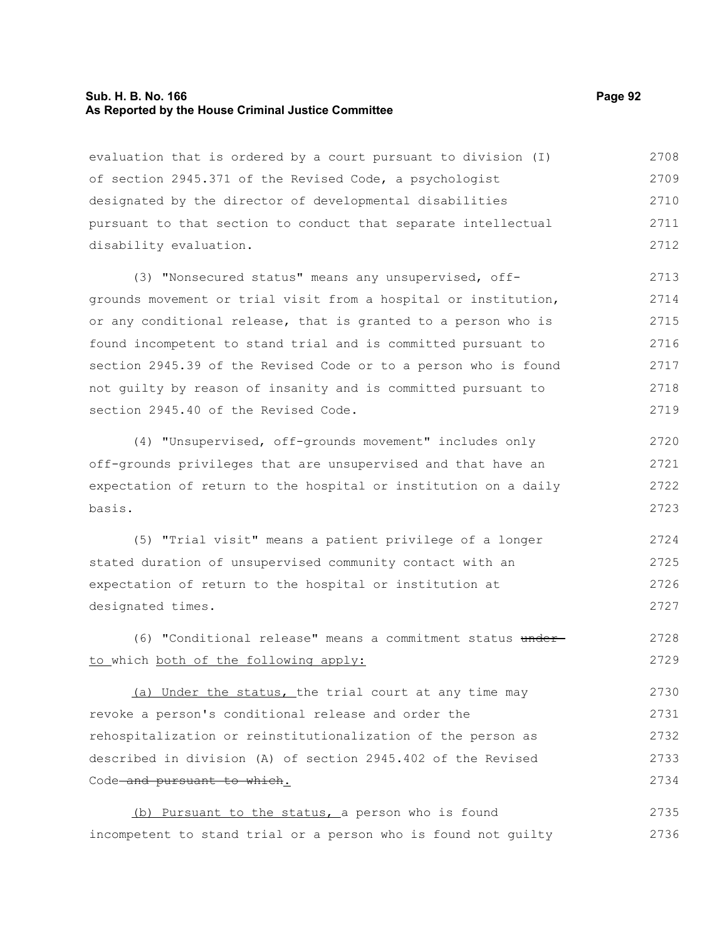#### **Sub. H. B. No. 166 Page 92 As Reported by the House Criminal Justice Committee**

evaluation that is ordered by a court pursuant to division (I) of section 2945.371 of the Revised Code, a psychologist designated by the director of developmental disabilities pursuant to that section to conduct that separate intellectual disability evaluation. 2708 2709 2710 2711 2712

(3) "Nonsecured status" means any unsupervised, offgrounds movement or trial visit from a hospital or institution, or any conditional release, that is granted to a person who is found incompetent to stand trial and is committed pursuant to section 2945.39 of the Revised Code or to a person who is found not guilty by reason of insanity and is committed pursuant to section 2945.40 of the Revised Code. 2713 2714 2715 2716 2717 2718 2719

(4) "Unsupervised, off-grounds movement" includes only off-grounds privileges that are unsupervised and that have an expectation of return to the hospital or institution on a daily basis. 2720 2721 2722 2723

(5) "Trial visit" means a patient privilege of a longer stated duration of unsupervised community contact with an expectation of return to the hospital or institution at designated times. 2724 2725 2726 2727

(6) "Conditional release" means a commitment status under to which both of the following apply: 2728 2729

(a) Under the status, the trial court at any time may revoke a person's conditional release and order the rehospitalization or reinstitutionalization of the person as described in division (A) of section 2945.402 of the Revised Code and pursuant to which. 2730 2731 2732 2733 2734

(b) Pursuant to the status, a person who is found incompetent to stand trial or a person who is found not guilty 2735 2736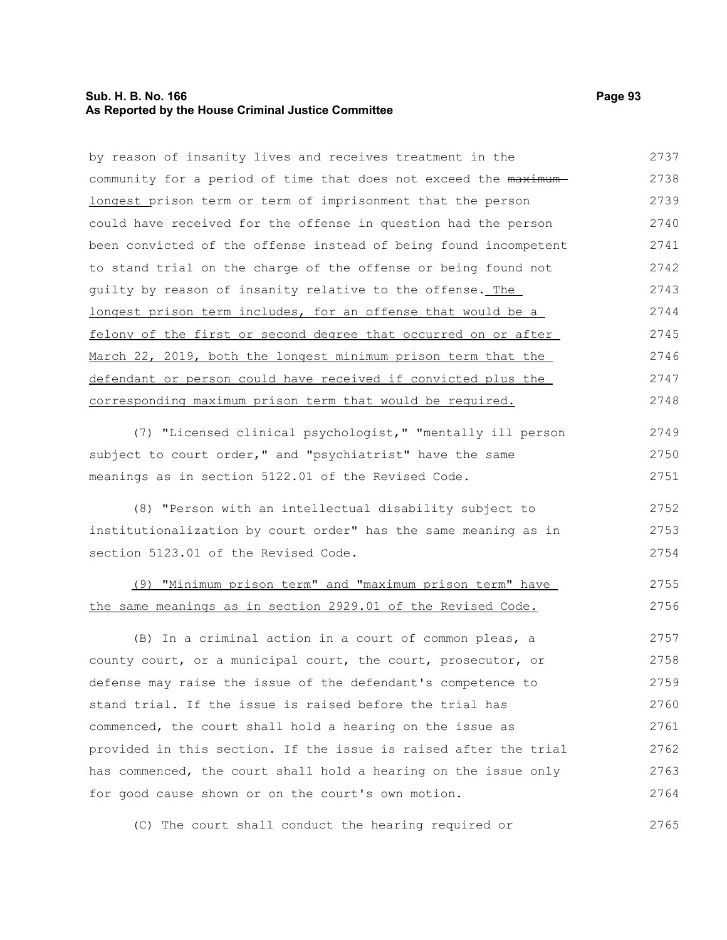# **Sub. H. B. No. 166 Page 93 As Reported by the House Criminal Justice Committee**

by reason of insanity lives and receives treatment in the community for a period of time that does not exceed the maximumlongest prison term or term of imprisonment that the person could have received for the offense in question had the person been convicted of the offense instead of being found incompetent to stand trial on the charge of the offense or being found not guilty by reason of insanity relative to the offense. The longest prison term includes, for an offense that would be a felony of the first or second degree that occurred on or after March 22, 2019, both the longest minimum prison term that the defendant or person could have received if convicted plus the 2737 2738 2739 2740 2741 2742 2743 2744 2745 2746 2747

(7) "Licensed clinical psychologist," "mentally ill person subject to court order," and "psychiatrist" have the same meanings as in section 5122.01 of the Revised Code. 2749 2750 2751

corresponding maximum prison term that would be required.

(8) "Person with an intellectual disability subject to institutionalization by court order" has the same meaning as in section 5123.01 of the Revised Code.

# (9) "Minimum prison term" and "maximum prison term" have the same meanings as in section 2929.01 of the Revised Code.

(B) In a criminal action in a court of common pleas, a county court, or a municipal court, the court, prosecutor, or defense may raise the issue of the defendant's competence to stand trial. If the issue is raised before the trial has commenced, the court shall hold a hearing on the issue as provided in this section. If the issue is raised after the trial has commenced, the court shall hold a hearing on the issue only for good cause shown or on the court's own motion. 2757 2758 2759 2760 2761 2762 2763 2764

(C) The court shall conduct the hearing required or 2765

2748

2752 2753 2754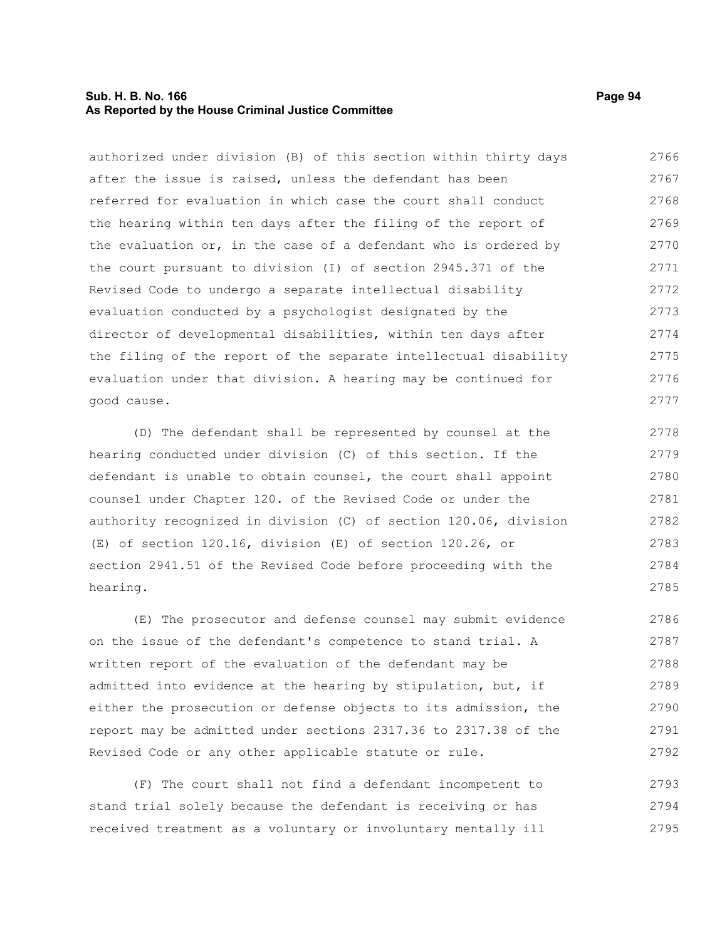# **Sub. H. B. No. 166 Page 94 As Reported by the House Criminal Justice Committee**

authorized under division (B) of this section within thirty days after the issue is raised, unless the defendant has been referred for evaluation in which case the court shall conduct the hearing within ten days after the filing of the report of the evaluation or, in the case of a defendant who is ordered by the court pursuant to division (I) of section 2945.371 of the Revised Code to undergo a separate intellectual disability evaluation conducted by a psychologist designated by the director of developmental disabilities, within ten days after the filing of the report of the separate intellectual disability evaluation under that division. A hearing may be continued for good cause. 2766 2767 2768 2769 2770 2771 2772 2773 2774 2775 2776 2777

(D) The defendant shall be represented by counsel at the hearing conducted under division (C) of this section. If the defendant is unable to obtain counsel, the court shall appoint counsel under Chapter 120. of the Revised Code or under the authority recognized in division (C) of section 120.06, division (E) of section 120.16, division (E) of section 120.26, or section 2941.51 of the Revised Code before proceeding with the hearing. 2778 2779 2780 2781 2782 2783 2784 2785

(E) The prosecutor and defense counsel may submit evidence on the issue of the defendant's competence to stand trial. A written report of the evaluation of the defendant may be admitted into evidence at the hearing by stipulation, but, if either the prosecution or defense objects to its admission, the report may be admitted under sections 2317.36 to 2317.38 of the Revised Code or any other applicable statute or rule. 2786 2787 2788 2789 2790 2791 2792

(F) The court shall not find a defendant incompetent to stand trial solely because the defendant is receiving or has received treatment as a voluntary or involuntary mentally ill 2793 2794 2795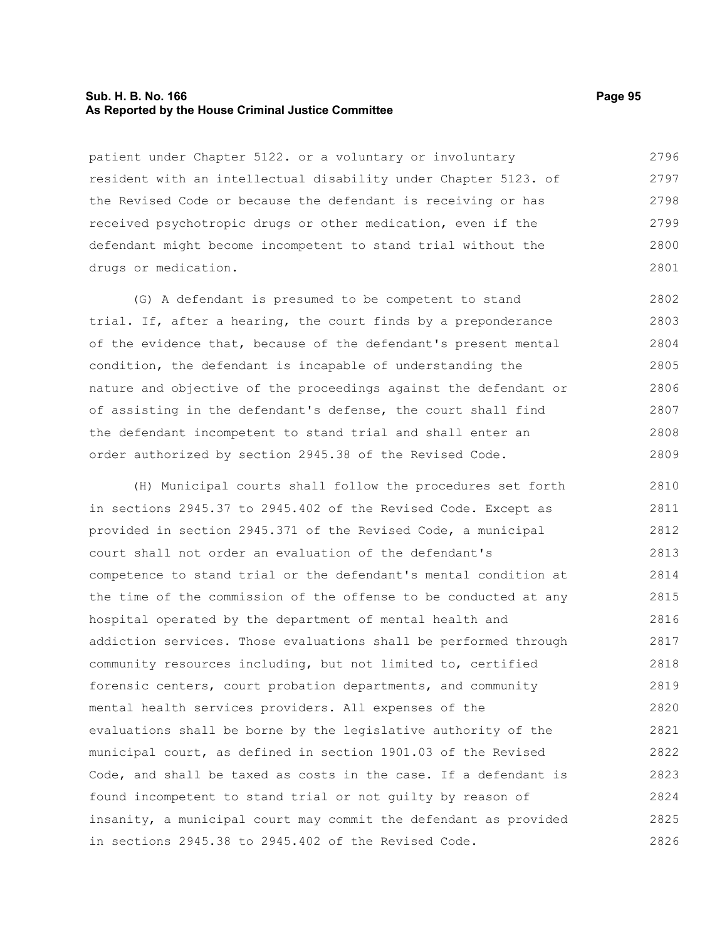#### **Sub. H. B. No. 166 Page 95 As Reported by the House Criminal Justice Committee**

patient under Chapter 5122. or a voluntary or involuntary resident with an intellectual disability under Chapter 5123. of the Revised Code or because the defendant is receiving or has received psychotropic drugs or other medication, even if the defendant might become incompetent to stand trial without the drugs or medication. 2796 2797 2798 2799 2800 2801

(G) A defendant is presumed to be competent to stand trial. If, after a hearing, the court finds by a preponderance of the evidence that, because of the defendant's present mental condition, the defendant is incapable of understanding the nature and objective of the proceedings against the defendant or of assisting in the defendant's defense, the court shall find the defendant incompetent to stand trial and shall enter an order authorized by section 2945.38 of the Revised Code. 2802 2803 2804 2805 2806 2807 2808 2809

(H) Municipal courts shall follow the procedures set forth in sections 2945.37 to 2945.402 of the Revised Code. Except as provided in section 2945.371 of the Revised Code, a municipal court shall not order an evaluation of the defendant's competence to stand trial or the defendant's mental condition at the time of the commission of the offense to be conducted at any hospital operated by the department of mental health and addiction services. Those evaluations shall be performed through community resources including, but not limited to, certified forensic centers, court probation departments, and community mental health services providers. All expenses of the evaluations shall be borne by the legislative authority of the municipal court, as defined in section 1901.03 of the Revised Code, and shall be taxed as costs in the case. If a defendant is found incompetent to stand trial or not guilty by reason of insanity, a municipal court may commit the defendant as provided in sections 2945.38 to 2945.402 of the Revised Code. 2810 2811 2812 2813 2814 2815 2816 2817 2818 2819 2820 2821 2822 2823 2824 2825 2826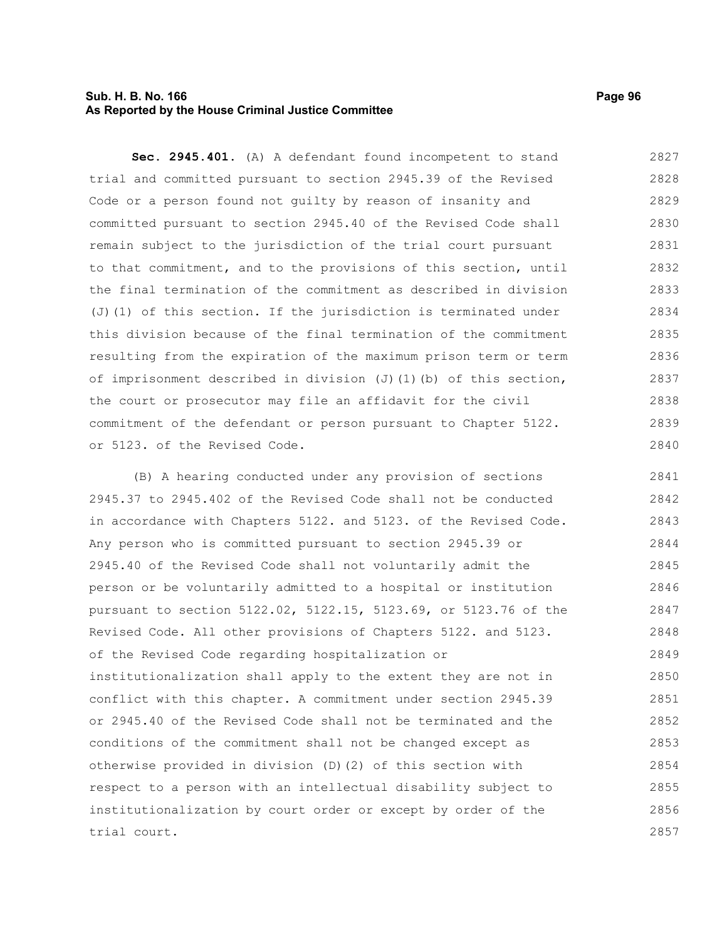# **Sub. H. B. No. 166 Page 96 As Reported by the House Criminal Justice Committee**

**Sec. 2945.401.** (A) A defendant found incompetent to stand trial and committed pursuant to section 2945.39 of the Revised Code or a person found not guilty by reason of insanity and committed pursuant to section 2945.40 of the Revised Code shall remain subject to the jurisdiction of the trial court pursuant to that commitment, and to the provisions of this section, until the final termination of the commitment as described in division (J)(1) of this section. If the jurisdiction is terminated under this division because of the final termination of the commitment resulting from the expiration of the maximum prison term or term of imprisonment described in division  $(J)$  (1)(b) of this section, the court or prosecutor may file an affidavit for the civil commitment of the defendant or person pursuant to Chapter 5122. or 5123. of the Revised Code. 2827 2828 2829 2830 2831 2832 2833 2834 2835 2836 2837 2838 2839 2840

(B) A hearing conducted under any provision of sections 2945.37 to 2945.402 of the Revised Code shall not be conducted in accordance with Chapters 5122. and 5123. of the Revised Code. Any person who is committed pursuant to section 2945.39 or 2945.40 of the Revised Code shall not voluntarily admit the person or be voluntarily admitted to a hospital or institution pursuant to section 5122.02, 5122.15, 5123.69, or 5123.76 of the Revised Code. All other provisions of Chapters 5122. and 5123. of the Revised Code regarding hospitalization or institutionalization shall apply to the extent they are not in conflict with this chapter. A commitment under section 2945.39 or 2945.40 of the Revised Code shall not be terminated and the conditions of the commitment shall not be changed except as otherwise provided in division (D)(2) of this section with respect to a person with an intellectual disability subject to institutionalization by court order or except by order of the trial court. 2841 2842 2843 2844 2845 2846 2847 2848 2849 2850 2851 2852 2853 2854 2855 2856 2857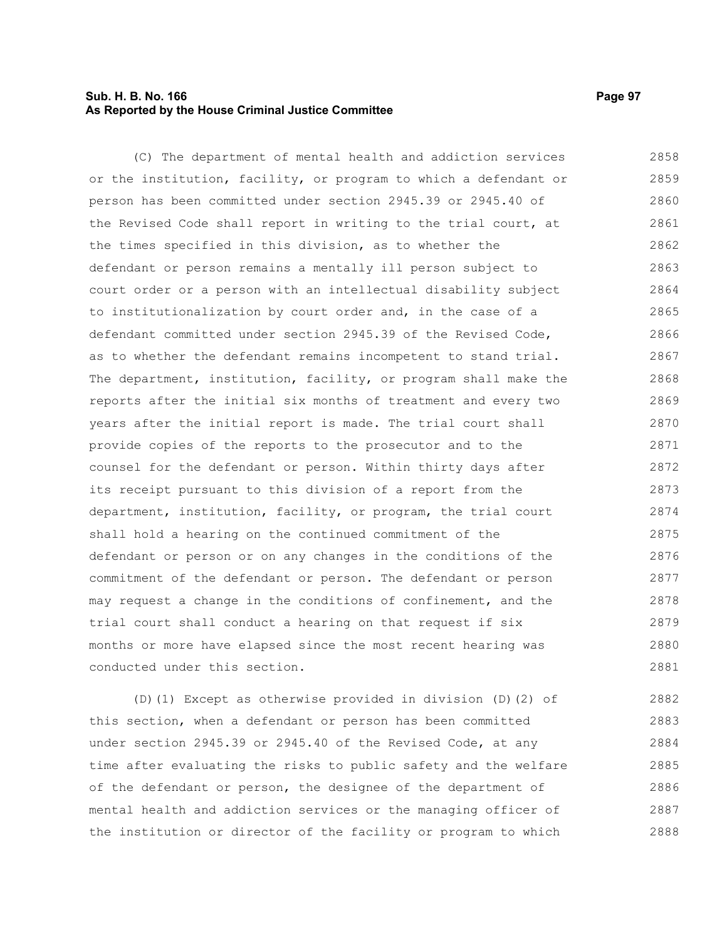# **Sub. H. B. No. 166 Page 97 As Reported by the House Criminal Justice Committee**

(C) The department of mental health and addiction services or the institution, facility, or program to which a defendant or person has been committed under section 2945.39 or 2945.40 of the Revised Code shall report in writing to the trial court, at the times specified in this division, as to whether the defendant or person remains a mentally ill person subject to court order or a person with an intellectual disability subject to institutionalization by court order and, in the case of a defendant committed under section 2945.39 of the Revised Code, as to whether the defendant remains incompetent to stand trial. The department, institution, facility, or program shall make the reports after the initial six months of treatment and every two years after the initial report is made. The trial court shall provide copies of the reports to the prosecutor and to the counsel for the defendant or person. Within thirty days after its receipt pursuant to this division of a report from the department, institution, facility, or program, the trial court shall hold a hearing on the continued commitment of the defendant or person or on any changes in the conditions of the commitment of the defendant or person. The defendant or person may request a change in the conditions of confinement, and the trial court shall conduct a hearing on that request if six months or more have elapsed since the most recent hearing was conducted under this section. 2858 2859 2860 2861 2862 2863 2864 2865 2866 2867 2868 2869 2870 2871 2872 2873 2874 2875 2876 2877 2878 2879 2880 2881

(D)(1) Except as otherwise provided in division (D)(2) of this section, when a defendant or person has been committed under section 2945.39 or 2945.40 of the Revised Code, at any time after evaluating the risks to public safety and the welfare of the defendant or person, the designee of the department of mental health and addiction services or the managing officer of the institution or director of the facility or program to which 2882 2883 2884 2885 2886 2887 2888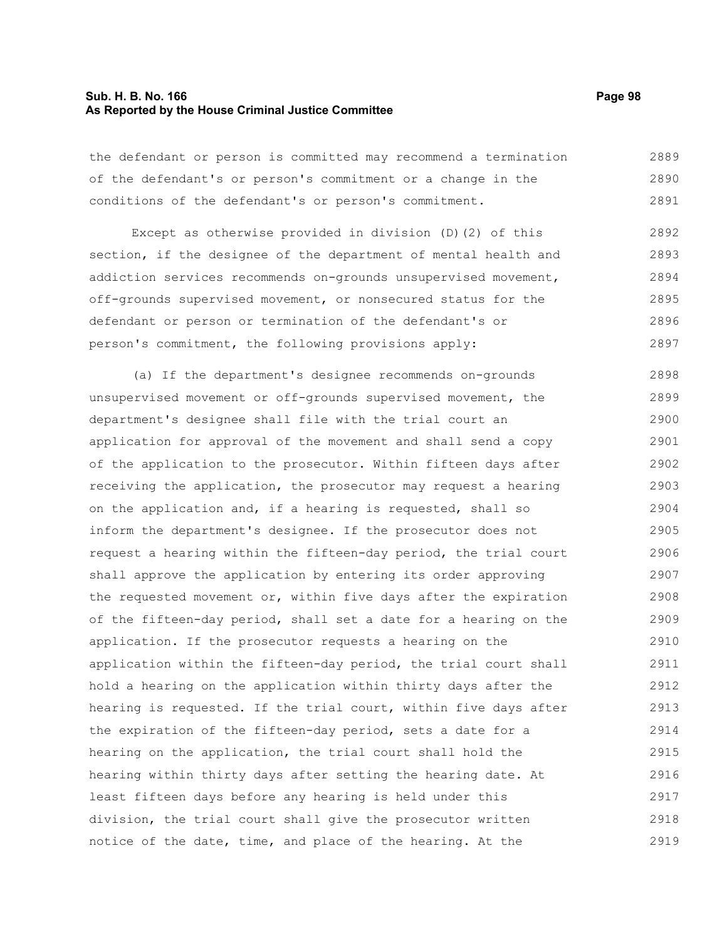#### **Sub. H. B. No. 166 Page 98 As Reported by the House Criminal Justice Committee**

the defendant or person is committed may recommend a termination of the defendant's or person's commitment or a change in the conditions of the defendant's or person's commitment. 2889 2890 2891

Except as otherwise provided in division (D)(2) of this section, if the designee of the department of mental health and addiction services recommends on-grounds unsupervised movement, off-grounds supervised movement, or nonsecured status for the defendant or person or termination of the defendant's or person's commitment, the following provisions apply: 2892 2893 2894 2895 2896 2897

(a) If the department's designee recommends on-grounds unsupervised movement or off-grounds supervised movement, the department's designee shall file with the trial court an application for approval of the movement and shall send a copy of the application to the prosecutor. Within fifteen days after receiving the application, the prosecutor may request a hearing on the application and, if a hearing is requested, shall so inform the department's designee. If the prosecutor does not request a hearing within the fifteen-day period, the trial court shall approve the application by entering its order approving the requested movement or, within five days after the expiration of the fifteen-day period, shall set a date for a hearing on the application. If the prosecutor requests a hearing on the application within the fifteen-day period, the trial court shall hold a hearing on the application within thirty days after the hearing is requested. If the trial court, within five days after the expiration of the fifteen-day period, sets a date for a hearing on the application, the trial court shall hold the hearing within thirty days after setting the hearing date. At least fifteen days before any hearing is held under this division, the trial court shall give the prosecutor written notice of the date, time, and place of the hearing. At the 2898 2899 2900 2901 2902 2903 2904 2905 2906 2907 2908 2909 2910 2911 2912 2913 2914 2915 2916 2917 2918 2919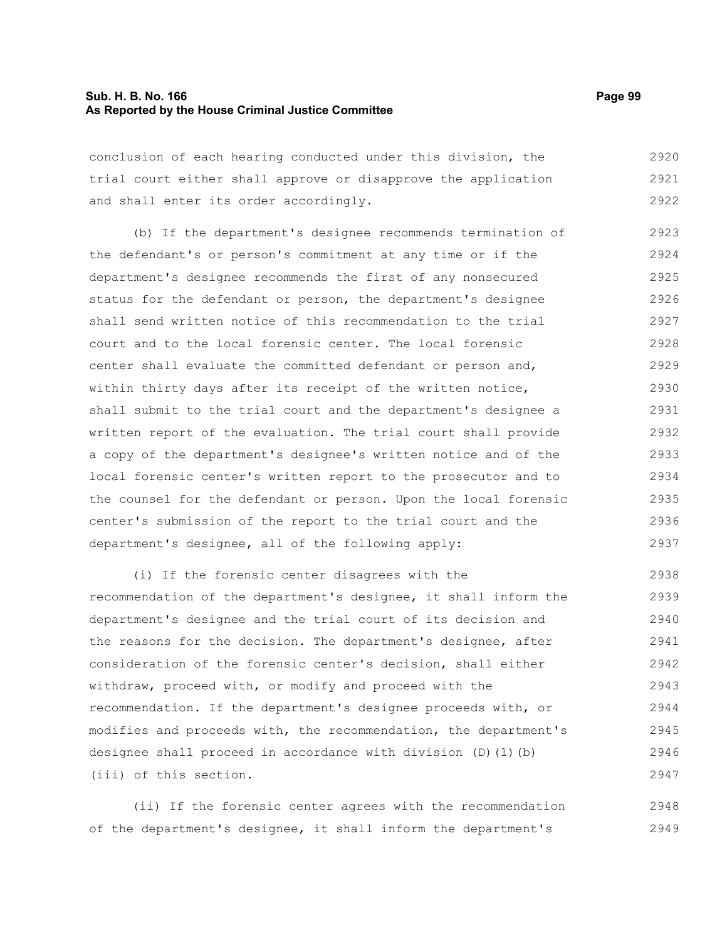# **Sub. H. B. No. 166 Page 99 As Reported by the House Criminal Justice Committee**

conclusion of each hearing conducted under this division, the trial court either shall approve or disapprove the application and shall enter its order accordingly. 2920 2921 2922

(b) If the department's designee recommends termination of the defendant's or person's commitment at any time or if the department's designee recommends the first of any nonsecured status for the defendant or person, the department's designee shall send written notice of this recommendation to the trial court and to the local forensic center. The local forensic center shall evaluate the committed defendant or person and, within thirty days after its receipt of the written notice, shall submit to the trial court and the department's designee a written report of the evaluation. The trial court shall provide a copy of the department's designee's written notice and of the local forensic center's written report to the prosecutor and to the counsel for the defendant or person. Upon the local forensic center's submission of the report to the trial court and the department's designee, all of the following apply: 2923 2924 2925 2926 2927 2928 2929 2930 2931 2932 2933 2934 2935 2936 2937

(i) If the forensic center disagrees with the recommendation of the department's designee, it shall inform the department's designee and the trial court of its decision and the reasons for the decision. The department's designee, after consideration of the forensic center's decision, shall either withdraw, proceed with, or modify and proceed with the recommendation. If the department's designee proceeds with, or modifies and proceeds with, the recommendation, the department's designee shall proceed in accordance with division (D)(1)(b) (iii) of this section. 2938 2939 2940 2941 2942 2943 2944 2945 2946 2947

(ii) If the forensic center agrees with the recommendation of the department's designee, it shall inform the department's 2948 2949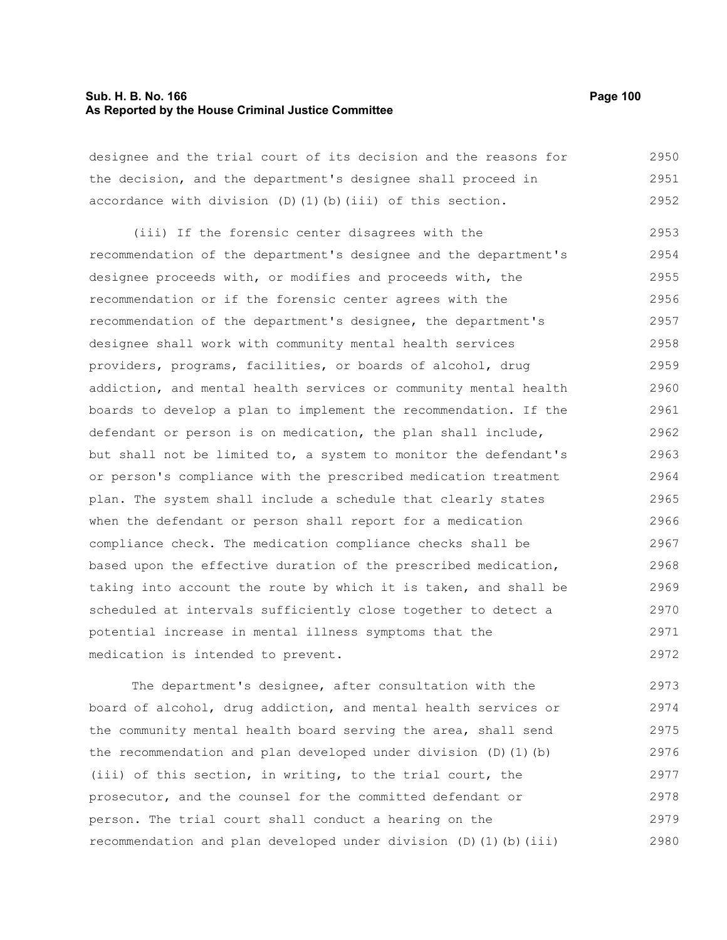#### **Sub. H. B. No. 166 Page 100 As Reported by the House Criminal Justice Committee**

designee and the trial court of its decision and the reasons for the decision, and the department's designee shall proceed in accordance with division  $(D)$   $(1)$   $(b)$   $(iii)$  of this section. 2950 2951 2952

(iii) If the forensic center disagrees with the recommendation of the department's designee and the department's designee proceeds with, or modifies and proceeds with, the recommendation or if the forensic center agrees with the recommendation of the department's designee, the department's designee shall work with community mental health services providers, programs, facilities, or boards of alcohol, drug addiction, and mental health services or community mental health boards to develop a plan to implement the recommendation. If the defendant or person is on medication, the plan shall include, but shall not be limited to, a system to monitor the defendant's or person's compliance with the prescribed medication treatment plan. The system shall include a schedule that clearly states when the defendant or person shall report for a medication compliance check. The medication compliance checks shall be based upon the effective duration of the prescribed medication, taking into account the route by which it is taken, and shall be scheduled at intervals sufficiently close together to detect a potential increase in mental illness symptoms that the medication is intended to prevent. 2953 2954 2955 2956 2957 2958 2959 2960 2961 2962 2963 2964 2965 2966 2967 2968 2969 2970 2971 2972

The department's designee, after consultation with the board of alcohol, drug addiction, and mental health services or the community mental health board serving the area, shall send the recommendation and plan developed under division (D)(1)(b) (iii) of this section, in writing, to the trial court, the prosecutor, and the counsel for the committed defendant or person. The trial court shall conduct a hearing on the recommendation and plan developed under division (D)(1)(b)(iii) 2973 2974 2975 2976 2977 2978 2979 2980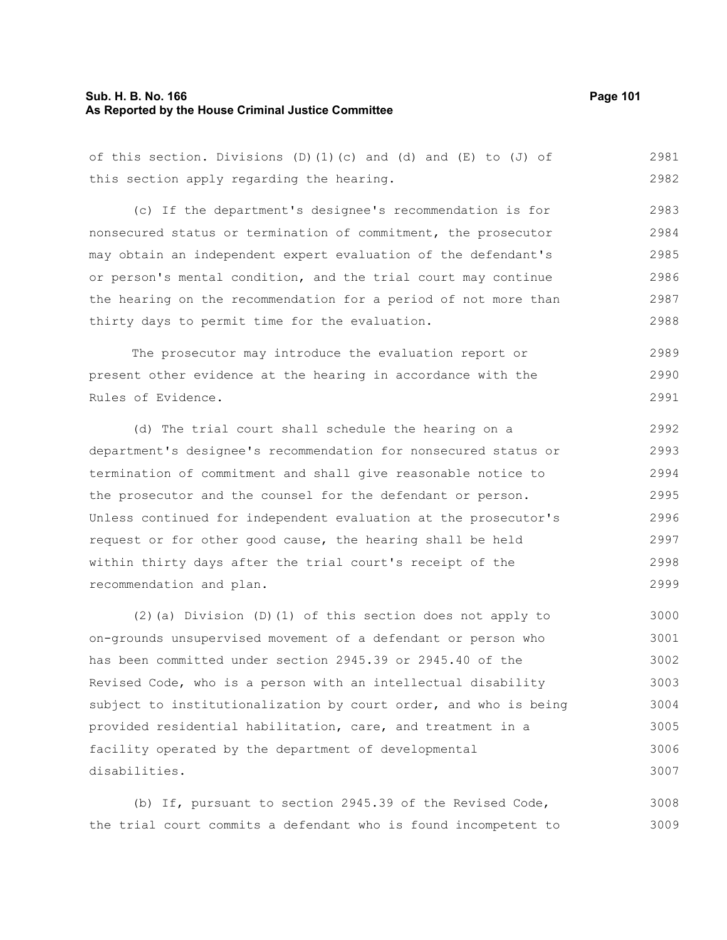# **Sub. H. B. No. 166** Page 101 **As Reported by the House Criminal Justice Committee**

| of this section. Divisions (D)(1)(c) and (d) and (E) to (J) of   | 2981 |
|------------------------------------------------------------------|------|
| this section apply regarding the hearing.                        | 2982 |
| (c) If the department's designee's recommendation is for         | 2983 |
| nonsecured status or termination of commitment, the prosecutor   | 2984 |
| may obtain an independent expert evaluation of the defendant's   | 2985 |
| or person's mental condition, and the trial court may continue   | 2986 |
| the hearing on the recommendation for a period of not more than  | 2987 |
| thirty days to permit time for the evaluation.                   | 2988 |
| The prosecutor may introduce the evaluation report or            | 2989 |
| present other evidence at the hearing in accordance with the     | 2990 |
| Rules of Evidence.                                               | 2991 |
| (d) The trial court shall schedule the hearing on a              | 2992 |
| department's designee's recommendation for nonsecured status or  | 2993 |
| termination of commitment and shall give reasonable notice to    | 2994 |
| the prosecutor and the counsel for the defendant or person.      | 2995 |
| Unless continued for independent evaluation at the prosecutor's  | 2996 |
| request or for other good cause, the hearing shall be held       | 2997 |
| within thirty days after the trial court's receipt of the        | 2998 |
| recommendation and plan.                                         | 2999 |
| $(2)$ (a) Division (D) $(1)$ of this section does not apply to   | 3000 |
| on-grounds unsupervised movement of a defendant or person who    | 3001 |
| has been committed under section 2945.39 or 2945.40 of the       | 3002 |
| Revised Code, who is a person with an intellectual disability    | 3003 |
| subject to institutionalization by court order, and who is being | 3004 |
| provided residential habilitation, care, and treatment in a      | 3005 |
| facility operated by the department of developmental             | 3006 |
| disabilities.                                                    | 3007 |

(b) If, pursuant to section 2945.39 of the Revised Code, the trial court commits a defendant who is found incompetent to 3008 3009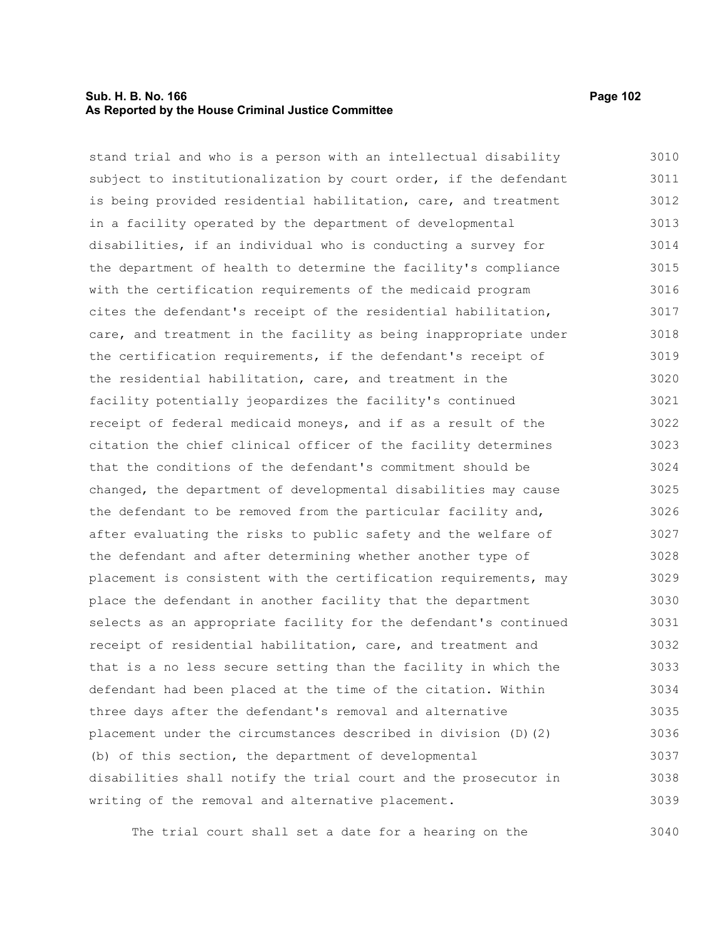# **Sub. H. B. No. 166 Page 102 As Reported by the House Criminal Justice Committee**

3040

stand trial and who is a person with an intellectual disability subject to institutionalization by court order, if the defendant is being provided residential habilitation, care, and treatment in a facility operated by the department of developmental disabilities, if an individual who is conducting a survey for the department of health to determine the facility's compliance with the certification requirements of the medicaid program cites the defendant's receipt of the residential habilitation, care, and treatment in the facility as being inappropriate under the certification requirements, if the defendant's receipt of the residential habilitation, care, and treatment in the facility potentially jeopardizes the facility's continued receipt of federal medicaid moneys, and if as a result of the citation the chief clinical officer of the facility determines that the conditions of the defendant's commitment should be changed, the department of developmental disabilities may cause the defendant to be removed from the particular facility and, after evaluating the risks to public safety and the welfare of the defendant and after determining whether another type of placement is consistent with the certification requirements, may place the defendant in another facility that the department selects as an appropriate facility for the defendant's continued receipt of residential habilitation, care, and treatment and that is a no less secure setting than the facility in which the defendant had been placed at the time of the citation. Within three days after the defendant's removal and alternative placement under the circumstances described in division (D)(2) (b) of this section, the department of developmental disabilities shall notify the trial court and the prosecutor in writing of the removal and alternative placement. 3010 3011 3012 3013 3014 3015 3016 3017 3018 3019 3020 3021 3022 3023 3024 3025 3026 3027 3028 3029 3030 3031 3032 3033 3034 3035 3036 3037 3038 3039

The trial court shall set a date for a hearing on the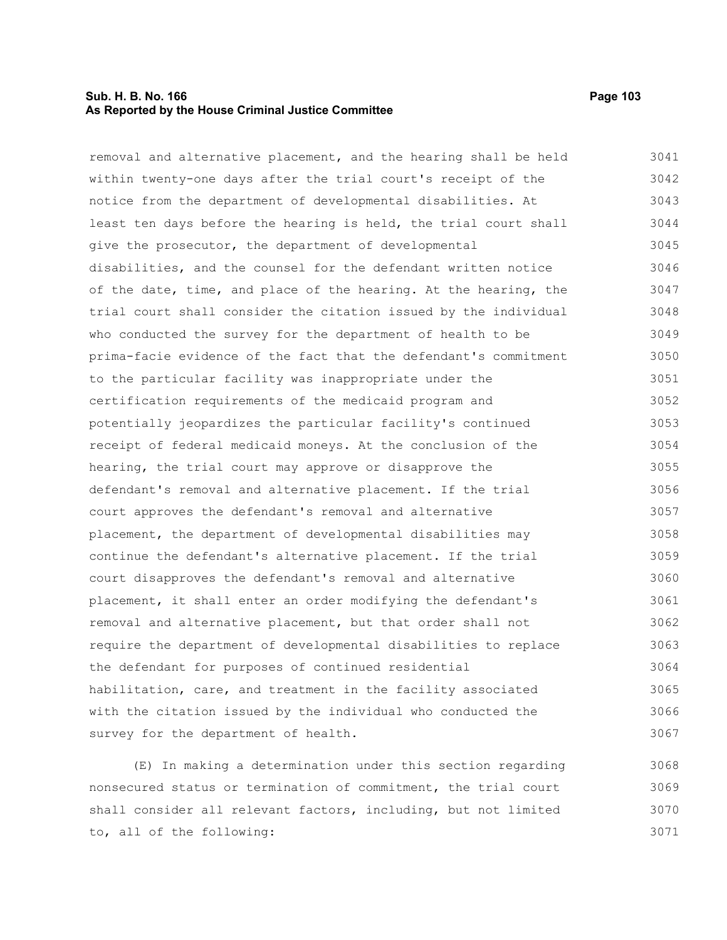# **Sub. H. B. No. 166 Page 103 As Reported by the House Criminal Justice Committee**

removal and alternative placement, and the hearing shall be held within twenty-one days after the trial court's receipt of the notice from the department of developmental disabilities. At least ten days before the hearing is held, the trial court shall give the prosecutor, the department of developmental disabilities, and the counsel for the defendant written notice of the date, time, and place of the hearing. At the hearing, the trial court shall consider the citation issued by the individual who conducted the survey for the department of health to be prima-facie evidence of the fact that the defendant's commitment to the particular facility was inappropriate under the certification requirements of the medicaid program and potentially jeopardizes the particular facility's continued receipt of federal medicaid moneys. At the conclusion of the hearing, the trial court may approve or disapprove the defendant's removal and alternative placement. If the trial court approves the defendant's removal and alternative placement, the department of developmental disabilities may continue the defendant's alternative placement. If the trial court disapproves the defendant's removal and alternative placement, it shall enter an order modifying the defendant's removal and alternative placement, but that order shall not require the department of developmental disabilities to replace the defendant for purposes of continued residential habilitation, care, and treatment in the facility associated with the citation issued by the individual who conducted the survey for the department of health. 3041 3042 3043 3044 3045 3046 3047 3048 3049 3050 3051 3052 3053 3054 3055 3056 3057 3058 3059 3060 3061 3062 3063 3064 3065 3066 3067

(E) In making a determination under this section regarding nonsecured status or termination of commitment, the trial court shall consider all relevant factors, including, but not limited to, all of the following: 3068 3069 3070 3071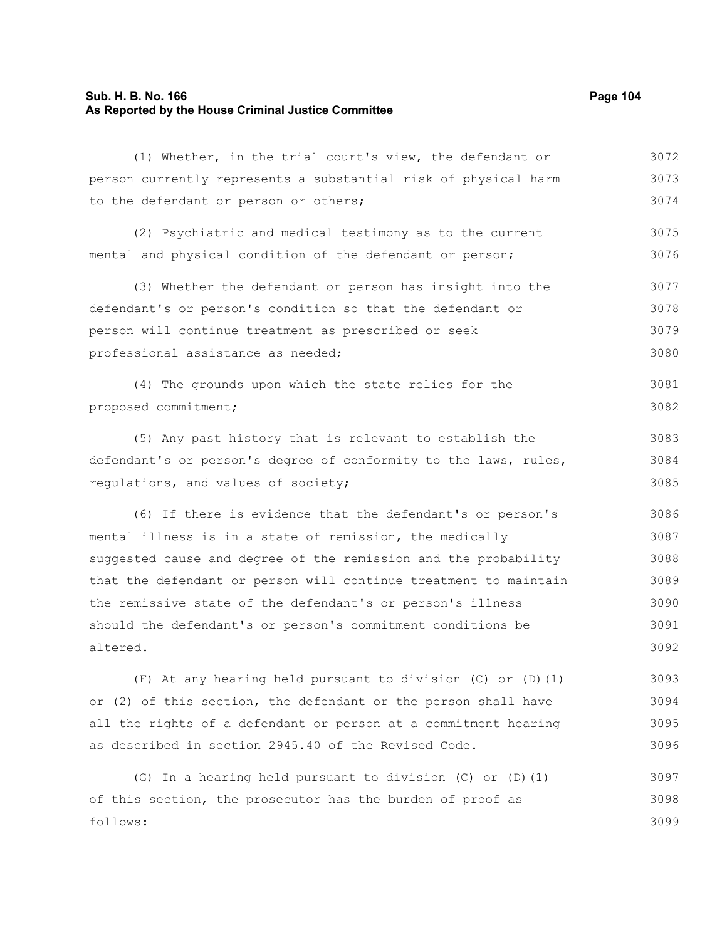# **Sub. H. B. No. 166 Page 104** Page 104 **As Reported by the House Criminal Justice Committee**

(1) Whether, in the trial court's view, the defendant or person currently represents a substantial risk of physical harm to the defendant or person or others; 3072 3073 3074

(2) Psychiatric and medical testimony as to the current mental and physical condition of the defendant or person; 3075 3076

(3) Whether the defendant or person has insight into the defendant's or person's condition so that the defendant or person will continue treatment as prescribed or seek professional assistance as needed; 3077 3078 3079 3080

(4) The grounds upon which the state relies for the proposed commitment; 3081 3082

(5) Any past history that is relevant to establish the defendant's or person's degree of conformity to the laws, rules, regulations, and values of society; 3083 3084 3085

(6) If there is evidence that the defendant's or person's mental illness is in a state of remission, the medically suggested cause and degree of the remission and the probability that the defendant or person will continue treatment to maintain the remissive state of the defendant's or person's illness should the defendant's or person's commitment conditions be altered. 3086 3087 3088 3089 3090 3091 3092

(F) At any hearing held pursuant to division (C) or (D)(1) or (2) of this section, the defendant or the person shall have all the rights of a defendant or person at a commitment hearing as described in section 2945.40 of the Revised Code. 3093 3094 3095 3096

(G) In a hearing held pursuant to division (C) or (D)(1) of this section, the prosecutor has the burden of proof as follows: 3097 3098 3099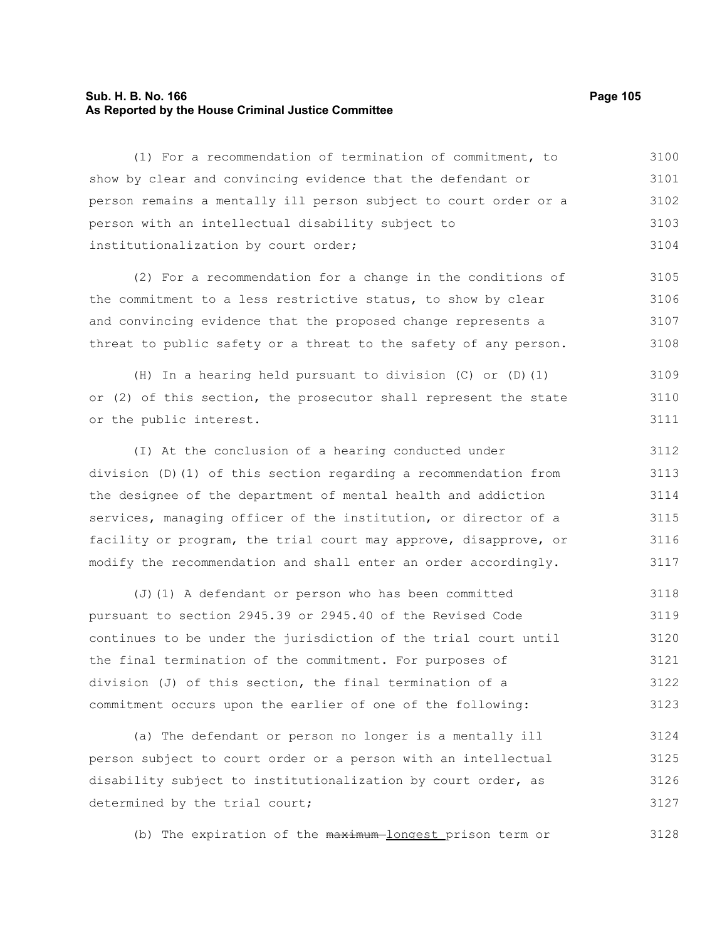#### **Sub. H. B. No. 166 Page 105** Page 105 **As Reported by the House Criminal Justice Committee**

(1) For a recommendation of termination of commitment, to show by clear and convincing evidence that the defendant or person remains a mentally ill person subject to court order or a person with an intellectual disability subject to institutionalization by court order; 3100 3101 3102 3103 3104

(2) For a recommendation for a change in the conditions of the commitment to a less restrictive status, to show by clear and convincing evidence that the proposed change represents a threat to public safety or a threat to the safety of any person. 3105 3106 3107 3108

(H) In a hearing held pursuant to division (C) or (D)(1) or (2) of this section, the prosecutor shall represent the state or the public interest. 3109 3110 3111

(I) At the conclusion of a hearing conducted under division (D)(1) of this section regarding a recommendation from the designee of the department of mental health and addiction services, managing officer of the institution, or director of a facility or program, the trial court may approve, disapprove, or modify the recommendation and shall enter an order accordingly. 3112 3113 3114 3115 3116 3117

(J)(1) A defendant or person who has been committed pursuant to section 2945.39 or 2945.40 of the Revised Code continues to be under the jurisdiction of the trial court until the final termination of the commitment. For purposes of division (J) of this section, the final termination of a commitment occurs upon the earlier of one of the following: 3118 3119 3120 3121 3122 3123

(a) The defendant or person no longer is a mentally ill person subject to court order or a person with an intellectual disability subject to institutionalization by court order, as determined by the trial court; 3124 3125 3126 3127

(b) The expiration of the maximum-longest prison term or 3128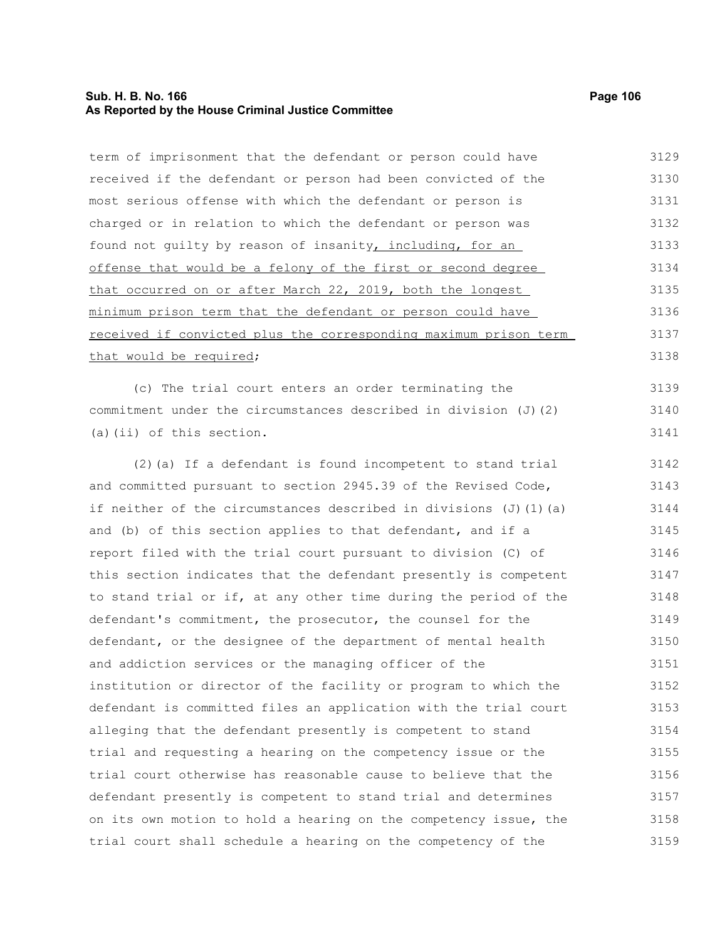# **Sub. H. B. No. 166 Page 106** Page 106 **As Reported by the House Criminal Justice Committee**

term of imprisonment that the defendant or person could have received if the defendant or person had been convicted of the most serious offense with which the defendant or person is charged or in relation to which the defendant or person was found not guilty by reason of insanity, including, for an offense that would be a felony of the first or second degree that occurred on or after March 22, 2019, both the longest minimum prison term that the defendant or person could have received if convicted plus the corresponding maximum prison term that would be required; (c) The trial court enters an order terminating the commitment under the circumstances described in division (J)(2) (a)(ii) of this section. (2)(a) If a defendant is found incompetent to stand trial and committed pursuant to section 2945.39 of the Revised Code, if neither of the circumstances described in divisions  $(J)$  (1)(a) and (b) of this section applies to that defendant, and if a report filed with the trial court pursuant to division (C) of this section indicates that the defendant presently is competent to stand trial or if, at any other time during the period of the defendant's commitment, the prosecutor, the counsel for the defendant, or the designee of the department of mental health and addiction services or the managing officer of the institution or director of the facility or program to which the defendant is committed files an application with the trial court alleging that the defendant presently is competent to stand trial and requesting a hearing on the competency issue or the trial court otherwise has reasonable cause to believe that the defendant presently is competent to stand trial and determines on its own motion to hold a hearing on the competency issue, the trial court shall schedule a hearing on the competency of the 3129 3130 3131 3132 3133 3134 3135 3136 3137 3138 3139 3140 3141 3142 3143 3144 3145 3146 3147 3148 3149 3150 3151 3152 3153 3154 3155 3156 3157 3158 3159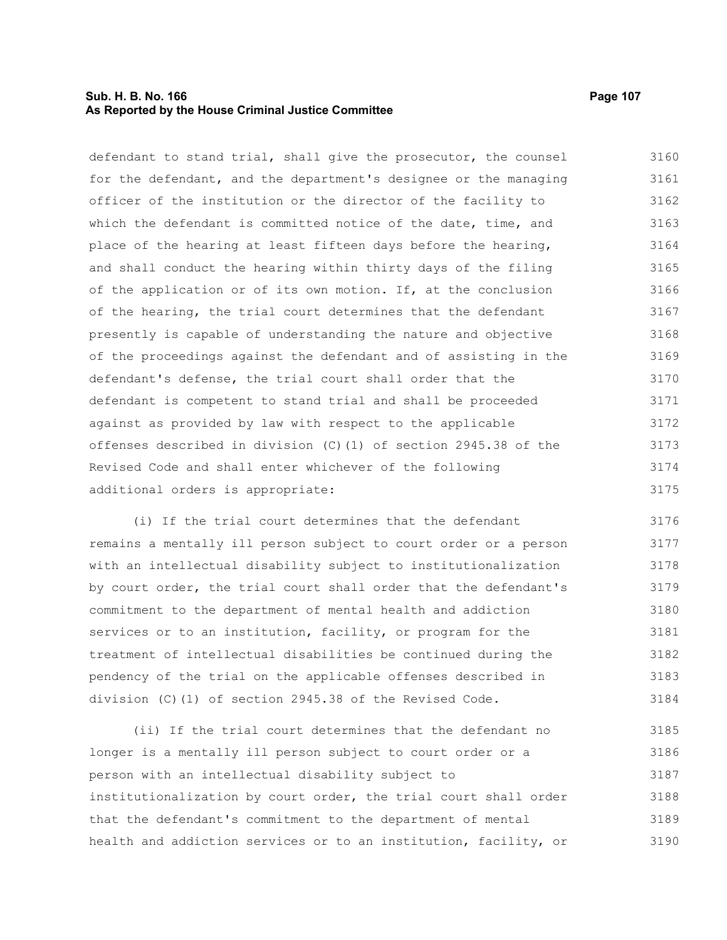# **Sub. H. B. No. 166 Page 107** Page 107 **As Reported by the House Criminal Justice Committee**

defendant to stand trial, shall give the prosecutor, the counsel for the defendant, and the department's designee or the managing officer of the institution or the director of the facility to which the defendant is committed notice of the date, time, and place of the hearing at least fifteen days before the hearing, and shall conduct the hearing within thirty days of the filing of the application or of its own motion. If, at the conclusion of the hearing, the trial court determines that the defendant presently is capable of understanding the nature and objective of the proceedings against the defendant and of assisting in the defendant's defense, the trial court shall order that the defendant is competent to stand trial and shall be proceeded against as provided by law with respect to the applicable offenses described in division (C)(1) of section 2945.38 of the Revised Code and shall enter whichever of the following additional orders is appropriate: 3160 3161 3162 3163 3164 3165 3166 3167 3168 3169 3170 3171 3172 3173 3174 3175

(i) If the trial court determines that the defendant remains a mentally ill person subject to court order or a person with an intellectual disability subject to institutionalization by court order, the trial court shall order that the defendant's commitment to the department of mental health and addiction services or to an institution, facility, or program for the treatment of intellectual disabilities be continued during the pendency of the trial on the applicable offenses described in division (C)(1) of section 2945.38 of the Revised Code. 3176 3177 3178 3179 3180 3181 3182 3183 3184

(ii) If the trial court determines that the defendant no longer is a mentally ill person subject to court order or a person with an intellectual disability subject to institutionalization by court order, the trial court shall order that the defendant's commitment to the department of mental health and addiction services or to an institution, facility, or 3185 3186 3187 3188 3189 3190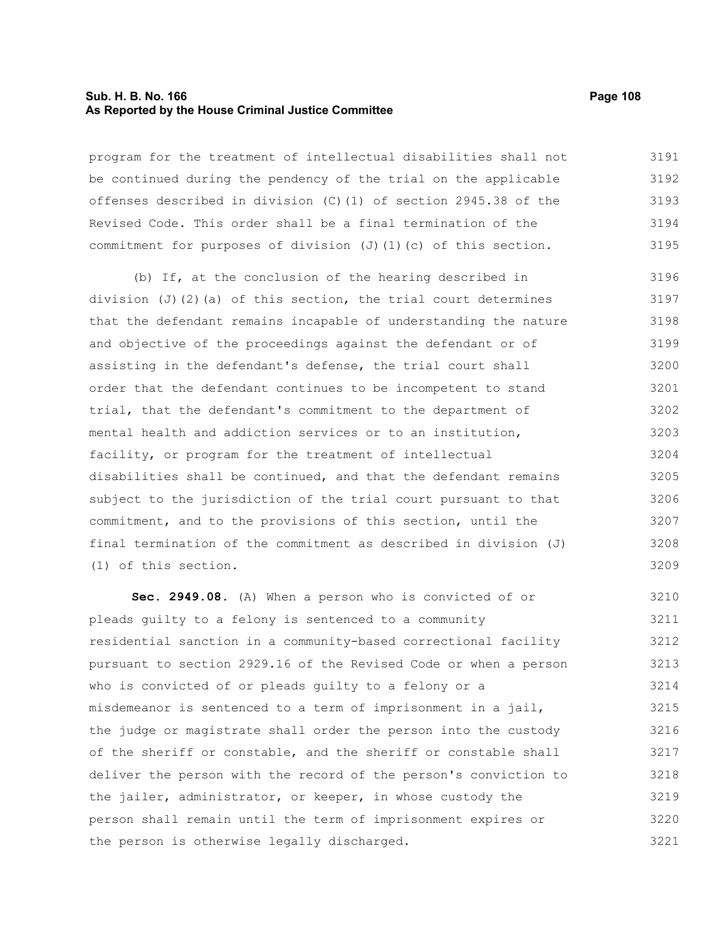#### **Sub. H. B. No. 166 Page 108 As Reported by the House Criminal Justice Committee**

program for the treatment of intellectual disabilities shall not be continued during the pendency of the trial on the applicable offenses described in division (C)(1) of section 2945.38 of the Revised Code. This order shall be a final termination of the commitment for purposes of division (J)(1)(c) of this section. 3191 3192 3193 3194 3195

(b) If, at the conclusion of the hearing described in division (J)(2)(a) of this section, the trial court determines that the defendant remains incapable of understanding the nature and objective of the proceedings against the defendant or of assisting in the defendant's defense, the trial court shall order that the defendant continues to be incompetent to stand trial, that the defendant's commitment to the department of mental health and addiction services or to an institution, facility, or program for the treatment of intellectual disabilities shall be continued, and that the defendant remains subject to the jurisdiction of the trial court pursuant to that commitment, and to the provisions of this section, until the final termination of the commitment as described in division (J) (1) of this section. 3196 3197 3198 3199 3200 3201 3202 3203 3204 3205 3206 3207 3208 3209

**Sec. 2949.08.** (A) When a person who is convicted of or pleads guilty to a felony is sentenced to a community residential sanction in a community-based correctional facility pursuant to section 2929.16 of the Revised Code or when a person who is convicted of or pleads guilty to a felony or a misdemeanor is sentenced to a term of imprisonment in a jail, the judge or magistrate shall order the person into the custody of the sheriff or constable, and the sheriff or constable shall deliver the person with the record of the person's conviction to the jailer, administrator, or keeper, in whose custody the person shall remain until the term of imprisonment expires or the person is otherwise legally discharged. 3210 3211 3212 3213 3214 3215 3216 3217 3218 3219 3220 3221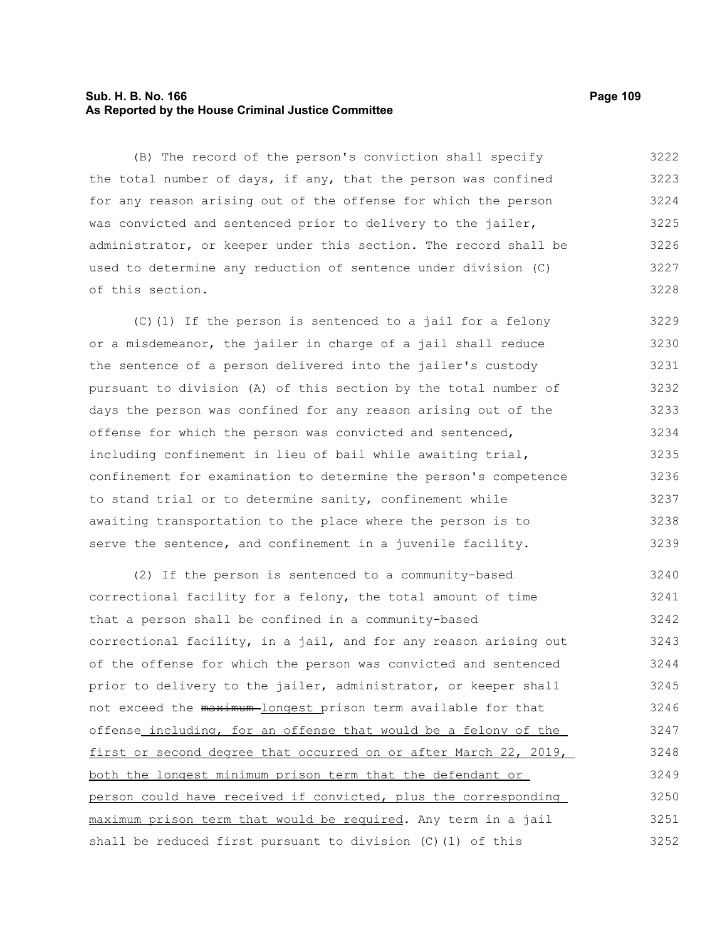# **Sub. H. B. No. 166 Page 109 As Reported by the House Criminal Justice Committee**

(B) The record of the person's conviction shall specify the total number of days, if any, that the person was confined for any reason arising out of the offense for which the person was convicted and sentenced prior to delivery to the jailer, administrator, or keeper under this section. The record shall be used to determine any reduction of sentence under division (C) of this section. 3222 3223 3224 3225 3226 3227 3228

(C)(1) If the person is sentenced to a jail for a felony or a misdemeanor, the jailer in charge of a jail shall reduce the sentence of a person delivered into the jailer's custody pursuant to division (A) of this section by the total number of days the person was confined for any reason arising out of the offense for which the person was convicted and sentenced, including confinement in lieu of bail while awaiting trial, confinement for examination to determine the person's competence to stand trial or to determine sanity, confinement while awaiting transportation to the place where the person is to serve the sentence, and confinement in a juvenile facility. 3229 3230 3231 3232 3233 3234 3235 3236 3237 3238 3239

(2) If the person is sentenced to a community-based correctional facility for a felony, the total amount of time that a person shall be confined in a community-based correctional facility, in a jail, and for any reason arising out of the offense for which the person was convicted and sentenced prior to delivery to the jailer, administrator, or keeper shall not exceed the maximum-longest prison term available for that offense including, for an offense that would be a felony of the first or second degree that occurred on or after March 22, 2019, both the longest minimum prison term that the defendant or person could have received if convicted, plus the corresponding maximum prison term that would be required. Any term in a jail shall be reduced first pursuant to division (C)(1) of this 3240 3241 3242 3243 3244 3245 3246 3247 3248 3249 3250 3251 3252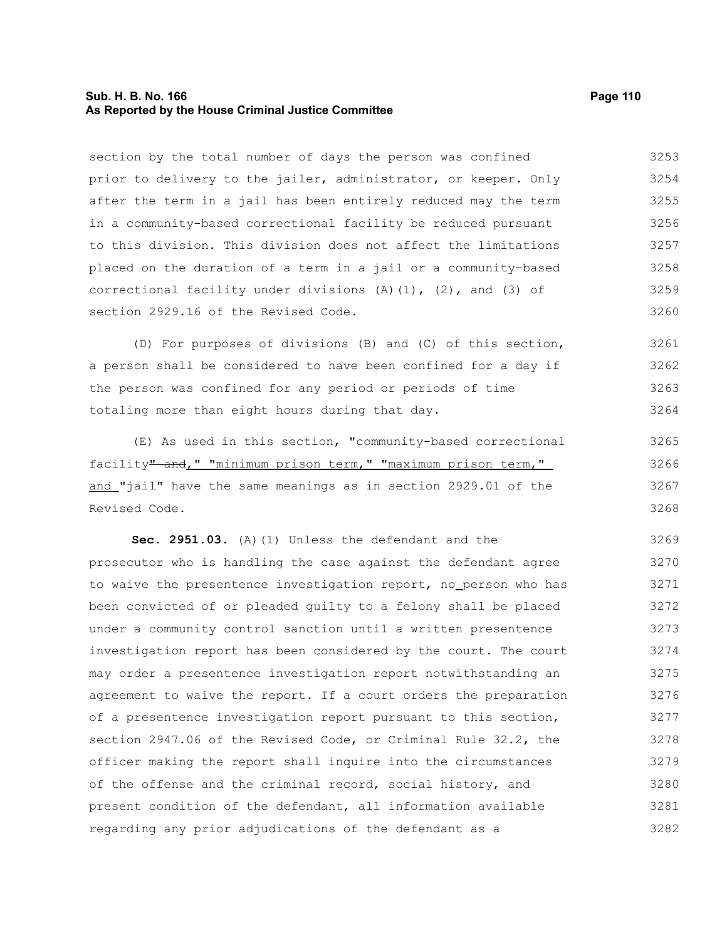### **Sub. H. B. No. 166 Page 110 As Reported by the House Criminal Justice Committee**

section by the total number of days the person was confined prior to delivery to the jailer, administrator, or keeper. Only after the term in a jail has been entirely reduced may the term in a community-based correctional facility be reduced pursuant to this division. This division does not affect the limitations placed on the duration of a term in a jail or a community-based correctional facility under divisions  $(A)$   $(1)$ ,  $(2)$ , and  $(3)$  of section 2929.16 of the Revised Code. 3253 3254 3255 3256 3257 3258 3259 3260

(D) For purposes of divisions (B) and (C) of this section, a person shall be considered to have been confined for a day if the person was confined for any period or periods of time totaling more than eight hours during that day. 3261 3262 3263 3264

(E) As used in this section, "community-based correctional facility" and," "minimum prison term," "maximum prison term," and "jail" have the same meanings as in section 2929.01 of the Revised Code.

**Sec. 2951.03.** (A)(1) Unless the defendant and the prosecutor who is handling the case against the defendant agree to waive the presentence investigation report, no person who has been convicted of or pleaded guilty to a felony shall be placed under a community control sanction until a written presentence investigation report has been considered by the court. The court may order a presentence investigation report notwithstanding an agreement to waive the report. If a court orders the preparation of a presentence investigation report pursuant to this section, section 2947.06 of the Revised Code, or Criminal Rule 32.2, the officer making the report shall inquire into the circumstances of the offense and the criminal record, social history, and present condition of the defendant, all information available regarding any prior adjudications of the defendant as a 3269 3270 3271 3272 3273 3274 3275 3276 3277 3278 3279 3280 3281 3282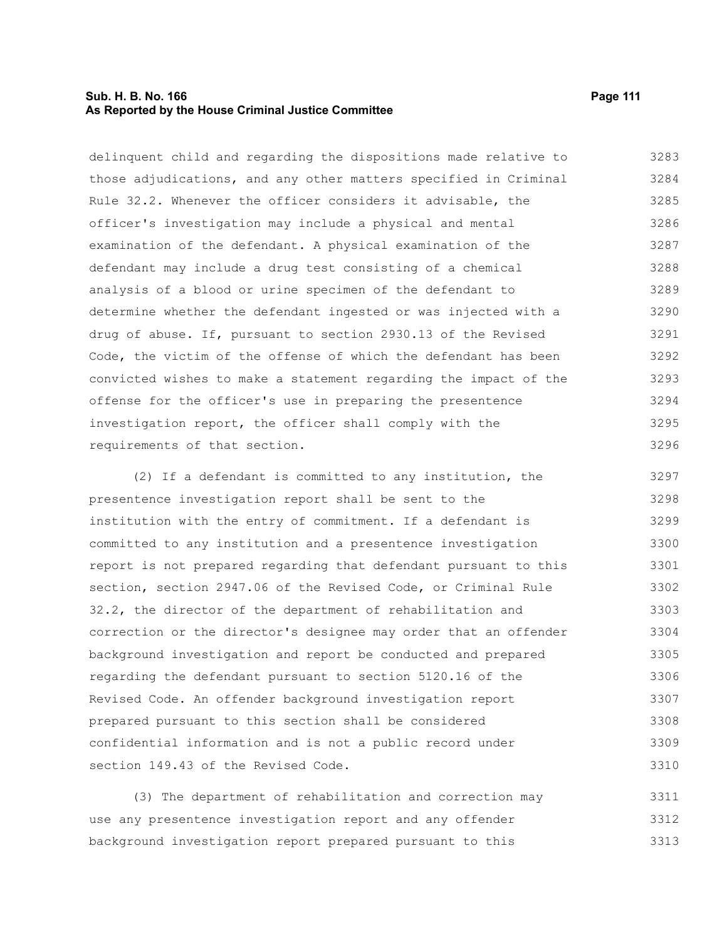# **Sub. H. B. No. 166 Page 111 As Reported by the House Criminal Justice Committee**

delinquent child and regarding the dispositions made relative to those adjudications, and any other matters specified in Criminal Rule 32.2. Whenever the officer considers it advisable, the officer's investigation may include a physical and mental examination of the defendant. A physical examination of the defendant may include a drug test consisting of a chemical analysis of a blood or urine specimen of the defendant to determine whether the defendant ingested or was injected with a drug of abuse. If, pursuant to section 2930.13 of the Revised Code, the victim of the offense of which the defendant has been convicted wishes to make a statement regarding the impact of the offense for the officer's use in preparing the presentence investigation report, the officer shall comply with the requirements of that section. 3283 3284 3285 3286 3287 3288 3289 3290 3291 3292 3293 3294 3295 3296

(2) If a defendant is committed to any institution, the presentence investigation report shall be sent to the institution with the entry of commitment. If a defendant is committed to any institution and a presentence investigation report is not prepared regarding that defendant pursuant to this section, section 2947.06 of the Revised Code, or Criminal Rule 32.2, the director of the department of rehabilitation and correction or the director's designee may order that an offender background investigation and report be conducted and prepared regarding the defendant pursuant to section 5120.16 of the Revised Code. An offender background investigation report prepared pursuant to this section shall be considered confidential information and is not a public record under section 149.43 of the Revised Code. 3297 3298 3299 3300 3301 3302 3303 3304 3305 3306 3307 3308 3309 3310

(3) The department of rehabilitation and correction may use any presentence investigation report and any offender background investigation report prepared pursuant to this 3311 3312 3313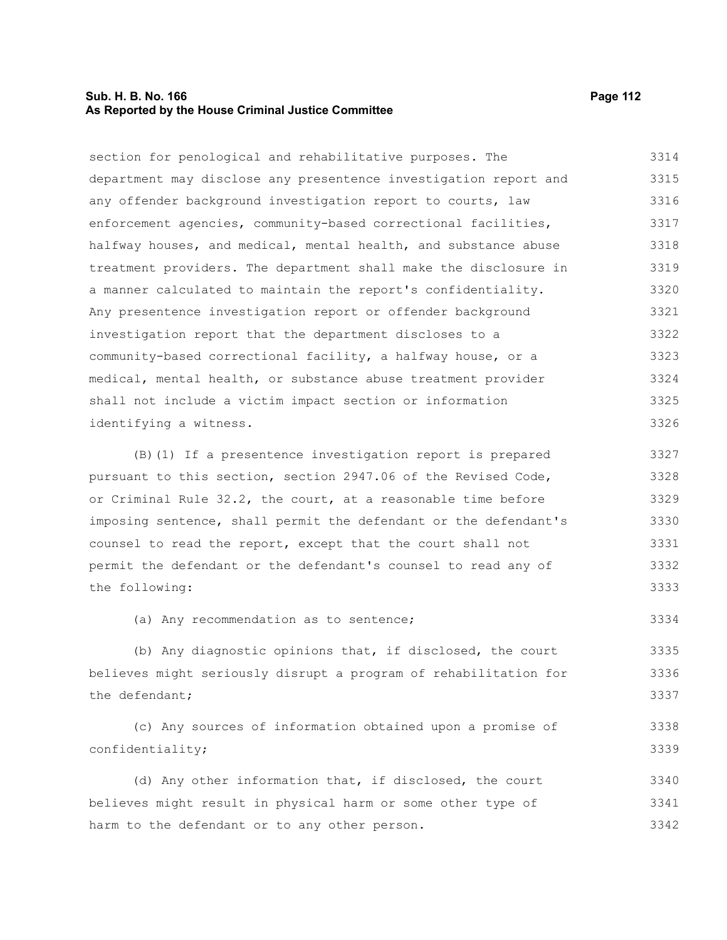# **Sub. H. B. No. 166 Page 112 As Reported by the House Criminal Justice Committee**

section for penological and rehabilitative purposes. The department may disclose any presentence investigation report and any offender background investigation report to courts, law enforcement agencies, community-based correctional facilities, halfway houses, and medical, mental health, and substance abuse treatment providers. The department shall make the disclosure in a manner calculated to maintain the report's confidentiality. Any presentence investigation report or offender background investigation report that the department discloses to a community-based correctional facility, a halfway house, or a medical, mental health, or substance abuse treatment provider shall not include a victim impact section or information identifying a witness. 3314 3315 3316 3317 3318 3319 3320 3321 3322 3323 3324 3325 3326

(B)(1) If a presentence investigation report is prepared pursuant to this section, section 2947.06 of the Revised Code, or Criminal Rule 32.2, the court, at a reasonable time before imposing sentence, shall permit the defendant or the defendant's counsel to read the report, except that the court shall not permit the defendant or the defendant's counsel to read any of the following: 3327 3328 3329 3330 3331 3332 3333

(a) Any recommendation as to sentence;

(b) Any diagnostic opinions that, if disclosed, the court believes might seriously disrupt a program of rehabilitation for the defendant; 3335 3336 3337

```
(c) Any sources of information obtained upon a promise of
confidentiality;
                                                                            3338
                                                                            3339
```
(d) Any other information that, if disclosed, the court believes might result in physical harm or some other type of harm to the defendant or to any other person. 3340 3341 3342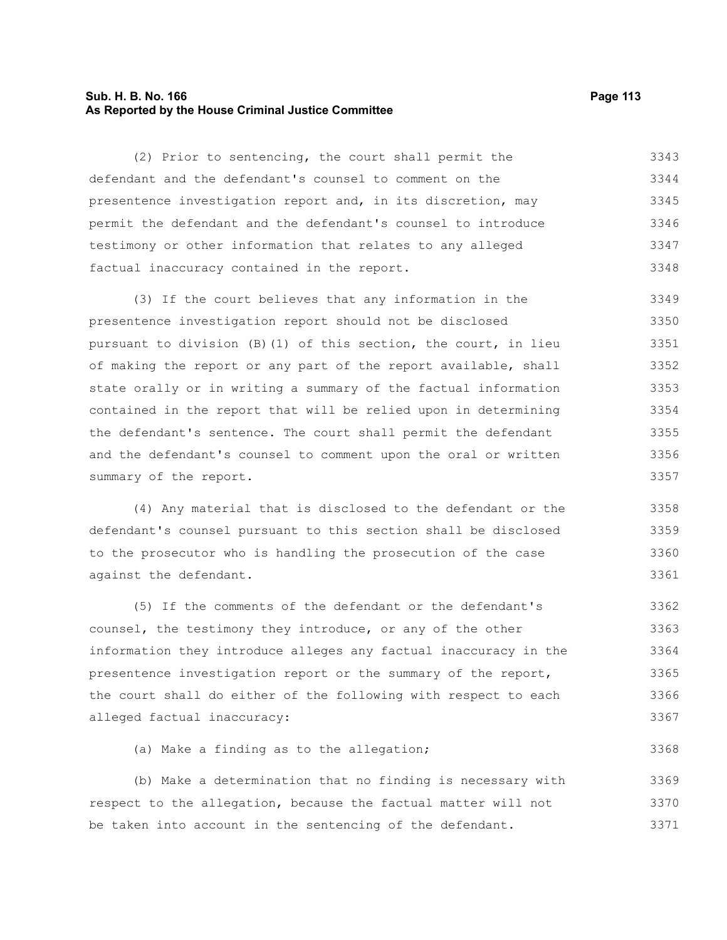# **Sub. H. B. No. 166 Page 113 As Reported by the House Criminal Justice Committee**

(2) Prior to sentencing, the court shall permit the defendant and the defendant's counsel to comment on the presentence investigation report and, in its discretion, may permit the defendant and the defendant's counsel to introduce testimony or other information that relates to any alleged factual inaccuracy contained in the report. 3343 3344 3345 3346 3347 3348

(3) If the court believes that any information in the presentence investigation report should not be disclosed pursuant to division (B)(1) of this section, the court, in lieu of making the report or any part of the report available, shall state orally or in writing a summary of the factual information contained in the report that will be relied upon in determining the defendant's sentence. The court shall permit the defendant and the defendant's counsel to comment upon the oral or written summary of the report. 3349 3350 3351 3352 3353 3354 3355 3356 3357

(4) Any material that is disclosed to the defendant or the defendant's counsel pursuant to this section shall be disclosed to the prosecutor who is handling the prosecution of the case against the defendant. 3358 3359 3360 3361

(5) If the comments of the defendant or the defendant's counsel, the testimony they introduce, or any of the other information they introduce alleges any factual inaccuracy in the presentence investigation report or the summary of the report, the court shall do either of the following with respect to each alleged factual inaccuracy: 3362 3363 3364 3365 3366 3367

(a) Make a finding as to the allegation;

(b) Make a determination that no finding is necessary with respect to the allegation, because the factual matter will not be taken into account in the sentencing of the defendant. 3369 3370 3371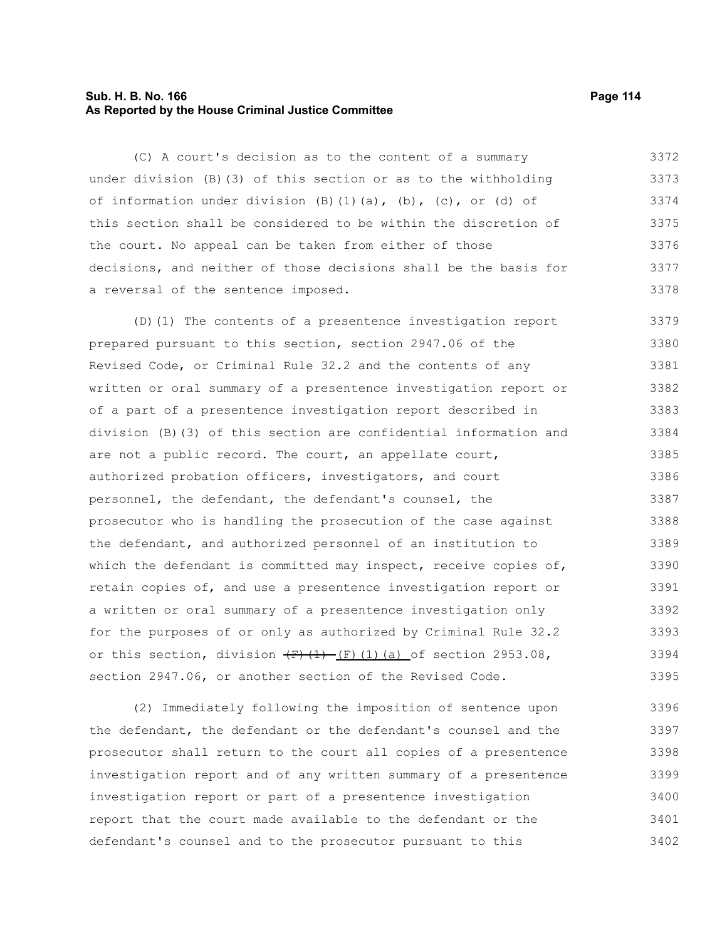# **Sub. H. B. No. 166 Page 114** Page 114 **As Reported by the House Criminal Justice Committee**

(C) A court's decision as to the content of a summary under division (B)(3) of this section or as to the withholding of information under division  $(B)$   $(1)$   $(a)$ ,  $(b)$ ,  $(c)$ , or  $(d)$  of this section shall be considered to be within the discretion of the court. No appeal can be taken from either of those decisions, and neither of those decisions shall be the basis for a reversal of the sentence imposed. 3372 3373 3374 3375 3376 3377 3378

(D)(1) The contents of a presentence investigation report prepared pursuant to this section, section 2947.06 of the Revised Code, or Criminal Rule 32.2 and the contents of any written or oral summary of a presentence investigation report or of a part of a presentence investigation report described in division (B)(3) of this section are confidential information and are not a public record. The court, an appellate court, authorized probation officers, investigators, and court personnel, the defendant, the defendant's counsel, the prosecutor who is handling the prosecution of the case against the defendant, and authorized personnel of an institution to which the defendant is committed may inspect, receive copies of, retain copies of, and use a presentence investigation report or a written or oral summary of a presentence investigation only for the purposes of or only as authorized by Criminal Rule 32.2 or this section, division  $(F)$ (1) (F)(1)(a) of section 2953.08, section 2947.06, or another section of the Revised Code. 3379 3380 3381 3382 3383 3384 3385 3386 3387 3388 3389 3390 3391 3392 3393 3394 3395

(2) Immediately following the imposition of sentence upon the defendant, the defendant or the defendant's counsel and the prosecutor shall return to the court all copies of a presentence investigation report and of any written summary of a presentence investigation report or part of a presentence investigation report that the court made available to the defendant or the defendant's counsel and to the prosecutor pursuant to this 3396 3397 3398 3399 3400 3401 3402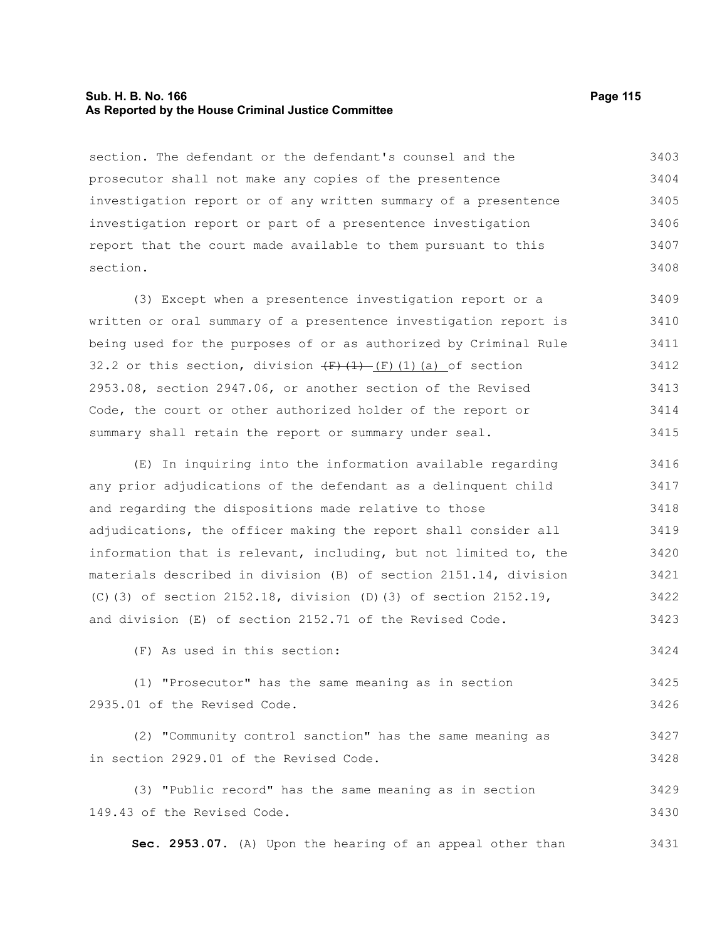#### **Sub. H. B. No. 166 Page 115 As Reported by the House Criminal Justice Committee**

section. The defendant or the defendant's counsel and the prosecutor shall not make any copies of the presentence investigation report or of any written summary of a presentence investigation report or part of a presentence investigation report that the court made available to them pursuant to this section. 3403 3404 3405 3406 3407 3408

(3) Except when a presentence investigation report or a written or oral summary of a presentence investigation report is being used for the purposes of or as authorized by Criminal Rule 32.2 or this section, division  $(F)$   $(1)$   $(F)$   $(1)$   $(a)$  of section 2953.08, section 2947.06, or another section of the Revised Code, the court or other authorized holder of the report or summary shall retain the report or summary under seal. 3409 3410 3411 3412 3413 3414 3415

(E) In inquiring into the information available regarding any prior adjudications of the defendant as a delinquent child and regarding the dispositions made relative to those adjudications, the officer making the report shall consider all information that is relevant, including, but not limited to, the materials described in division (B) of section 2151.14, division (C)(3) of section 2152.18, division (D)(3) of section 2152.19, and division (E) of section 2152.71 of the Revised Code. 3416 3417 3418 3419 3420 3421 3422 3423

(F) As used in this section:

(1) "Prosecutor" has the same meaning as in section 2935.01 of the Revised Code. 3425 3426

(2) "Community control sanction" has the same meaning as in section 2929.01 of the Revised Code. 3427 3428

(3) "Public record" has the same meaning as in section 149.43 of the Revised Code. 3429 3430

**Sec. 2953.07.** (A) Upon the hearing of an appeal other than 3431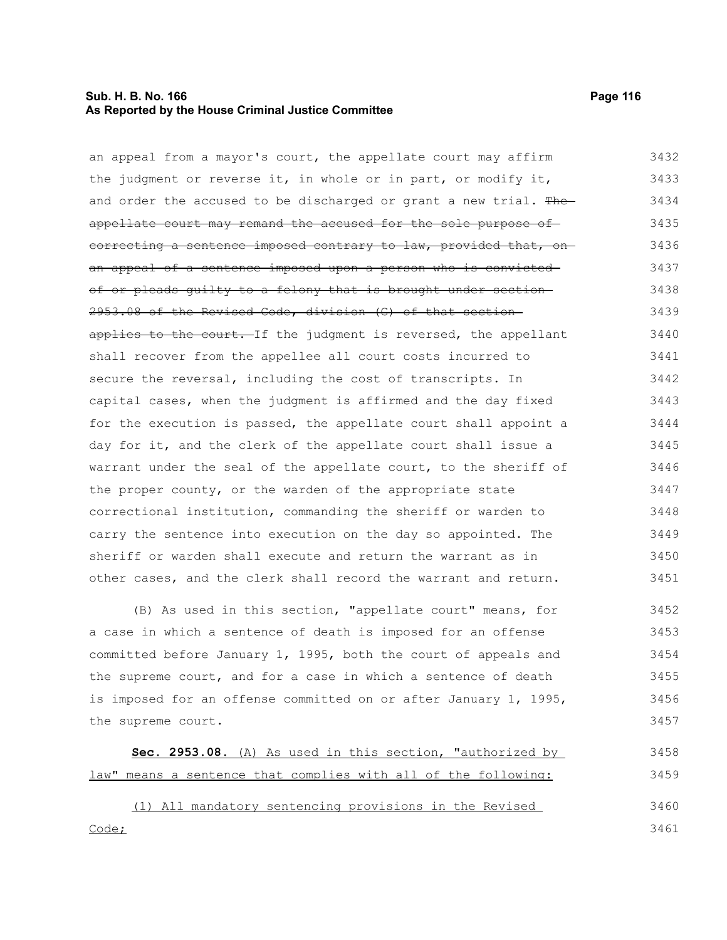# **Sub. H. B. No. 166 Page 116** Page 116 **As Reported by the House Criminal Justice Committee**

3461

an appeal from a mayor's court, the appellate court may affirm the judgment or reverse it, in whole or in part, or modify it, and order the accused to be discharged or grant a new trial. Theappellate court may remand the accused for the sole purpose of correcting a sentence imposed contrary to law, provided that, on an appeal of a sentence imposed upon a person who is convicted of or pleads quilty to a felony that is brought under section 2953.08 of the Revised Code, division (G) of that section applies to the court. If the judgment is reversed, the appellant shall recover from the appellee all court costs incurred to secure the reversal, including the cost of transcripts. In capital cases, when the judgment is affirmed and the day fixed for the execution is passed, the appellate court shall appoint a day for it, and the clerk of the appellate court shall issue a warrant under the seal of the appellate court, to the sheriff of the proper county, or the warden of the appropriate state correctional institution, commanding the sheriff or warden to carry the sentence into execution on the day so appointed. The sheriff or warden shall execute and return the warrant as in other cases, and the clerk shall record the warrant and return. 3432 3433 3434 3435 3436 3437 3438 3439 3440 3441 3442 3443 3444 3445 3446 3447 3448 3449 3450 3451

(B) As used in this section, "appellate court" means, for a case in which a sentence of death is imposed for an offense committed before January 1, 1995, both the court of appeals and the supreme court, and for a case in which a sentence of death is imposed for an offense committed on or after January 1, 1995, the supreme court. 3452 3453 3454 3455 3456 3457

|  |  |  |  |  | Sec. 2953.08. (A) As used in this section, "authorized by      |  | 3458 |
|--|--|--|--|--|----------------------------------------------------------------|--|------|
|  |  |  |  |  | law" means a sentence that complies with all of the following: |  | 3459 |
|  |  |  |  |  | (1) All mandatory sentencing provisions in the Revised         |  | 3460 |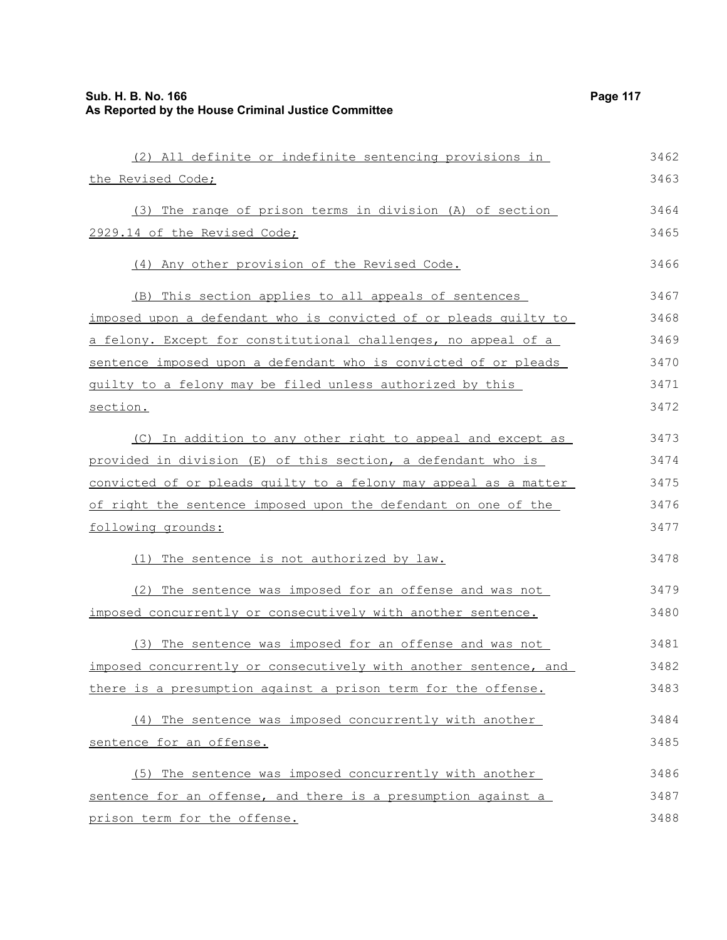| (2) All definite or indefinite sentencing provisions in          | 3462 |
|------------------------------------------------------------------|------|
| the Revised Code;                                                | 3463 |
| (3) The range of prison terms in division (A) of section         | 3464 |
| 2929.14 of the Revised Code;                                     | 3465 |
| (4) Any other provision of the Revised Code.                     | 3466 |
| (B) This section applies to all appeals of sentences             | 3467 |
| imposed upon a defendant who is convicted of or pleads quilty to | 3468 |
| a felony. Except for constitutional challenges, no appeal of a   | 3469 |
| sentence imposed upon a defendant who is convicted of or pleads  | 3470 |
| guilty to a felony may be filed unless authorized by this        | 3471 |
| section.                                                         | 3472 |
| (C) In addition to any other right to appeal and except as       | 3473 |
| provided in division (E) of this section, a defendant who is     | 3474 |
| convicted of or pleads quilty to a felony may appeal as a matter | 3475 |
| of right the sentence imposed upon the defendant on one of the   | 3476 |
| following grounds:                                               | 3477 |
| (1) The sentence is not authorized by law.                       | 3478 |
| (2) The sentence was imposed for an offense and was not          | 3479 |
| imposed concurrently or consecutively with another sentence.     | 3480 |
| (3) The sentence was imposed for an offense and was not          | 3481 |
| imposed concurrently or consecutively with another sentence, and | 3482 |
| there is a presumption against a prison term for the offense.    | 3483 |
| (4) The sentence was imposed concurrently with another           | 3484 |
| sentence for an offense.                                         | 3485 |
| (5) The sentence was imposed concurrently with another           | 3486 |
| sentence for an offense, and there is a presumption against a    | 3487 |
| prison term for the offense.                                     | 3488 |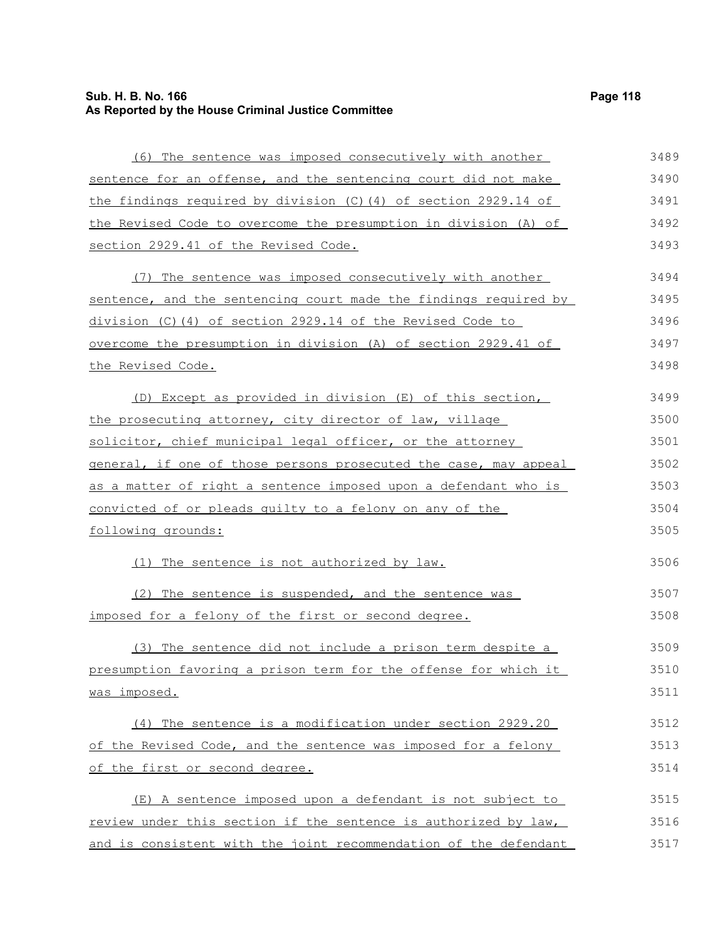# **Sub. H. B. No. 166** Page 118 **As Reported by the House Criminal Justice Committee**

| (6) The sentence was imposed consecutively with another           | 3489 |
|-------------------------------------------------------------------|------|
| sentence for an offense, and the sentencing court did not make    | 3490 |
| the findings required by division $(C)$ (4) of section 2929.14 of | 3491 |
| the Revised Code to overcome the presumption in division (A) of   | 3492 |
| section 2929.41 of the Revised Code.                              | 3493 |
| (7) The sentence was imposed consecutively with another           | 3494 |
| sentence, and the sentencing court made the findings required by  | 3495 |
| division (C)(4) of section 2929.14 of the Revised Code to         | 3496 |
| overcome the presumption in division (A) of section 2929.41 of    | 3497 |
| the Revised Code.                                                 | 3498 |
| (D) Except as provided in division (E) of this section,           | 3499 |
| the prosecuting attorney, city director of law, village           | 3500 |
| solicitor, chief municipal legal officer, or the attorney         | 3501 |
| general, if one of those persons prosecuted the case, may appeal  | 3502 |
| as a matter of right a sentence imposed upon a defendant who is   | 3503 |
| convicted of or pleads quilty to a felony on any of the           | 3504 |
| following grounds:                                                | 3505 |
| (1) The sentence is not authorized by law.                        | 3506 |
| (2) The sentence is suspended, and the sentence was               | 3507 |
| imposed for a felony of the first or second degree.               | 3508 |
| (3) The sentence did not include a prison term despite a          | 3509 |
| presumption favoring a prison term for the offense for which it   | 3510 |
| was imposed.                                                      | 3511 |
| (4) The sentence is a modification under section 2929.20          | 3512 |
| of the Revised Code, and the sentence was imposed for a felony    | 3513 |
| of the first or second degree.                                    | 3514 |
| (E) A sentence imposed upon a defendant is not subject to         | 3515 |
| review under this section if the sentence is authorized by law,   | 3516 |
| and is consistent with the joint recommendation of the defendant  | 3517 |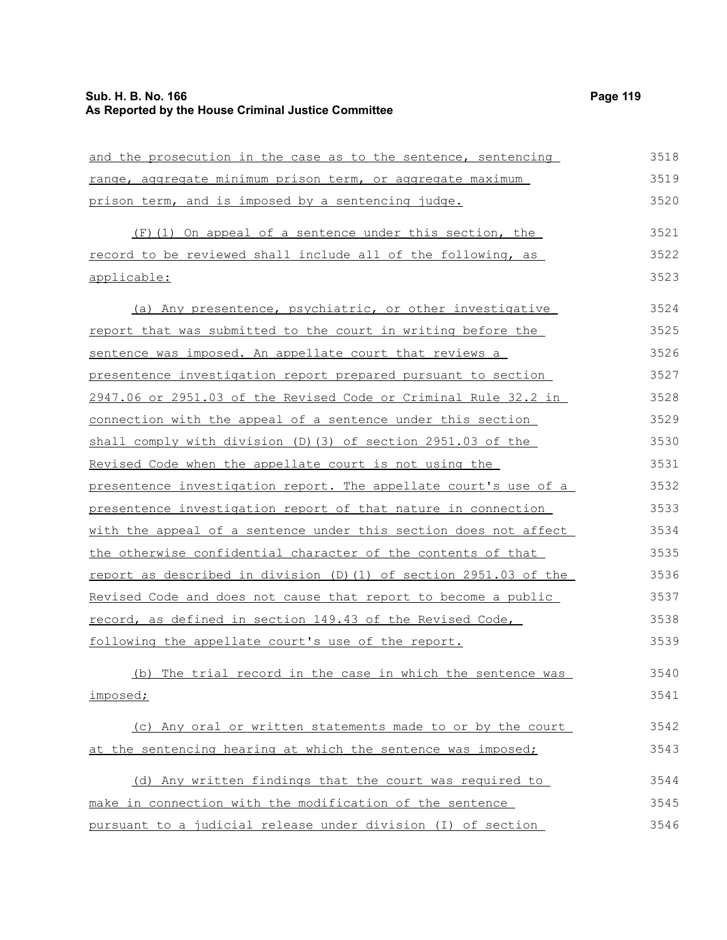| and the prosecution in the case as to the sentence, sentencing      | 3518 |
|---------------------------------------------------------------------|------|
| range, aggregate minimum prison term, or aggregate maximum          | 3519 |
| prison term, and is imposed by a sentencing judge.                  | 3520 |
| $(F)$ (1) On appeal of a sentence under this section, the           | 3521 |
| <u>record to be reviewed shall include all of the following, as</u> | 3522 |
| applicable:                                                         | 3523 |
| (a) Any presentence, psychiatric, or other investigative            | 3524 |
| report that was submitted to the court in writing before the        | 3525 |
| sentence was imposed. An appellate court that reviews a             | 3526 |
| presentence investigation report prepared pursuant to section       | 3527 |
| 2947.06 or 2951.03 of the Revised Code or Criminal Rule 32.2 in     | 3528 |
| connection with the appeal of a sentence under this section         | 3529 |
| shall comply with division (D) (3) of section 2951.03 of the        | 3530 |
| Revised Code when the appellate court is not using the              | 3531 |
| presentence investigation report. The appellate court's use of a    | 3532 |
| presentence investigation report of that nature in connection       | 3533 |
| with the appeal of a sentence under this section does not affect    | 3534 |
| the otherwise confidential character of the contents of that        | 3535 |
| report as described in division (D) (1) of section 2951.03 of the   | 3536 |
| Revised Code and does not cause that report to become a public      | 3537 |
| record, as defined in section 149.43 of the Revised Code,           | 3538 |
| following the appellate court's use of the report.                  | 3539 |
| (b) The trial record in the case in which the sentence was          | 3540 |
| imposed;                                                            | 3541 |
| (c) Any oral or written statements made to or by the court          | 3542 |
| at the sentencing hearing at which the sentence was imposed;        | 3543 |
| (d) Any written findings that the court was required to             | 3544 |
| make in connection with the modification of the sentence            | 3545 |
| pursuant to a judicial release under division (I) of section        | 3546 |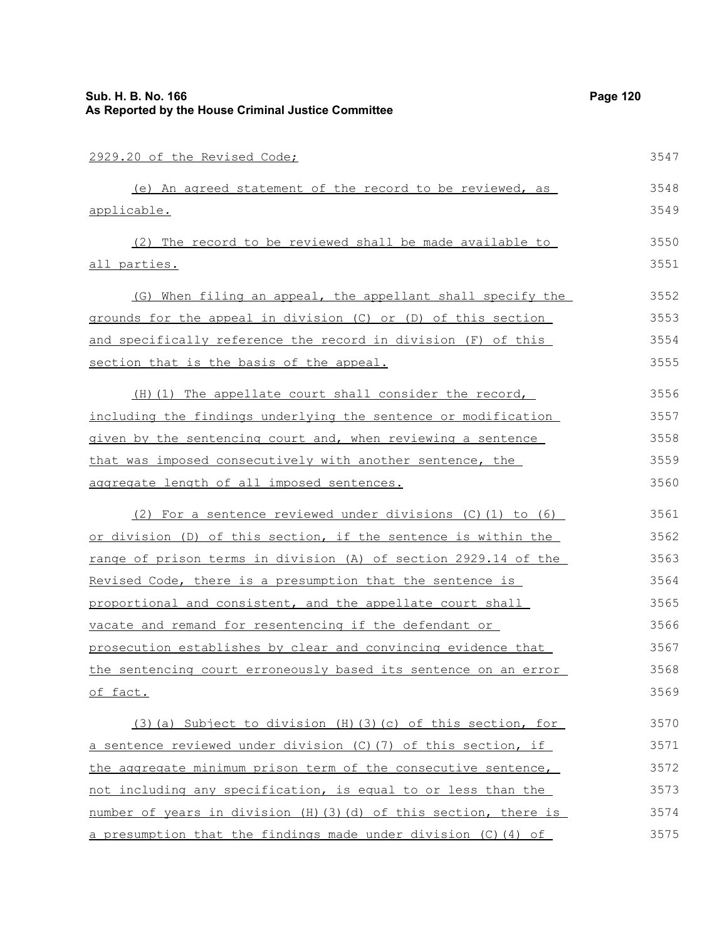| 2929.20 of the Revised Code;                                    | 3547 |
|-----------------------------------------------------------------|------|
| (e) An agreed statement of the record to be reviewed, as        | 3548 |
| applicable.                                                     | 3549 |
| (2) The record to be reviewed shall be made available to        | 3550 |
| <u>all parties.</u>                                             | 3551 |
| (G) When filing an appeal, the appellant shall specify the      | 3552 |
| grounds for the appeal in division (C) or (D) of this section   | 3553 |
| and specifically reference the record in division (F) of this   | 3554 |
| section that is the basis of the appeal.                        | 3555 |
| (H) (1) The appellate court shall consider the record,          | 3556 |
| including the findings underlying the sentence or modification  | 3557 |
| given by the sentencing court and, when reviewing a sentence    | 3558 |
| that was imposed consecutively with another sentence, the       | 3559 |
| aggregate length of all imposed sentences.                      | 3560 |
| (2) For a sentence reviewed under divisions (C) (1) to (6)      | 3561 |
| or division (D) of this section, if the sentence is within the  | 3562 |
| range of prison terms in division (A) of section 2929.14 of the | 3563 |
| Revised Code, there is a presumption that the sentence is       | 3564 |
| proportional and consistent, and the appellate court shall      | 3565 |
| vacate and remand for resentencing if the defendant or          | 3566 |
| prosecution establishes by clear and convincing evidence that   | 3567 |
| the sentencing court erroneously based its sentence on an error | 3568 |
| of fact.                                                        | 3569 |
| (3) (a) Subject to division (H) (3) (c) of this section, for    | 3570 |
| a sentence reviewed under division (C) (7) of this section, if  | 3571 |
| the aggregate minimum prison term of the consecutive sentence,  | 3572 |
| not including any specification, is equal to or less than the   | 3573 |
| number of years in division (H)(3)(d) of this section, there is | 3574 |
| a presumption that the findings made under division (C) (4) of  | 3575 |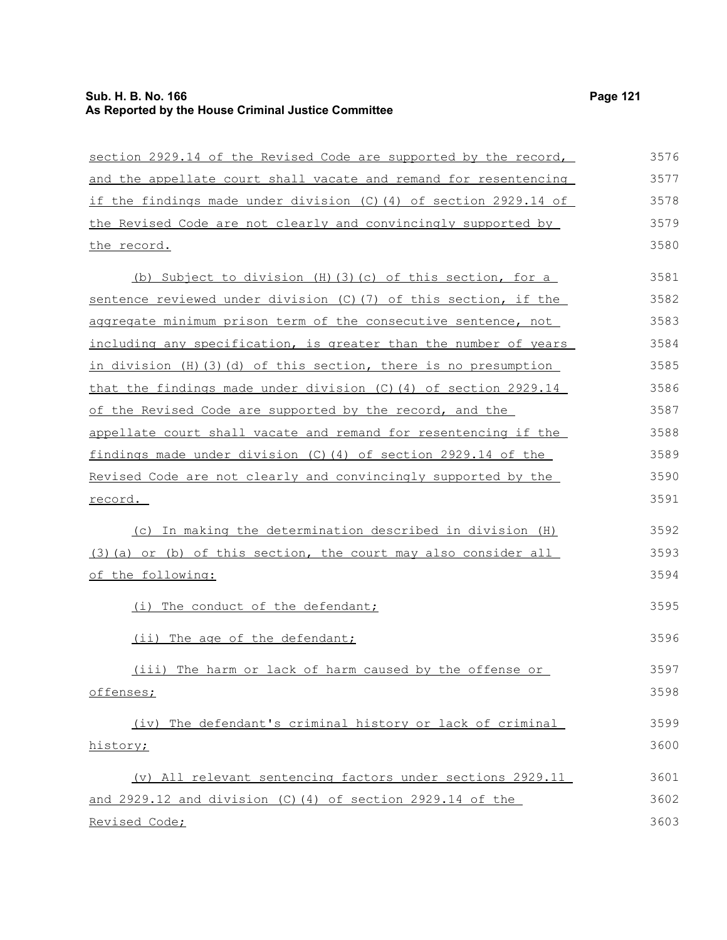| section 2929.14 of the Revised Code are supported by the record,   | 3576 |
|--------------------------------------------------------------------|------|
| and the appellate court shall vacate and remand for resentencing   | 3577 |
| if the findings made under division (C) (4) of section 2929.14 of  | 3578 |
| the Revised Code are not clearly and convincingly supported by     | 3579 |
| the record.                                                        | 3580 |
| (b) Subject to division $(H)$ (3) (c) of this section, for a       | 3581 |
| sentence reviewed under division (C)(7) of this section, if the    | 3582 |
| aggregate minimum prison term of the consecutive sentence, not     | 3583 |
| including any specification, is greater than the number of years   | 3584 |
| in division (H) (3) (d) of this section, there is no presumption   | 3585 |
| that the findings made under division $(C)$ (4) of section 2929.14 | 3586 |
| of the Revised Code are supported by the record, and the           | 3587 |
| appellate court shall vacate and remand for resentencing if the    | 3588 |
| findings made under division $(C)$ (4) of section 2929.14 of the   | 3589 |
| Revised Code are not clearly and convincingly supported by the     | 3590 |
| <u>record.</u>                                                     | 3591 |
| (c) In making the determination described in division (H)          | 3592 |
| (3) (a) or (b) of this section, the court may also consider all    | 3593 |
| of the following:                                                  | 3594 |
| (i) The conduct of the defendant;                                  | 3595 |
| (ii) The age of the defendant;                                     | 3596 |
| (iii) The harm or lack of harm caused by the offense or            | 3597 |
| offenses;                                                          | 3598 |
| (iv) The defendant's criminal history or lack of criminal          | 3599 |
| history;                                                           | 3600 |
| (v) All relevant sentencing factors under sections 2929.11         | 3601 |
| and $2929.12$ and division (C) $(4)$ of section 2929.14 of the     | 3602 |
| Revised Code;                                                      | 3603 |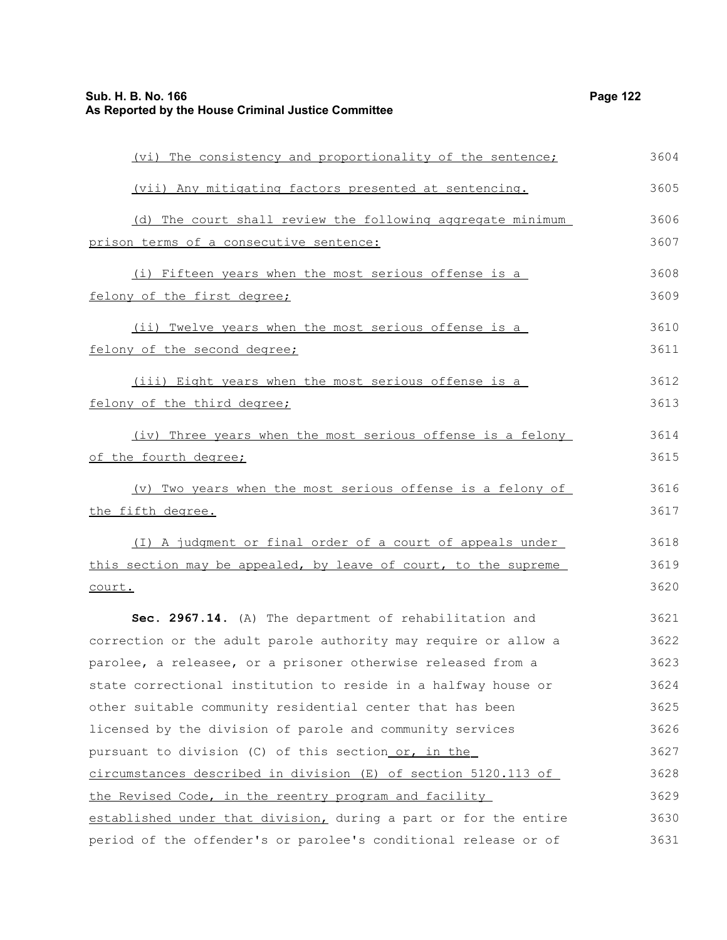|  | aae |  |  | 122 |
|--|-----|--|--|-----|
|--|-----|--|--|-----|

| (vi) The consistency and proportionality of the sentence;        | 3604 |
|------------------------------------------------------------------|------|
| (vii) Any mitigating factors presented at sentencing.            | 3605 |
| (d) The court shall review the following aggregate minimum       | 3606 |
| prison terms of a consecutive sentence:                          | 3607 |
| (i) Fifteen years when the most serious offense is a             | 3608 |
| felony of the first degree;                                      | 3609 |
| (ii) Twelve years when the most serious offense is a             | 3610 |
| felony of the second degree;                                     | 3611 |
| (iii) Eight years when the most serious offense is a             | 3612 |
| felony of the third degree;                                      | 3613 |
| (iv) Three years when the most serious offense is a felony       | 3614 |
| of the fourth degree;                                            | 3615 |
| (v) Two years when the most serious offense is a felony of       | 3616 |
| the fifth degree.                                                | 3617 |
| (I) A judgment or final order of a court of appeals under        | 3618 |
| this section may be appealed, by leave of court, to the supreme  | 3619 |
| court.                                                           | 3620 |
| Sec. 2967.14. (A) The department of rehabilitation and           | 3621 |
| correction or the adult parole authority may require or allow a  | 3622 |
| parolee, a releasee, or a prisoner otherwise released from a     | 3623 |
| state correctional institution to reside in a halfway house or   | 3624 |
| other suitable community residential center that has been        | 3625 |
| licensed by the division of parole and community services        | 3626 |
| pursuant to division (C) of this section or, in the              | 3627 |
| circumstances described in division (E) of section 5120.113 of   | 3628 |
| the Revised Code, in the reentry program and facility            | 3629 |
| established under that division, during a part or for the entire | 3630 |
| period of the offender's or parolee's conditional release or of  | 3631 |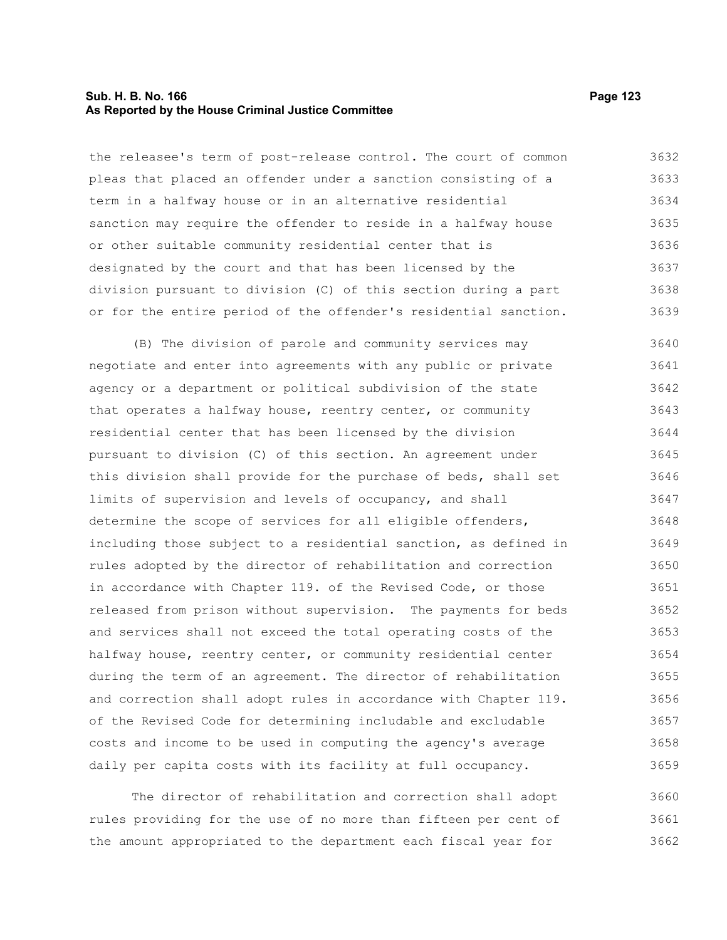#### **Sub. H. B. No. 166 Page 123 As Reported by the House Criminal Justice Committee**

the releasee's term of post-release control. The court of common pleas that placed an offender under a sanction consisting of a term in a halfway house or in an alternative residential sanction may require the offender to reside in a halfway house or other suitable community residential center that is designated by the court and that has been licensed by the division pursuant to division (C) of this section during a part or for the entire period of the offender's residential sanction. 3632 3633 3634 3635 3636 3637 3638 3639

(B) The division of parole and community services may negotiate and enter into agreements with any public or private agency or a department or political subdivision of the state that operates a halfway house, reentry center, or community residential center that has been licensed by the division pursuant to division (C) of this section. An agreement under this division shall provide for the purchase of beds, shall set limits of supervision and levels of occupancy, and shall determine the scope of services for all eligible offenders, including those subject to a residential sanction, as defined in rules adopted by the director of rehabilitation and correction in accordance with Chapter 119. of the Revised Code, or those released from prison without supervision. The payments for beds and services shall not exceed the total operating costs of the halfway house, reentry center, or community residential center during the term of an agreement. The director of rehabilitation and correction shall adopt rules in accordance with Chapter 119. of the Revised Code for determining includable and excludable costs and income to be used in computing the agency's average daily per capita costs with its facility at full occupancy. 3640 3641 3642 3643 3644 3645 3646 3647 3648 3649 3650 3651 3652 3653 3654 3655 3656 3657 3658 3659

The director of rehabilitation and correction shall adopt rules providing for the use of no more than fifteen per cent of the amount appropriated to the department each fiscal year for 3660 3661 3662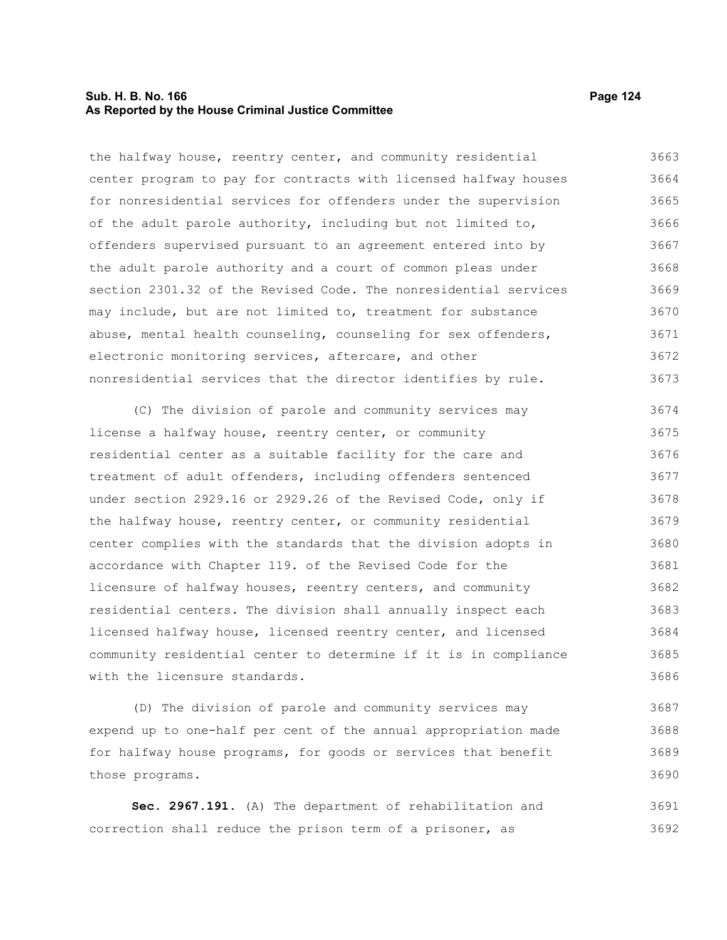# **Sub. H. B. No. 166 Page 124** Page 124 **As Reported by the House Criminal Justice Committee**

the halfway house, reentry center, and community residential center program to pay for contracts with licensed halfway houses for nonresidential services for offenders under the supervision of the adult parole authority, including but not limited to, offenders supervised pursuant to an agreement entered into by the adult parole authority and a court of common pleas under section 2301.32 of the Revised Code. The nonresidential services may include, but are not limited to, treatment for substance abuse, mental health counseling, counseling for sex offenders, electronic monitoring services, aftercare, and other nonresidential services that the director identifies by rule. 3663 3664 3665 3666 3667 3668 3669 3670 3671 3672 3673

(C) The division of parole and community services may license a halfway house, reentry center, or community residential center as a suitable facility for the care and treatment of adult offenders, including offenders sentenced under section 2929.16 or 2929.26 of the Revised Code, only if the halfway house, reentry center, or community residential center complies with the standards that the division adopts in accordance with Chapter 119. of the Revised Code for the licensure of halfway houses, reentry centers, and community residential centers. The division shall annually inspect each licensed halfway house, licensed reentry center, and licensed community residential center to determine if it is in compliance with the licensure standards. 3674 3675 3676 3677 3678 3679 3680 3681 3682 3683 3684 3685 3686

(D) The division of parole and community services may expend up to one-half per cent of the annual appropriation made for halfway house programs, for goods or services that benefit those programs. 3687 3688 3689 3690

Sec. 2967.191. (A) The department of rehabilitation and correction shall reduce the prison term of a prisoner, as 3691 3692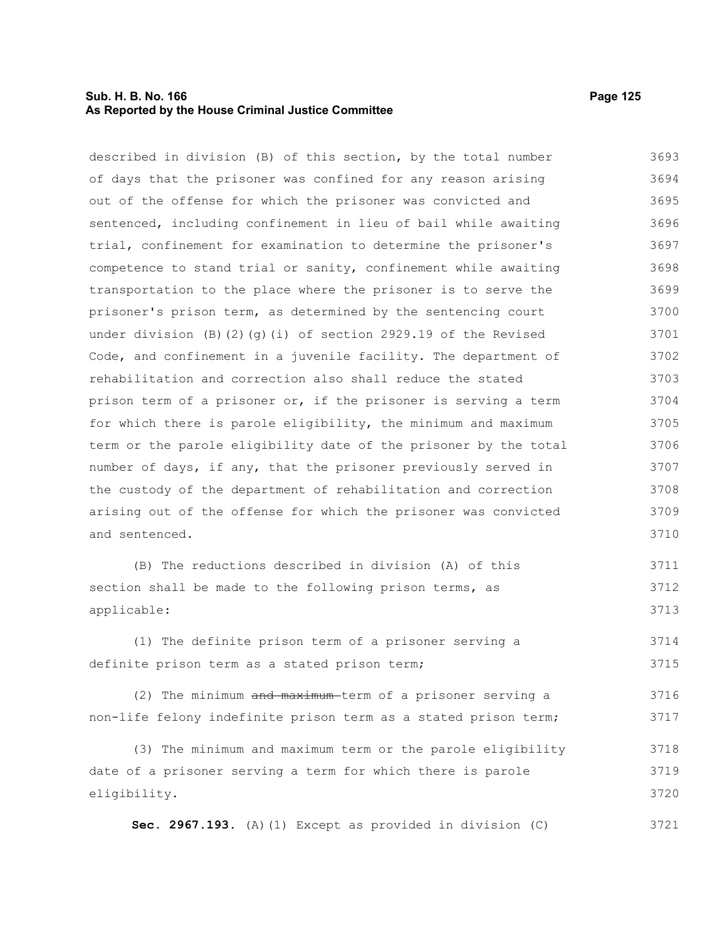# **Sub. H. B. No. 166 Page 125 As Reported by the House Criminal Justice Committee**

described in division (B) of this section, by the total number of days that the prisoner was confined for any reason arising out of the offense for which the prisoner was convicted and sentenced, including confinement in lieu of bail while awaiting trial, confinement for examination to determine the prisoner's competence to stand trial or sanity, confinement while awaiting transportation to the place where the prisoner is to serve the prisoner's prison term, as determined by the sentencing court under division (B)(2)(q)(i) of section 2929.19 of the Revised Code, and confinement in a juvenile facility. The department of rehabilitation and correction also shall reduce the stated prison term of a prisoner or, if the prisoner is serving a term for which there is parole eligibility, the minimum and maximum term or the parole eligibility date of the prisoner by the total number of days, if any, that the prisoner previously served in the custody of the department of rehabilitation and correction arising out of the offense for which the prisoner was convicted and sentenced. (B) The reductions described in division (A) of this section shall be made to the following prison terms, as applicable: (1) The definite prison term of a prisoner serving a definite prison term as a stated prison term; (2) The minimum and maximum term of a prisoner serving a non-life felony indefinite prison term as a stated prison term; 3693 3694 3695 3696 3697 3698 3699 3700 3701 3702 3703 3704 3705 3706 3707 3708 3709 3710 3711 3712 3713 3714 3715 3716 3717

(3) The minimum and maximum term or the parole eligibility date of a prisoner serving a term for which there is parole eligibility. 3718 3719 3720

**Sec. 2967.193.** (A)(1) Except as provided in division (C) 3721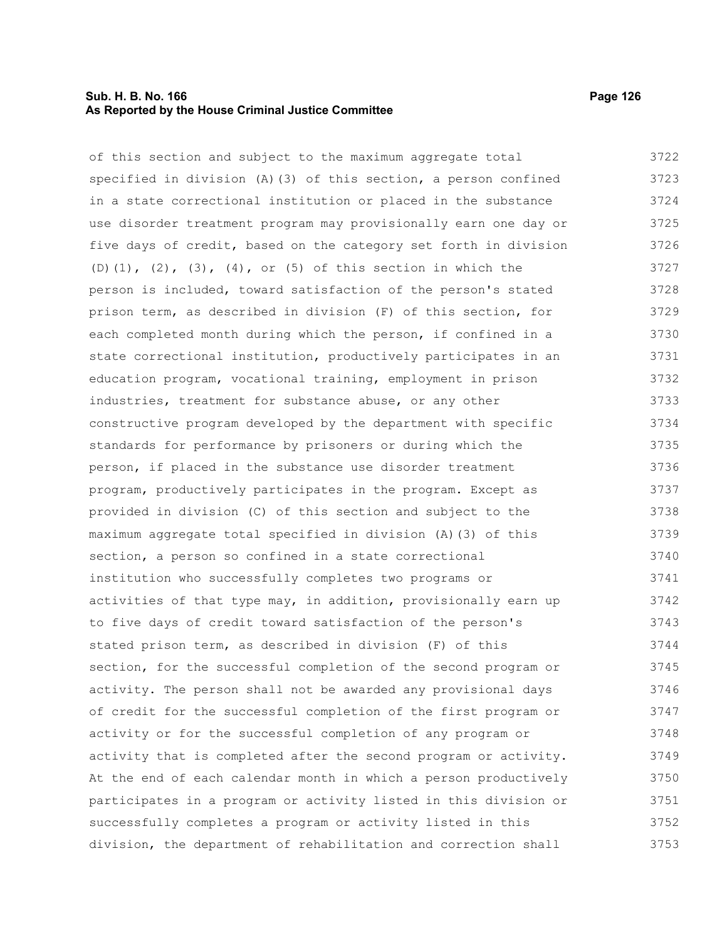# **Sub. H. B. No. 166 Page 126 As Reported by the House Criminal Justice Committee**

of this section and subject to the maximum aggregate total specified in division (A)(3) of this section, a person confined in a state correctional institution or placed in the substance use disorder treatment program may provisionally earn one day or five days of credit, based on the category set forth in division (D)(1), (2), (3), (4), or (5) of this section in which the person is included, toward satisfaction of the person's stated prison term, as described in division (F) of this section, for each completed month during which the person, if confined in a state correctional institution, productively participates in an education program, vocational training, employment in prison industries, treatment for substance abuse, or any other constructive program developed by the department with specific standards for performance by prisoners or during which the person, if placed in the substance use disorder treatment program, productively participates in the program. Except as provided in division (C) of this section and subject to the maximum aggregate total specified in division (A)(3) of this section, a person so confined in a state correctional institution who successfully completes two programs or activities of that type may, in addition, provisionally earn up to five days of credit toward satisfaction of the person's stated prison term, as described in division (F) of this section, for the successful completion of the second program or activity. The person shall not be awarded any provisional days of credit for the successful completion of the first program or activity or for the successful completion of any program or activity that is completed after the second program or activity. At the end of each calendar month in which a person productively participates in a program or activity listed in this division or successfully completes a program or activity listed in this division, the department of rehabilitation and correction shall 3722 3723 3724 3725 3726 3727 3728 3729 3730 3731 3732 3733 3734 3735 3736 3737 3738 3739 3740 3741 3742 3743 3744 3745 3746 3747 3748 3749 3750 3751 3752 3753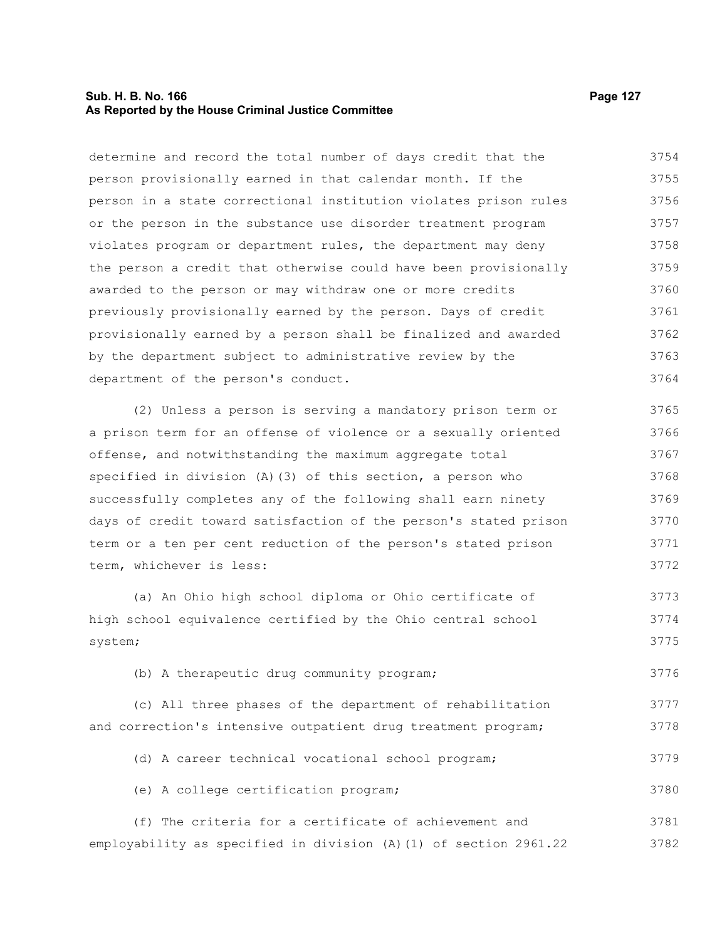### **Sub. H. B. No. 166 Page 127 As Reported by the House Criminal Justice Committee**

determine and record the total number of days credit that the person provisionally earned in that calendar month. If the person in a state correctional institution violates prison rules or the person in the substance use disorder treatment program violates program or department rules, the department may deny the person a credit that otherwise could have been provisionally awarded to the person or may withdraw one or more credits previously provisionally earned by the person. Days of credit provisionally earned by a person shall be finalized and awarded by the department subject to administrative review by the department of the person's conduct. 3754 3755 3756 3757 3758 3759 3760 3761 3762 3763 3764

(2) Unless a person is serving a mandatory prison term or a prison term for an offense of violence or a sexually oriented offense, and notwithstanding the maximum aggregate total specified in division (A)(3) of this section, a person who successfully completes any of the following shall earn ninety days of credit toward satisfaction of the person's stated prison term or a ten per cent reduction of the person's stated prison term, whichever is less: 3765 3766 3767 3768 3769 3770 3771 3772

(a) An Ohio high school diploma or Ohio certificate of high school equivalence certified by the Ohio central school system; 3773 3774 3775

(b) A therapeutic drug community program;

|  |                                                               |  |  | (c) All three phases of the department of rehabilitation | 3777 |
|--|---------------------------------------------------------------|--|--|----------------------------------------------------------|------|
|  | and correction's intensive outpatient drug treatment program; |  |  |                                                          | 3778 |

(d) A career technical vocational school program; 3779

(e) A college certification program; 3780

(f) The criteria for a certificate of achievement and employability as specified in division (A)(1) of section 2961.22 3781 3782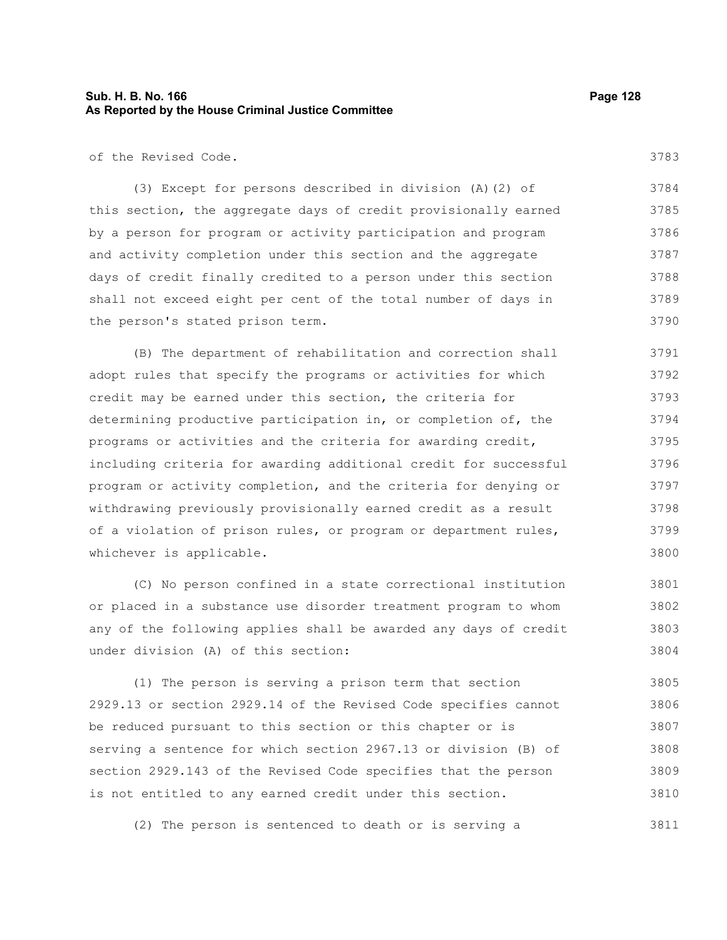# **Sub. H. B. No. 166 Page 128 As Reported by the House Criminal Justice Committee**

of the Revised Code.

(3) Except for persons described in division (A)(2) of this section, the aggregate days of credit provisionally earned by a person for program or activity participation and program and activity completion under this section and the aggregate days of credit finally credited to a person under this section shall not exceed eight per cent of the total number of days in the person's stated prison term. 3784 3785 3786 3787 3788 3789 3790

(B) The department of rehabilitation and correction shall adopt rules that specify the programs or activities for which credit may be earned under this section, the criteria for determining productive participation in, or completion of, the programs or activities and the criteria for awarding credit, including criteria for awarding additional credit for successful program or activity completion, and the criteria for denying or withdrawing previously provisionally earned credit as a result of a violation of prison rules, or program or department rules, whichever is applicable. 3791 3792 3793 3794 3795 3796 3797 3798 3799 3800

(C) No person confined in a state correctional institution or placed in a substance use disorder treatment program to whom any of the following applies shall be awarded any days of credit under division (A) of this section: 3804

(1) The person is serving a prison term that section 2929.13 or section 2929.14 of the Revised Code specifies cannot be reduced pursuant to this section or this chapter or is serving a sentence for which section 2967.13 or division (B) of section 2929.143 of the Revised Code specifies that the person is not entitled to any earned credit under this section. 3805 3806 3807 3808 3809 3810

(2) The person is sentenced to death or is serving a

3783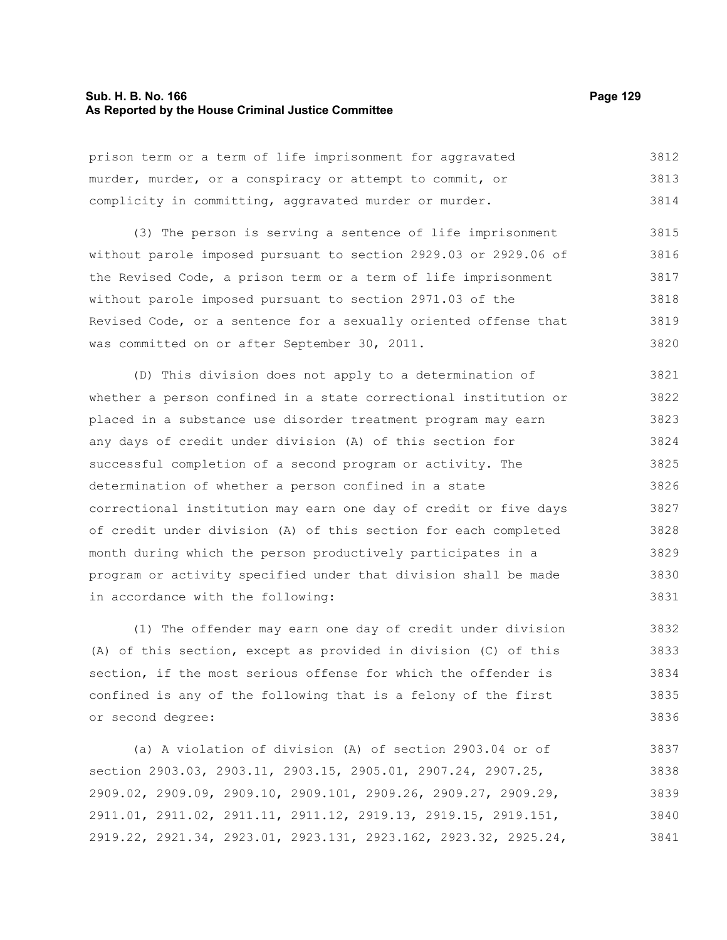#### **Sub. H. B. No. 166 Page 129 As Reported by the House Criminal Justice Committee**

prison term or a term of life imprisonment for aggravated murder, murder, or a conspiracy or attempt to commit, or complicity in committing, aggravated murder or murder. 3812 3813 3814

(3) The person is serving a sentence of life imprisonment without parole imposed pursuant to section 2929.03 or 2929.06 of the Revised Code, a prison term or a term of life imprisonment without parole imposed pursuant to section 2971.03 of the Revised Code, or a sentence for a sexually oriented offense that was committed on or after September 30, 2011. 3815 3816 3817 3818 3819 3820

(D) This division does not apply to a determination of whether a person confined in a state correctional institution or placed in a substance use disorder treatment program may earn any days of credit under division (A) of this section for successful completion of a second program or activity. The determination of whether a person confined in a state correctional institution may earn one day of credit or five days of credit under division (A) of this section for each completed month during which the person productively participates in a program or activity specified under that division shall be made in accordance with the following: 3821 3822 3823 3824 3825 3826 3827 3828 3829 3830 3831

(1) The offender may earn one day of credit under division (A) of this section, except as provided in division (C) of this section, if the most serious offense for which the offender is confined is any of the following that is a felony of the first or second degree: 3832 3833 3834 3835 3836

(a) A violation of division (A) of section 2903.04 or of section 2903.03, 2903.11, 2903.15, 2905.01, 2907.24, 2907.25, 2909.02, 2909.09, 2909.10, 2909.101, 2909.26, 2909.27, 2909.29, 2911.01, 2911.02, 2911.11, 2911.12, 2919.13, 2919.15, 2919.151, 2919.22, 2921.34, 2923.01, 2923.131, 2923.162, 2923.32, 2925.24, 3837 3838 3839 3840 3841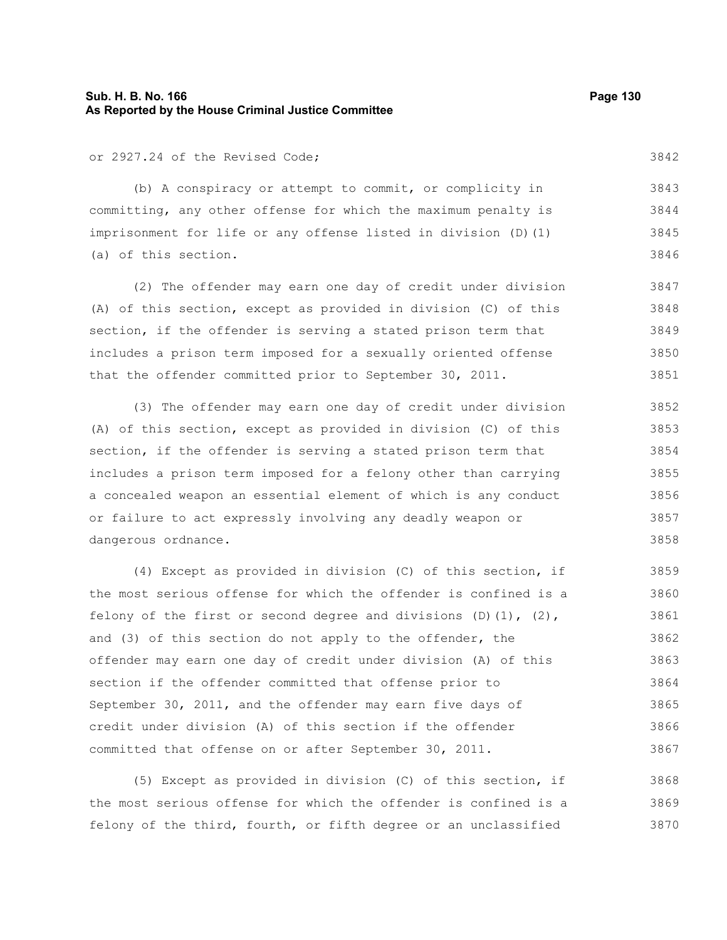# **Sub. H. B. No. 166 Page 130 As Reported by the House Criminal Justice Committee**

or 2927.24 of the Revised Code;

(b) A conspiracy or attempt to commit, or complicity in committing, any other offense for which the maximum penalty is imprisonment for life or any offense listed in division (D)(1) (a) of this section. 3843 3844 3845 3846

(2) The offender may earn one day of credit under division (A) of this section, except as provided in division (C) of this section, if the offender is serving a stated prison term that includes a prison term imposed for a sexually oriented offense that the offender committed prior to September 30, 2011. 3847 3848 3849 3850 3851

(3) The offender may earn one day of credit under division (A) of this section, except as provided in division (C) of this section, if the offender is serving a stated prison term that includes a prison term imposed for a felony other than carrying a concealed weapon an essential element of which is any conduct or failure to act expressly involving any deadly weapon or dangerous ordnance. 3852 3853 3854 3855 3856 3857 3858

(4) Except as provided in division (C) of this section, if the most serious offense for which the offender is confined is a felony of the first or second degree and divisions  $(D)(1)$ ,  $(2)$ , and (3) of this section do not apply to the offender, the offender may earn one day of credit under division (A) of this section if the offender committed that offense prior to September 30, 2011, and the offender may earn five days of credit under division (A) of this section if the offender committed that offense on or after September 30, 2011. 3859 3860 3861 3862 3863 3864 3865 3866 3867

(5) Except as provided in division (C) of this section, if the most serious offense for which the offender is confined is a felony of the third, fourth, or fifth degree or an unclassified 3868 3869 3870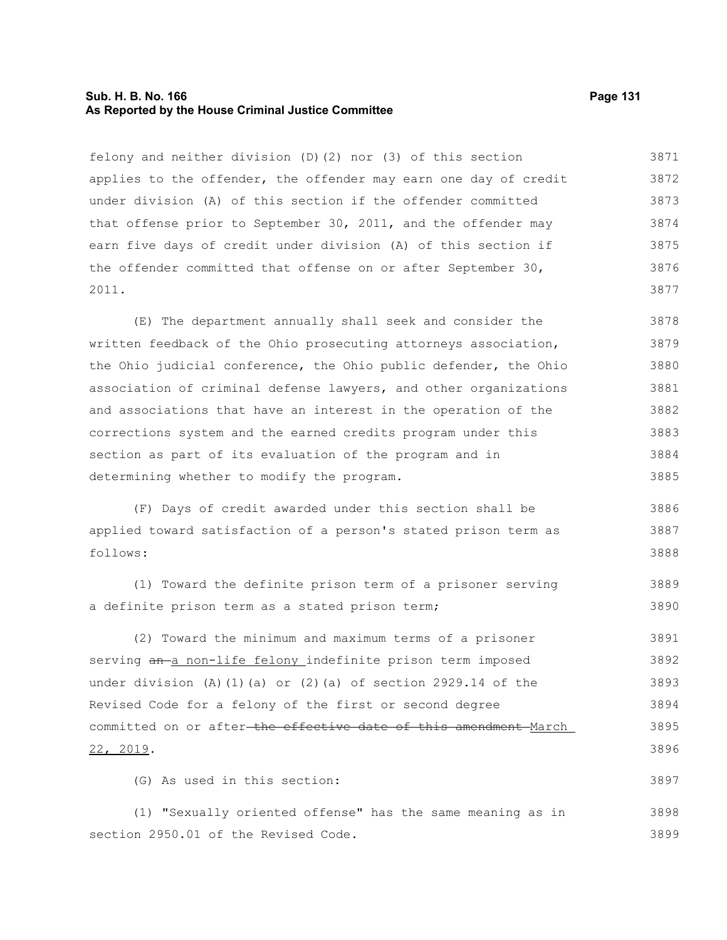#### **Sub. H. B. No. 166 Page 131 As Reported by the House Criminal Justice Committee**

felony and neither division (D)(2) nor (3) of this section applies to the offender, the offender may earn one day of credit under division (A) of this section if the offender committed that offense prior to September 30, 2011, and the offender may earn five days of credit under division (A) of this section if the offender committed that offense on or after September 30, 2011. 3871 3872 3873 3874 3875 3876 3877

(E) The department annually shall seek and consider the written feedback of the Ohio prosecuting attorneys association, the Ohio judicial conference, the Ohio public defender, the Ohio association of criminal defense lawyers, and other organizations and associations that have an interest in the operation of the corrections system and the earned credits program under this section as part of its evaluation of the program and in determining whether to modify the program. 3878 3879 3880 3881 3882 3883 3884 3885

(F) Days of credit awarded under this section shall be applied toward satisfaction of a person's stated prison term as follows: 3886 3887 3888

(1) Toward the definite prison term of a prisoner serving a definite prison term as a stated prison term; 3889 3890

(2) Toward the minimum and maximum terms of a prisoner serving an-a non-life felony indefinite prison term imposed under division (A)(1)(a) or (2)(a) of section 2929.14 of the Revised Code for a felony of the first or second degree committed on or after-the effective date of this amendment March 22, 2019. 3891 3892 3893 3894 3895 3896

(G) As used in this section: 3897

(1) "Sexually oriented offense" has the same meaning as in section 2950.01 of the Revised Code. 3898 3899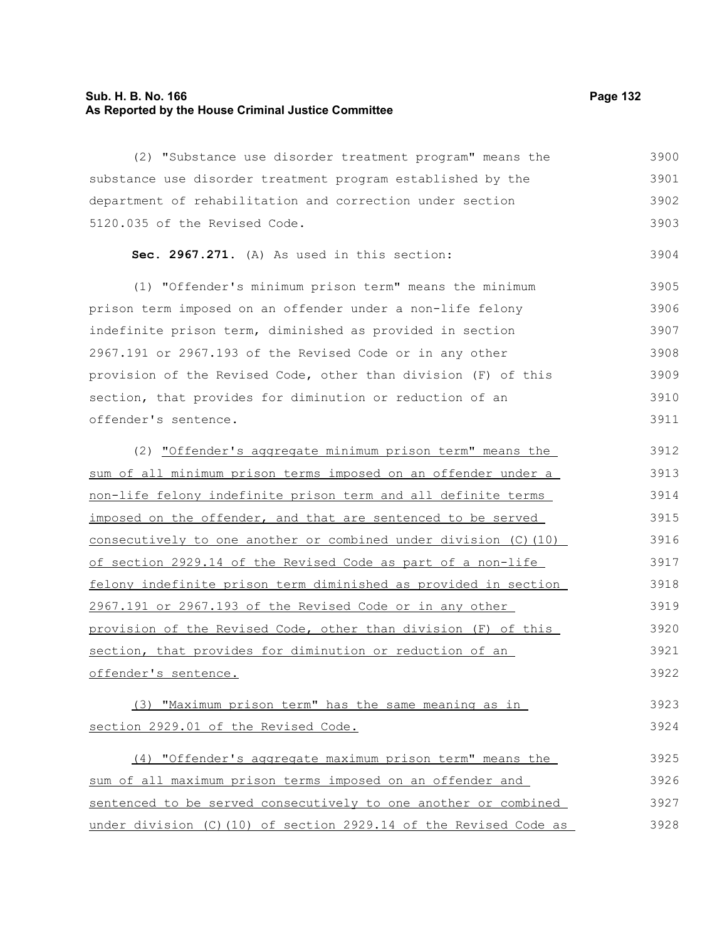# **Sub. H. B. No. 166 Page 132 As Reported by the House Criminal Justice Committee**

(2) "Substance use disorder treatment program" means the substance use disorder treatment program established by the department of rehabilitation and correction under section 5120.035 of the Revised Code. **Sec. 2967.271.** (A) As used in this section: (1) "Offender's minimum prison term" means the minimum prison term imposed on an offender under a non-life felony indefinite prison term, diminished as provided in section 2967.191 or 2967.193 of the Revised Code or in any other provision of the Revised Code, other than division (F) of this section, that provides for diminution or reduction of an offender's sentence. (2) "Offender's aggregate minimum prison term" means the sum of all minimum prison terms imposed on an offender under a non-life felony indefinite prison term and all definite terms imposed on the offender, and that are sentenced to be served consecutively to one another or combined under division (C)(10) of section 2929.14 of the Revised Code as part of a non-life felony indefinite prison term diminished as provided in section 2967.191 or 2967.193 of the Revised Code or in any other provision of the Revised Code, other than division (F) of this section, that provides for diminution or reduction of an offender's sentence. (3) "Maximum prison term" has the same meaning as in section 2929.01 of the Revised Code. 3900 3901 3902 3903 3904 3905 3906 3907 3908 3909 3910 3911 3912 3913 3914 3915 3916 3917 3918 3919 3920 3921 3922 3923 3924

(4) "Offender's aggregate maximum prison term" means the sum of all maximum prison terms imposed on an offender and sentenced to be served consecutively to one another or combined under division (C)(10) of section 2929.14 of the Revised Code as 3925 3926 3927 3928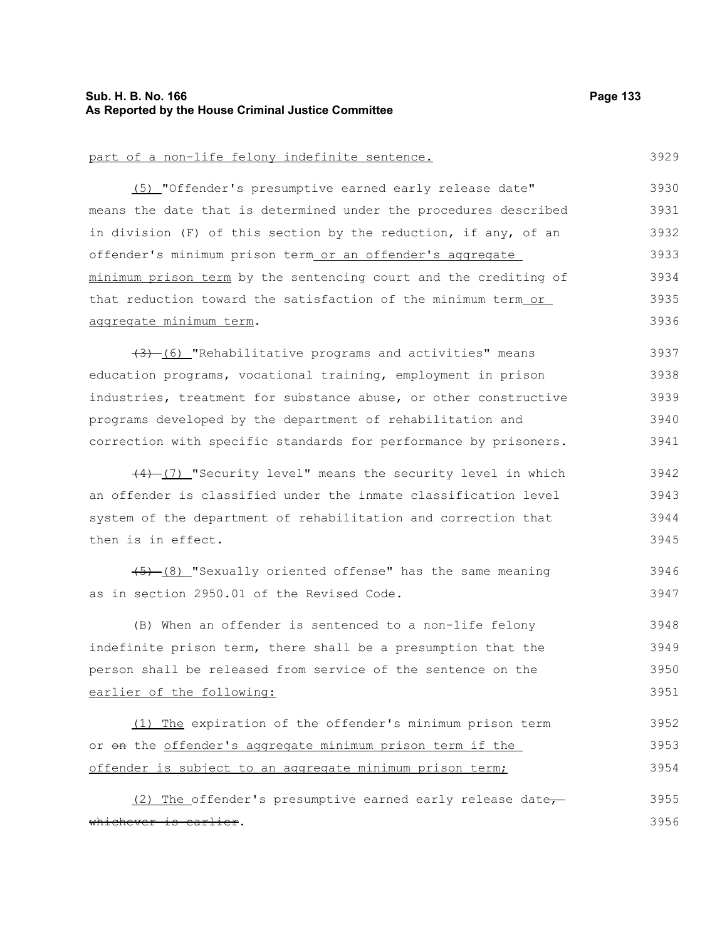# **Sub. H. B. No. 166 Page 133 As Reported by the House Criminal Justice Committee**

#### part of a non-life felony indefinite sentence.

(5) "Offender's presumptive earned early release date" means the date that is determined under the procedures described in division (F) of this section by the reduction, if any, of an offender's minimum prison term or an offender's aggregate minimum prison term by the sentencing court and the crediting of that reduction toward the satisfaction of the minimum term or aggregate minimum term. 3930 3931 3932 3933 3934 3935 3936

 $(3)$  (6) "Rehabilitative programs and activities" means education programs, vocational training, employment in prison industries, treatment for substance abuse, or other constructive programs developed by the department of rehabilitation and correction with specific standards for performance by prisoners. 3937 3938 3939 3940 3941

(4) (7) "Security level" means the security level in which an offender is classified under the inmate classification level system of the department of rehabilitation and correction that then is in effect. 3942 3943 3944 3945

```
(5) (8) "Sexually oriented offense" has the same meaning
as in section 2950.01 of the Revised Code.
                                                                       3946
                                                                       3947
```
(B) When an offender is sentenced to a non-life felony indefinite prison term, there shall be a presumption that the person shall be released from service of the sentence on the earlier of the following: 3948 3949 3950 3951

| (1) The expiration of the offender's minimum prison term             | 3952 |
|----------------------------------------------------------------------|------|
| or <del>on</del> the offender's aggregate minimum prison term if the | 3953 |
| offender is subject to an aggregate minimum prison term;             | 3954 |

(2) The offender's presumptive earned early release date $\tau$ whichever is earlier. 3955 3956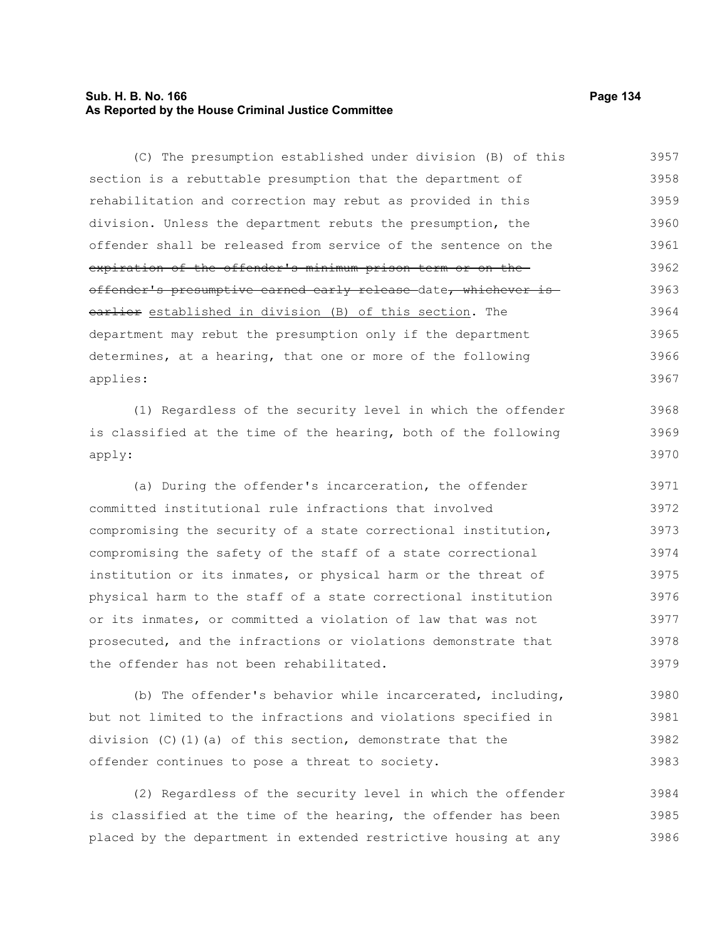# **Sub. H. B. No. 166 Page 134 As Reported by the House Criminal Justice Committee**

(C) The presumption established under division (B) of this section is a rebuttable presumption that the department of rehabilitation and correction may rebut as provided in this division. Unless the department rebuts the presumption, the

offender shall be released from service of the sentence on the expiration of the offender's minimum prison term or on the offender's presumptive earned early release-date, whichever isearlier established in division (B) of this section. The department may rebut the presumption only if the department determines, at a hearing, that one or more of the following applies: 3961 3962 3963 3964 3965 3966 3967

(1) Regardless of the security level in which the offender is classified at the time of the hearing, both of the following apply:

(a) During the offender's incarceration, the offender committed institutional rule infractions that involved compromising the security of a state correctional institution, compromising the safety of the staff of a state correctional institution or its inmates, or physical harm or the threat of physical harm to the staff of a state correctional institution or its inmates, or committed a violation of law that was not prosecuted, and the infractions or violations demonstrate that the offender has not been rehabilitated. 3971 3972 3973 3974 3975 3976 3977 3978 3979

(b) The offender's behavior while incarcerated, including, but not limited to the infractions and violations specified in division  $(C)$  (1)(a) of this section, demonstrate that the offender continues to pose a threat to society. 3980 3981 3982 3983

(2) Regardless of the security level in which the offender is classified at the time of the hearing, the offender has been placed by the department in extended restrictive housing at any 3984 3985 3986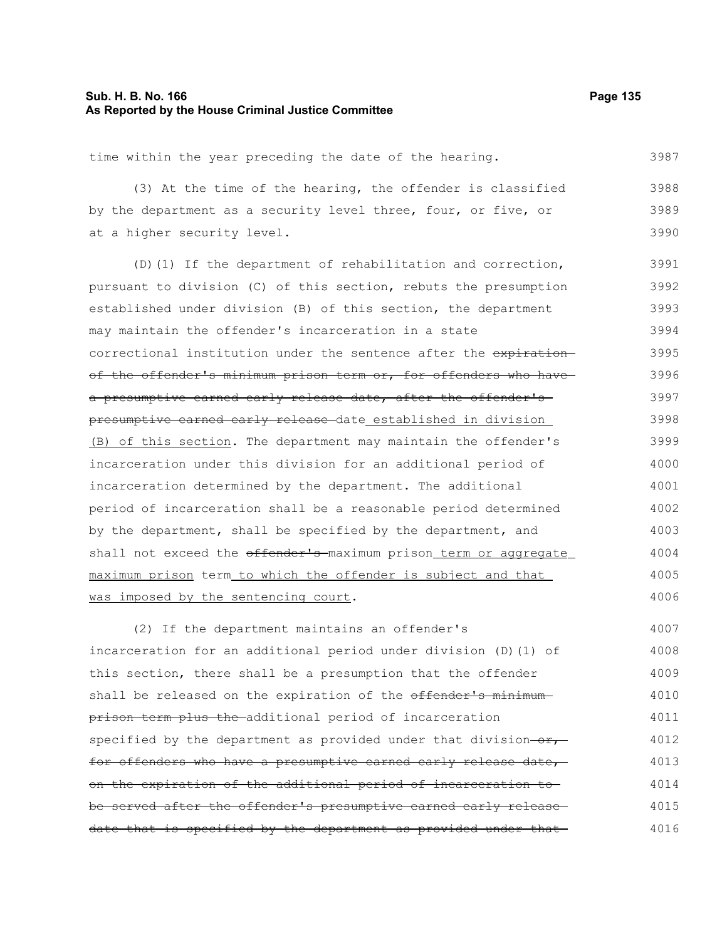# **Sub. H. B. No. 166 Page 135 As Reported by the House Criminal Justice Committee**

time within the year preceding the date of the hearing. (3) At the time of the hearing, the offender is classified by the department as a security level three, four, or five, or at a higher security level. (D)(1) If the department of rehabilitation and correction, pursuant to division (C) of this section, rebuts the presumption established under division (B) of this section, the department may maintain the offender's incarceration in a state correctional institution under the sentence after the expirationof the offender's minimum prison term or, for offenders who havea presumptive earned early release date, after the offender's presumptive earned early release date established in division (B) of this section. The department may maintain the offender's incarceration under this division for an additional period of incarceration determined by the department. The additional period of incarceration shall be a reasonable period determined by the department, shall be specified by the department, and shall not exceed the offender's maximum prison term or aggregate maximum prison term to which the offender is subject and that was imposed by the sentencing court. (2) If the department maintains an offender's incarceration for an additional period under division (D)(1) of 3987 3988 3989 3990 3991 3992 3993 3994 3995 3996 3997 3998 3999 4000 4001 4002 4003 4004 4005 4006 4007 4008

this section, there shall be a presumption that the offender shall be released on the expiration of the offender's minimumprison term plus the additional period of incarceration specified by the department as provided under that division- $\sigma$ for offenders who have a presumptive earned early release date, on the expiration of the additional period of incarceration to be served after the offender's presumptive earned early releasedate that is specified by the department as provided under that 4009 4010 4011 4012 4013 4014 4015 4016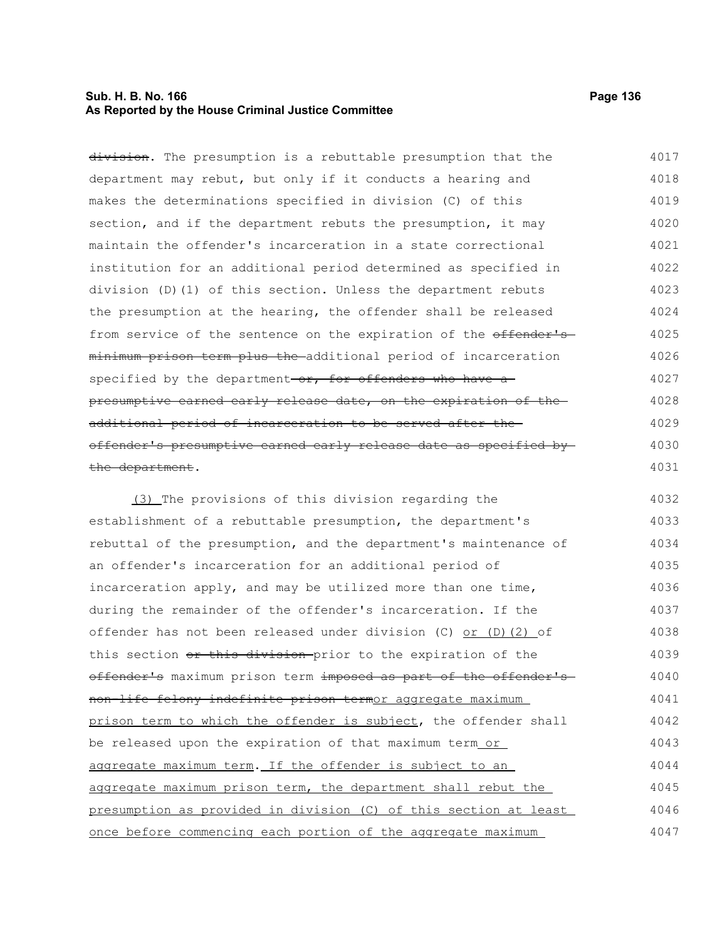# **Sub. H. B. No. 166 Page 136 As Reported by the House Criminal Justice Committee**

division. The presumption is a rebuttable presumption that the department may rebut, but only if it conducts a hearing and makes the determinations specified in division (C) of this section, and if the department rebuts the presumption, it may maintain the offender's incarceration in a state correctional institution for an additional period determined as specified in division (D)(1) of this section. Unless the department rebuts the presumption at the hearing, the offender shall be released from service of the sentence on the expiration of the offender'sminimum prison term plus the additional period of incarceration specified by the department-or, for offenders who have apresumptive earned early release date, on the expiration of the additional period of incarceration to be served after the offender's presumptive earned early release date as specified by the department. 4017 4018 4019 4020 4021 4022 4023 4024 4025 4026 4027 4028 4029 4030 4031

(3) The provisions of this division regarding the establishment of a rebuttable presumption, the department's rebuttal of the presumption, and the department's maintenance of an offender's incarceration for an additional period of incarceration apply, and may be utilized more than one time, during the remainder of the offender's incarceration. If the offender has not been released under division (C) or (D)(2) of this section or this division prior to the expiration of the offender's maximum prison term imposed as part of the offender'snon-life felony indefinite prison termor aggregate maximum prison term to which the offender is subject, the offender shall be released upon the expiration of that maximum term or aggregate maximum term. If the offender is subject to an aggregate maximum prison term, the department shall rebut the presumption as provided in division (C) of this section at least once before commencing each portion of the aggregate maximum 4032 4033 4034 4035 4036 4037 4038 4039 4040 4041 4042 4043 4044 4045 4046 4047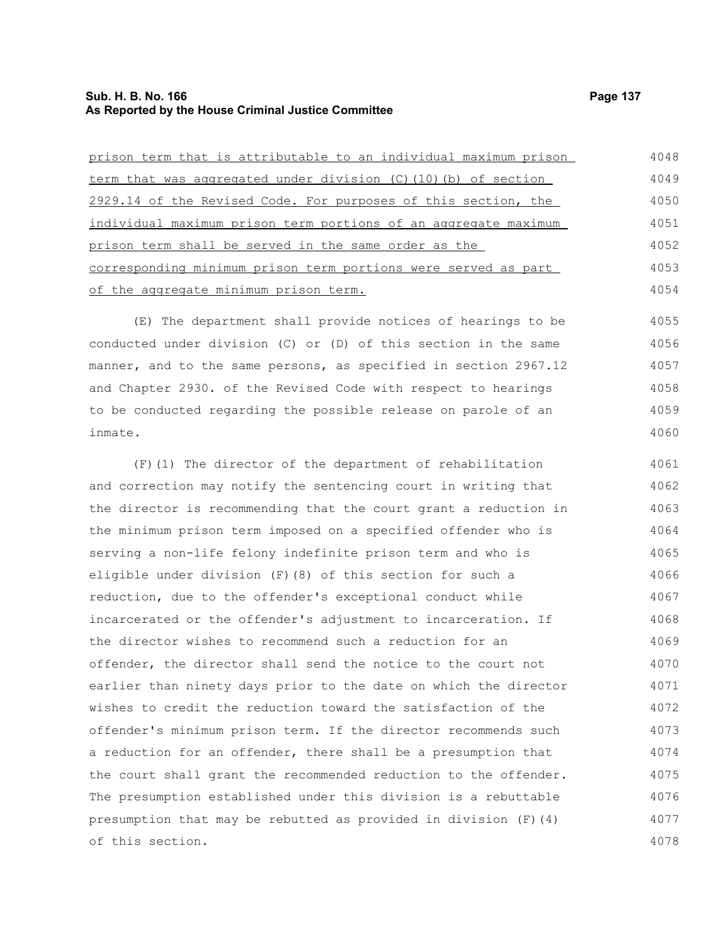## **Sub. H. B. No. 166 Page 137 As Reported by the House Criminal Justice Committee**

| prison term that is attributable to an individual maximum prison  | 4048 |
|-------------------------------------------------------------------|------|
| term that was aggregated under division $(C)$ (10) (b) of section | 4049 |
| 2929.14 of the Revised Code. For purposes of this section, the    | 4050 |
| individual maximum prison term portions of an aggregate maximum   | 4051 |
| prison term shall be served in the same order as the              | 4052 |
| corresponding minimum prison term portions were served as part    | 4053 |
| of the aggregate minimum prison term.                             | 4054 |

(E) The department shall provide notices of hearings to be conducted under division (C) or (D) of this section in the same manner, and to the same persons, as specified in section 2967.12 and Chapter 2930. of the Revised Code with respect to hearings to be conducted regarding the possible release on parole of an inmate. 4055 4056 4057 4058 4059 4060

(F)(1) The director of the department of rehabilitation and correction may notify the sentencing court in writing that the director is recommending that the court grant a reduction in the minimum prison term imposed on a specified offender who is serving a non-life felony indefinite prison term and who is eligible under division (F)(8) of this section for such a reduction, due to the offender's exceptional conduct while incarcerated or the offender's adjustment to incarceration. If the director wishes to recommend such a reduction for an offender, the director shall send the notice to the court not earlier than ninety days prior to the date on which the director wishes to credit the reduction toward the satisfaction of the offender's minimum prison term. If the director recommends such a reduction for an offender, there shall be a presumption that the court shall grant the recommended reduction to the offender. The presumption established under this division is a rebuttable presumption that may be rebutted as provided in division (F)(4) of this section. 4061 4062 4063 4064 4065 4066 4067 4068 4069 4070 4071 4072 4073 4074 4075 4076 4077 4078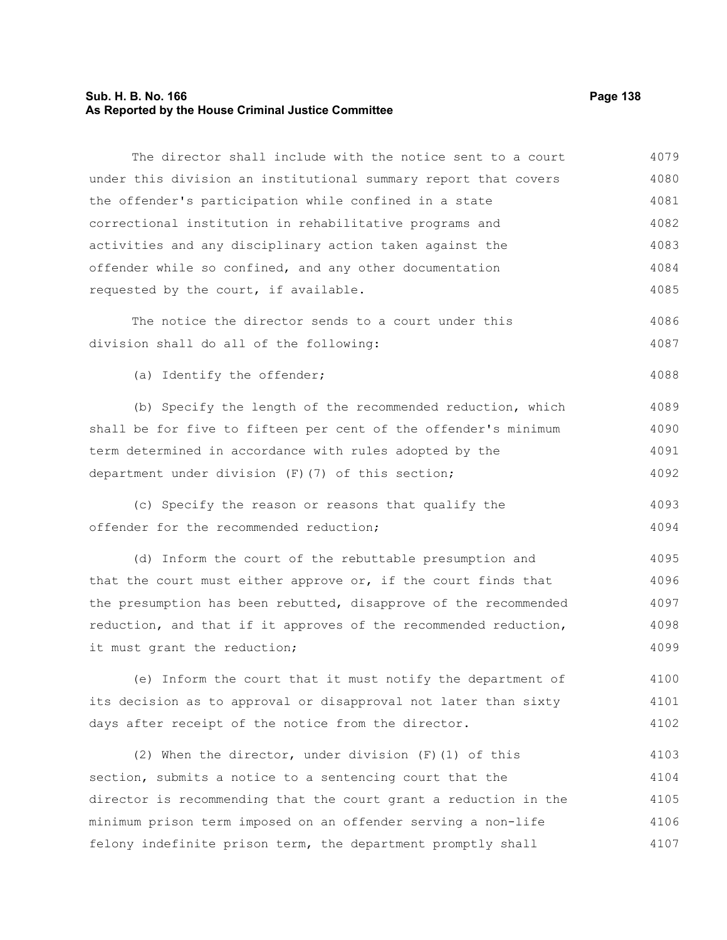# **Sub. H. B. No. 166 Page 138 As Reported by the House Criminal Justice Committee**

The director shall include with the notice sent to a court under this division an institutional summary report that covers the offender's participation while confined in a state correctional institution in rehabilitative programs and activities and any disciplinary action taken against the offender while so confined, and any other documentation requested by the court, if available. 4079 4080 4081 4082 4083 4084 4085

The notice the director sends to a court under this division shall do all of the following: 4086 4087

(a) Identify the offender;

(b) Specify the length of the recommended reduction, which shall be for five to fifteen per cent of the offender's minimum term determined in accordance with rules adopted by the department under division (F)(7) of this section; 4089 4090 4091 4092

(c) Specify the reason or reasons that qualify the offender for the recommended reduction; 4093 4094

(d) Inform the court of the rebuttable presumption and that the court must either approve or, if the court finds that the presumption has been rebutted, disapprove of the recommended reduction, and that if it approves of the recommended reduction, it must grant the reduction; 4095 4096 4097 4098 4099

(e) Inform the court that it must notify the department of its decision as to approval or disapproval not later than sixty days after receipt of the notice from the director. 4100 4101 4102

(2) When the director, under division (F)(1) of this section, submits a notice to a sentencing court that the director is recommending that the court grant a reduction in the minimum prison term imposed on an offender serving a non-life felony indefinite prison term, the department promptly shall 4103 4104 4105 4106 4107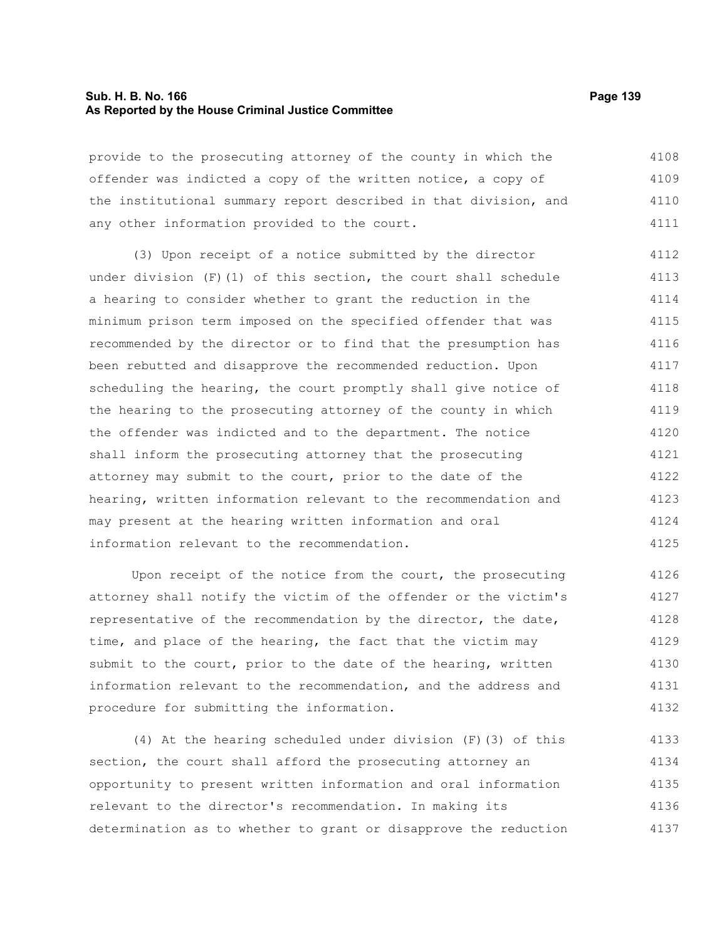# **Sub. H. B. No. 166 Page 139 As Reported by the House Criminal Justice Committee**

provide to the prosecuting attorney of the county in which the offender was indicted a copy of the written notice, a copy of the institutional summary report described in that division, and any other information provided to the court. 4108 4109 4110 4111

(3) Upon receipt of a notice submitted by the director under division (F)(1) of this section, the court shall schedule a hearing to consider whether to grant the reduction in the minimum prison term imposed on the specified offender that was recommended by the director or to find that the presumption has been rebutted and disapprove the recommended reduction. Upon scheduling the hearing, the court promptly shall give notice of the hearing to the prosecuting attorney of the county in which the offender was indicted and to the department. The notice shall inform the prosecuting attorney that the prosecuting attorney may submit to the court, prior to the date of the hearing, written information relevant to the recommendation and may present at the hearing written information and oral information relevant to the recommendation. 4112 4113 4114 4115 4116 4117 4118 4119 4120 4121 4122 4123 4124 4125

Upon receipt of the notice from the court, the prosecuting attorney shall notify the victim of the offender or the victim's representative of the recommendation by the director, the date, time, and place of the hearing, the fact that the victim may submit to the court, prior to the date of the hearing, written information relevant to the recommendation, and the address and procedure for submitting the information. 4126 4127 4128 4129 4130 4131 4132

(4) At the hearing scheduled under division (F)(3) of this section, the court shall afford the prosecuting attorney an opportunity to present written information and oral information relevant to the director's recommendation. In making its determination as to whether to grant or disapprove the reduction 4133 4134 4135 4136 4137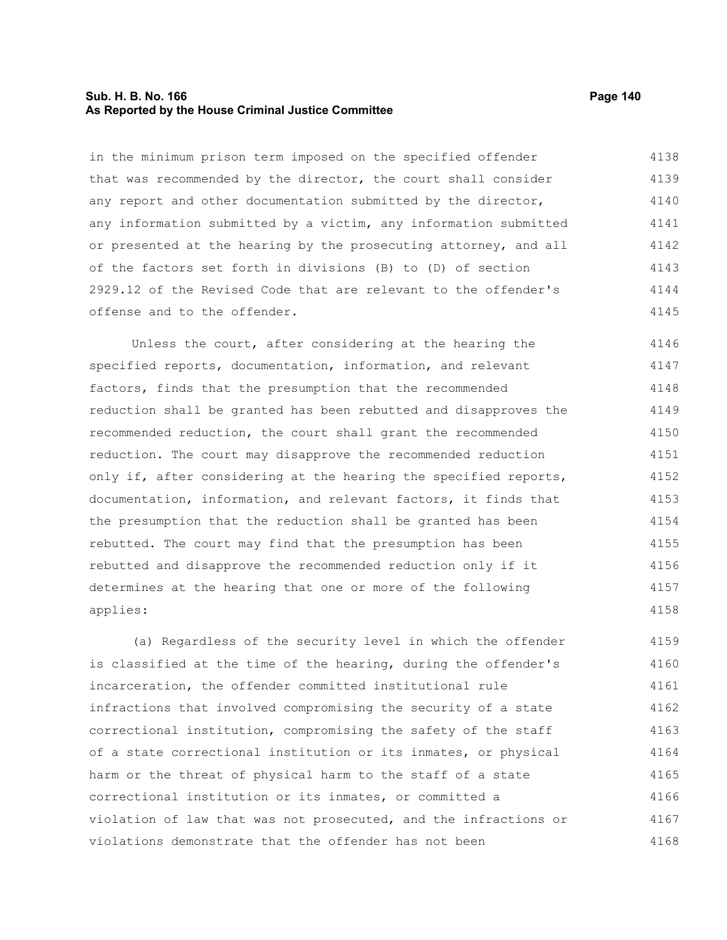### **Sub. H. B. No. 166 Page 140** Page 140 **As Reported by the House Criminal Justice Committee**

in the minimum prison term imposed on the specified offender that was recommended by the director, the court shall consider any report and other documentation submitted by the director, any information submitted by a victim, any information submitted or presented at the hearing by the prosecuting attorney, and all of the factors set forth in divisions (B) to (D) of section 2929.12 of the Revised Code that are relevant to the offender's offense and to the offender. 4138 4139 4140 4141 4142 4143 4144 4145

Unless the court, after considering at the hearing the specified reports, documentation, information, and relevant factors, finds that the presumption that the recommended reduction shall be granted has been rebutted and disapproves the recommended reduction, the court shall grant the recommended reduction. The court may disapprove the recommended reduction only if, after considering at the hearing the specified reports, documentation, information, and relevant factors, it finds that the presumption that the reduction shall be granted has been rebutted. The court may find that the presumption has been rebutted and disapprove the recommended reduction only if it determines at the hearing that one or more of the following applies: 4146 4147 4148 4149 4150 4151 4152 4153 4154 4155 4156 4157 4158

(a) Regardless of the security level in which the offender is classified at the time of the hearing, during the offender's incarceration, the offender committed institutional rule infractions that involved compromising the security of a state correctional institution, compromising the safety of the staff of a state correctional institution or its inmates, or physical harm or the threat of physical harm to the staff of a state correctional institution or its inmates, or committed a violation of law that was not prosecuted, and the infractions or violations demonstrate that the offender has not been 4159 4160 4161 4162 4163 4164 4165 4166 4167 4168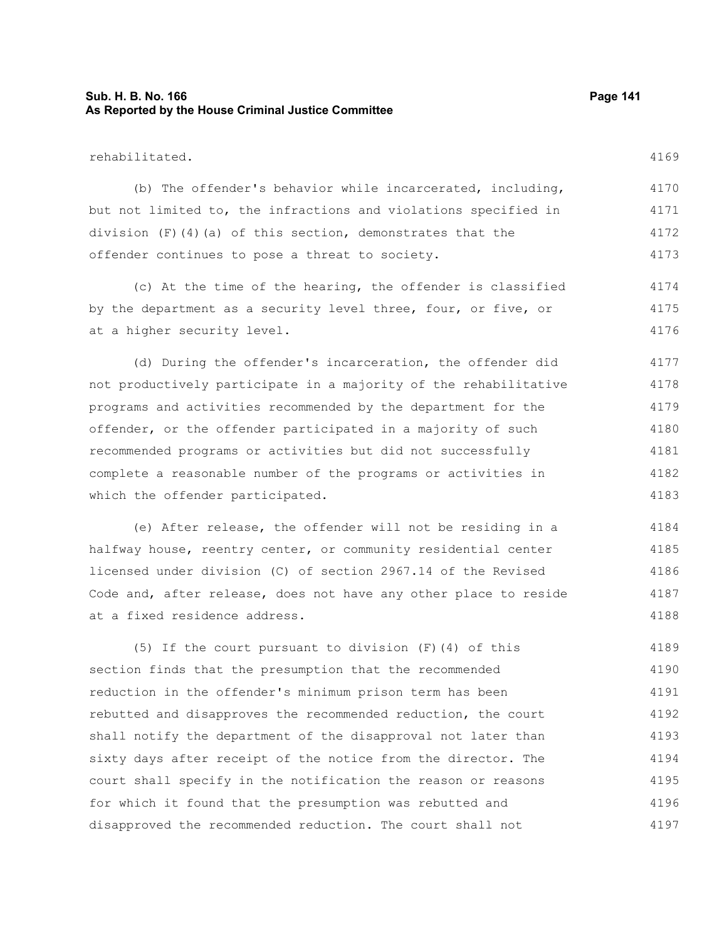# **Sub. H. B. No. 166 Page 141 As Reported by the House Criminal Justice Committee**

rehabilitated.

4169

| (b) The offender's behavior while incarcerated, including,      | 4170 |
|-----------------------------------------------------------------|------|
| but not limited to, the infractions and violations specified in | 4171 |
| division $(F)$ (4) (a) of this section, demonstrates that the   | 4172 |
| offender continues to pose a threat to society.                 | 4173 |

(c) At the time of the hearing, the offender is classified by the department as a security level three, four, or five, or at a higher security level. 4174 4175 4176

(d) During the offender's incarceration, the offender did not productively participate in a majority of the rehabilitative programs and activities recommended by the department for the offender, or the offender participated in a majority of such recommended programs or activities but did not successfully complete a reasonable number of the programs or activities in which the offender participated. 4177 4178 4179 4180 4181 4182 4183

(e) After release, the offender will not be residing in a halfway house, reentry center, or community residential center licensed under division (C) of section 2967.14 of the Revised Code and, after release, does not have any other place to reside at a fixed residence address. 4184 4185 4186 4187 4188

(5) If the court pursuant to division (F)(4) of this section finds that the presumption that the recommended reduction in the offender's minimum prison term has been rebutted and disapproves the recommended reduction, the court shall notify the department of the disapproval not later than sixty days after receipt of the notice from the director. The court shall specify in the notification the reason or reasons for which it found that the presumption was rebutted and disapproved the recommended reduction. The court shall not 4189 4190 4191 4192 4193 4194 4195 4196 4197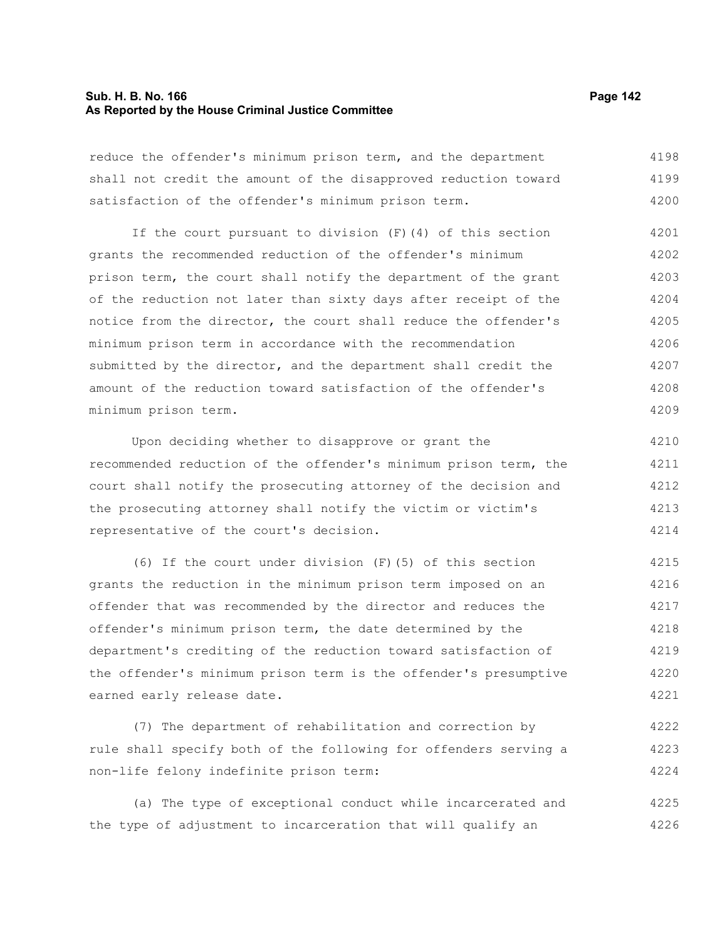### **Sub. H. B. No. 166 Page 142 As Reported by the House Criminal Justice Committee**

reduce the offender's minimum prison term, and the department shall not credit the amount of the disapproved reduction toward satisfaction of the offender's minimum prison term. 4198 4199 4200

If the court pursuant to division (F)(4) of this section grants the recommended reduction of the offender's minimum prison term, the court shall notify the department of the grant of the reduction not later than sixty days after receipt of the notice from the director, the court shall reduce the offender's minimum prison term in accordance with the recommendation submitted by the director, and the department shall credit the amount of the reduction toward satisfaction of the offender's minimum prison term. 4201 4202 4203 4204 4205 4206 4207 4208 4209

Upon deciding whether to disapprove or grant the recommended reduction of the offender's minimum prison term, the court shall notify the prosecuting attorney of the decision and the prosecuting attorney shall notify the victim or victim's representative of the court's decision. 4210 4211 4212 4213 4214

(6) If the court under division (F)(5) of this section grants the reduction in the minimum prison term imposed on an offender that was recommended by the director and reduces the offender's minimum prison term, the date determined by the department's crediting of the reduction toward satisfaction of the offender's minimum prison term is the offender's presumptive earned early release date. 4215 4216 4217 4218 4219 4220 4221

(7) The department of rehabilitation and correction by rule shall specify both of the following for offenders serving a non-life felony indefinite prison term: 4222 4223 4224

(a) The type of exceptional conduct while incarcerated and the type of adjustment to incarceration that will qualify an 4225 4226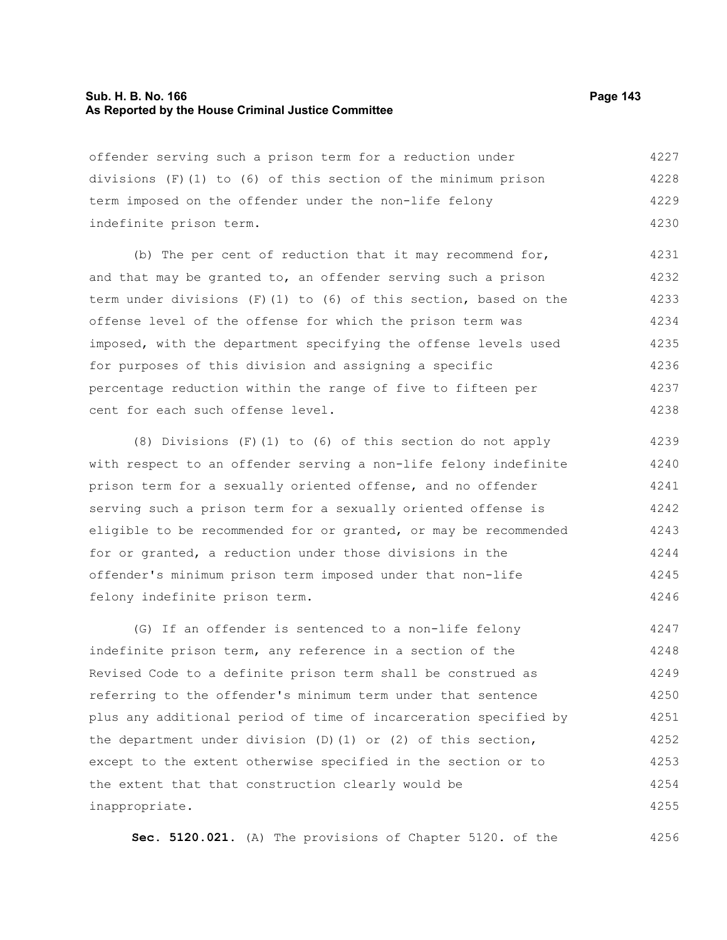## **Sub. H. B. No. 166 Page 143 As Reported by the House Criminal Justice Committee**

offender serving such a prison term for a reduction under divisions (F)(1) to (6) of this section of the minimum prison term imposed on the offender under the non-life felony indefinite prison term. 4227 4228 4229 4230

(b) The per cent of reduction that it may recommend for, and that may be granted to, an offender serving such a prison term under divisions (F)(1) to (6) of this section, based on the offense level of the offense for which the prison term was imposed, with the department specifying the offense levels used for purposes of this division and assigning a specific percentage reduction within the range of five to fifteen per cent for each such offense level. 4231 4232 4233 4234 4235 4236 4237 4238

(8) Divisions (F)(1) to (6) of this section do not apply with respect to an offender serving a non-life felony indefinite prison term for a sexually oriented offense, and no offender serving such a prison term for a sexually oriented offense is eligible to be recommended for or granted, or may be recommended for or granted, a reduction under those divisions in the offender's minimum prison term imposed under that non-life felony indefinite prison term. 4239 4240 4241 4242 4243 4244 4245 4246

(G) If an offender is sentenced to a non-life felony indefinite prison term, any reference in a section of the Revised Code to a definite prison term shall be construed as referring to the offender's minimum term under that sentence plus any additional period of time of incarceration specified by the department under division  $(D)(1)$  or  $(2)$  of this section, except to the extent otherwise specified in the section or to the extent that that construction clearly would be inappropriate. 4247 4248 4249 4250 4251 4252 4253 4254 4255

**Sec. 5120.021.** (A) The provisions of Chapter 5120. of the 4256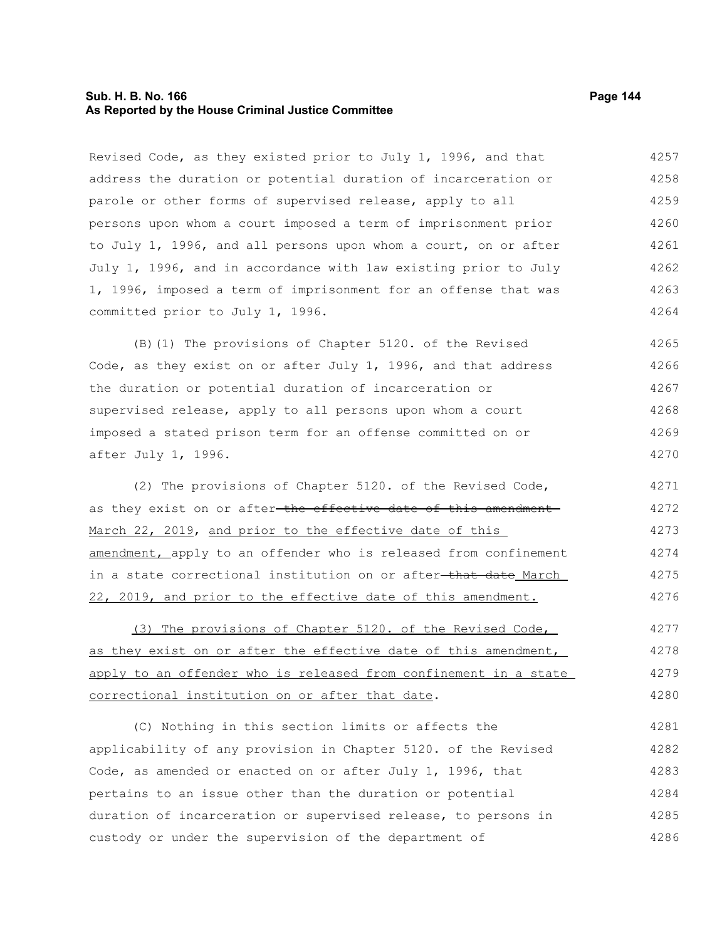#### **Sub. H. B. No. 166 Page 144** Page 144 Page 144 Page 144 Page 144 Page 144 Page 144 **As Reported by the House Criminal Justice Committee**

Revised Code, as they existed prior to July 1, 1996, and that address the duration or potential duration of incarceration or parole or other forms of supervised release, apply to all persons upon whom a court imposed a term of imprisonment prior to July 1, 1996, and all persons upon whom a court, on or after July 1, 1996, and in accordance with law existing prior to July 1, 1996, imposed a term of imprisonment for an offense that was committed prior to July 1, 1996. 4257 4258 4259 4260 4261 4262 4263 4264

(B)(1) The provisions of Chapter 5120. of the Revised Code, as they exist on or after July 1, 1996, and that address the duration or potential duration of incarceration or supervised release, apply to all persons upon whom a court imposed a stated prison term for an offense committed on or after July 1, 1996. 4266 4267 4268 4269 4270

(2) The provisions of Chapter 5120. of the Revised Code, as they exist on or after-the effective date of this amendment-March 22, 2019, and prior to the effective date of this amendment, apply to an offender who is released from confinement in a state correctional institution on or after-that date March 22, 2019, and prior to the effective date of this amendment. 4271 4272 4273 4274 4275 4276

(3) The provisions of Chapter 5120. of the Revised Code, as they exist on or after the effective date of this amendment, apply to an offender who is released from confinement in a state correctional institution on or after that date. 4277 4278 4279 4280

(C) Nothing in this section limits or affects the applicability of any provision in Chapter 5120. of the Revised Code, as amended or enacted on or after July 1, 1996, that pertains to an issue other than the duration or potential duration of incarceration or supervised release, to persons in custody or under the supervision of the department of 4281 4282 4283 4284 4285 4286

- 
- 
- 4265
- 
- 
- -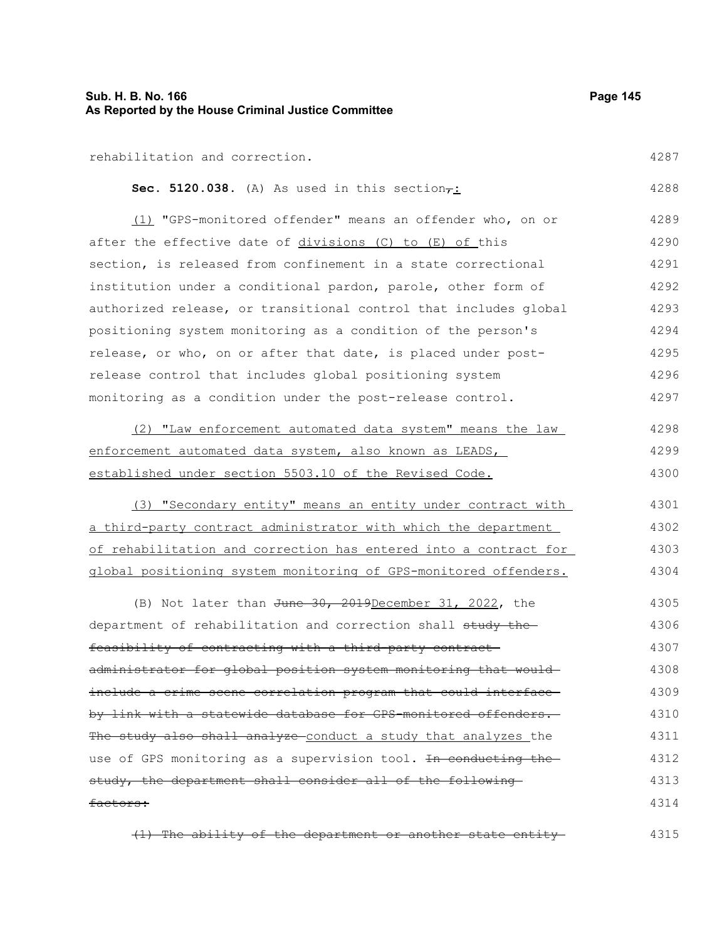# **Sub. H. B. No. 166** Page 145 **As Reported by the House Criminal Justice Committee**

| rehabilitation and correction.                                   | 4287 |
|------------------------------------------------------------------|------|
| Sec. 5120.038. (A) As used in this section $\tau$ :              | 4288 |
| (1) "GPS-monitored offender" means an offender who, on or        | 4289 |
| after the effective date of divisions (C) to (E) of this         | 4290 |
| section, is released from confinement in a state correctional    | 4291 |
| institution under a conditional pardon, parole, other form of    | 4292 |
| authorized release, or transitional control that includes global | 4293 |
| positioning system monitoring as a condition of the person's     | 4294 |
| release, or who, on or after that date, is placed under post-    | 4295 |
| release control that includes global positioning system          | 4296 |
| monitoring as a condition under the post-release control.        | 4297 |
| (2) "Law enforcement automated data system" means the law        | 4298 |
| enforcement automated data system, also known as LEADS,          | 4299 |
| established under section 5503.10 of the Revised Code.           | 4300 |
| (3) "Secondary entity" means an entity under contract with       | 4301 |
| a third-party contract administrator with which the department   | 4302 |
| of rehabilitation and correction has entered into a contract for | 4303 |
| global positioning system monitoring of GPS-monitored offenders. | 4304 |
| (B) Not later than June 30, 2019December 31, 2022, the           | 4305 |
| department of rehabilitation and correction shall study the      | 4306 |
| feasibility of contracting with a third-party contract-          | 4307 |
| administrator for global position system monitoring that would-  | 4308 |
| include a crime scene correlation program that could interface-  | 4309 |
| by link with a statewide database for GPS-monitored offenders.   | 4310 |
| The study also shall analyze conduct a study that analyzes the   | 4311 |
| use of GPS monitoring as a supervision tool. In conducting the-  | 4312 |
| study, the department shall consider all of the following-       | 4313 |
| <del>factors:</del>                                              | 4314 |

(1) The ability of the department or another state entity 4315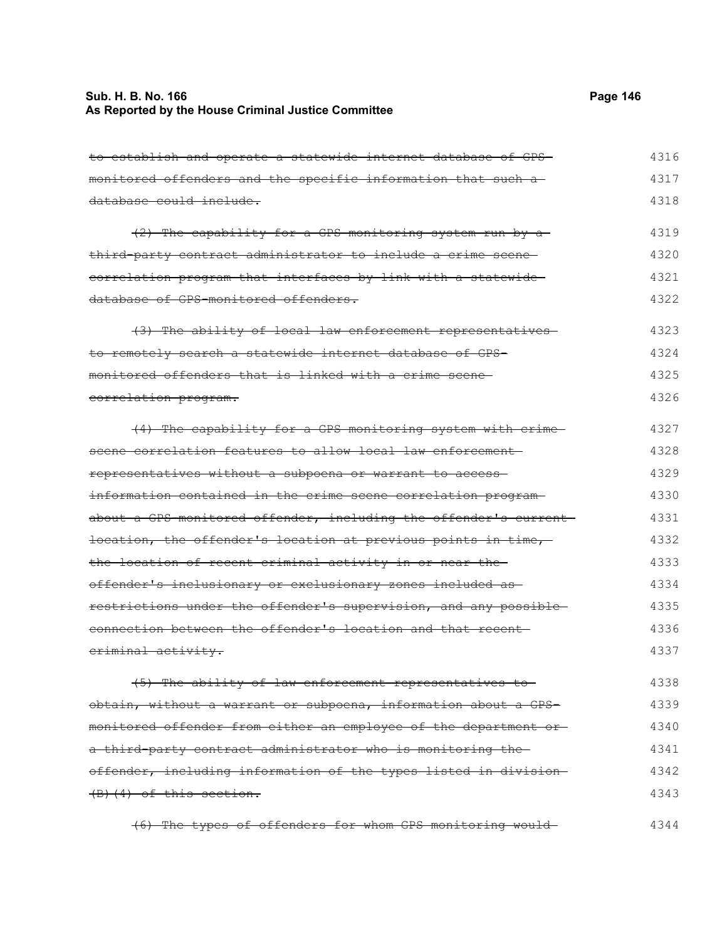# **Sub. H. B. No. 166 Page 146 As Reported by the House Criminal Justice Committee**

| to establish and operate a statewide internet database of GPS-    | 4316 |
|-------------------------------------------------------------------|------|
| monitored offenders and the specific information that such a      | 4317 |
| database could include.                                           | 4318 |
| (2) The capability for a GPS monitoring system run by a           | 4319 |
| third-party contract administrator to include a crime scene-      | 4320 |
| correlation program that interfaces by link with a statewide-     | 4321 |
| database of GPS-monitored offenders.                              | 4322 |
| (3) The ability of local law enforcement representatives          | 4323 |
| to remotely search a statewide internet database of GPS-          | 4324 |
| monitored offenders that is linked with a crime scene-            | 4325 |
| correlation program.                                              | 4326 |
| (4) The capability for a GPS monitoring system with crime         | 4327 |
| scene correlation features to allow local law enforcement-        | 4328 |
| representatives without a subpoena or warrant to access-          | 4329 |
| information contained in the crime scene correlation program-     | 4330 |
| about a GPS-monitored offender, including the offender's current- | 4331 |
| location, the offender's location at previous points in time,     | 4332 |
| the location of recent criminal activity in or near the-          | 4333 |
| offender's inclusionary or exclusionary zones included as-        | 4334 |
| restrictions under the offender's supervision, and any possible-  | 4335 |
| connection between the offender's location and that recent-       | 4336 |
| eriminal activity.                                                | 4337 |
| (5) The ability of law enforcement representatives to-            | 4338 |
| obtain, without a warrant or subpoena, information about a GPS-   | 4339 |
| monitored offender from either an employee of the department or-  | 4340 |
| a third-party contract administrator who is monitoring the-       | 4341 |
| offender, including information of the types listed in division-  | 4342 |
| $(B)$ $(4)$ of this section.                                      | 4343 |
| (6) The types of offenders for whom GPS monitoring would-         | 4344 |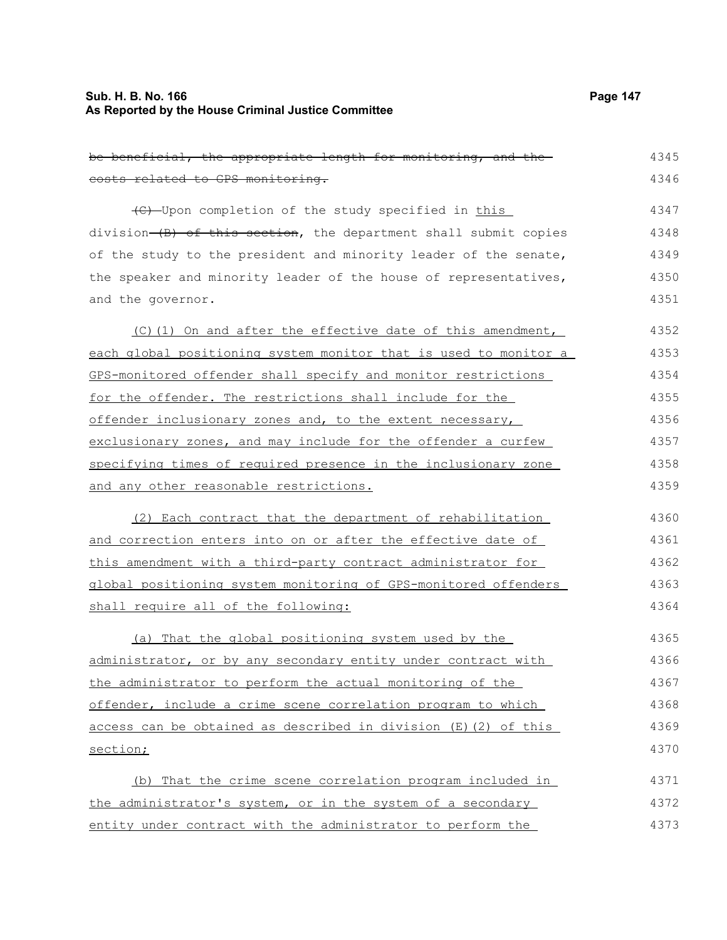# **Sub. H. B. No. 166** Page 147 **As Reported by the House Criminal Justice Committee**

| be beneficial, the appropriate length for monitoring, and the-    | 4345 |
|-------------------------------------------------------------------|------|
| costs related to GPS monitoring.                                  | 4346 |
| (C) Upon completion of the study specified in this                | 4347 |
| division-(B) of this section, the department shall submit copies  | 4348 |
| of the study to the president and minority leader of the senate,  | 4349 |
| the speaker and minority leader of the house of representatives,  | 4350 |
| and the governor.                                                 | 4351 |
| (C) (1) On and after the effective date of this amendment,        | 4352 |
| each global positioning system monitor that is used to monitor a  | 4353 |
| GPS-monitored offender shall specify and monitor restrictions     | 4354 |
| for the offender. The restrictions shall include for the          | 4355 |
| offender inclusionary zones and, to the extent necessary,         | 4356 |
| exclusionary zones, and may include for the offender a curfew     | 4357 |
| specifying times of required presence in the inclusionary zone    | 4358 |
| and any other reasonable restrictions.                            | 4359 |
| (2) Each contract that the department of rehabilitation           | 4360 |
| and correction enters into on or after the effective date of      | 4361 |
| this amendment with a third-party contract administrator for      | 4362 |
| global positioning system monitoring of GPS-monitored offenders   | 4363 |
| shall require all of the following:                               | 4364 |
| (a) That the global positioning system used by the                | 4365 |
| administrator, or by any secondary entity under contract with     | 4366 |
| the administrator to perform the actual monitoring of the         | 4367 |
| offender, include a crime scene correlation program to which      | 4368 |
| access can be obtained as described in division $(E)$ (2) of this | 4369 |
| section;                                                          | 4370 |
| (b) That the crime scene correlation program included in          | 4371 |
| the administrator's system, or in the system of a secondary       | 4372 |
| entity under contract with the administrator to perform the       | 4373 |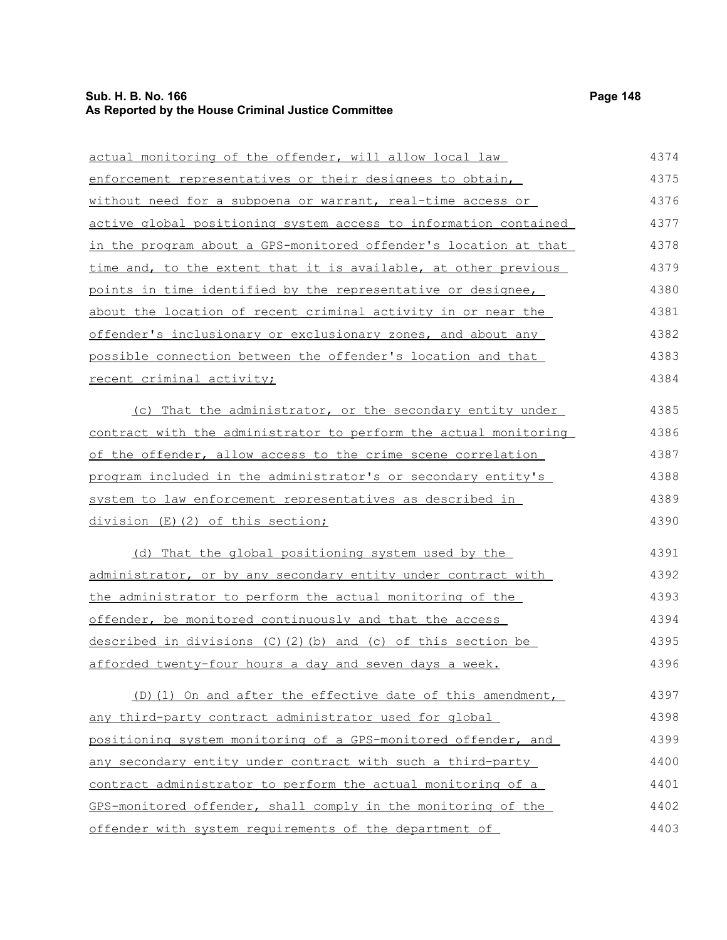#### **Sub. H. B. No. 166 Page 148 As Reported by the House Criminal Justice Committee**

actual monitoring of the offender, will allow local law enforcement representatives or their designees to obtain, without need for a subpoena or warrant, real-time access or active global positioning system access to information contained in the program about a GPS-monitored offender's location at that time and, to the extent that it is available, at other previous points in time identified by the representative or designee, about the location of recent criminal activity in or near the offender's inclusionary or exclusionary zones, and about any possible connection between the offender's location and that recent criminal activity; (c) That the administrator, or the secondary entity under contract with the administrator to perform the actual monitoring of the offender, allow access to the crime scene correlation program included in the administrator's or secondary entity's system to law enforcement representatives as described in division (E)(2) of this section; (d) That the global positioning system used by the administrator, or by any secondary entity under contract with the administrator to perform the actual monitoring of the offender, be monitored continuously and that the access described in divisions  $(C)(2)(b)$  and  $(c)$  of this section be afforded twenty-four hours a day and seven days a week. (D)(1) On and after the effective date of this amendment, any third-party contract administrator used for global positioning system monitoring of a GPS-monitored offender, and any secondary entity under contract with such a third-party contract administrator to perform the actual monitoring of a GPS-monitored offender, shall comply in the monitoring of the 4374 4375 4376 4377 4378 4379 4380 4381 4382 4383 4384 4385 4386 4387 4388 4389 4390 4391 4392 4393 4394 4395 4396 4397 4398 4399 4400 4401 4402

offender with system requirements of the department of

4403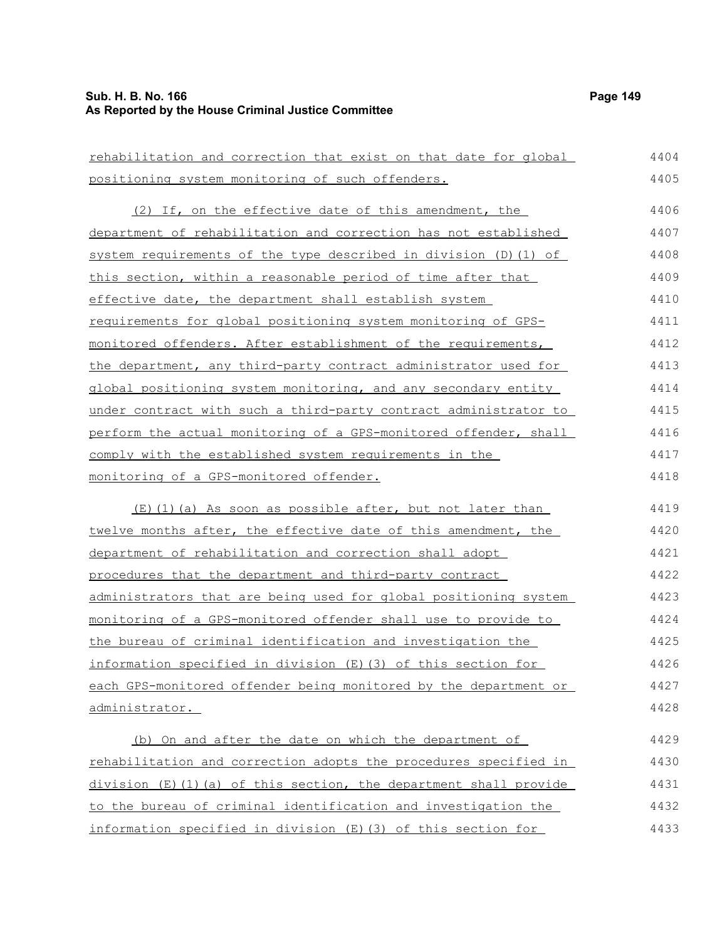| rehabilitation and correction that exist on that date for global |      |
|------------------------------------------------------------------|------|
| positioning system monitoring of such offenders.                 |      |
| (2) If, on the effective date of this amendment, the             | 4406 |
| department of rehabilitation and correction has not established  | 4407 |
| system requirements of the type described in division (D) (1) of | 4408 |
| this section, within a reasonable period of time after that      | 4409 |
| effective date, the department shall establish system            | 4410 |
| requirements for global positioning system monitoring of GPS-    | 4411 |
| monitored offenders. After establishment of the requirements,    | 4412 |
| the department, any third-party contract administrator used for  | 4413 |
| global positioning system monitoring, and any secondary entity   | 4414 |
| under contract with such a third-party contract administrator to | 4415 |
| perform the actual monitoring of a GPS-monitored offender, shall | 4416 |
| comply with the established system requirements in the           | 4417 |
| monitoring of a GPS-monitored offender.                          | 4418 |
| (E) (1) (a) As soon as possible after, but not later than        | 4419 |
| twelve months after, the effective date of this amendment, the   | 4420 |
| department of rehabilitation and correction shall adopt          | 4421 |
| procedures that the department and third-party contract          | 4422 |
| administrators that are being used for global positioning system |      |
| monitoring of a GPS-monitored offender shall use to provide to   |      |
| the bureau of criminal identification and investigation the      | 4425 |
| information specified in division (E) (3) of this section for    | 4426 |
| each GPS-monitored offender being monitored by the department or | 4427 |
| administrator.                                                   | 4428 |
| (b) On and after the date on which the department of             | 4429 |
| rehabilitation and correction adopts the procedures specified in | 4430 |
| division (E)(1)(a) of this section, the department shall provide |      |
| to the bureau of criminal identification and investigation the   |      |
| information specified in division (E) (3) of this section for    | 4433 |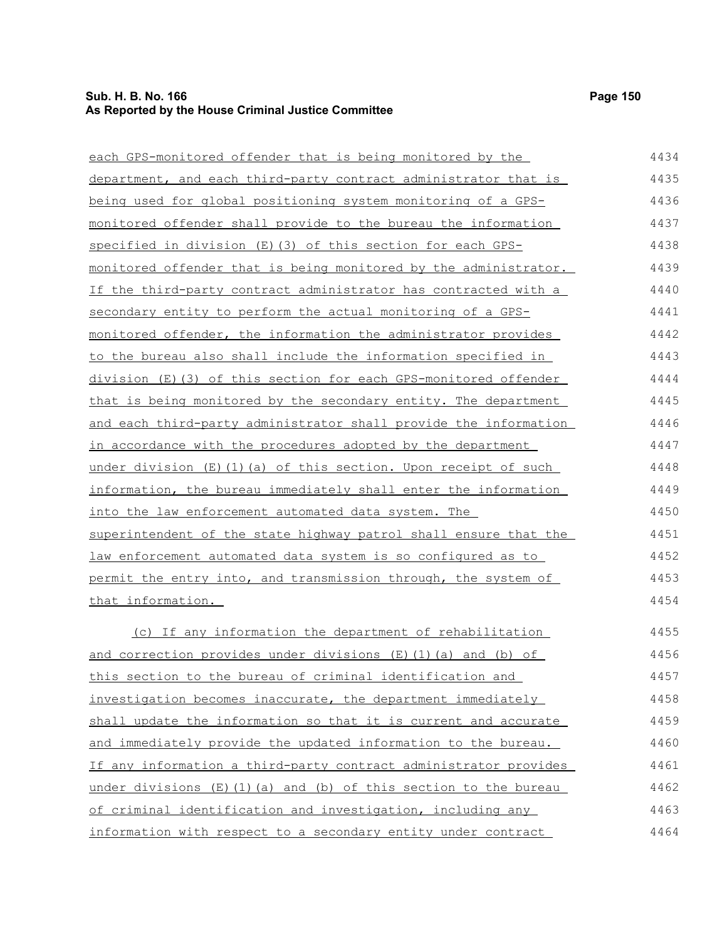# **Sub. H. B. No. 166 Page 150 As Reported by the House Criminal Justice Committee**

| each GPS-monitored offender that is being monitored by the          | 4434 |
|---------------------------------------------------------------------|------|
| department, and each third-party contract administrator that is     | 4435 |
| being used for global positioning system monitoring of a GPS-       | 4436 |
| monitored offender shall provide to the bureau the information      | 4437 |
| specified in division (E) (3) of this section for each GPS-         | 4438 |
| monitored offender that is being monitored by the administrator.    | 4439 |
| If the third-party contract administrator has contracted with a     | 4440 |
| secondary entity to perform the actual monitoring of a GPS-         | 4441 |
| monitored offender, the information the administrator provides      | 4442 |
| to the bureau also shall include the information specified in       | 4443 |
| division $(E)$ (3) of this section for each GPS-monitored offender  | 4444 |
| that is being monitored by the secondary entity. The department     | 4445 |
| and each third-party administrator shall provide the information    | 4446 |
| in accordance with the procedures adopted by the department         | 4447 |
| under division $(E)$ (1) (a) of this section. Upon receipt of such  | 4448 |
| information, the bureau immediately shall enter the information     | 4449 |
| into the law enforcement automated data system. The                 | 4450 |
| superintendent of the state highway patrol shall ensure that the    | 4451 |
| law enforcement automated data system is so configured as to        | 4452 |
| permit the entry into, and transmission through, the system of      | 4453 |
| that information.                                                   | 4454 |
| (c) If any information the department of rehabilitation             | 4455 |
| and correction provides under divisions $(E)$ (1) (a) and (b) of    | 4456 |
| this section to the bureau of criminal identification and           | 4457 |
| investigation becomes inaccurate, the department immediately        | 4458 |
| shall update the information so that it is current and accurate     | 4459 |
| and immediately provide the updated information to the bureau.      | 4460 |
| If any information a third-party contract administrator provides    | 4461 |
| under divisions $(E)$ (1) (a) and (b) of this section to the bureau | 4462 |
| of criminal identification and investigation, including any         | 4463 |
| information with respect to a secondary entity under contract       | 4464 |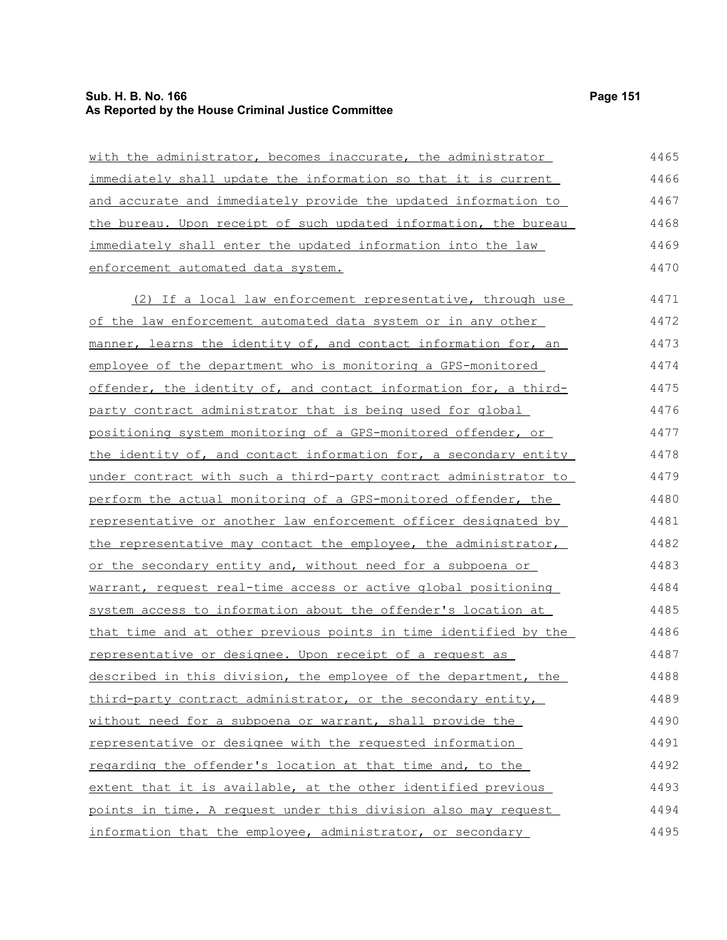# **Sub. H. B. No. 166** Page 151 **As Reported by the House Criminal Justice Committee**

| with the administrator, becomes inaccurate, the administrator    | 4465 |
|------------------------------------------------------------------|------|
| immediately shall update the information so that it is current   |      |
| and accurate and immediately provide the updated information to  | 4467 |
| the bureau. Upon receipt of such updated information, the bureau | 4468 |
| immediately shall enter the updated information into the law     | 4469 |
| enforcement automated data system.                               | 4470 |
| (2) If a local law enforcement representative, through use       | 4471 |
| of the law enforcement automated data system or in any other     | 4472 |
| manner, learns the identity of, and contact information for, an  | 4473 |
| employee of the department who is monitoring a GPS-monitored     | 4474 |
| offender, the identity of, and contact information for, a third- | 4475 |
| party contract administrator that is being used for global       | 4476 |
| positioning system monitoring of a GPS-monitored offender, or    | 4477 |
| the identity of, and contact information for, a secondary entity | 4478 |
| under contract with such a third-party contract administrator to | 4479 |
| perform the actual monitoring of a GPS-monitored offender, the   | 4480 |
| representative or another law enforcement officer designated by  | 4481 |
| the representative may contact the employee, the administrator,  | 4482 |
| or the secondary entity and, without need for a subpoena or      | 4483 |
| warrant, request real-time access or active global positioning   | 4484 |
| system access to information about the offender's location at    | 4485 |
| that time and at other previous points in time identified by the | 4486 |
| <u>representative or designee. Upon receipt of a request as</u>  | 4487 |
| described in this division, the employee of the department, the  | 4488 |
| third-party contract administrator, or the secondary entity,     | 4489 |
| without need for a subpoena or warrant, shall provide the        | 4490 |
| representative or designee with the requested information        | 4491 |
| regarding the offender's location at that time and, to the       | 4492 |
| extent that it is available, at the other identified previous    | 4493 |
| points in time. A request under this division also may request   | 4494 |
| information that the employee, administrator, or secondary       | 4495 |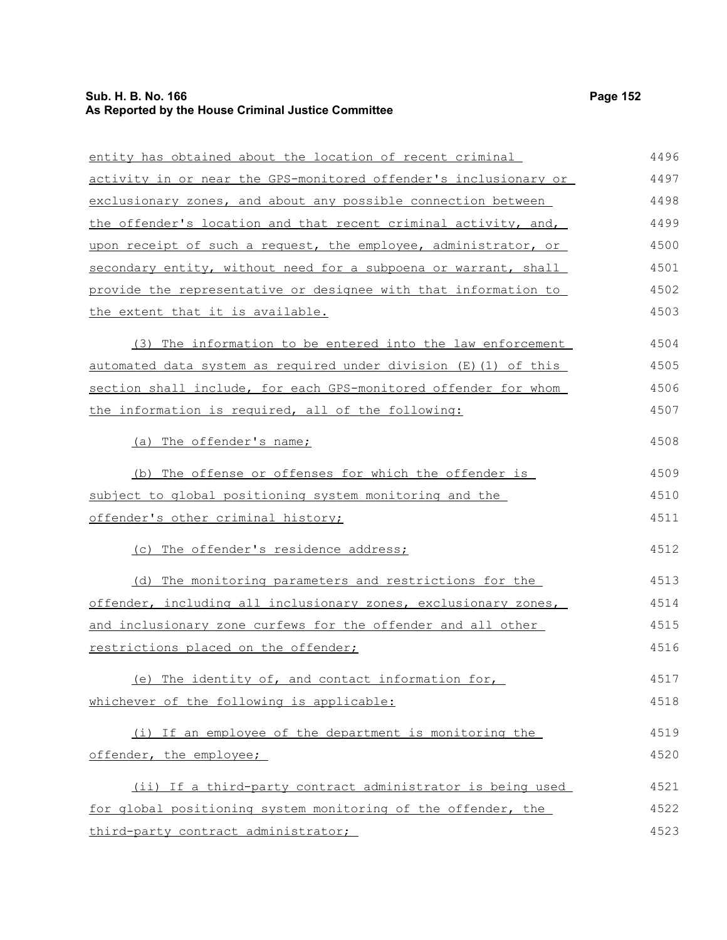## **Sub. H. B. No. 166 Page 152 As Reported by the House Criminal Justice Committee**

| entity has obtained about the location of recent criminal        |
|------------------------------------------------------------------|
| activity in or near the GPS-monitored offender's inclusionary or |
| exclusionary zones, and about any possible connection between    |
| the offender's location and that recent criminal activity, and,  |
| upon receipt of such a request, the employee, administrator, or  |
| secondary entity, without need for a subpoena or warrant, shall  |
| provide the representative or designee with that information to  |

the extent that it is available.

| (3) The information to be entered into the law enforcement       | 4504 |
|------------------------------------------------------------------|------|
| automated data system as required under division (E) (1) of this | 4505 |
| section shall include, for each GPS-monitored offender for whom  | 4506 |
| the information is required, all of the following:               | 4507 |

(a) The offender's name;

| (b) The offense or offenses for which the offender is   | 4509 |
|---------------------------------------------------------|------|
| subject to global positioning system monitoring and the | 4510 |
| offender's other criminal history;                      | 4511 |

(c) The offender's residence address;

| (d) The monitoring parameters and restrictions for the          | 4513 |
|-----------------------------------------------------------------|------|
| offender, including all inclusionary zones, exclusionary zones, | 4514 |
| and inclusionary zone curfews for the offender and all other    | 4515 |
| restrictions placed on the offender;                            | 4516 |

(e) The identity of, and contact information for, whichever of the following is applicable:

(i) If an employee of the department is monitoring the offender, the employee; 4519 4520

| (ii) If a third-party contract administrator is being used    | 4521 |
|---------------------------------------------------------------|------|
| for global positioning system monitoring of the offender, the | 4522 |
| third-party contract administrator;                           | 4523 |

4508

4512

4517 4518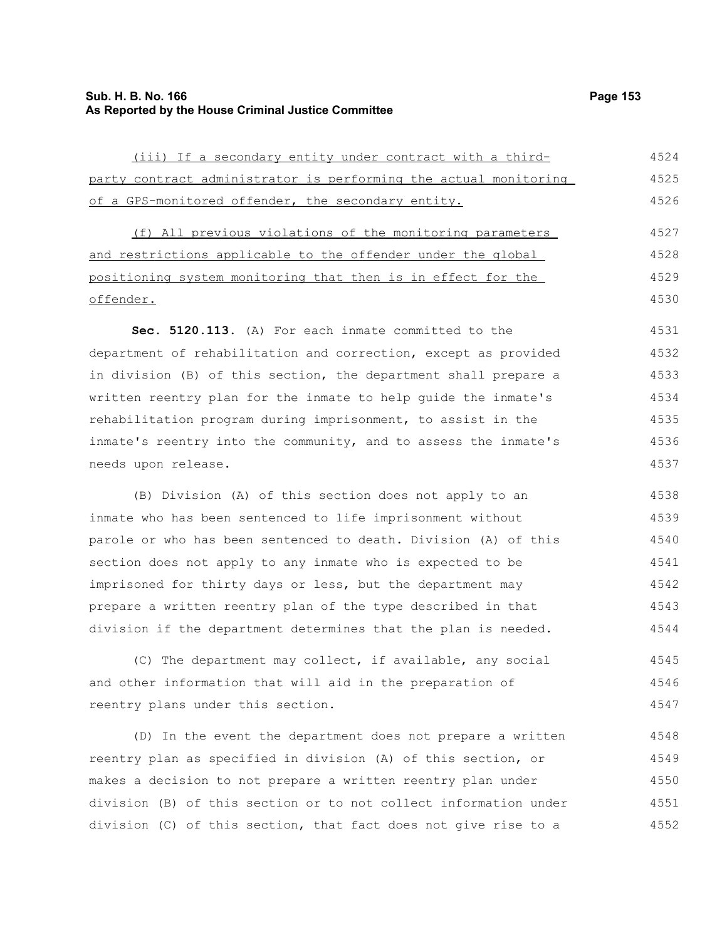## **Sub. H. B. No. 166 Page 153 As Reported by the House Criminal Justice Committee**

| (iii) If a secondary entity under contract with a third-         | 4524 |
|------------------------------------------------------------------|------|
| party contract administrator is performing the actual monitoring | 4525 |
| of a GPS-monitored offender, the secondary entity.               | 4526 |
|                                                                  |      |

(f) All previous violations of the monitoring parameters and restrictions applicable to the offender under the global positioning system monitoring that then is in effect for the offender. 4527 4528 4529 4530

**Sec. 5120.113.** (A) For each inmate committed to the department of rehabilitation and correction, except as provided in division (B) of this section, the department shall prepare a written reentry plan for the inmate to help guide the inmate's rehabilitation program during imprisonment, to assist in the inmate's reentry into the community, and to assess the inmate's needs upon release. 4531 4532 4533 4534 4535 4536 4537

(B) Division (A) of this section does not apply to an inmate who has been sentenced to life imprisonment without parole or who has been sentenced to death. Division (A) of this section does not apply to any inmate who is expected to be imprisoned for thirty days or less, but the department may prepare a written reentry plan of the type described in that division if the department determines that the plan is needed. 4538 4539 4540 4541 4542 4543 4544

(C) The department may collect, if available, any social and other information that will aid in the preparation of reentry plans under this section. 4545 4546 4547

(D) In the event the department does not prepare a written reentry plan as specified in division (A) of this section, or makes a decision to not prepare a written reentry plan under division (B) of this section or to not collect information under division (C) of this section, that fact does not give rise to a 4548 4549 4550 4551 4552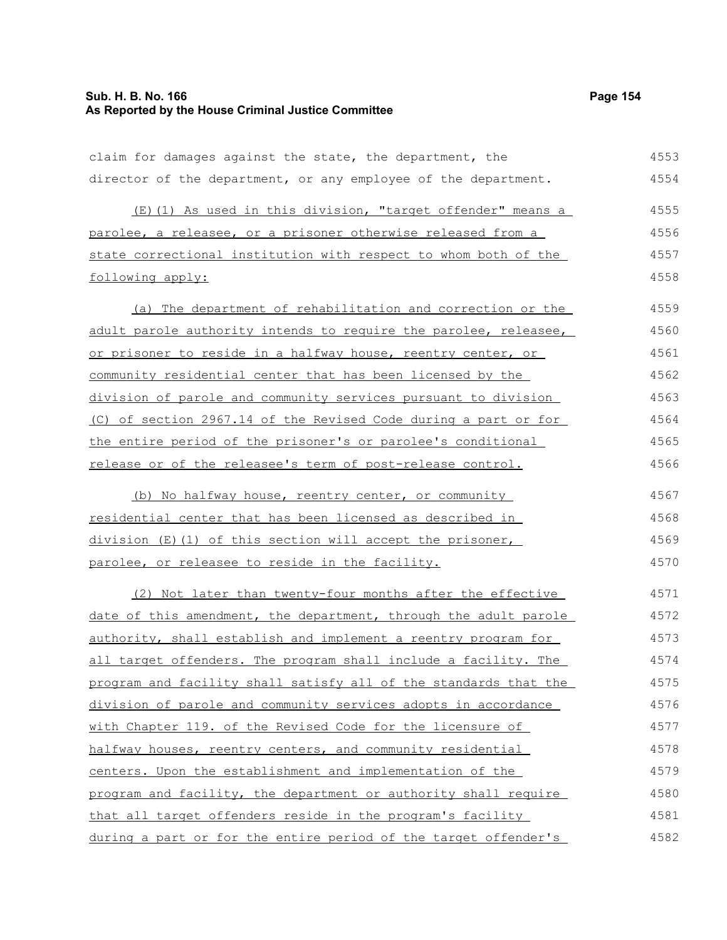# **Sub. H. B. No. 166** Page 154 **As Reported by the House Criminal Justice Committee**

| claim for damages against the state, the department, the         | 4553 |
|------------------------------------------------------------------|------|
| director of the department, or any employee of the department.   | 4554 |
| (E)(1) As used in this division, "target offender" means a       | 4555 |
| parolee, a releasee, or a prisoner otherwise released from a     | 4556 |
| state correctional institution with respect to whom both of the  | 4557 |
| following apply:                                                 | 4558 |
| (a) The department of rehabilitation and correction or the       | 4559 |
| adult parole authority intends to require the parolee, releasee, | 4560 |
| or prisoner to reside in a halfway house, reentry center, or     | 4561 |
| community residential center that has been licensed by the       | 4562 |
| division of parole and community services pursuant to division   | 4563 |
| (C) of section 2967.14 of the Revised Code during a part or for  | 4564 |
| the entire period of the prisoner's or parolee's conditional     | 4565 |
| release or of the releasee's term of post-release control.       | 4566 |
| (b) No halfway house, reentry center, or community               | 4567 |
| residential center that has been licensed as described in        | 4568 |
| division (E)(1) of this section will accept the prisoner,        | 4569 |
| parolee, or releasee to reside in the facility.                  | 4570 |
| (2) Not later than twenty-four months after the effective        | 4571 |
| date of this amendment, the department, through the adult parole | 4572 |
| authority, shall establish and implement a reentry program for   | 4573 |
| all target offenders. The program shall include a facility. The  | 4574 |
| program and facility shall satisfy all of the standards that the | 4575 |
| division of parole and community services adopts in accordance   | 4576 |
| with Chapter 119. of the Revised Code for the licensure of       | 4577 |
| halfway houses, reentry centers, and community residential       | 4578 |
| centers. Upon the establishment and implementation of the        | 4579 |
| program and facility, the department or authority shall require  | 4580 |
| that all target offenders reside in the program's facility       | 4581 |
| during a part or for the entire period of the target offender's  | 4582 |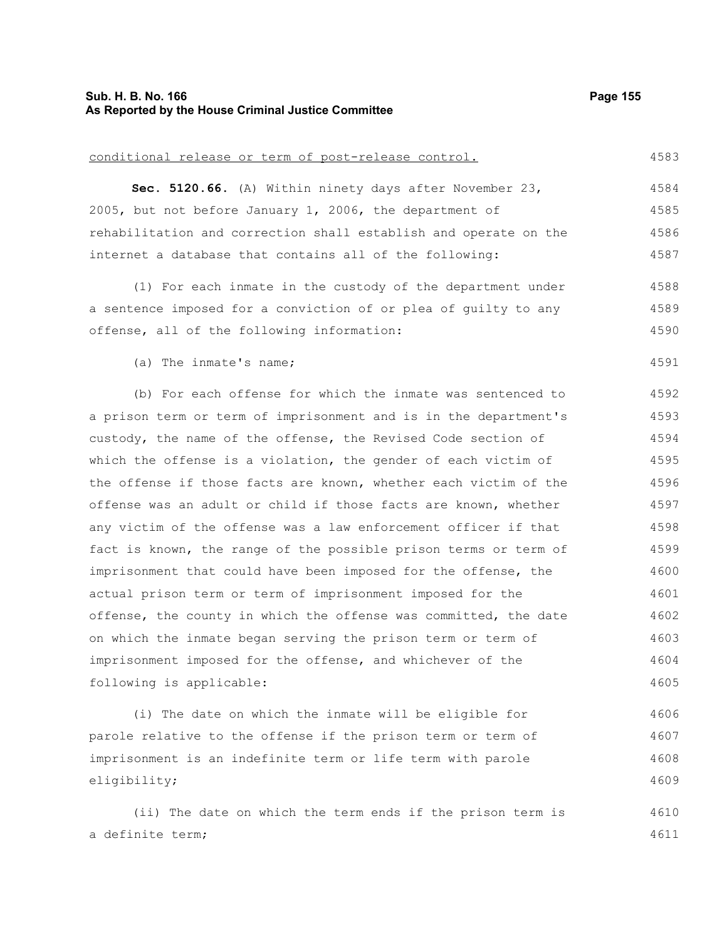## **Sub. H. B. No. 166 Page 155 As Reported by the House Criminal Justice Committee**

| conditional release or term of post-release control.             | 4583 |
|------------------------------------------------------------------|------|
| Sec. 5120.66. (A) Within ninety days after November 23,          | 4584 |
| 2005, but not before January 1, 2006, the department of          | 4585 |
| rehabilitation and correction shall establish and operate on the | 4586 |
| internet a database that contains all of the following:          | 4587 |
| (1) For each inmate in the custody of the department under       | 4588 |
| a sentence imposed for a conviction of or plea of guilty to any  | 4589 |
| offense, all of the following information:                       | 4590 |
| (a) The inmate's name;                                           | 4591 |
| (b) For each offense for which the inmate was sentenced to       | 4592 |
| a prison term or term of imprisonment and is in the department's | 4593 |
| custody, the name of the offense, the Revised Code section of    | 4594 |
| which the offense is a violation, the gender of each victim of   | 4595 |
| the offense if those facts are known, whether each victim of the | 4596 |
| offense was an adult or child if those facts are known, whether  | 4597 |
| any victim of the offense was a law enforcement officer if that  | 4598 |
| fact is known, the range of the possible prison terms or term of | 4599 |
| imprisonment that could have been imposed for the offense, the   | 4600 |
| actual prison term or term of imprisonment imposed for the       | 4601 |
|                                                                  |      |

offense, the county in which the offense was committed, the date on which the inmate began serving the prison term or term of imprisonment imposed for the offense, and whichever of the following is applicable: 4602 4603 4604 4605

(i) The date on which the inmate will be eligible for parole relative to the offense if the prison term or term of imprisonment is an indefinite term or life term with parole eligibility; 4606 4607 4608 4609

(ii) The date on which the term ends if the prison term is a definite term; 4610 4611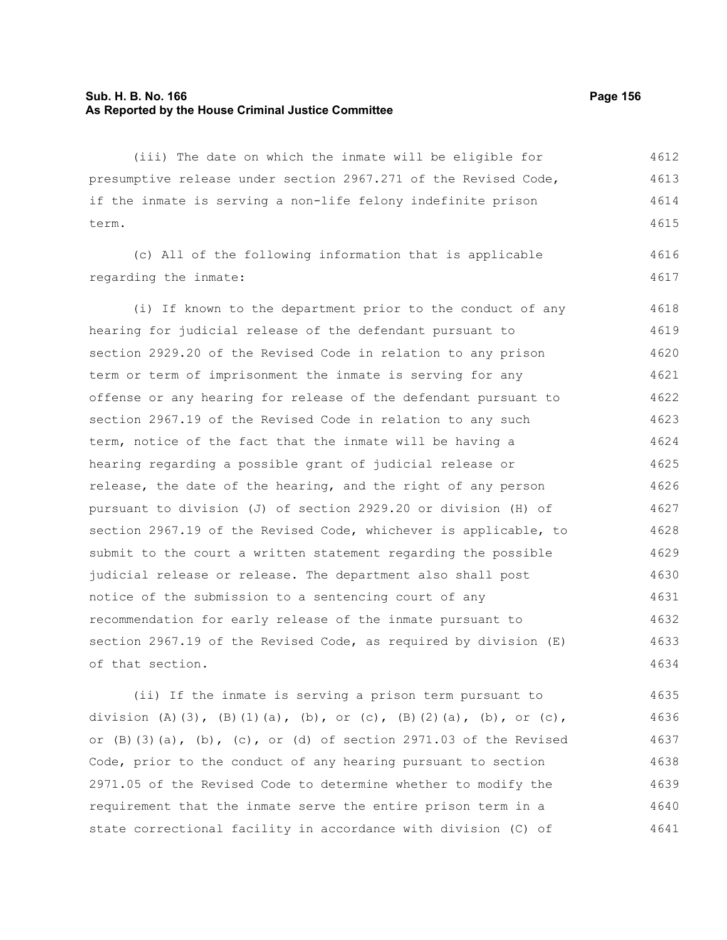### **Sub. H. B. No. 166 Page 156 As Reported by the House Criminal Justice Committee**

(iii) The date on which the inmate will be eligible for presumptive release under section 2967.271 of the Revised Code, if the inmate is serving a non-life felony indefinite prison term. 4612 4613 4614 4615

(c) All of the following information that is applicable regarding the inmate: 4616 4617

(i) If known to the department prior to the conduct of any hearing for judicial release of the defendant pursuant to section 2929.20 of the Revised Code in relation to any prison term or term of imprisonment the inmate is serving for any offense or any hearing for release of the defendant pursuant to section 2967.19 of the Revised Code in relation to any such term, notice of the fact that the inmate will be having a hearing regarding a possible grant of judicial release or release, the date of the hearing, and the right of any person pursuant to division (J) of section 2929.20 or division (H) of section 2967.19 of the Revised Code, whichever is applicable, to submit to the court a written statement regarding the possible judicial release or release. The department also shall post notice of the submission to a sentencing court of any recommendation for early release of the inmate pursuant to section 2967.19 of the Revised Code, as required by division (E) of that section. 4618 4619 4620 4621 4622 4623 4624 4625 4626 4627 4628 4629 4630 4631 4632 4633 4634

(ii) If the inmate is serving a prison term pursuant to division (A)(3), (B)(1)(a), (b), or (c), (B)(2)(a), (b), or (c), or  $(B)(3)(a)$ ,  $(b)$ ,  $(c)$ , or  $(d)$  of section 2971.03 of the Revised Code, prior to the conduct of any hearing pursuant to section 2971.05 of the Revised Code to determine whether to modify the requirement that the inmate serve the entire prison term in a state correctional facility in accordance with division (C) of 4635 4636 4637 4638 4639 4640 4641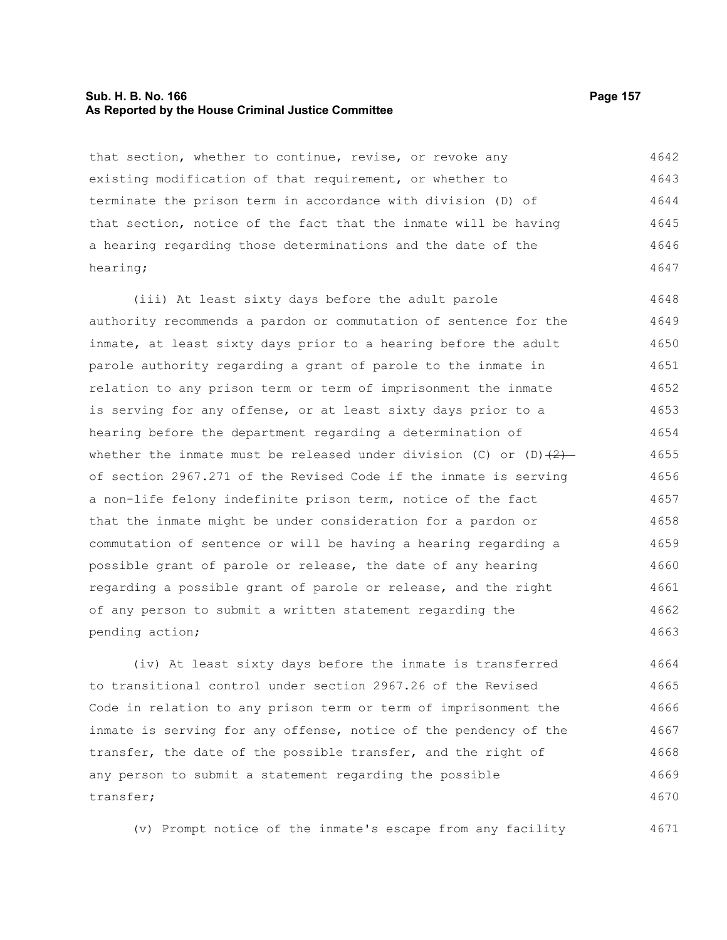#### **Sub. H. B. No. 166 Page 157** Page 157 **As Reported by the House Criminal Justice Committee**

that section, whether to continue, revise, or revoke any existing modification of that requirement, or whether to terminate the prison term in accordance with division (D) of that section, notice of the fact that the inmate will be having a hearing regarding those determinations and the date of the hearing; 4642 4643 4644 4645 4646 4647

(iii) At least sixty days before the adult parole authority recommends a pardon or commutation of sentence for the inmate, at least sixty days prior to a hearing before the adult parole authority regarding a grant of parole to the inmate in relation to any prison term or term of imprisonment the inmate is serving for any offense, or at least sixty days prior to a hearing before the department regarding a determination of whether the inmate must be released under division (C) or (D) $(2)$ of section 2967.271 of the Revised Code if the inmate is serving a non-life felony indefinite prison term, notice of the fact that the inmate might be under consideration for a pardon or commutation of sentence or will be having a hearing regarding a possible grant of parole or release, the date of any hearing regarding a possible grant of parole or release, and the right of any person to submit a written statement regarding the pending action; 4648 4649 4650 4651 4652 4653 4654 4655 4656 4657 4658 4659 4660 4661 4662 4663

(iv) At least sixty days before the inmate is transferred to transitional control under section 2967.26 of the Revised Code in relation to any prison term or term of imprisonment the inmate is serving for any offense, notice of the pendency of the transfer, the date of the possible transfer, and the right of any person to submit a statement regarding the possible transfer; 4664 4665 4666 4667 4668 4669 4670

(v) Prompt notice of the inmate's escape from any facility 4671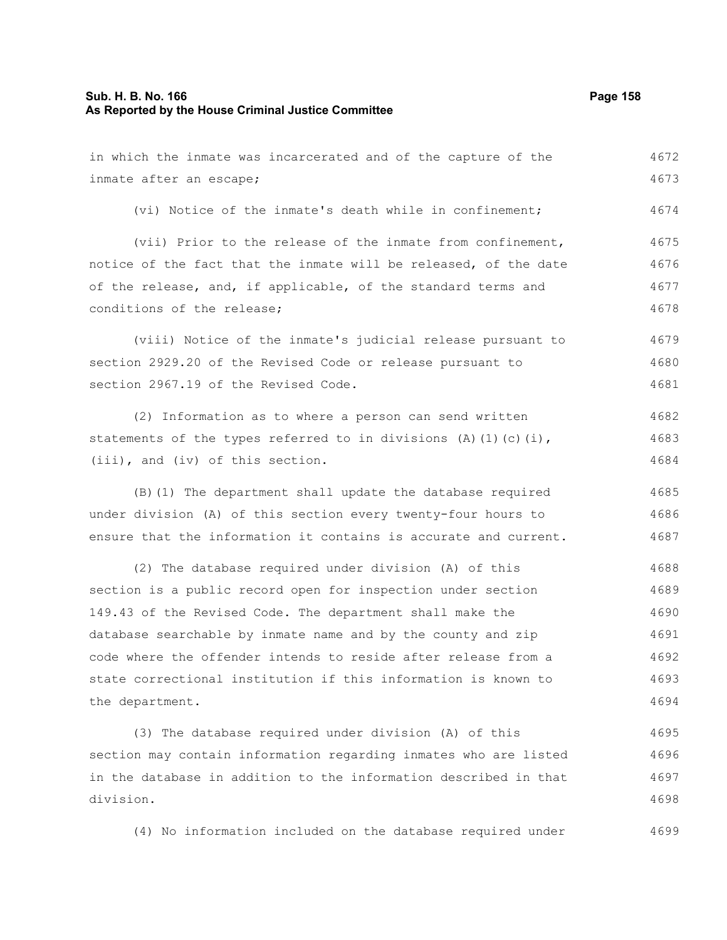# **Sub. H. B. No. 166 Page 158 As Reported by the House Criminal Justice Committee**

| in which the inmate was incarcerated and of the capture of the    | 4672 |
|-------------------------------------------------------------------|------|
| inmate after an escape;                                           | 4673 |
| (vi) Notice of the inmate's death while in confinement;           | 4674 |
| (vii) Prior to the release of the inmate from confinement,        | 4675 |
| notice of the fact that the inmate will be released, of the date  | 4676 |
| of the release, and, if applicable, of the standard terms and     | 4677 |
| conditions of the release;                                        | 4678 |
| (viii) Notice of the inmate's judicial release pursuant to        | 4679 |
| section 2929.20 of the Revised Code or release pursuant to        | 4680 |
| section 2967.19 of the Revised Code.                              | 4681 |
| (2) Information as to where a person can send written             | 4682 |
| statements of the types referred to in divisions (A) (1) (c) (i), | 4683 |
| (iii), and (iv) of this section.                                  | 4684 |
| (B) (1) The department shall update the database required         | 4685 |
| under division (A) of this section every twenty-four hours to     | 4686 |
| ensure that the information it contains is accurate and current.  | 4687 |
| (2) The database required under division (A) of this              | 4688 |
| section is a public record open for inspection under section      | 4689 |
| 149.43 of the Revised Code. The department shall make the         | 4690 |
| database searchable by inmate name and by the county and zip      | 4691 |
| code where the offender intends to reside after release from a    | 4692 |
| state correctional institution if this information is known to    | 4693 |
| the department.                                                   | 4694 |
| (3) The database required under division (A) of this              | 4695 |
| section may contain information regarding inmates who are listed  | 4696 |
| in the database in addition to the information described in that  | 4697 |
| division.                                                         | 4698 |
| (4) No information included on the database required under        | 4699 |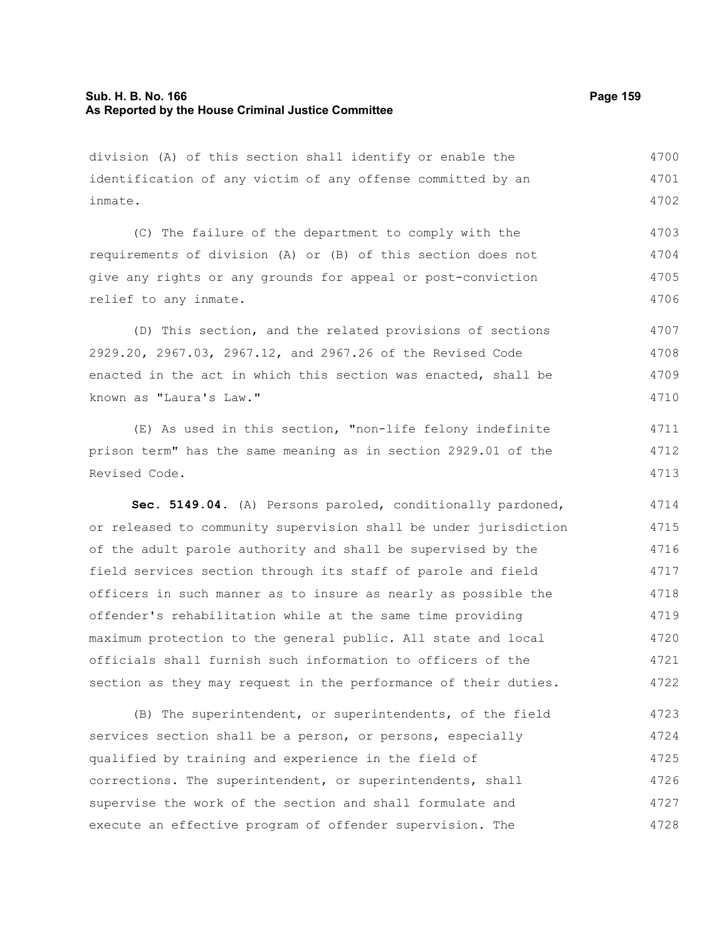### **Sub. H. B. No. 166 Page 159 As Reported by the House Criminal Justice Committee**

inmate.

division (A) of this section shall identify or enable the identification of any victim of any offense committed by an 4700 4701

(C) The failure of the department to comply with the requirements of division (A) or (B) of this section does not give any rights or any grounds for appeal or post-conviction relief to any inmate. 4703 4704 4705 4706

(D) This section, and the related provisions of sections 2929.20, 2967.03, 2967.12, and 2967.26 of the Revised Code enacted in the act in which this section was enacted, shall be known as "Laura's Law." 4707 4708 4709 4710

(E) As used in this section, "non-life felony indefinite prison term" has the same meaning as in section 2929.01 of the Revised Code.

**Sec. 5149.04.** (A) Persons paroled, conditionally pardoned, or released to community supervision shall be under jurisdiction of the adult parole authority and shall be supervised by the field services section through its staff of parole and field officers in such manner as to insure as nearly as possible the offender's rehabilitation while at the same time providing maximum protection to the general public. All state and local officials shall furnish such information to officers of the section as they may request in the performance of their duties. 4714 4715 4716 4717 4718 4719 4720 4721 4722

(B) The superintendent, or superintendents, of the field services section shall be a person, or persons, especially qualified by training and experience in the field of corrections. The superintendent, or superintendents, shall supervise the work of the section and shall formulate and execute an effective program of offender supervision. The 4723 4724 4725 4726 4727 4728

4702

4711 4712 4713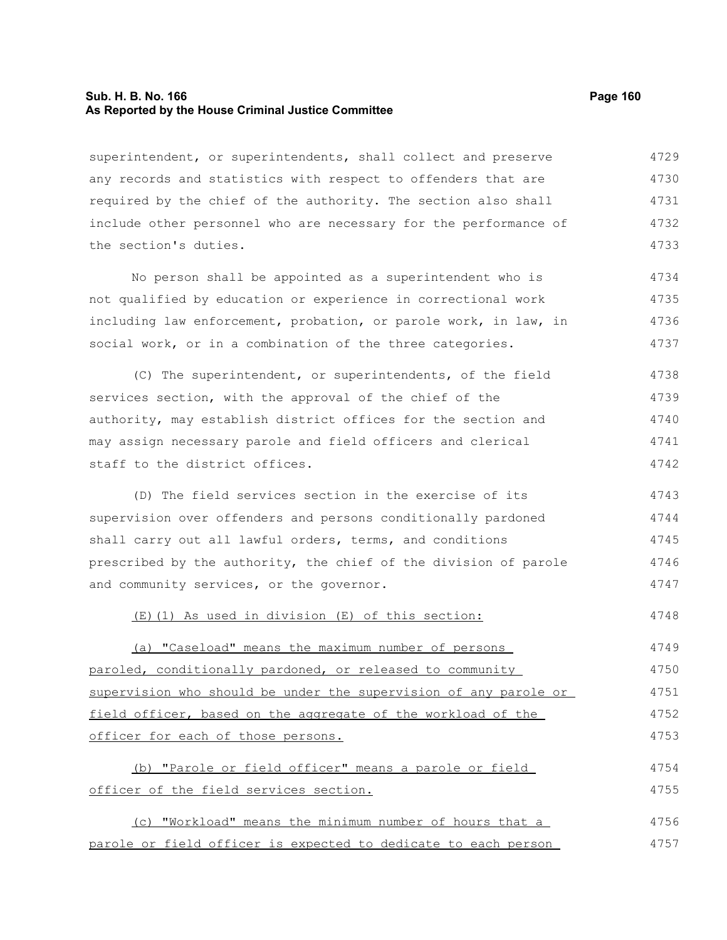#### **Sub. H. B. No. 166 Page 160 As Reported by the House Criminal Justice Committee**

superintendent, or superintendents, shall collect and preserve any records and statistics with respect to offenders that are required by the chief of the authority. The section also shall include other personnel who are necessary for the performance of the section's duties. 4729 4730 4731 4732 4733

No person shall be appointed as a superintendent who is not qualified by education or experience in correctional work including law enforcement, probation, or parole work, in law, in social work, or in a combination of the three categories. 4734 4735 4736 4737

(C) The superintendent, or superintendents, of the field services section, with the approval of the chief of the authority, may establish district offices for the section and may assign necessary parole and field officers and clerical staff to the district offices. 4738 4739 4740 4741 4742

(D) The field services section in the exercise of its supervision over offenders and persons conditionally pardoned shall carry out all lawful orders, terms, and conditions prescribed by the authority, the chief of the division of parole and community services, or the governor. 4743 4744 4745 4746 4747

(E)(1) As used in division (E) of this section: 4748

(a) "Caseload" means the maximum number of persons paroled, conditionally pardoned, or released to community supervision who should be under the supervision of any parole or field officer, based on the aggregate of the workload of the officer for each of those persons. 4749 4750 4751 4752 4753

(b) "Parole or field officer" means a parole or field officer of the field services section. 4754 4755

(c) "Workload" means the minimum number of hours that a parole or field officer is expected to dedicate to each person 4756 4757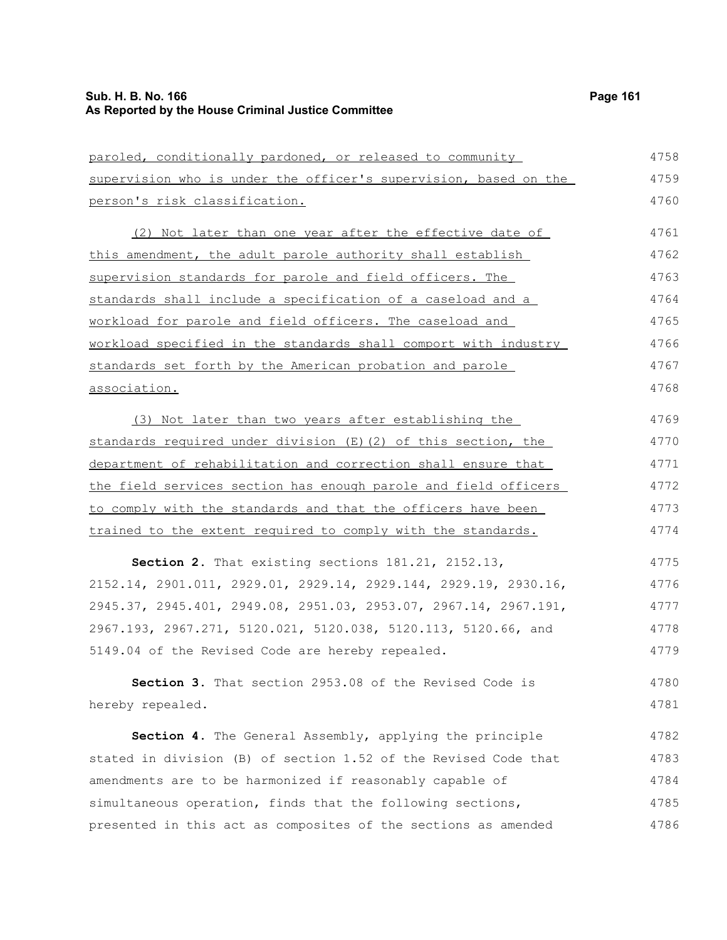# **As Reported by the House Criminal Justice Committee**

paroled, conditionally pardoned, or released to community supervision who is under the officer's supervision, based on the person's risk classification. (2) Not later than one year after the effective date of this amendment, the adult parole authority shall establish supervision standards for parole and field officers. The standards shall include a specification of a caseload and a workload for parole and field officers. The caseload and workload specified in the standards shall comport with industry standards set forth by the American probation and parole association. (3) Not later than two years after establishing the standards required under division (E)(2) of this section, the department of rehabilitation and correction shall ensure that the field services section has enough parole and field officers to comply with the standards and that the officers have been trained to the extent required to comply with the standards. **Section 2.** That existing sections 181.21, 2152.13, 2152.14, 2901.011, 2929.01, 2929.14, 2929.144, 2929.19, 2930.16, 2945.37, 2945.401, 2949.08, 2951.03, 2953.07, 2967.14, 2967.191, 2967.193, 2967.271, 5120.021, 5120.038, 5120.113, 5120.66, and 5149.04 of the Revised Code are hereby repealed. **Section 3.** That section 2953.08 of the Revised Code is hereby repealed. **Section 4.** The General Assembly, applying the principle stated in division (B) of section 1.52 of the Revised Code that amendments are to be harmonized if reasonably capable of simultaneous operation, finds that the following sections, presented in this act as composites of the sections as amended 4758 4759 4760 4761 4762 4763 4764 4765 4766 4767 4768 4769 4770 4771 4772 4773 4774 4775 4776 4777 4778 4779 4780 4781 4782 4783 4784 4785 4786